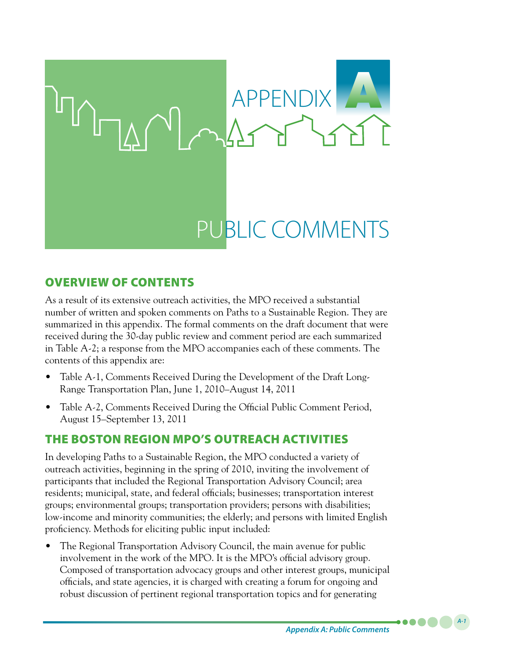

# Overview of Contents

As a result of its extensive outreach activities, the MPO received a substantial number of written and spoken comments on Paths to a Sustainable Region. They are summarized in this appendix. The formal comments on the draft document that were received during the 30-day public review and comment period are each summarized in Table A-2; a response from the MPO accompanies each of these comments. The contents of this appendix are:

- Table A-1, Comments Received During the Development of the Draft Long-Range Transportation Plan, June 1, 2010–August 14, 2011
- Table A-2, Comments Received During the Official Public Comment Period, August 15–September 13, 2011

# The Boston Region MPO's Outreach Activities

In developing Paths to a Sustainable Region, the MPO conducted a variety of outreach activities, beginning in the spring of 2010, inviting the involvement of participants that included the Regional Transportation Advisory Council; area residents; municipal, state, and federal officials; businesses; transportation interest groups; environmental groups; transportation providers; persons with disabilities; low-income and minority communities; the elderly; and persons with limited English proficiency. Methods for eliciting public input included:

The Regional Transportation Advisory Council, the main avenue for public involvement in the work of the MPO. It is the MPO's official advisory group. Composed of transportation advocacy groups and other interest groups, municipal officials, and state agencies, it is charged with creating a forum for ongoing and robust discussion of pertinent regional transportation topics and for generating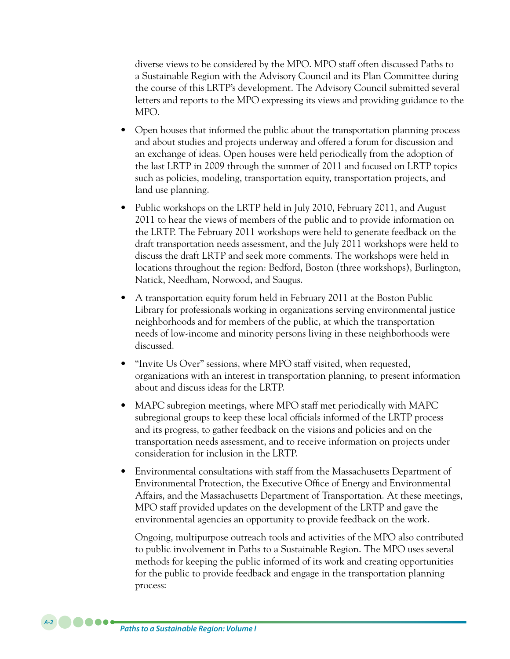diverse views to be considered by the MPO. MPO staff often discussed Paths to a Sustainable Region with the Advisory Council and its Plan Committee during the course of this LRTP's development. The Advisory Council submitted several letters and reports to the MPO expressing its views and providing guidance to the MPO.

- Open houses that informed the public about the transportation planning process and about studies and projects underway and offered a forum for discussion and an exchange of ideas. Open houses were held periodically from the adoption of the last LRTP in 2009 through the summer of 2011 and focused on LRTP topics such as policies, modeling, transportation equity, transportation projects, and land use planning.
- Public workshops on the LRTP held in July 2010, February 2011, and August 2011 to hear the views of members of the public and to provide information on the LRTP. The February 2011 workshops were held to generate feedback on the draft transportation needs assessment, and the July 2011 workshops were held to discuss the draft LRTP and seek more comments. The workshops were held in locations throughout the region: Bedford, Boston (three workshops), Burlington, Natick, Needham, Norwood, and Saugus.
- A transportation equity forum held in February 2011 at the Boston Public Library for professionals working in organizations serving environmental justice neighborhoods and for members of the public, at which the transportation needs of low-income and minority persons living in these neighborhoods were discussed.
- "Invite Us Over" sessions, where MPO staff visited, when requested, organizations with an interest in transportation planning, to present information about and discuss ideas for the LRTP.
- MAPC subregion meetings, where MPO staff met periodically with MAPC subregional groups to keep these local officials informed of the LRTP process and its progress, to gather feedback on the visions and policies and on the transportation needs assessment, and to receive information on projects under consideration for inclusion in the LRTP.
- Environmental consultations with staff from the Massachusetts Department of Environmental Protection, the Executive Office of Energy and Environmental Affairs, and the Massachusetts Department of Transportation. At these meetings, MPO staff provided updates on the development of the LRTP and gave the environmental agencies an opportunity to provide feedback on the work.

Ongoing, multipurpose outreach tools and activities of the MPO also contributed to public involvement in Paths to a Sustainable Region. The MPO uses several methods for keeping the public informed of its work and creating opportunities for the public to provide feedback and engage in the transportation planning process: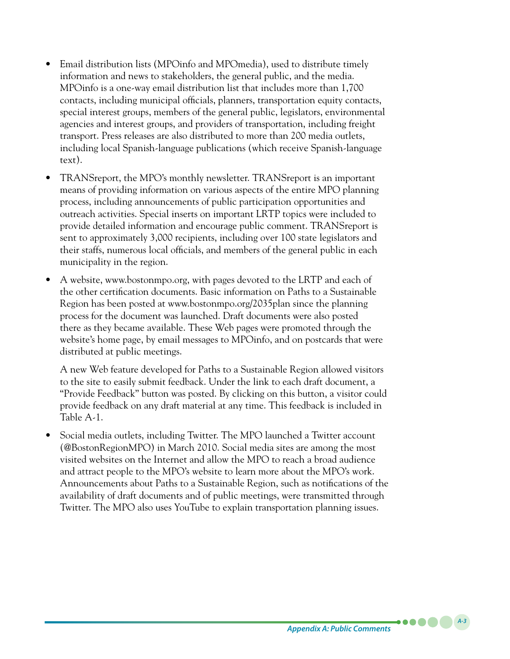- Email distribution lists (MPOinfo and MPOmedia), used to distribute timely information and news to stakeholders, the general public, and the media. MPOinfo is a one-way email distribution list that includes more than 1,700 contacts, including municipal officials, planners, transportation equity contacts, special interest groups, members of the general public, legislators, environmental agencies and interest groups, and providers of transportation, including freight transport. Press releases are also distributed to more than 200 media outlets, including local Spanish-language publications (which receive Spanish-language text).
- TRANSreport, the MPO's monthly newsletter. TRANSreport is an important means of providing information on various aspects of the entire MPO planning process, including announcements of public participation opportunities and outreach activities. Special inserts on important LRTP topics were included to provide detailed information and encourage public comment. TRANSreport is sent to approximately 3,000 recipients, including over 100 state legislators and their staffs, numerous local officials, and members of the general public in each municipality in the region.
- A website, www.bostonmpo.org, with pages devoted to the LRTP and each of the other certification documents. Basic information on Paths to a Sustainable Region has been posted at www.bostonmpo.org/2035plan since the planning process for the document was launched. Draft documents were also posted there as they became available. These Web pages were promoted through the website's home page, by email messages to MPOinfo, and on postcards that were distributed at public meetings.

A new Web feature developed for Paths to a Sustainable Region allowed visitors to the site to easily submit feedback. Under the link to each draft document, a "Provide Feedback" button was posted. By clicking on this button, a visitor could provide feedback on any draft material at any time. This feedback is included in Table A-1.

Social media outlets, including Twitter. The MPO launched a Twitter account (@BostonRegionMPO) in March 2010. Social media sites are among the most visited websites on the Internet and allow the MPO to reach a broad audience and attract people to the MPO's website to learn more about the MPO's work. Announcements about Paths to a Sustainable Region, such as notifications of the availability of draft documents and of public meetings, were transmitted through Twitter. The MPO also uses YouTube to explain transportation planning issues.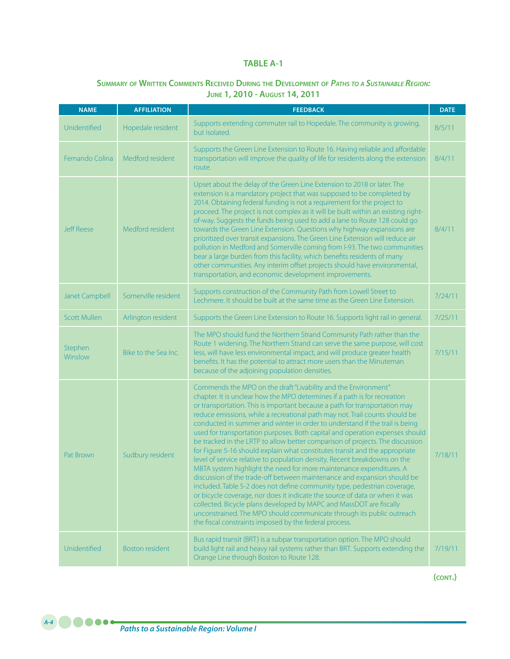#### **TABLE A-1**

# **Summary of Written Comments Received During the Development of** *Paths to <sup>a</sup> Sustainable Region:* **June 1, 2010 - August 14, 2011**

| <b>NAME</b>           | <b>AFFILIATION</b>     | <b>FEEDBACK</b>                                                                                                                                                                                                                                                                                                                                                                                                                                                                                                                                                                                                                                                                                                                                                                                                                                                                                                                                                                                                                                                                                                                                                                                                                             | <b>DATE</b> |
|-----------------------|------------------------|---------------------------------------------------------------------------------------------------------------------------------------------------------------------------------------------------------------------------------------------------------------------------------------------------------------------------------------------------------------------------------------------------------------------------------------------------------------------------------------------------------------------------------------------------------------------------------------------------------------------------------------------------------------------------------------------------------------------------------------------------------------------------------------------------------------------------------------------------------------------------------------------------------------------------------------------------------------------------------------------------------------------------------------------------------------------------------------------------------------------------------------------------------------------------------------------------------------------------------------------|-------------|
| Unidentified          | Hopedale resident      | Supports extending commuter rail to Hopedale. The community is growing,<br>but isolated.                                                                                                                                                                                                                                                                                                                                                                                                                                                                                                                                                                                                                                                                                                                                                                                                                                                                                                                                                                                                                                                                                                                                                    | 8/5/11      |
| Fernando Colina       | Medford resident       | Supports the Green Line Extension to Route 16. Having reliable and affordable<br>transportation will improve the quality of life for residents along the extension<br>route.                                                                                                                                                                                                                                                                                                                                                                                                                                                                                                                                                                                                                                                                                                                                                                                                                                                                                                                                                                                                                                                                | 8/4/11      |
| <b>Jeff Reese</b>     | Medford resident       | Upset about the delay of the Green Line Extension to 2018 or later. The<br>extension is a mandatory project that was supposed to be completed by<br>2014. Obtaining federal funding is not a requirement for the project to<br>proceed. The project is not complex as it will be built within an existing right-<br>of-way. Suggests the funds being used to add a lane to Route 128 could go<br>towards the Green Line Extension. Questions why highway expansions are<br>prioritized over transit expansions. The Green Line Extension will reduce air<br>pollution in Medford and Somerville coming from I-93. The two communities<br>bear a large burden from this facility, which benefits residents of many<br>other communities. Any interim offset projects should have environmental,<br>transportation, and economic development improvements.                                                                                                                                                                                                                                                                                                                                                                                    | 8/4/11      |
| <b>Janet Campbell</b> | Somerville resident    | Supports construction of the Community Path from Lowell Street to<br>Lechmere. It should be built at the same time as the Green Line Extension.                                                                                                                                                                                                                                                                                                                                                                                                                                                                                                                                                                                                                                                                                                                                                                                                                                                                                                                                                                                                                                                                                             | 7/24/11     |
| <b>Scott Mullen</b>   | Arlington resident     | Supports the Green Line Extension to Route 16. Supports light rail in general.                                                                                                                                                                                                                                                                                                                                                                                                                                                                                                                                                                                                                                                                                                                                                                                                                                                                                                                                                                                                                                                                                                                                                              | 7/25/11     |
| Stephen<br>Winslow    | Bike to the Sea Inc.   | The MPO should fund the Northern Strand Community Path rather than the<br>Route 1 widening. The Northern Strand can serve the same purpose, will cost<br>less, will have less environmental impact, and will produce greater health<br>benefits. It has the potential to attract more users than the Minuteman<br>because of the adjoining population densities.                                                                                                                                                                                                                                                                                                                                                                                                                                                                                                                                                                                                                                                                                                                                                                                                                                                                            | 7/15/11     |
| Pat Brown             | Sudbury resident       | Commends the MPO on the draft "Livability and the Environment"<br>chapter. It is unclear how the MPO determines if a path is for recreation<br>or transportation. This is important because a path for transportation may<br>reduce emissions, while a recreational path may not. Trail counts should be<br>conducted in summer and winter in order to understand if the trail is being<br>used for transportation purposes. Both capital and operation expenses should<br>be tracked in the LRTP to allow better comparison of projects. The discussion<br>for Figure 5-16 should explain what constitutes transit and the appropriate<br>level of service relative to population density. Recent breakdowns on the<br>MBTA system highlight the need for more maintenance expenditures. A<br>discussion of the trade-off between maintenance and expansion should be<br>included. Table 5-2 does not define community type, pedestrian coverage,<br>or bicycle coverage, nor does it indicate the source of data or when it was<br>collected. Bicycle plans developed by MAPC and MassDOT are fiscally<br>unconstrained. The MPO should communicate through its public outreach<br>the fiscal constraints imposed by the federal process. | 7/18/11     |
| Unidentified          | <b>Boston resident</b> | Bus rapid transit (BRT) is a subpar transportation option. The MPO should<br>build light rail and heavy rail systems rather than BRT. Supports extending the<br>Orange Line through Boston to Route 128.                                                                                                                                                                                                                                                                                                                                                                                                                                                                                                                                                                                                                                                                                                                                                                                                                                                                                                                                                                                                                                    | 7/19/11     |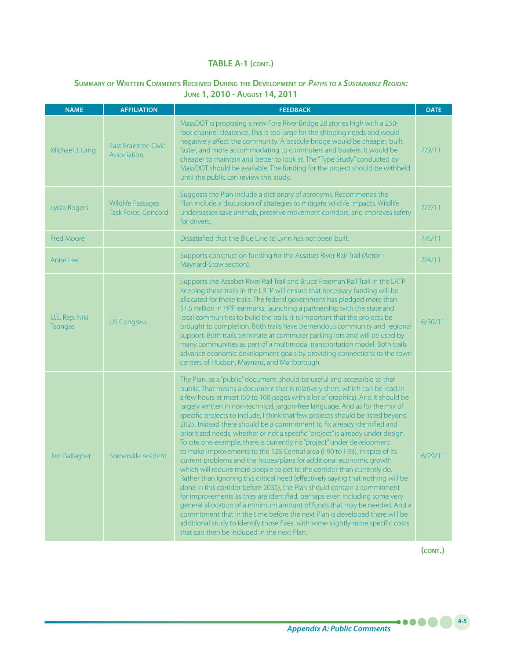### **Summary of Written Comments Received During the Development of** *Paths to <sup>a</sup> Sustainable Region:*  **June 1, 2010 - August 14, 2011**

| <b>NAME</b>                      | <b>AFFILIATION</b>                              | <b>FEEDBACK</b>                                                                                                                                                                                                                                                                                                                                                                                                                                                                                                                                                                                                                                                                                                                                                                                                                                                                                                                                                                                                                                                                                                                                                                                                                                                                                                                                                                                                                         | <b>DATE</b> |
|----------------------------------|-------------------------------------------------|-----------------------------------------------------------------------------------------------------------------------------------------------------------------------------------------------------------------------------------------------------------------------------------------------------------------------------------------------------------------------------------------------------------------------------------------------------------------------------------------------------------------------------------------------------------------------------------------------------------------------------------------------------------------------------------------------------------------------------------------------------------------------------------------------------------------------------------------------------------------------------------------------------------------------------------------------------------------------------------------------------------------------------------------------------------------------------------------------------------------------------------------------------------------------------------------------------------------------------------------------------------------------------------------------------------------------------------------------------------------------------------------------------------------------------------------|-------------|
| Michael J. Lang                  | <b>East Braintree Civic</b><br>Association      | MassDOT is proposing a new Fore River Bridge 28 stories high with a 250-<br>foot channel clearance. This is too large for the shipping needs and would<br>negatively affect the community. A bascule bridge would be cheaper, built<br>faster, and more accommodating to commuters and boaters. It would be<br>cheaper to maintain and better to look at. The "Type Study" conducted by<br>MassDOT should be available. The funding for the project should be withheld<br>until the public can review this study.                                                                                                                                                                                                                                                                                                                                                                                                                                                                                                                                                                                                                                                                                                                                                                                                                                                                                                                       | 7/9/11      |
| Lydia Rogers                     | <b>Wildlife Passages</b><br>Task Force, Concord | Suggests the Plan include a dictionary of acronyms. Recommends the<br>Plan include a discussion of strategies to mitigate wildlife impacts. Wildlife<br>underpasses save animals, preserve movement corridors, and improves safety<br>for drivers.                                                                                                                                                                                                                                                                                                                                                                                                                                                                                                                                                                                                                                                                                                                                                                                                                                                                                                                                                                                                                                                                                                                                                                                      | 7/7/11      |
| <b>Fred Moore</b>                |                                                 | Dissatisfied that the Blue Line to Lynn has not been built.                                                                                                                                                                                                                                                                                                                                                                                                                                                                                                                                                                                                                                                                                                                                                                                                                                                                                                                                                                                                                                                                                                                                                                                                                                                                                                                                                                             | 7/6/11      |
| Anne Lee                         |                                                 | Supports construction funding for the Assabet River Rail Trail (Acton-<br>Maynard-Stow section).                                                                                                                                                                                                                                                                                                                                                                                                                                                                                                                                                                                                                                                                                                                                                                                                                                                                                                                                                                                                                                                                                                                                                                                                                                                                                                                                        | 7/4/11      |
| U.S. Rep. Niki<br><b>Tsongas</b> | <b>US Congress</b>                              | Supports the Assabet River Rail Trail and Bruce Freeman Rail Trail in the LRTP.<br>Keeping these trails in the LRTP will ensure that necessary funding will be<br>allocated for these trails. The federal government has pledged more than<br>\$1.5 million in HPP earmarks, launching a partnership with the state and<br>local communities to build the trails. It is important that the projects be<br>brought to completion. Both trails have tremendous community and regional<br>support. Both trails terminate at commuter parking lots and will be used by<br>many communities as part of a multimodal transportation model. Both trails<br>advance economic development goals by providing connections to the town<br>centers of Hudson, Maynard, and Marlborough.                                                                                                                                                                                                                                                                                                                                                                                                                                                                                                                                                                                                                                                             | 6/30/11     |
| Jim Gallagher                    | Somerville resident                             | The Plan, as a "public" document, should be useful and accessible to that<br>public. That means a document that is relatively short, which can be read in<br>a few hours at most (50 to 100 pages with a lot of graphics). And it should be<br>largely written in non-technical, jargon-free language. And as for the mix of<br>specific projects to include, I think that few projects should be listed beyond<br>2025. Instead there should be a commitment to fix already identified and<br>prioritized needs, whether or not a specific "project" is already under design.<br>To cite one example, there is currently no "project" under development<br>to make improvements to the 128 Central area (I-90 to I-93), in spite of its<br>current problems and the hopes/plans for additional economic growth<br>which will require more people to get to the corridor than currently do.<br>Rather than ignoring this critical need (effectively saying that nothing will be<br>done in this corridor before 2035), the Plan should contain a commitment<br>for improvements as they are identified, perhaps even including some very<br>general allocation of a minimum amount of funds that may be needed. And a<br>commitment that in the time before the next Plan is developed there will be<br>additional study to identify those fixes, with some slightly more specific costs<br>that can then be included in the next Plan. | 6/29/11     |

**(cont.)**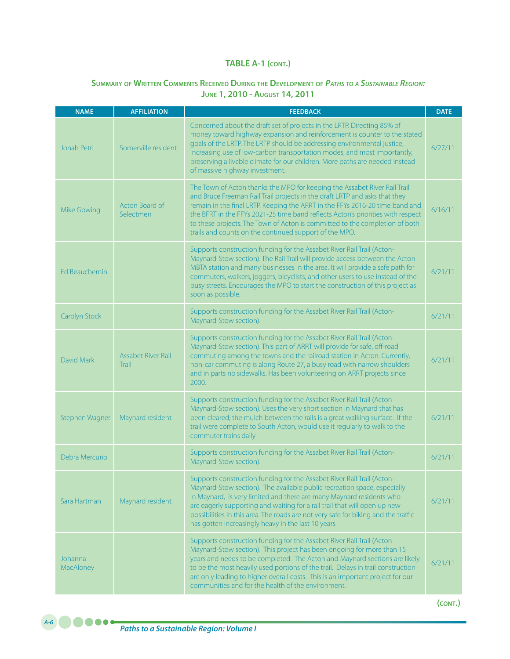# **Summary of Written Comments Received During the Development of** *Paths to <sup>a</sup> Sustainable Region:* **June 1, 2010 - August 14, 2011**

| <b>NAME</b>          | <b>AFFILIATION</b>                 | <b>FEEDBACK</b>                                                                                                                                                                                                                                                                                                                                                                                                                                                     | <b>DATE</b> |
|----------------------|------------------------------------|---------------------------------------------------------------------------------------------------------------------------------------------------------------------------------------------------------------------------------------------------------------------------------------------------------------------------------------------------------------------------------------------------------------------------------------------------------------------|-------------|
| Jonah Petri          | Somerville resident                | Concerned about the draft set of projects in the LRTP. Directing 85% of<br>money toward highway expansion and reinforcement is counter to the stated<br>goals of the LRTP. The LRTP should be addressing environmental justice,<br>increasing use of low-carbon transportation modes, and most importantly,<br>preserving a livable climate for our children. More paths are needed instead<br>of massive highway investment.                                       | 6/27/11     |
| Mike Gowing          | Acton Board of<br>Selectmen        | The Town of Acton thanks the MPO for keeping the Assabet River Rail Trail<br>and Bruce Freeman Rail Trail projects in the draft LRTP and asks that they<br>remain in the final LRTP. Keeping the ARRT in the FFYs 2016-20 time band and<br>the BFRT in the FFYs 2021-25 time band reflects Acton's priorities with respect<br>to these projects. The Town of Acton is committed to the completion of both<br>trails and counts on the continued support of the MPO. | 6/16/11     |
| Ed Beauchemin        |                                    | Supports construction funding for the Assabet River Rail Trail (Acton-<br>Maynard-Stow section). The Rail Trail will provide access between the Acton<br>MBTA station and many businesses in the area. It will provide a safe path for<br>commuters, walkers, joggers, bicyclists, and other users to use instead of the<br>busy streets. Encourages the MPO to start the construction of this project as<br>soon as possible.                                      | 6/21/11     |
| Carolyn Stock        |                                    | Supports construction funding for the Assabet River Rail Trail (Acton-<br>Maynard-Stow section).                                                                                                                                                                                                                                                                                                                                                                    | 6/21/11     |
| David Mark           | <b>Assabet River Rail</b><br>Trail | Supports construction funding for the Assabet River Rail Trail (Acton-<br>Maynard-Stow section). This part of ARRT will provide for safe, off-road<br>commuting among the towns and the railroad station in Acton. Currently,<br>non-car commuting is along Route 27, a busy road with narrow shoulders<br>and in parts no sidewalks. Has been volunteering on ARRT projects since<br>2000.                                                                         | 6/21/11     |
| Stephen Wagner       | Maynard resident                   | Supports construction funding for the Assabet River Rail Trail (Acton-<br>Maynard-Stow section). Uses the very short section in Maynard that has<br>been cleared; the mulch between the rails is a great walking surface. If the<br>trail were complete to South Acton, would use it regularly to walk to the<br>commuter trains daily.                                                                                                                             | 6/21/11     |
| Debra Mercurio       |                                    | Supports construction funding for the Assabet River Rail Trail (Acton-<br>Maynard-Stow section).                                                                                                                                                                                                                                                                                                                                                                    | 6/21/11     |
| Sara Hartman         | Maynard resident                   | Supports construction funding for the Assabet River Rail Trail (Acton-<br>Maynard-Stow section). The available public recreation space, especially<br>in Maynard, is very limited and there are many Maynard residents who<br>are eagerly supporting and waiting for a rail trail that will open up new<br>possibilities in this area. The roads are not very safe for biking and the traffic<br>has gotten increasingly heavy in the last 10 years.                | 6/21/11     |
| Johanna<br>MacAloney |                                    | Supports construction funding for the Assabet River Rail Trail (Acton-<br>Maynard-Stow section). This project has been ongoing for more than 15<br>years and needs to be completed. The Acton and Maynard sections are likely<br>to be the most heavily used portions of the trail. Delays in trail construction<br>are only leading to higher overall costs. This is an important project for our<br>communities and for the health of the environment.            | 6/21/11     |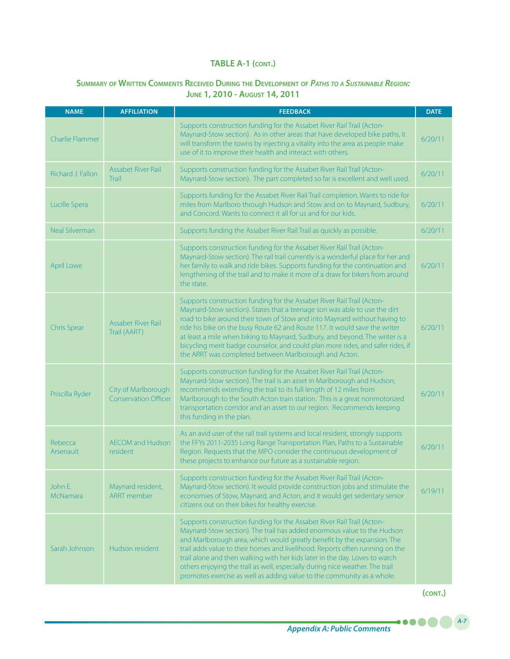# **Summary of Written Comments Received During the Development of** *Paths to <sup>a</sup> Sustainable Region:* **June 1, 2010 - August 14, 2011**

| <b>NAME</b>            | <b>AFFILIATION</b>                                 | <b>FEEDBACK</b>                                                                                                                                                                                                                                                                                                                                                                                                                                                                                                                                       | <b>DATE</b> |
|------------------------|----------------------------------------------------|-------------------------------------------------------------------------------------------------------------------------------------------------------------------------------------------------------------------------------------------------------------------------------------------------------------------------------------------------------------------------------------------------------------------------------------------------------------------------------------------------------------------------------------------------------|-------------|
| <b>Charlie Flammer</b> |                                                    | Supports construction funding for the Assabet River Rail Trail (Acton-<br>Maynard-Stow section). As in other areas that have developed bike paths, it<br>will transform the towns by injecting a vitality into the area as people make<br>use of it to improve their health and interact with others.                                                                                                                                                                                                                                                 | 6/20/11     |
| Richard J. Fallon      | <b>Assabet River Rail</b><br>Trail                 | Supports construction funding for the Assabet River Rail Trail (Acton-<br>Maynard-Stow section). The part completed so far is excellent and well used.                                                                                                                                                                                                                                                                                                                                                                                                | 6/20/11     |
| Lucille Spera          |                                                    | Supports funding for the Assabet River Rail Trail completion. Wants to ride for<br>miles from Marlboro through Hudson and Stow and on to Maynard, Sudbury,<br>and Concord. Wants to connect it all for us and for our kids.                                                                                                                                                                                                                                                                                                                           | 6/20/11     |
| <b>Neal Silverman</b>  |                                                    | Supports funding the Assabet River Rail Trail as quickly as possible.                                                                                                                                                                                                                                                                                                                                                                                                                                                                                 | 6/20/11     |
| April Lowe             |                                                    | Supports construction funding for the Assabet River Rail Trail (Acton-<br>Maynard-Stow section). The rail trail currently is a wonderful place for her and<br>her family to walk and ride bikes. Supports funding for the continuation and<br>lengthening of the trail and to make it more of a draw for bikers from around<br>the state.                                                                                                                                                                                                             | 6/20/11     |
| <b>Chris Spear</b>     | <b>Assabet River Rail</b><br>Trail (AART)          | Supports construction funding for the Assabet River Rail Trail (Acton-<br>Maynard-Stow section). States that a teenage son was able to use the dirt<br>road to bike around their town of Stow and into Maynard without having to<br>ride his bike on the busy Route 62 and Route 117. It would save the writer<br>at least a mile when biking to Maynard, Sudbury, and beyond. The writer is a<br>bicycling merit badge counselor, and could plan more rides, and safer rides, if<br>the ARRT was completed between Marlborough and Acton.            | 6/20/11     |
| Priscilla Ryder        | City of Marlborough<br><b>Conservation Officer</b> | Supports construction funding for the Assabet River Rail Trail (Acton-<br>Maynard-Stow section). The trail is an asset in Marlborough and Hudson;<br>recommends extending the trail to its full length of 12 miles from<br>Marlborough to the South Acton train station. This is a great nonmotorized<br>transportation corridor and an asset to our region. Recommends keeping<br>this funding in the plan.                                                                                                                                          | 6/20/11     |
| Rebecca<br>Arsenault   | <b>AECOM</b> and Hudson<br>resident                | As an avid user of the rail trail systems and local resident, strongly supports<br>the FFYs 2011-2035 Long Range Transportation Plan, Paths to a Sustainable<br>Region. Requests that the MPO consider the continuous development of<br>these projects to enhance our future as a sustainable region.                                                                                                                                                                                                                                                 | 6/20/11     |
| John E.<br>McNamara    | Maynard resident,<br><b>ARRT</b> member            | Supports construction funding for the Assabet River Rail Trail (Acton-<br>Maynard-Stow section). It would provide construction jobs and stimulate the<br>economies of Stow, Maynard, and Acton, and it would get sedentary senior<br>citizens out on their bikes for healthy exercise.                                                                                                                                                                                                                                                                | 6/19/11     |
| Sarah Johnson          | Hudson resident                                    | Supports construction funding for the Assabet River Rail Trail (Acton-<br>Maynard-Stow section). The trail has added enormous value to the Hudson<br>and Marlborough area, which would greatly benefit by the expansion. The<br>trail adds value to their homes and livelihood. Reports often running on the<br>trail alone and then walking with her kids later in the day. Loves to watch<br>others enjoying the trail as well, especially during nice weather. The trail<br>promotes exercise as well as adding value to the community as a whole. |             |

**(cont.)**

.....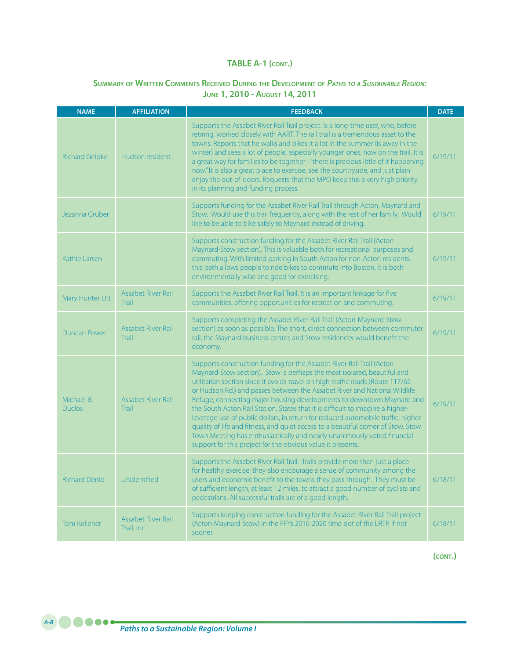# **Summary of Written Comments Received During the Development of** *Paths to <sup>a</sup> Sustainable Region:* **June 1, 2010 - August 14, 2011**

| <b>NAME</b>                 | <b>AFFILIATION</b>                 | <b>FEEDBACK</b>                                                                                                                                                                                                                                                                                                                                                                                                                                                                                                                                                                                                                                                                                                                                                                                 | <b>DATE</b> |
|-----------------------------|------------------------------------|-------------------------------------------------------------------------------------------------------------------------------------------------------------------------------------------------------------------------------------------------------------------------------------------------------------------------------------------------------------------------------------------------------------------------------------------------------------------------------------------------------------------------------------------------------------------------------------------------------------------------------------------------------------------------------------------------------------------------------------------------------------------------------------------------|-------------|
| <b>Richard Gelpke</b>       | Hudson resident                    | Supports the Assabet River Rail Trail project. Is a long-time user, who, before<br>retiring, worked closely with AART. The rail trail is a tremendous asset to the<br>towns. Reports that he walks and bikes it a lot in the summer (is away in the<br>winter) and sees a lot of people, especially younger ones, now on the trail. It is<br>a great way for families to be together - "there is precious little of it happening<br>now." It is also a great place to exercise, see the countryside, and just plain<br>enjoy the out-of-doors. Requests that the MPO keep this a very high priority<br>in its planning and funding process.                                                                                                                                                     | 6/19/11     |
| Jezanna Gruber              |                                    | Supports funding for the Assabet River Rail Trail through Acton, Maynard and<br>Stow. Would use this trail frequently, along with the rest of her family. Would<br>like to be able to bike safely to Maynard instead of driving.                                                                                                                                                                                                                                                                                                                                                                                                                                                                                                                                                                | 6/19/11     |
| Kathie Larsen               |                                    | Supports construction funding for the Assabet River Rail Trail (Acton-<br>Maynard-Stow section). This is valuable both for recreational purposes and<br>commuting. With limited parking in South Acton for non-Acton residents,<br>this path allows people to ride bikes to commute into Boston. It is both<br>environmentally wise and good for exercising.                                                                                                                                                                                                                                                                                                                                                                                                                                    | 6/19/11     |
| Mary Hunter Utt             | <b>Assabet River Rail</b><br>Trail | Supports the Assabet River Rail Trail. It is an important linkage for five<br>communities, offering opportunities for recreation and commuting.                                                                                                                                                                                                                                                                                                                                                                                                                                                                                                                                                                                                                                                 | 6/19/11     |
| <b>Duncan Power</b>         | <b>Assabet River Rail</b><br>Trail | Supports completing the Assabet River Rail Trail (Acton-Maynard-Stow<br>section) as soon as possible. The short, direct connection between commuter<br>rail, the Maynard business center, and Stow residences would benefit the<br>economy.                                                                                                                                                                                                                                                                                                                                                                                                                                                                                                                                                     | 6/19/11     |
| Michael B.<br><b>Duclos</b> | Assabet River Rail<br>Trail        | Supports construction funding for the Assabet River Rail Trail (Acton-<br>Maynard-Stow section). Stow is perhaps the most isolated, beautiful and<br>utilitarian section since it avoids travel on high-traffic roads (Route 117/62<br>or Hudson Rd.) and passes between the Assabet River and National Wildlife<br>Refuge, connecting major housing developments to downtown Maynard and<br>the South Acton Rail Station. States that it is difficult to imagine a higher-<br>leverage use of public dollars, in return for reduced automobile traffic, higher<br>quality of life and fitness, and quiet access to a beautiful corner of Stow. Stow<br>Town Meeting has enthusiastically and nearly unanimously voted financial<br>support for this project for the obvious value it presents. | 6/19/11     |
| <b>Richard Denio</b>        | Unidentified                       | Supports the Assabet River Rail Trail. Trails provide more than just a place<br>for healthy exercise; they also encourage a sense of community among the<br>users and economic benefit to the towns they pass through. They must be<br>of sufficient length, at least 12 miles, to attract a good number of cyclists and<br>pedestrians. All successful trails are of a good length.                                                                                                                                                                                                                                                                                                                                                                                                            | 6/18/11     |
| Tom Kelleher                | Assabet River Rail<br>Trail, Inc.  | Supports keeping construction funding for the Assabet River Rail Trail project<br>(Acton-Maynard-Stow) in the FFYs 2016-2020 time slot of the LRTP, if not<br>sooner.                                                                                                                                                                                                                                                                                                                                                                                                                                                                                                                                                                                                                           | 6/18/11     |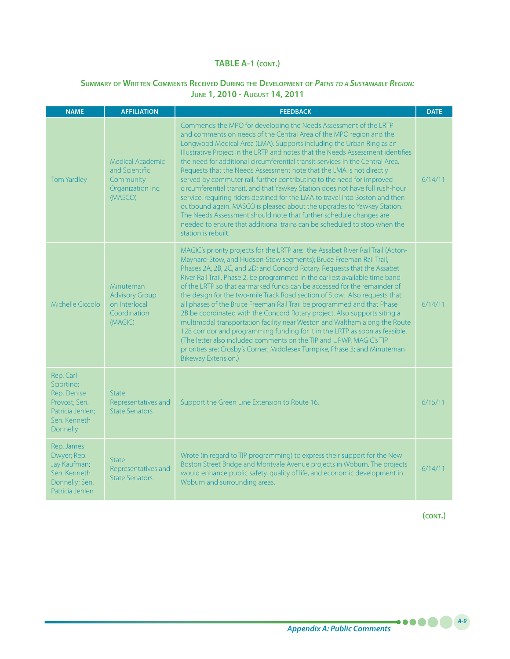### **Summary of Written Comments Received During the Development of** *Paths to <sup>a</sup> Sustainable Region:* **June 1, 2010 - August 14, 2011**

| <b>NAME</b>                                                                                             | <b>AFFILIATION</b>                                                              | <b>FEEDBACK</b>                                                                                                                                                                                                                                                                                                                                                                                                                                                                                                                                                                                                                                                                                                                                                                                                                                                                                                                                                                        | <b>DATE</b> |
|---------------------------------------------------------------------------------------------------------|---------------------------------------------------------------------------------|----------------------------------------------------------------------------------------------------------------------------------------------------------------------------------------------------------------------------------------------------------------------------------------------------------------------------------------------------------------------------------------------------------------------------------------------------------------------------------------------------------------------------------------------------------------------------------------------------------------------------------------------------------------------------------------------------------------------------------------------------------------------------------------------------------------------------------------------------------------------------------------------------------------------------------------------------------------------------------------|-------------|
| <b>Tom Yardley</b>                                                                                      | Medical Academic<br>and Scientific<br>Community<br>Organization Inc.<br>(MASCO) | Commends the MPO for developing the Needs Assessment of the LRTP<br>and comments on needs of the Central Area of the MPO region and the<br>Longwood Medical Area (LMA). Supports including the Urban Ring as an<br>Illustrative Project in the LRTP and notes that the Needs Assessment identifies<br>the need for additional circumferential transit services in the Central Area.<br>Requests that the Needs Assessment note that the LMA is not directly<br>served by commuter rail, further contributing to the need for improved<br>circumferential transit, and that Yawkey Station does not have full rush-hour<br>service, requiring riders destined for the LMA to travel into Boston and then<br>outbound again. MASCO is pleased about the upgrades to Yawkey Station.<br>The Needs Assessment should note that further schedule changes are<br>needed to ensure that additional trains can be scheduled to stop when the<br>station is rebuilt.                            | 6/14/11     |
| Michelle Ciccolo                                                                                        | Minuteman<br><b>Advisory Group</b><br>on Interlocal<br>Coordination<br>(MAGIC)  | MAGIC's priority projects for the LRTP are: the Assabet River Rail Trail (Acton-<br>Maynard-Stow, and Hudson-Stow segments); Bruce Freeman Rail Trail,<br>Phases 2A, 2B, 2C, and 2D; and Concord Rotary. Requests that the Assabet<br>River Rail Trail, Phase 2, be programmed in the earliest available time band<br>of the LRTP so that earmarked funds can be accessed for the remainder of<br>the design for the two-mile Track Road section of Stow. Also requests that<br>all phases of the Bruce Freeman Rail Trail be programmed and that Phase<br>2B be coordinated with the Concord Rotary project. Also supports siting a<br>multimodal transportation facility near Weston and Waltham along the Route<br>128 corridor and programming funding for it in the LRTP as soon as feasible.<br>(The letter also included comments on the TIP and UPWP. MAGIC's TIP<br>priorities are: Crosby's Corner; Middlesex Turnpike, Phase 3; and Minuteman<br><b>Bikeway Extension.)</b> | 6/14/11     |
| Rep. Carl<br>Sciortino;<br>Rep. Denise<br>Provost; Sen.<br>Patricia Jehlen;<br>Sen, Kenneth<br>Donnelly | State<br>Representatives and<br><b>State Senators</b>                           | Support the Green Line Extension to Route 16.                                                                                                                                                                                                                                                                                                                                                                                                                                                                                                                                                                                                                                                                                                                                                                                                                                                                                                                                          | 6/15/11     |
| Rep. James<br>Dwyer; Rep.<br>Jay Kaufman;<br>Sen. Kenneth<br>Donnelly; Sen.<br>Patricia Jehlen          | <b>State</b><br>Representatives and<br><b>State Senators</b>                    | Wrote (in regard to TIP programming) to express their support for the New<br>Boston Street Bridge and Montvale Avenue projects in Woburn. The projects<br>would enhance public safety, quality of life, and economic development in<br>Woburn and surrounding areas.                                                                                                                                                                                                                                                                                                                                                                                                                                                                                                                                                                                                                                                                                                                   | 6/14/11     |

**(cont.)**

.....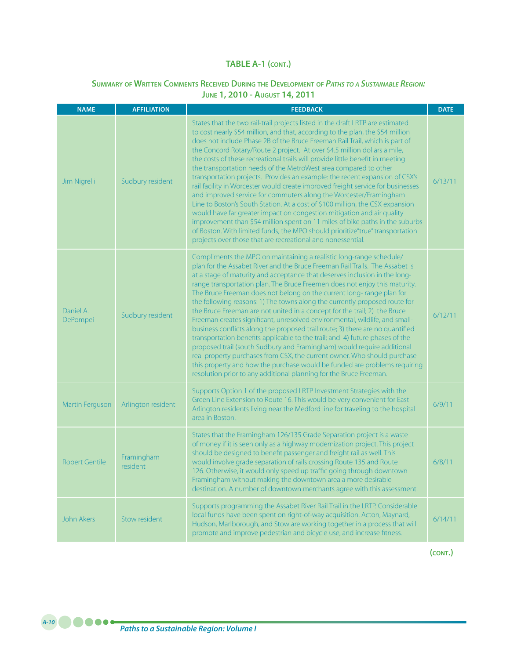### **Summary of Written Comments Received During the Development of** *Paths to <sup>a</sup> Sustainable Region:* **June 1, 2010 - August 14, 2011**

| <b>NAME</b>           | <b>AFFILIATION</b>     | <b>FEEDBACK</b>                                                                                                                                                                                                                                                                                                                                                                                                                                                                                                                                                                                                                                                                                                                                                                                                                                                                                                                                                                                                                                                                                                     | <b>DATE</b> |
|-----------------------|------------------------|---------------------------------------------------------------------------------------------------------------------------------------------------------------------------------------------------------------------------------------------------------------------------------------------------------------------------------------------------------------------------------------------------------------------------------------------------------------------------------------------------------------------------------------------------------------------------------------------------------------------------------------------------------------------------------------------------------------------------------------------------------------------------------------------------------------------------------------------------------------------------------------------------------------------------------------------------------------------------------------------------------------------------------------------------------------------------------------------------------------------|-------------|
| Jim Nigrelli          | Sudbury resident       | States that the two rail-trail projects listed in the draft LRTP are estimated<br>to cost nearly \$54 million, and that, according to the plan, the \$54 million<br>does not include Phase 2B of the Bruce Freeman Rail Trail, which is part of<br>the Concord Rotary/Route 2 project. At over \$4.5 million dollars a mile,<br>the costs of these recreational trails will provide little benefit in meeting<br>the transportation needs of the MetroWest area compared to other<br>transportation projects. Provides an example: the recent expansion of CSX's<br>rail facility in Worcester would create improved freight service for businesses<br>and improved service for commuters along the Worcester/Framingham<br>Line to Boston's South Station. At a cost of \$100 million, the CSX expansion<br>would have far greater impact on congestion mitigation and air quality<br>improvement than \$54 million spent on 11 miles of bike paths in the suburbs<br>of Boston. With limited funds, the MPO should prioritize"true" transportation<br>projects over those that are recreational and nonessential. | 6/13/11     |
| Daniel A.<br>DePompei | Sudbury resident       | Compliments the MPO on maintaining a realistic long-range schedule/<br>plan for the Assabet River and the Bruce Freeman Rail Trails. The Assabet is<br>at a stage of maturity and acceptance that deserves inclusion in the long-<br>range transportation plan. The Bruce Freemen does not enjoy this maturity.<br>The Bruce Freeman does not belong on the current long-range plan for<br>the following reasons: 1) The towns along the currently proposed route for<br>the Bruce Freeman are not united in a concept for the trail; 2) the Bruce<br>Freeman creates significant, unresolved environmental, wildlife, and small-<br>business conflicts along the proposed trail route; 3) there are no quantified<br>transportation benefits applicable to the trail; and 4) future phases of the<br>proposed trail (south Sudbury and Framingham) would require additional<br>real property purchases from CSX, the current owner. Who should purchase<br>this property and how the purchase would be funded are problems requiring<br>resolution prior to any additional planning for the Bruce Freeman.         | 6/12/11     |
| Martin Ferguson       | Arlington resident     | Supports Option 1 of the proposed LRTP Investment Strategies with the<br>Green Line Extension to Route 16. This would be very convenient for East<br>Arlington residents living near the Medford line for traveling to the hospital<br>area in Boston.                                                                                                                                                                                                                                                                                                                                                                                                                                                                                                                                                                                                                                                                                                                                                                                                                                                              | 6/9/11      |
| <b>Robert Gentile</b> | Framingham<br>resident | States that the Framingham 126/135 Grade Separation project is a waste<br>of money if it is seen only as a highway modernization project. This project<br>should be designed to benefit passenger and freight rail as well. This<br>would involve grade separation of rails crossing Route 135 and Route<br>126. Otherwise, it would only speed up traffic going through downtown<br>Framingham without making the downtown area a more desirable<br>destination. A number of downtown merchants agree with this assessment.                                                                                                                                                                                                                                                                                                                                                                                                                                                                                                                                                                                        | 6/8/11      |
| <b>John Akers</b>     | Stow resident          | Supports programming the Assabet River Rail Trail in the LRTP. Considerable<br>local funds have been spent on right-of-way acquisition. Acton, Maynard,<br>Hudson, Marlborough, and Stow are working together in a process that will<br>promote and improve pedestrian and bicycle use, and increase fitness.                                                                                                                                                                                                                                                                                                                                                                                                                                                                                                                                                                                                                                                                                                                                                                                                       | 6/14/11     |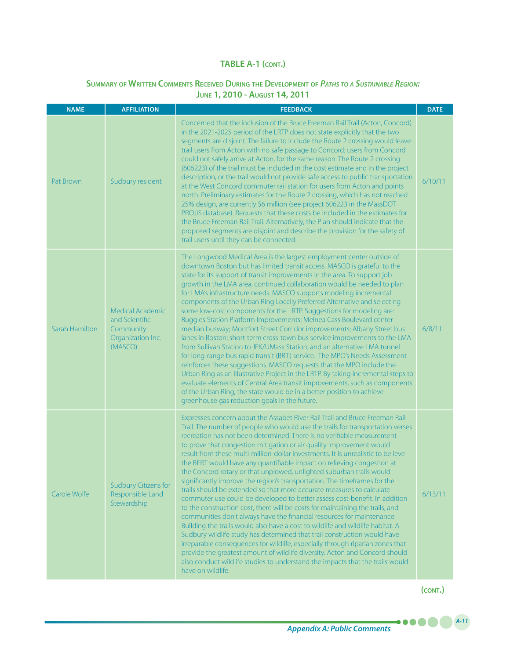### **Summary of Written Comments Received During the Development of** *Paths to <sup>a</sup> Sustainable Region:*  **June 1, 2010 - August 14, 2011**

| <b>NAME</b>    | <b>AFFILIATION</b>                                                                     | <b>FEEDBACK</b>                                                                                                                                                                                                                                                                                                                                                                                                                                                                                                                                                                                                                                                                                                                                                                                                                                                                                                                                                                                                                                                                                                                                                                                                                                                                                                                                                                          | <b>DATE</b> |
|----------------|----------------------------------------------------------------------------------------|------------------------------------------------------------------------------------------------------------------------------------------------------------------------------------------------------------------------------------------------------------------------------------------------------------------------------------------------------------------------------------------------------------------------------------------------------------------------------------------------------------------------------------------------------------------------------------------------------------------------------------------------------------------------------------------------------------------------------------------------------------------------------------------------------------------------------------------------------------------------------------------------------------------------------------------------------------------------------------------------------------------------------------------------------------------------------------------------------------------------------------------------------------------------------------------------------------------------------------------------------------------------------------------------------------------------------------------------------------------------------------------|-------------|
| Pat Brown      | Sudbury resident                                                                       | Concerned that the inclusion of the Bruce Freeman Rail Trail (Acton, Concord)<br>in the 2021-2025 period of the LRTP does not state explicitly that the two<br>segments are disjoint. The failure to include the Route 2 crossing would leave<br>trail users from Acton with no safe passage to Concord; users from Concord<br>could not safely arrive at Acton, for the same reason. The Route 2 crossing<br>(606223) of the trail must be included in the cost estimate and in the project<br>description, or the trail would not provide safe access to public transportation<br>at the West Concord commuter rail station for users from Acton and points<br>north. Preliminary estimates for the Route 2 crossing, which has not reached<br>25% design, are currently \$6 million (see project 606223 in the MassDOT<br>PROJIS database). Requests that these costs be included in the estimates for<br>the Bruce Freeman Rail Trail. Alternatively, the Plan should indicate that the<br>proposed segments are disjoint and describe the provision for the safety of<br>trail users until they can be connected.                                                                                                                                                                                                                                                                   | 6/10/11     |
| Sarah Hamilton | <b>Medical Academic</b><br>and Scientific<br>Community<br>Organization Inc.<br>(MASCO) | The Longwood Medical Area is the largest employment center outside of<br>downtown Boston but has limited transit access. MASCO is grateful to the<br>state for its support of transit improvements in the area. To support job<br>growth in the LMA area, continued collaboration would be needed to plan<br>for LMA's infrastructure needs. MASCO supports modeling incremental<br>components of the Urban Ring Locally Preferred Alternative and selecting<br>some low-cost components for the LRTP. Suggestions for modeling are:<br>Ruggles Station Platform Improvements; Melnea Cass Boulevard center<br>median busway; Montfort Street Corridor improvements; Albany Street bus<br>lanes in Boston; short-term cross-town bus service improvements to the LMA<br>from Sullivan Station to JFK/UMass Station; and an alternative LMA tunnel<br>for long-range bus rapid transit (BRT) service. The MPO's Needs Assessment<br>reinforces these suggestions. MASCO requests that the MPO include the<br>Urban Ring as an Illustrative Project in the LRTP. By taking incremental steps to<br>evaluate elements of Central Area transit improvements, such as components<br>of the Urban Ring, the state would be in a better position to achieve<br>greenhouse gas reduction goals in the future.                                                                                    | 6/8/11      |
| Carole Wolfe   | <b>Sudbury Citizens for</b><br>Responsible Land<br>Stewardship                         | Expresses concern about the Assabet River Rail Trail and Bruce Freeman Rail<br>Trail. The number of people who would use the trails for transportation verses<br>recreation has not been determined. There is no verifiable measurement<br>to prove that congestion mitigation or air quality improvement would<br>result from these multi-million-dollar investments. It is unrealistic to believe<br>the BFRT would have any quantifiable impact on relieving congestion at<br>the Concord rotary or that unplowed, unlighted suburban trails would<br>significantly improve the region's transportation. The timeframes for the<br>trails should be extended so that more accurate measures to calculate<br>commuter use could be developed to better assess cost-benefit. In addition<br>to the construction cost, there will be costs for maintaining the trails, and<br>communities don't always have the financial resources for maintenance.<br>Building the trails would also have a cost to wildlife and wildlife habitat. A<br>Sudbury wildlife study has determined that trail construction would have<br>irreparable consequences for wildlife, especially through riparian zones that<br>provide the greatest amount of wildlife diversity. Acton and Concord should<br>also conduct wildlife studies to understand the impacts that the trails would<br>have on wildlife. | 6/13/11     |

**(cont.)**

.....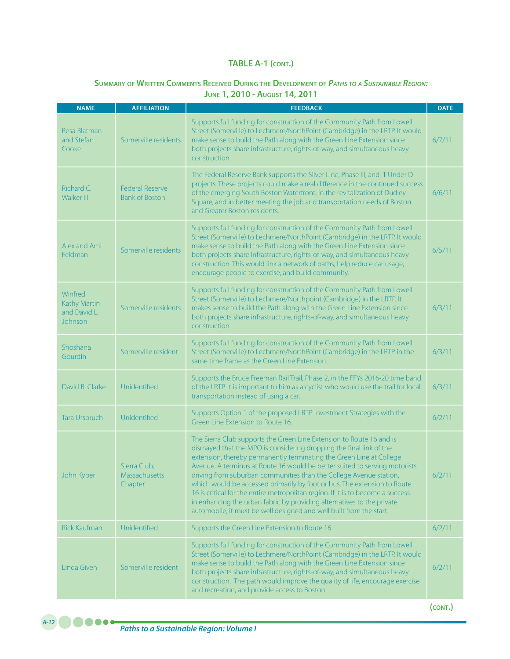### **Summary of Written Comments Received During the Development of** *Paths to <sup>a</sup> Sustainable Region:* **June 1, 2010 - August 14, 2011**

| <b>NAME</b>                                        | <b>AFFILIATION</b>                              | <b>FEEDBACK</b>                                                                                                                                                                                                                                                                                                                                                                                                                                                                                                                                                                                                                                                                         | <b>DATE</b> |
|----------------------------------------------------|-------------------------------------------------|-----------------------------------------------------------------------------------------------------------------------------------------------------------------------------------------------------------------------------------------------------------------------------------------------------------------------------------------------------------------------------------------------------------------------------------------------------------------------------------------------------------------------------------------------------------------------------------------------------------------------------------------------------------------------------------------|-------------|
| Resa Blatman<br>and Stefan<br>Cooke                | Somerville residents                            | Supports full funding for construction of the Community Path from Lowell<br>Street (Somerville) to Lechmere/NorthPoint (Cambridge) in the LRTP. It would<br>make sense to build the Path along with the Green Line Extension since<br>both projects share infrastructure, rights-of-way, and simultaneous heavy<br>construction.                                                                                                                                                                                                                                                                                                                                                        | 6/7/11      |
| Richard C.<br>Walker III                           | <b>Federal Reserve</b><br><b>Bank of Boston</b> | The Federal Reserve Bank supports the Silver Line, Phase III, and T Under D<br>projects. These projects could make a real difference in the continued success<br>of the emerging South Boston Waterfront, in the revitalization of Dudley<br>Square, and in better meeting the job and transportation needs of Boston<br>and Greater Boston residents.                                                                                                                                                                                                                                                                                                                                  | 6/6/11      |
| Alex and Ami<br>Feldman                            | Somerville residents                            | Supports full funding for construction of the Community Path from Lowell<br>Street (Somerville) to Lechmere/NorthPoint (Cambridge) in the LRTP. It would<br>make sense to build the Path along with the Green Line Extension since<br>both projects share infrastructure, rights-of-way, and simultaneous heavy<br>construction. This would link a network of paths, help reduce car usage,<br>encourage people to exercise, and build community.                                                                                                                                                                                                                                       | 6/5/11      |
| Winfred<br>Kathy Martin<br>and David L.<br>Johnson | Somerville residents                            | Supports full funding for construction of the Community Path from Lowell<br>Street (Somerville) to Lechmere/Northpoint (Cambridge) in the LRTP. It<br>makes sense to build the Path along with the Green Line Extension since<br>both projects share infrastructure, rights-of-way, and simultaneous heavy<br>construction.                                                                                                                                                                                                                                                                                                                                                             | 6/3/11      |
| Shoshana<br><b>Gourdin</b>                         | Somerville resident                             | Supports full funding for construction of the Community Path from Lowell<br>Street (Somerville) to Lechmere/NorthPoint (Cambridge) in the LRTP in the<br>same time frame as the Green Line Extension.                                                                                                                                                                                                                                                                                                                                                                                                                                                                                   | 6/3/11      |
| David B. Clarke                                    | Unidentified                                    | Supports the Bruce Freeman Rail Trail, Phase 2, in the FFYs 2016-20 time band<br>of the LRTP. It is important to him as a cyclist who would use the trail for local<br>transportation instead of using a car.                                                                                                                                                                                                                                                                                                                                                                                                                                                                           | 6/3/11      |
| Tara Urspruch                                      | Unidentified                                    | Supports Option 1 of the proposed LRTP Investment Strategies with the<br>Green Line Extension to Route 16.                                                                                                                                                                                                                                                                                                                                                                                                                                                                                                                                                                              | 6/2/11      |
| John Kyper                                         | Sierra Club,<br>Massachusetts<br>Chapter        | The Sierra Club supports the Green Line Extension to Route 16 and is<br>dismayed that the MPO is considering dropping the final link of the<br>extension, thereby permanently terminating the Green Line at College<br>Avenue. A terminus at Route 16 would be better suited to serving motorists<br>driving from suburban communities than the College Avenue station,<br>which would be accessed primarily by foot or bus. The extension to Route<br>16 is critical for the entire metropolitan region. If it is to become a success<br>in enhancing the urban fabric by providing alternatives to the private<br>automobile, it must be well designed and well built from the start. | 6/2/11      |
| <b>Rick Kaufman</b>                                | Unidentified                                    | Supports the Green Line Extension to Route 16.                                                                                                                                                                                                                                                                                                                                                                                                                                                                                                                                                                                                                                          | 6/2/11      |
| Linda Given                                        | Somerville resident                             | Supports full funding for construction of the Community Path from Lowell<br>Street (Somerville) to Lechmere/NorthPoint (Cambridge) in the LRTP. It would<br>make sense to build the Path along with the Green Line Extension since<br>both projects share infrastructure, rights-of-way, and simultaneous heavy<br>construction. The path would improve the quality of life, encourage exercise<br>and recreation, and provide access to Boston.                                                                                                                                                                                                                                        | 6/2/11      |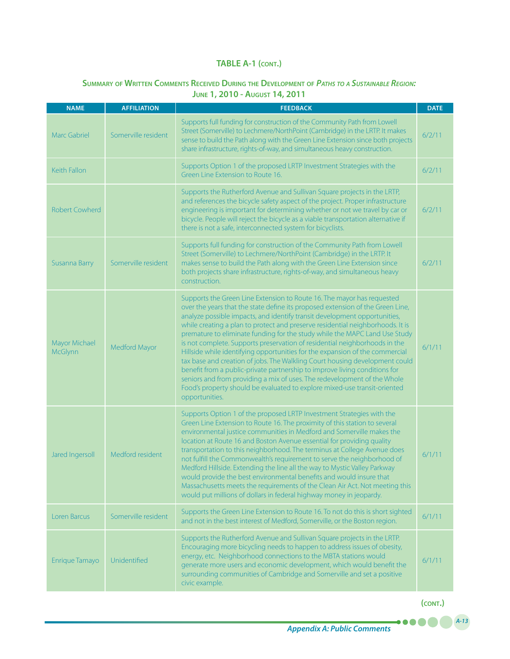# **Summary of Written Comments Received During the Development of** *Paths to <sup>a</sup> Sustainable Region:*  **June 1, 2010 - August 14, 2011**

| <b>NAME</b>              | <b>AFFILIATION</b>  | <b>FEEDBACK</b>                                                                                                                                                                                                                                                                                                                                                                                                                                                                                                                                                                                                                                                                                                                                                                                                                                                                                             | <b>DATE</b> |
|--------------------------|---------------------|-------------------------------------------------------------------------------------------------------------------------------------------------------------------------------------------------------------------------------------------------------------------------------------------------------------------------------------------------------------------------------------------------------------------------------------------------------------------------------------------------------------------------------------------------------------------------------------------------------------------------------------------------------------------------------------------------------------------------------------------------------------------------------------------------------------------------------------------------------------------------------------------------------------|-------------|
| <b>Marc Gabriel</b>      | Somerville resident | Supports full funding for construction of the Community Path from Lowell<br>Street (Somerville) to Lechmere/NorthPoint (Cambridge) in the LRTP. It makes<br>sense to build the Path along with the Green Line Extension since both projects<br>share infrastructure, rights-of-way, and simultaneous heavy construction.                                                                                                                                                                                                                                                                                                                                                                                                                                                                                                                                                                                    | 6/2/11      |
| Keith Fallon             |                     | Supports Option 1 of the proposed LRTP Investment Strategies with the<br>Green Line Extension to Route 16.                                                                                                                                                                                                                                                                                                                                                                                                                                                                                                                                                                                                                                                                                                                                                                                                  | 6/2/11      |
| <b>Robert Cowherd</b>    |                     | Supports the Rutherford Avenue and Sullivan Square projects in the LRTP,<br>and references the bicycle safety aspect of the project. Proper infrastructure<br>engineering is important for determining whether or not we travel by car or<br>bicycle. People will reject the bicycle as a viable transportation alternative if<br>there is not a safe, interconnected system for bicyclists.                                                                                                                                                                                                                                                                                                                                                                                                                                                                                                                | 6/2/11      |
| Susanna Barry            | Somerville resident | Supports full funding for construction of the Community Path from Lowell<br>Street (Somerville) to Lechmere/NorthPoint (Cambridge) in the LRTP. It<br>makes sense to build the Path along with the Green Line Extension since<br>both projects share infrastructure, rights-of-way, and simultaneous heavy<br>construction.                                                                                                                                                                                                                                                                                                                                                                                                                                                                                                                                                                                 | 6/2/11      |
| Mayor Michael<br>McGlynn | Medford Mayor       | Supports the Green Line Extension to Route 16. The mayor has requested<br>over the years that the state define its proposed extension of the Green Line,<br>analyze possible impacts, and identify transit development opportunities,<br>while creating a plan to protect and preserve residential neighborhoods. It is<br>premature to eliminate funding for the study while the MAPC Land Use Study<br>is not complete. Supports preservation of residential neighborhoods in the<br>Hillside while identifying opportunities for the expansion of the commercial<br>tax base and creation of jobs. The Walkling Court housing development could<br>benefit from a public-private partnership to improve living conditions for<br>seniors and from providing a mix of uses. The redevelopment of the Whole<br>Food's property should be evaluated to explore mixed-use transit-oriented<br>opportunities. | 6/1/11      |
| Jared Ingersoll          | Medford resident    | Supports Option 1 of the proposed LRTP Investment Strategies with the<br>Green Line Extension to Route 16. The proximity of this station to several<br>environmental justice communities in Medford and Somerville makes the<br>location at Route 16 and Boston Avenue essential for providing quality<br>transportation to this neighborhood. The terminus at College Avenue does<br>not fulfill the Commonwealth's requirement to serve the neighborhood of<br>Medford Hillside. Extending the line all the way to Mystic Valley Parkway<br>would provide the best environmental benefits and would insure that<br>Massachusetts meets the requirements of the Clean Air Act. Not meeting this<br>would put millions of dollars in federal highway money in jeopardy.                                                                                                                                     | 6/1/11      |
| Loren Barcus             | Somerville resident | Supports the Green Line Extension to Route 16. To not do this is short sighted<br>and not in the best interest of Medford, Somerville, or the Boston region.                                                                                                                                                                                                                                                                                                                                                                                                                                                                                                                                                                                                                                                                                                                                                | 6/1/11      |
| Enrique Tamayo           | Unidentified        | Supports the Rutherford Avenue and Sullivan Square projects in the LRTP.<br>Encouraging more bicycling needs to happen to address issues of obesity,<br>energy, etc. Neighborhood connections to the MBTA stations would<br>generate more users and economic development, which would benefit the<br>surrounding communities of Cambridge and Somerville and set a positive<br>civic example.                                                                                                                                                                                                                                                                                                                                                                                                                                                                                                               | 6/1/11      |

**(cont.)**

.....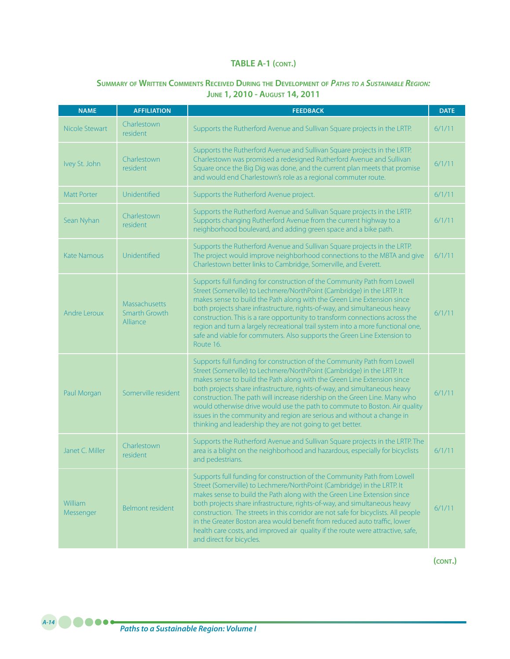# **Summary of Written Comments Received During the Development of** *Paths to <sup>a</sup> Sustainable Region:* **June 1, 2010 - August 14, 2011**

| <b>NAME</b>          | <b>AFFILIATION</b>                                | <b>FEEDBACK</b>                                                                                                                                                                                                                                                                                                                                                                                                                                                                                                                                                                                               | <b>DATE</b> |
|----------------------|---------------------------------------------------|---------------------------------------------------------------------------------------------------------------------------------------------------------------------------------------------------------------------------------------------------------------------------------------------------------------------------------------------------------------------------------------------------------------------------------------------------------------------------------------------------------------------------------------------------------------------------------------------------------------|-------------|
| Nicole Stewart       | Charlestown<br>resident                           | Supports the Rutherford Avenue and Sullivan Square projects in the LRTP.                                                                                                                                                                                                                                                                                                                                                                                                                                                                                                                                      | 6/1/11      |
| Ivey St. John        | Charlestown<br>resident                           | Supports the Rutherford Avenue and Sullivan Square projects in the LRTP.<br>Charlestown was promised a redesigned Rutherford Avenue and Sullivan<br>Square once the Big Dig was done, and the current plan meets that promise<br>and would end Charlestown's role as a regional commuter route.                                                                                                                                                                                                                                                                                                               | 6/1/11      |
| <b>Matt Porter</b>   | Unidentified                                      | Supports the Rutherford Avenue project.                                                                                                                                                                                                                                                                                                                                                                                                                                                                                                                                                                       | 6/1/11      |
| Sean Nyhan           | Charlestown<br>resident                           | Supports the Rutherford Avenue and Sullivan Square projects in the LRTP.<br>Supports changing Rutherford Avenue from the current highway to a<br>neighborhood boulevard, and adding green space and a bike path.                                                                                                                                                                                                                                                                                                                                                                                              | 6/1/11      |
| <b>Kate Namous</b>   | Unidentified                                      | Supports the Rutherford Avenue and Sullivan Square projects in the LRTP.<br>The project would improve neighborhood connections to the MBTA and give<br>Charlestown better links to Cambridge, Somerville, and Everett.                                                                                                                                                                                                                                                                                                                                                                                        | 6/1/11      |
| Andre Leroux         | <b>Massachusetts</b><br>Smarth Growth<br>Alliance | Supports full funding for construction of the Community Path from Lowell<br>Street (Somerville) to Lechmere/NorthPoint (Cambridge) in the LRTP. It<br>makes sense to build the Path along with the Green Line Extension since<br>both projects share infrastructure, rights-of-way, and simultaneous heavy<br>construction. This is a rare opportunity to transform connections across the<br>region and turn a largely recreational trail system into a more functional one,<br>safe and viable for commuters. Also supports the Green Line Extension to<br>Route 16.                                        | 6/1/11      |
| Paul Morgan          | Somerville resident                               | Supports full funding for construction of the Community Path from Lowell<br>Street (Somerville) to Lechmere/NorthPoint (Cambridge) in the LRTP. It<br>makes sense to build the Path along with the Green Line Extension since<br>both projects share infrastructure, rights-of-way, and simultaneous heavy<br>construction. The path will increase ridership on the Green Line. Many who<br>would otherwise drive would use the path to commute to Boston. Air quality<br>issues in the community and region are serious and without a change in<br>thinking and leadership they are not going to get better. | 6/1/11      |
| Janet C. Miller      | Charlestown<br>resident                           | Supports the Rutherford Avenue and Sullivan Square projects in the LRTP. The<br>area is a blight on the neighborhood and hazardous, especially for bicyclists<br>and pedestrians.                                                                                                                                                                                                                                                                                                                                                                                                                             | 6/1/11      |
| William<br>Messenger | <b>Belmont resident</b>                           | Supports full funding for construction of the Community Path from Lowell<br>Street (Somerville) to Lechmere/NorthPoint (Cambridge) in the LRTP. It<br>makes sense to build the Path along with the Green Line Extension since<br>both projects share infrastructure, rights-of-way, and simultaneous heavy<br>construction. The streets in this corridor are not safe for bicyclists. All people<br>in the Greater Boston area would benefit from reduced auto traffic, lower<br>health care costs, and improved air quality if the route were attractive, safe,<br>and direct for bicycles.                  | 6/1/11      |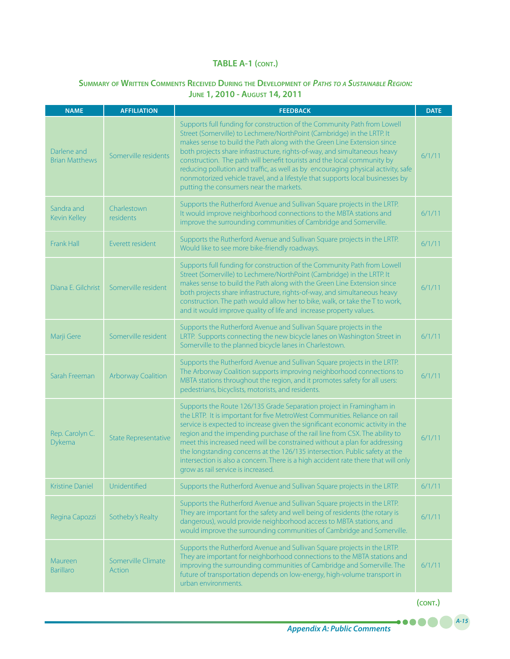# **Summary of Written Comments Received During the Development of** *Paths to <sup>a</sup> Sustainable Region:* **June 1, 2010 - August 14, 2011**

| <b>NAME</b>                          | <b>AFFILIATION</b>                  | <b>FEEDBACK</b>                                                                                                                                                                                                                                                                                                                                                                                                                                                                                                                                                                                              | <b>DATE</b> |
|--------------------------------------|-------------------------------------|--------------------------------------------------------------------------------------------------------------------------------------------------------------------------------------------------------------------------------------------------------------------------------------------------------------------------------------------------------------------------------------------------------------------------------------------------------------------------------------------------------------------------------------------------------------------------------------------------------------|-------------|
| Darlene and<br><b>Brian Matthews</b> | Somerville residents                | Supports full funding for construction of the Community Path from Lowell<br>Street (Somerville) to Lechmere/NorthPoint (Cambridge) in the LRTP. It<br>makes sense to build the Path along with the Green Line Extension since<br>both projects share infrastructure, rights-of-way, and simultaneous heavy<br>construction. The path will benefit tourists and the local community by<br>reducing pollution and traffic, as well as by encouraging physical activity, safe<br>nonmotorized vehicle travel, and a lifestyle that supports local businesses by<br>putting the consumers near the markets.      | 6/1/11      |
| Sandra and<br><b>Kevin Kelley</b>    | Charlestown<br><b>residents</b>     | Supports the Rutherford Avenue and Sullivan Square projects in the LRTP.<br>It would improve neighborhood connections to the MBTA stations and<br>improve the surrounding communities of Cambridge and Somerville.                                                                                                                                                                                                                                                                                                                                                                                           | 6/1/11      |
| <b>Frank Hall</b>                    | Everett resident                    | Supports the Rutherford Avenue and Sullivan Square projects in the LRTP.<br>Would like to see more bike-friendly roadways.                                                                                                                                                                                                                                                                                                                                                                                                                                                                                   | 6/1/11      |
| Diana F. Gilchrist                   | Somerville resident                 | Supports full funding for construction of the Community Path from Lowell<br>Street (Somerville) to Lechmere/NorthPoint (Cambridge) in the LRTP. It<br>makes sense to build the Path along with the Green Line Extension since<br>both projects share infrastructure, rights-of-way, and simultaneous heavy<br>construction. The path would allow her to bike, walk, or take the T to work,<br>and it would improve quality of life and increase property values.                                                                                                                                             | 6/1/11      |
| Marji Gere                           | Somerville resident                 | Supports the Rutherford Avenue and Sullivan Square projects in the<br>LRTP. Supports connecting the new bicycle lanes on Washington Street in<br>Somerville to the planned bicycle lanes in Charlestown.                                                                                                                                                                                                                                                                                                                                                                                                     | 6/1/11      |
| Sarah Freeman                        | <b>Arborway Coalition</b>           | Supports the Rutherford Avenue and Sullivan Square projects in the LRTP.<br>The Arborway Coalition supports improving neighborhood connections to<br>MBTA stations throughout the region, and it promotes safety for all users:<br>pedestrians, bicyclists, motorists, and residents.                                                                                                                                                                                                                                                                                                                        | 6/1/11      |
| Rep. Carolyn C.<br>Dykema            | <b>State Representative</b>         | Supports the Route 126/135 Grade Separation project in Framingham in<br>the LRTP. It is important for five MetroWest Communities. Reliance on rail<br>service is expected to increase given the significant economic activity in the<br>region and the impending purchase of the rail line from CSX. The ability to<br>meet this increased need will be constrained without a plan for addressing<br>the longstanding concerns at the 126/135 intersection. Public safety at the<br>intersection is also a concern. There is a high accident rate there that will only<br>grow as rail service is increased. | 6/1/11      |
| <b>Kristine Daniel</b>               | Unidentified                        | Supports the Rutherford Avenue and Sullivan Square projects in the LRTP.                                                                                                                                                                                                                                                                                                                                                                                                                                                                                                                                     | 6/1/11      |
| Regina Capozzi                       | Sotheby's Realty                    | Supports the Rutherford Avenue and Sullivan Square projects in the LRTP.<br>They are important for the safety and well being of residents (the rotary is<br>dangerous), would provide neighborhood access to MBTA stations, and<br>would improve the surrounding communities of Cambridge and Somerville.                                                                                                                                                                                                                                                                                                    | 6/1/11      |
| Maureen<br><b>Barillaro</b>          | Somerville Climate<br><b>Action</b> | Supports the Rutherford Avenue and Sullivan Square projects in the LRTP.<br>They are important for neighborhood connections to the MBTA stations and<br>improving the surrounding communities of Cambridge and Somerville. The<br>future of transportation depends on low-energy, high-volume transport in<br>urban environments.                                                                                                                                                                                                                                                                            | 6/1/11      |

**(cont.)**

.....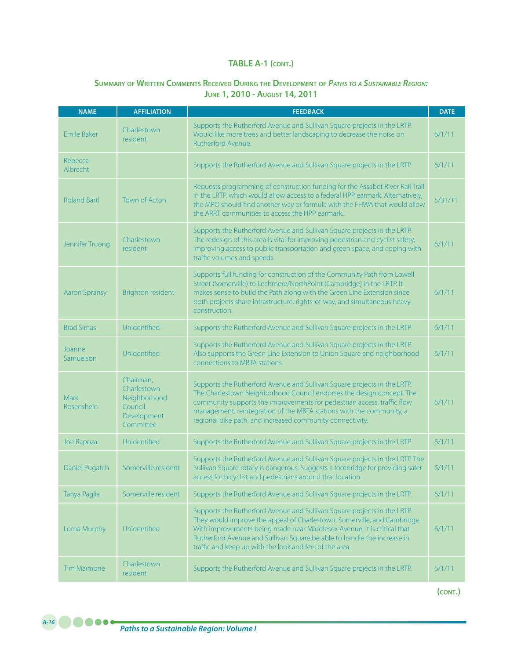### **Summary of Written Comments Received During the Development of** *Paths to <sup>a</sup> Sustainable Region:* **June 1, 2010 - August 14, 2011**

| <b>NAME</b>          | <b>AFFILIATION</b>                                                              | <b>FEEDBACK</b>                                                                                                                                                                                                                                                                                                                                                       | <b>DATE</b> |
|----------------------|---------------------------------------------------------------------------------|-----------------------------------------------------------------------------------------------------------------------------------------------------------------------------------------------------------------------------------------------------------------------------------------------------------------------------------------------------------------------|-------------|
| <b>Emile Baker</b>   | Charlestown<br>resident                                                         | Supports the Rutherford Avenue and Sullivan Square projects in the LRTP.<br>Would like more trees and better landscaping to decrease the noise on<br>Rutherford Avenue.                                                                                                                                                                                               | 6/1/11      |
| Rebecca<br>Albrecht  |                                                                                 | Supports the Rutherford Avenue and Sullivan Square projects in the LRTP.                                                                                                                                                                                                                                                                                              | 6/1/11      |
| <b>Roland Bartl</b>  | <b>Town of Acton</b>                                                            | Requests programming of construction funding for the Assabet River Rail Trail<br>in the LRTP, which would allow access to a federal HPP earmark. Alternatively,<br>the MPO should find another way or formula with the FHWA that would allow<br>the ARRT communities to access the HPP earmark.                                                                       | 5/31/11     |
| Jennifer Truong      | Charlestown<br>resident                                                         | Supports the Rutherford Avenue and Sullivan Square projects in the LRTP.<br>The redesign of this area is vital for improving pedestrian and cyclist safety,<br>improving access to public transportation and green space, and coping with<br>traffic volumes and speeds.                                                                                              | 6/1/11      |
| <b>Aaron Spransy</b> | <b>Brighton resident</b>                                                        | Supports full funding for construction of the Community Path from Lowell<br>Street (Somerville) to Lechmere/NorthPoint (Cambridge) in the LRTP. It<br>makes sense to build the Path along with the Green Line Extension since<br>both projects share infrastructure, rights-of-way, and simultaneous heavy<br>construction.                                           | 6/1/11      |
| <b>Brad Simas</b>    | Unidentified                                                                    | Supports the Rutherford Avenue and Sullivan Square projects in the LRTP.                                                                                                                                                                                                                                                                                              | 6/1/11      |
| Joanne<br>Samuelson  | Unidentified                                                                    | Supports the Rutherford Avenue and Sullivan Square projects in the LRTP.<br>Also supports the Green Line Extension to Union Square and neighborhood<br>connections to MBTA stations.                                                                                                                                                                                  | 6/1/11      |
| Mark<br>Rosenshein   | Chairman,<br>Charlestown<br>Neighborhood<br>Council<br>Development<br>Committee | Supports the Rutherford Avenue and Sullivan Square projects in the LRTP.<br>The Charlestown Neighborhood Council endorses the design concept. The<br>community supports the improvements for pedestrian access, traffic flow<br>management, reintegration of the MBTA stations with the community, a<br>regional bike path, and increased community connectivity.     | 6/1/11      |
| Joe Rapoza           | Unidentified                                                                    | Supports the Rutherford Avenue and Sullivan Square projects in the LRTP.                                                                                                                                                                                                                                                                                              | 6/1/11      |
| Daniel Pugatch       | Somerville resident                                                             | Supports the Rutherford Avenue and Sullivan Square projects in the LRTP. The<br>Sullivan Square rotary is dangerous. Suggests a footbridge for providing safer<br>access for bicyclist and pedestrians around that location.                                                                                                                                          | 6/1/11      |
| Tanya Paglia         | Somerville resident                                                             | Supports the Rutherford Avenue and Sullivan Square projects in the LRTP.                                                                                                                                                                                                                                                                                              | 6/1/11      |
| Lorna Murphy         | Unidentified                                                                    | Supports the Rutherford Avenue and Sullivan Square projects in the LRTP.<br>They would improve the appeal of Charlestown, Somerville, and Cambridge.<br>With improvements being made near Middlesex Avenue, it is critical that<br>Rutherford Avenue and Sullivan Square be able to handle the increase in<br>traffic and keep up with the look and feel of the area. | 6/1/11      |
| <b>Tim Maimone</b>   | Charlestown<br>resident                                                         | Supports the Rutherford Avenue and Sullivan Square projects in the LRTP.                                                                                                                                                                                                                                                                                              | 6/1/11      |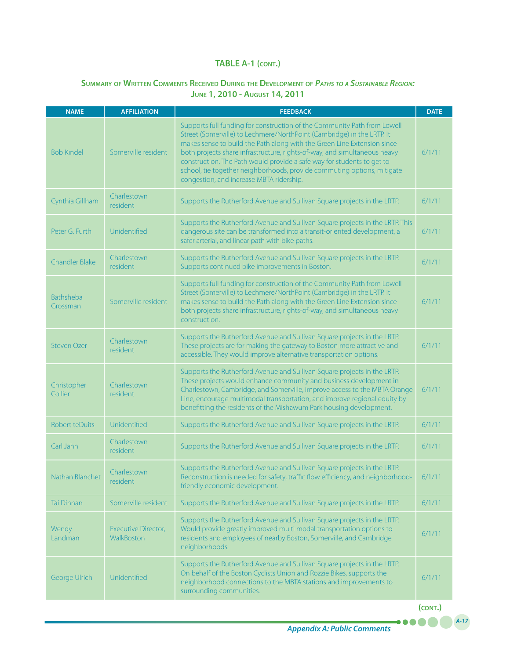# **Summary of Written Comments Received During the Development of** *Paths to <sup>a</sup> Sustainable Region:* **June 1, 2010 - August 14, 2011**

| <b>NAME</b>            | <b>AFFILIATION</b>                              | <b>FEEDBACK</b>                                                                                                                                                                                                                                                                                                                                                                                                                                                                                             | <b>DATE</b> |
|------------------------|-------------------------------------------------|-------------------------------------------------------------------------------------------------------------------------------------------------------------------------------------------------------------------------------------------------------------------------------------------------------------------------------------------------------------------------------------------------------------------------------------------------------------------------------------------------------------|-------------|
| <b>Bob Kindel</b>      | Somerville resident                             | Supports full funding for construction of the Community Path from Lowell<br>Street (Somerville) to Lechmere/NorthPoint (Cambridge) in the LRTP. It<br>makes sense to build the Path along with the Green Line Extension since<br>both projects share infrastructure, rights-of-way, and simultaneous heavy<br>construction. The Path would provide a safe way for students to get to<br>school, tie together neighborhoods, provide commuting options, mitigate<br>congestion, and increase MBTA ridership. | 6/1/11      |
| Cynthia Gillham        | Charlestown<br>resident                         | Supports the Rutherford Avenue and Sullivan Square projects in the LRTP.                                                                                                                                                                                                                                                                                                                                                                                                                                    | 6/1/11      |
| Peter G. Furth         | Unidentified                                    | Supports the Rutherford Avenue and Sullivan Square projects in the LRTP. This<br>dangerous site can be transformed into a transit-oriented development, a<br>safer arterial, and linear path with bike paths.                                                                                                                                                                                                                                                                                               | 6/1/11      |
| <b>Chandler Blake</b>  | Charlestown<br>resident                         | Supports the Rutherford Avenue and Sullivan Square projects in the LRTP.<br>Supports continued bike improvements in Boston.                                                                                                                                                                                                                                                                                                                                                                                 | 6/1/11      |
| Bathsheba<br>Grossman  | Somerville resident                             | Supports full funding for construction of the Community Path from Lowell<br>Street (Somerville) to Lechmere/NorthPoint (Cambridge) in the LRTP. It<br>makes sense to build the Path along with the Green Line Extension since<br>both projects share infrastructure, rights-of-way, and simultaneous heavy<br>construction.                                                                                                                                                                                 | 6/1/11      |
| <b>Steven Ozer</b>     | Charlestown<br>resident                         | Supports the Rutherford Avenue and Sullivan Square projects in the LRTP.<br>These projects are for making the gateway to Boston more attractive and<br>accessible. They would improve alternative transportation options.                                                                                                                                                                                                                                                                                   | 6/1/11      |
| Christopher<br>Collier | Charlestown<br>resident                         | Supports the Rutherford Avenue and Sullivan Square projects in the LRTP.<br>These projects would enhance community and business development in<br>Charlestown, Cambridge, and Somerville, improve access to the MBTA Orange<br>Line, encourage multimodal transportation, and improve regional equity by<br>benefitting the residents of the Mishawum Park housing development.                                                                                                                             | 6/1/11      |
| Robert teDuits         | Unidentified                                    | Supports the Rutherford Avenue and Sullivan Square projects in the LRTP.                                                                                                                                                                                                                                                                                                                                                                                                                                    | 6/1/11      |
| Carl Jahn              | Charlestown<br>resident                         | Supports the Rutherford Avenue and Sullivan Square projects in the LRTP.                                                                                                                                                                                                                                                                                                                                                                                                                                    | 6/1/11      |
| Nathan Blanchet        | Charlestown<br>resident                         | Supports the Rutherford Avenue and Sullivan Square projects in the LRTP.<br>Reconstruction is needed for safety, traffic flow efficiency, and neighborhood-<br>friendly economic development.                                                                                                                                                                                                                                                                                                               | 6/1/11      |
| <b>Tai Dinnan</b>      | Somerville resident                             | Supports the Rutherford Avenue and Sullivan Square projects in the LRTP.                                                                                                                                                                                                                                                                                                                                                                                                                                    | 6/1/11      |
| Wendy<br>Landman       | <b>Executive Director,</b><br><b>WalkBoston</b> | Supports the Rutherford Avenue and Sullivan Square projects in the LRTP.<br>Would provide greatly improved multi modal transportation options to<br>residents and employees of nearby Boston, Somerville, and Cambridge<br>neighborhoods.                                                                                                                                                                                                                                                                   | 6/1/11      |
| George Ulrich          | Unidentified                                    | Supports the Rutherford Avenue and Sullivan Square projects in the LRTP.<br>On behalf of the Boston Cyclists Union and Rozzie Bikes, supports the<br>neighborhood connections to the MBTA stations and improvements to<br>surrounding communities.                                                                                                                                                                                                                                                          | 6/1/11      |
|                        |                                                 |                                                                                                                                                                                                                                                                                                                                                                                                                                                                                                             | (CONT.)     |

*A-17*

.....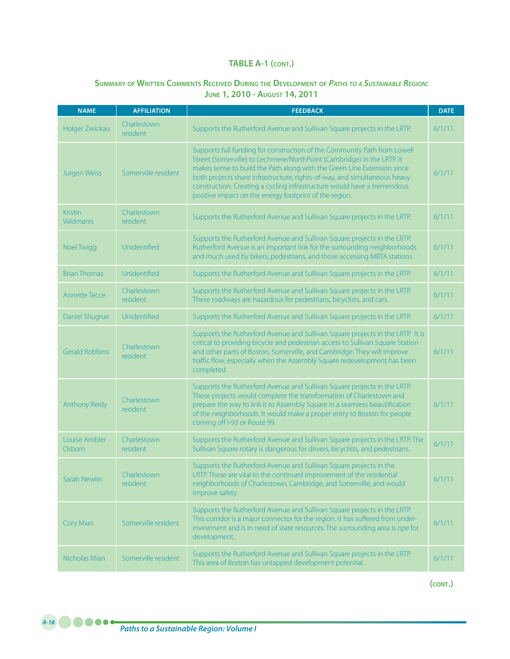### **Summary of Written Comments Received During the Development of** *Paths to <sup>a</sup> Sustainable Region:* **June 1, 2010 - August 14, 2011**

| <b>NAME</b>                 | <b>AFFILIATION</b>      | <b>FEEDBACK</b>                                                                                                                                                                                                                                                                                                                                                                                                                                 | <b>DATE</b> |
|-----------------------------|-------------------------|-------------------------------------------------------------------------------------------------------------------------------------------------------------------------------------------------------------------------------------------------------------------------------------------------------------------------------------------------------------------------------------------------------------------------------------------------|-------------|
| Holger Zwickau              | Charlestown<br>resident | Supports the Rutherford Avenue and Sullivan Square projects in the LRTP.                                                                                                                                                                                                                                                                                                                                                                        | 6/1/11      |
| Jurgen Weiss                | Somerville resident     | Supports full funding for construction of the Community Path from Lowell<br>Street (Somerville) to Lechmere/NorthPoint (Cambridge) in the LRTP. It<br>makes sense to build the Path along with the Green Line Extension since<br>both projects share infrastructure, rights-of-way, and simultaneous heavy<br>construction. Creating a cycling infrastructure would have a tremendous<br>positive impact on the energy footprint of the region. | 6/1/11      |
| <b>Kristin</b><br>Valdmanis | Charlestown<br>resident | Supports the Rutherford Avenue and Sullivan Square projects in the LRTP.                                                                                                                                                                                                                                                                                                                                                                        | 6/1/11      |
| Noel Twigg                  | Unidentified            | Supports the Rutherford Avenue and Sullivan Square projects in the LRTP.<br>Rutherford Avenue is an important link for the surrounding neighborhoods<br>and much used by bikers, pedestrians, and those accessing MBTA stations.                                                                                                                                                                                                                | 6/1/11      |
| <b>Brian Thomas</b>         | Unidentified            | Supports the Rutherford Avenue and Sullivan Square projects in the LRTP.                                                                                                                                                                                                                                                                                                                                                                        | 6/1/11      |
| Annette Tecce               | Charlestown<br>resident | Supports the Rutherford Avenue and Sullivan Square projects in the LRTP.<br>These roadways are hazardous for pedestrians, bicyclists, and cars.                                                                                                                                                                                                                                                                                                 | 6/1/11      |
| Daniel Shugrue              | Unidentified            | Supports the Rutherford Avenue and Sullivan Square projects in the LRTP.                                                                                                                                                                                                                                                                                                                                                                        | 6/1/11      |
| <b>Gerald Robbins</b>       | Charlestown<br>resident | Supports the Rutherford Avenue and Sullivan Square projects in the LRTP. It is<br>critical to providing bicycle and pedestrian access to Sullivan Square Station<br>and other parts of Boston, Somerville, and Cambridge. They will improve<br>traffic flow, especially when the Assembly Square redevelopment has been<br>completed.                                                                                                           | 6/1/11      |
| <b>Anthony Reidy</b>        | Charlestown<br>resident | Supports the Rutherford Avenue and Sullivan Square projects in the LRTP.<br>These projects would complete the transformation of Charlestown and<br>prepare the way to link it to Assembly Square in a seamless beautification<br>of the neighborhoods. It would make a proper entry to Boston for people<br>coming off I-93 or Route 99.                                                                                                        | 6/1/11      |
| Louise Ambler<br>Osborn     | Charlestown<br>resident | Supports the Rutherford Avenue and Sullivan Square projects in the LRTP. The<br>Sullivan Square rotary is dangerous for drivers, bicyclists, and pedestrians.                                                                                                                                                                                                                                                                                   | 6/1/11      |
| Sarah Newlin                | Charlestown<br>resident | Supports the Rutherford Avenue and Sullivan Square projects in the<br>LRTP. These are vital to the continued improvement of the residential<br>neighborhoods of Charlestown, Cambridge, and Somerville, and would<br>improve safety.                                                                                                                                                                                                            | 6/1/11      |
| Cory Mian                   | Somerville resident     | Supports the Rutherford Avenue and Sullivan Square projects in the LRTP.<br>This corridor is a major connector for the region. It has suffered from under-<br>investment and is in need of state resources. The surrounding area is ripe for<br>development.                                                                                                                                                                                    | 6/1/11      |
| Nicholas Mian               | Somerville resident     | Supports the Rutherford Avenue and Sullivan Square projects in the LRTP.<br>This area of Boston has untapped development potential.                                                                                                                                                                                                                                                                                                             | 6/1/11      |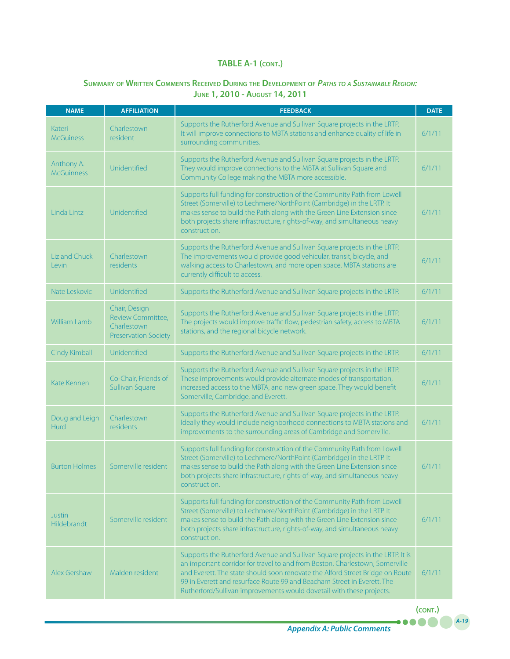### **Summary of Written Comments Received During the Development of** *Paths to <sup>a</sup> Sustainable Region:* **June 1, 2010 - August 14, 2011**

| <b>NAME</b>                     | <b>AFFILIATION</b>                                                               | <b>FEEDBACK</b>                                                                                                                                                                                                                                                                                                                                                                                    | <b>DATE</b> |
|---------------------------------|----------------------------------------------------------------------------------|----------------------------------------------------------------------------------------------------------------------------------------------------------------------------------------------------------------------------------------------------------------------------------------------------------------------------------------------------------------------------------------------------|-------------|
| Kateri<br><b>McGuiness</b>      | Charlestown<br>resident                                                          | Supports the Rutherford Avenue and Sullivan Square projects in the LRTP.<br>It will improve connections to MBTA stations and enhance quality of life in<br>surrounding communities.                                                                                                                                                                                                                | 6/1/11      |
| Anthony A.<br><b>McGuinness</b> | Unidentified                                                                     | Supports the Rutherford Avenue and Sullivan Square projects in the LRTP.<br>They would improve connections to the MBTA at Sullivan Square and<br>Community College making the MBTA more accessible.                                                                                                                                                                                                | 6/1/11      |
| Linda Lintz                     | Unidentified                                                                     | Supports full funding for construction of the Community Path from Lowell<br>Street (Somerville) to Lechmere/NorthPoint (Cambridge) in the LRTP. It<br>makes sense to build the Path along with the Green Line Extension since<br>both projects share infrastructure, rights-of-way, and simultaneous heavy<br>construction.                                                                        | 6/1/11      |
| Liz and Chuck<br>Levin          | Charlestown<br>residents                                                         | Supports the Rutherford Avenue and Sullivan Square projects in the LRTP.<br>The improvements would provide good vehicular, transit, bicycle, and<br>walking access to Charlestown, and more open space. MBTA stations are<br>currently difficult to access.                                                                                                                                        | 6/1/11      |
| Nate Leskovic                   | Unidentified                                                                     | Supports the Rutherford Avenue and Sullivan Square projects in the LRTP.                                                                                                                                                                                                                                                                                                                           | 6/1/11      |
| William Lamb                    | Chair, Design<br>Review Committee,<br>Charlestown<br><b>Preservation Society</b> | Supports the Rutherford Avenue and Sullivan Square projects in the LRTP.<br>The projects would improve traffic flow, pedestrian safety, access to MBTA<br>stations, and the regional bicycle network.                                                                                                                                                                                              | 6/1/11      |
| Cindy Kimball                   | Unidentified                                                                     | Supports the Rutherford Avenue and Sullivan Square projects in the LRTP.                                                                                                                                                                                                                                                                                                                           | 6/1/11      |
| Kate Kennen                     | Co-Chair, Friends of<br>Sullivan Square                                          | Supports the Rutherford Avenue and Sullivan Square projects in the LRTP.<br>These improvements would provide alternate modes of transportation,<br>increased access to the MBTA, and new green space. They would benefit<br>Somerville, Cambridge, and Everett.                                                                                                                                    | 6/1/11      |
| Doug and Leigh<br><b>Hurd</b>   | Charlestown<br>residents                                                         | Supports the Rutherford Avenue and Sullivan Square projects in the LRTP.<br>Ideally they would include neighborhood connections to MBTA stations and<br>improvements to the surrounding areas of Cambridge and Somerville.                                                                                                                                                                         | 6/1/11      |
| <b>Burton Holmes</b>            | Somerville resident                                                              | Supports full funding for construction of the Community Path from Lowell<br>Street (Somerville) to Lechmere/NorthPoint (Cambridge) in the LRTP. It<br>makes sense to build the Path along with the Green Line Extension since<br>both projects share infrastructure, rights-of-way, and simultaneous heavy<br>construction.                                                                        | 6/1/11      |
| <b>Justin</b><br>Hildebrandt    | Somerville resident                                                              | Supports full funding for construction of the Community Path from Lowell<br>Street (Somerville) to Lechmere/NorthPoint (Cambridge) in the LRTP. It<br>makes sense to build the Path along with the Green Line Extension since<br>both projects share infrastructure, rights-of-way, and simultaneous heavy<br>construction.                                                                        | 6/1/11      |
| Alex Gershaw                    | Malden resident                                                                  | Supports the Rutherford Avenue and Sullivan Square projects in the LRTP. It is<br>an important corridor for travel to and from Boston, Charlestown, Somerville<br>and Everett. The state should soon renovate the Alford Street Bridge on Route<br>99 in Everett and resurface Route 99 and Beacham Street in Everett. The<br>Rutherford/Sullivan improvements would dovetail with these projects. | 6/1/11      |

**(cont.)**

.....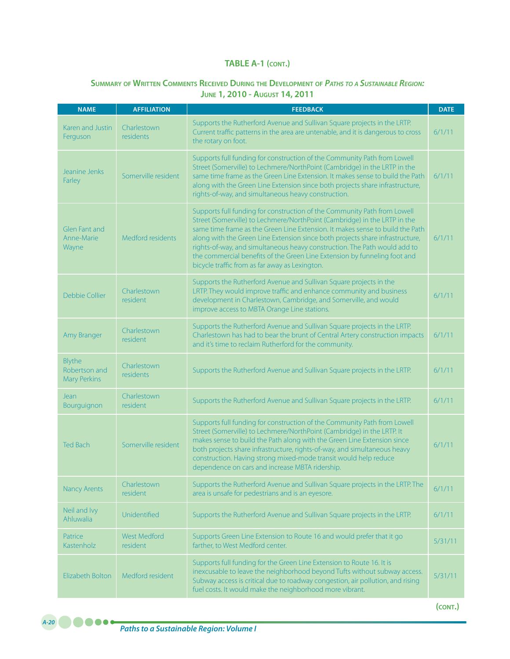# **Summary of Written Comments Received During the Development of** *Paths to <sup>a</sup> Sustainable Region:* **June 1, 2010 - August 14, 2011**

| <b>NAME</b>                                    | <b>AFFILIATION</b>              | <b>FEEDBACK</b>                                                                                                                                                                                                                                                                                                                                                                                                                                                                                                                     | <b>DATE</b> |
|------------------------------------------------|---------------------------------|-------------------------------------------------------------------------------------------------------------------------------------------------------------------------------------------------------------------------------------------------------------------------------------------------------------------------------------------------------------------------------------------------------------------------------------------------------------------------------------------------------------------------------------|-------------|
| Karen and Justin<br>Ferguson                   | Charlestown<br>residents        | Supports the Rutherford Avenue and Sullivan Square projects in the LRTP.<br>Current traffic patterns in the area are untenable, and it is dangerous to cross<br>the rotary on foot.                                                                                                                                                                                                                                                                                                                                                 | 6/1/11      |
| Jeanine Jenks<br>Farley                        | Somerville resident             | Supports full funding for construction of the Community Path from Lowell<br>Street (Somerville) to Lechmere/NorthPoint (Cambridge) in the LRTP in the<br>same time frame as the Green Line Extension. It makes sense to build the Path<br>along with the Green Line Extension since both projects share infrastructure,<br>rights-of-way, and simultaneous heavy construction.                                                                                                                                                      | 6/1/11      |
| Glen Fant and<br>Anne-Marie<br>Wayne           | Medford residents               | Supports full funding for construction of the Community Path from Lowell<br>Street (Somerville) to Lechmere/NorthPoint (Cambridge) in the LRTP in the<br>same time frame as the Green Line Extension. It makes sense to build the Path<br>along with the Green Line Extension since both projects share infrastructure,<br>rights-of-way, and simultaneous heavy construction. The Path would add to<br>the commercial benefits of the Green Line Extension by funneling foot and<br>bicycle traffic from as far away as Lexington. | 6/1/11      |
| Debbie Collier                                 | Charlestown<br>resident         | Supports the Rutherford Avenue and Sullivan Square projects in the<br>LRTP. They would improve traffic and enhance community and business<br>development in Charlestown, Cambridge, and Somerville, and would<br>improve access to MBTA Orange Line stations.                                                                                                                                                                                                                                                                       | 6/1/11      |
| Amy Branger                                    | Charlestown<br>resident         | Supports the Rutherford Avenue and Sullivan Square projects in the LRTP.<br>Charlestown has had to bear the brunt of Central Artery construction impacts<br>and it's time to reclaim Rutherford for the community.                                                                                                                                                                                                                                                                                                                  | 6/1/11      |
| Blythe<br>Robertson and<br><b>Mary Perkins</b> | Charlestown<br>residents        | Supports the Rutherford Avenue and Sullivan Square projects in the LRTP.                                                                                                                                                                                                                                                                                                                                                                                                                                                            | 6/1/11      |
| Jean<br>Bourguignon                            | Charlestown<br>resident         | Supports the Rutherford Avenue and Sullivan Square projects in the LRTP.                                                                                                                                                                                                                                                                                                                                                                                                                                                            | 6/1/11      |
| <b>Ted Bach</b>                                | Somerville resident             | Supports full funding for construction of the Community Path from Lowell<br>Street (Somerville) to Lechmere/NorthPoint (Cambridge) in the LRTP. It<br>makes sense to build the Path along with the Green Line Extension since<br>both projects share infrastructure, rights-of-way, and simultaneous heavy<br>construction. Having strong mixed-mode transit would help reduce<br>dependence on cars and increase MBTA ridership.                                                                                                   | 6/1/11      |
| <b>Nancy Arents</b>                            | Charlestown<br>resident         | Supports the Rutherford Avenue and Sullivan Square projects in the LRTP. The<br>area is unsafe for pedestrians and is an eyesore.                                                                                                                                                                                                                                                                                                                                                                                                   | 6/1/11      |
| Neil and Ivy<br>Ahluwalia                      | Unidentified                    | Supports the Rutherford Avenue and Sullivan Square projects in the LRTP.                                                                                                                                                                                                                                                                                                                                                                                                                                                            | 6/1/11      |
| Patrice<br>Kastenholz                          | <b>West Medford</b><br>resident | Supports Green Line Extension to Route 16 and would prefer that it go<br>farther, to West Medford center.                                                                                                                                                                                                                                                                                                                                                                                                                           | 5/31/11     |
| Elizabeth Bolton                               | Medford resident                | Supports full funding for the Green Line Extension to Route 16. It is<br>inexcusable to leave the neighborhood beyond Tufts without subway access.<br>Subway access is critical due to roadway congestion, air pollution, and rising<br>fuel costs. It would make the neighborhood more vibrant.                                                                                                                                                                                                                                    | 5/31/11     |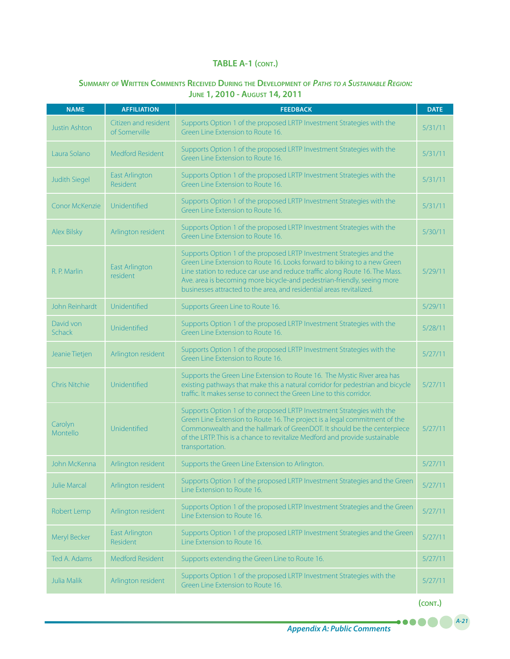# **Summary of Written Comments Received During the Development of** *Paths to <sup>a</sup> Sustainable Region:* **June 1, 2010 - August 14, 2011**

| <b>NAME</b>          | <b>AFFILIATION</b>                       | <b>FEEDBACK</b>                                                                                                                                                                                                                                                                                                                                                                    | <b>DATE</b> |
|----------------------|------------------------------------------|------------------------------------------------------------------------------------------------------------------------------------------------------------------------------------------------------------------------------------------------------------------------------------------------------------------------------------------------------------------------------------|-------------|
| <b>Justin Ashton</b> | Citizen and resident<br>of Somerville    | Supports Option 1 of the proposed LRTP Investment Strategies with the<br>Green Line Extension to Route 16.                                                                                                                                                                                                                                                                         | 5/31/11     |
| Laura Solano         | Medford Resident                         | Supports Option 1 of the proposed LRTP Investment Strategies with the<br>Green Line Extension to Route 16.                                                                                                                                                                                                                                                                         | 5/31/11     |
| <b>Judith Siegel</b> | <b>East Arlington</b><br>Resident        | Supports Option 1 of the proposed LRTP Investment Strategies with the<br>Green Line Extension to Route 16.                                                                                                                                                                                                                                                                         | 5/31/11     |
| Conor McKenzie       | Unidentified                             | Supports Option 1 of the proposed LRTP Investment Strategies with the<br>Green Line Extension to Route 16.                                                                                                                                                                                                                                                                         | 5/31/11     |
| <b>Alex Bilsky</b>   | Arlington resident                       | Supports Option 1 of the proposed LRTP Investment Strategies with the<br>Green Line Extension to Route 16.                                                                                                                                                                                                                                                                         | 5/30/11     |
| R. P. Marlin         | <b>East Arlington</b><br>resident        | Supports Option 1 of the proposed LRTP Investment Strategies and the<br>Green Line Extension to Route 16. Looks forward to biking to a new Green<br>Line station to reduce car use and reduce traffic along Route 16. The Mass.<br>Ave. area is becoming more bicycle-and pedestrian-friendly, seeing more<br>businesses attracted to the area, and residential areas revitalized. | 5/29/11     |
| John Reinhardt       | Unidentified                             | Supports Green Line to Route 16.                                                                                                                                                                                                                                                                                                                                                   | 5/29/11     |
| David von<br>Schack  | Unidentified                             | Supports Option 1 of the proposed LRTP Investment Strategies with the<br>Green Line Extension to Route 16.                                                                                                                                                                                                                                                                         | 5/28/11     |
| Jeanie Tietjen       | Arlington resident                       | Supports Option 1 of the proposed LRTP Investment Strategies with the<br>Green Line Extension to Route 16.                                                                                                                                                                                                                                                                         | 5/27/11     |
| <b>Chris Nitchie</b> | Unidentified                             | Supports the Green Line Extension to Route 16. The Mystic River area has<br>existing pathways that make this a natural corridor for pedestrian and bicycle<br>traffic. It makes sense to connect the Green Line to this corridor.                                                                                                                                                  | 5/27/11     |
| Carolyn<br>Montello  | Unidentified                             | Supports Option 1 of the proposed LRTP Investment Strategies with the<br>Green Line Extension to Route 16. The project is a legal commitment of the<br>Commonwealth and the hallmark of GreenDOT. It should be the centerpiece<br>of the LRTP. This is a chance to revitalize Medford and provide sustainable<br>transportation.                                                   | 5/27/11     |
| John McKenna         | Arlington resident                       | Supports the Green Line Extension to Arlington.                                                                                                                                                                                                                                                                                                                                    | 5/27/11     |
| Julie Marcal         | Arlington resident                       | Supports Option 1 of the proposed LRTP Investment Strategies and the Green<br>Line Extension to Route 16.                                                                                                                                                                                                                                                                          | 5/27/11     |
| Robert Lemp          | Arlington resident                       | Supports Option 1 of the proposed LRTP Investment Strategies and the Green<br>Line Extension to Route 16.                                                                                                                                                                                                                                                                          | 5/27/11     |
| Meryl Becker         | <b>East Arlington</b><br><b>Resident</b> | Supports Option 1 of the proposed LRTP Investment Strategies and the Green<br>Line Extension to Route 16.                                                                                                                                                                                                                                                                          | 5/27/11     |
| Ted A. Adams         | <b>Medford Resident</b>                  | Supports extending the Green Line to Route 16.                                                                                                                                                                                                                                                                                                                                     | 5/27/11     |
| Julia Malik          | Arlington resident                       | Supports Option 1 of the proposed LRTP Investment Strategies with the<br>Green Line Extension to Route 16.                                                                                                                                                                                                                                                                         | 5/27/11     |

**(cont.)**

.....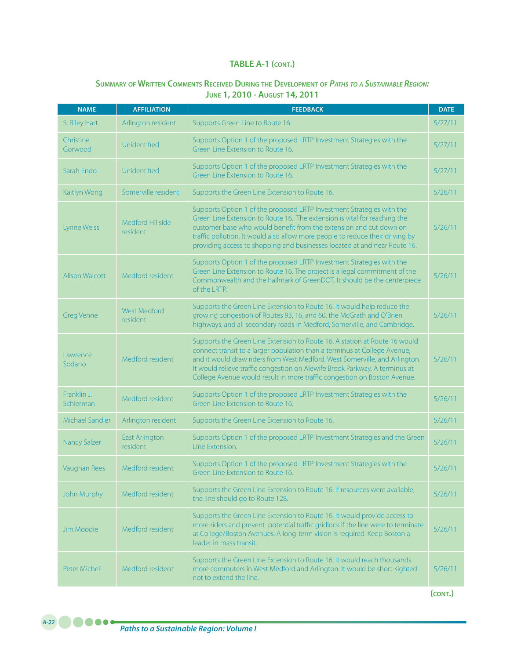### **Summary of Written Comments Received During the Development of** *Paths to <sup>a</sup> Sustainable Region:* **June 1, 2010 - August 14, 2011**

| <b>NAME</b>              | <b>AFFILIATION</b>                     | <b>FEEDBACK</b>                                                                                                                                                                                                                                                                                                                                                                                   | <b>DATE</b> |
|--------------------------|----------------------------------------|---------------------------------------------------------------------------------------------------------------------------------------------------------------------------------------------------------------------------------------------------------------------------------------------------------------------------------------------------------------------------------------------------|-------------|
| S. Riley Hart            | Arlington resident                     | Supports Green Line to Route 16.                                                                                                                                                                                                                                                                                                                                                                  | 5/27/11     |
| Christine<br>Gorwood     | Unidentified                           | Supports Option 1 of the proposed LRTP Investment Strategies with the<br>Green Line Extension to Route 16.                                                                                                                                                                                                                                                                                        | 5/27/11     |
| Sarah Endo               | Unidentified                           | Supports Option 1 of the proposed LRTP Investment Strategies with the<br>Green Line Extension to Route 16.                                                                                                                                                                                                                                                                                        | 5/27/11     |
| Kaitlyn Wong             | Somerville resident                    | Supports the Green Line Extension to Route 16.                                                                                                                                                                                                                                                                                                                                                    | 5/26/11     |
| <b>Lynne Weiss</b>       | Medford Hillside<br>resident           | Supports Option 1 of the proposed LRTP Investment Strategies with the<br>Green Line Extension to Route 16. The extension is vital for reaching the<br>customer base who would benefit from the extension and cut down on<br>traffic pollution. It would also allow more people to reduce their driving by<br>providing access to shopping and businesses located at and near Route 16.            | 5/26/11     |
| <b>Alison Walcott</b>    | Medford resident                       | Supports Option 1 of the proposed LRTP Investment Strategies with the<br>Green Line Extension to Route 16. The project is a legal commitment of the<br>Commonwealth and the hallmark of GreenDOT. It should be the centerpiece<br>of the LRTP.                                                                                                                                                    | 5/26/11     |
| <b>Greg Venne</b>        | <b>West Medford</b><br><i>resident</i> | Supports the Green Line Extension to Route 16. It would help reduce the<br>growing congestion of Routes 93, 16, and 60, the McGrath and O'Brien<br>highways, and all secondary roads in Medford, Somerville, and Cambridge.                                                                                                                                                                       | 5/26/11     |
| Lawrence<br>Sodano       | Medford resident                       | Supports the Green Line Extension to Route 16. A station at Route 16 would<br>connect transit to a larger population than a terminus at College Avenue,<br>and it would draw riders from West Medford, West Somerville, and Arlington.<br>It would relieve traffic congestion on Alewife Brook Parkway. A terminus at<br>College Avenue would result in more traffic congestion on Boston Avenue. | 5/26/11     |
| Franklin J.<br>Schlerman | Medford resident                       | Supports Option 1 of the proposed LRTP Investment Strategies with the<br>Green Line Extension to Route 16.                                                                                                                                                                                                                                                                                        | 5/26/11     |
| Michael Sandler          | Arlington resident                     | Supports the Green Line Extension to Route 16.                                                                                                                                                                                                                                                                                                                                                    | 5/26/11     |
| <b>Nancy Salzer</b>      | <b>East Arlington</b><br>resident      | Supports Option 1 of the proposed LRTP Investment Strategies and the Green<br>Line Extension.                                                                                                                                                                                                                                                                                                     | 5/26/11     |
| Vaughan Rees             | Medford resident                       | Supports Option 1 of the proposed LRTP Investment Strategies with the<br>Green Line Extension to Route 16.                                                                                                                                                                                                                                                                                        | 5/26/11     |
| John Murphy              | Medford resident                       | Supports the Green Line Extension to Route 16. If resources were available,<br>the line should go to Route 128.                                                                                                                                                                                                                                                                                   | 5/26/11     |
| Jim Moodie               | Medford resident                       | Supports the Green Line Extension to Route 16. It would provide access to<br>more riders and prevent potential traffic gridlock if the line were to terminate<br>at College/Boston Avenues. A long-term vision is required. Keep Boston a<br>leader in mass transit.                                                                                                                              | 5/26/11     |
| Peter Micheli            | Medford resident                       | Supports the Green Line Extension to Route 16. It would reach thousands<br>more commuters in West Medford and Arlington. It would be short-sighted<br>not to extend the line.                                                                                                                                                                                                                     | 5/26/11     |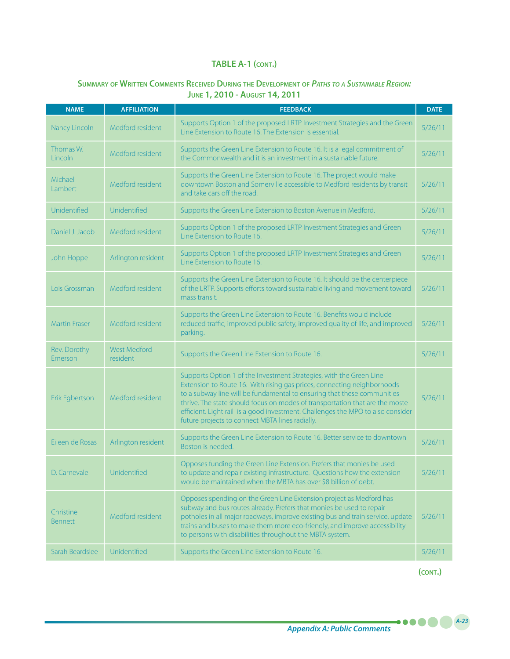### **Summary of Written Comments Received During the Development of** *Paths to <sup>a</sup> Sustainable Region:*  **June 1, 2010 - August 14, 2011**

| <b>NAME</b>                 | <b>AFFILIATION</b>              | <b>FEEDBACK</b>                                                                                                                                                                                                                                                                                                                                                                                                                                 | <b>DATE</b> |
|-----------------------------|---------------------------------|-------------------------------------------------------------------------------------------------------------------------------------------------------------------------------------------------------------------------------------------------------------------------------------------------------------------------------------------------------------------------------------------------------------------------------------------------|-------------|
| Nancy Lincoln               | Medford resident                | Supports Option 1 of the proposed LRTP Investment Strategies and the Green<br>Line Extension to Route 16. The Extension is essential.                                                                                                                                                                                                                                                                                                           | 5/26/11     |
| Thomas W.<br>Lincoln        | Medford resident                | Supports the Green Line Extension to Route 16. It is a legal commitment of<br>the Commonwealth and it is an investment in a sustainable future.                                                                                                                                                                                                                                                                                                 | 5/26/11     |
| Michael<br>Lambert          | Medford resident                | Supports the Green Line Extension to Route 16. The project would make<br>downtown Boston and Somerville accessible to Medford residents by transit<br>and take cars off the road.                                                                                                                                                                                                                                                               | 5/26/11     |
| Unidentified                | Unidentified                    | Supports the Green Line Extension to Boston Avenue in Medford.                                                                                                                                                                                                                                                                                                                                                                                  | 5/26/11     |
| Daniel J. Jacob             | Medford resident                | Supports Option 1 of the proposed LRTP Investment Strategies and Green<br>Line Extension to Route 16.                                                                                                                                                                                                                                                                                                                                           | 5/26/11     |
| John Hoppe                  | Arlington resident              | Supports Option 1 of the proposed LRTP Investment Strategies and Green<br>Line Extension to Route 16.                                                                                                                                                                                                                                                                                                                                           | 5/26/11     |
| Lois Grossman               | Medford resident                | Supports the Green Line Extension to Route 16. It should be the centerpiece<br>of the LRTP. Supports efforts toward sustainable living and movement toward<br>mass transit.                                                                                                                                                                                                                                                                     | 5/26/11     |
| <b>Martin Fraser</b>        | Medford resident                | Supports the Green Line Extension to Route 16. Benefits would include<br>reduced traffic, improved public safety, improved quality of life, and improved<br>parking.                                                                                                                                                                                                                                                                            | 5/26/11     |
| Rev. Dorothy<br>Emerson     | <b>West Medford</b><br>resident | Supports the Green Line Extension to Route 16.                                                                                                                                                                                                                                                                                                                                                                                                  | 5/26/11     |
| Erik Egbertson              | Medford resident                | Supports Option 1 of the Investment Strategies, with the Green Line<br>Extension to Route 16. With rising gas prices, connecting neighborhoods<br>to a subway line will be fundamental to ensuring that these communities<br>thrive. The state should focus on modes of transportation that are the moste<br>efficient. Light rail is a good investment. Challenges the MPO to also consider<br>future projects to connect MBTA lines radially. | 5/26/11     |
| Eileen de Rosas             | Arlington resident              | Supports the Green Line Extension to Route 16. Better service to downtown<br>Boston is needed.                                                                                                                                                                                                                                                                                                                                                  | 5/26/11     |
| D. Carnevale                | Unidentified                    | Opposes funding the Green Line Extension. Prefers that monies be used<br>to update and repair existing infrastructure. Questions how the extension<br>would be maintained when the MBTA has over \$8 billion of debt.                                                                                                                                                                                                                           | 5/26/11     |
| Christine<br><b>Bennett</b> | Medford resident                | Opposes spending on the Green Line Extension project as Medford has<br>subway and bus routes already. Prefers that monies be used to repair<br>potholes in all major roadways, improve existing bus and train service, update<br>trains and buses to make them more eco-friendly, and improve accessibility<br>to persons with disabilities throughout the MBTA system.                                                                         | 5/26/11     |
| Sarah Beardslee             | Unidentified                    | Supports the Green Line Extension to Route 16.                                                                                                                                                                                                                                                                                                                                                                                                  | 5/26/11     |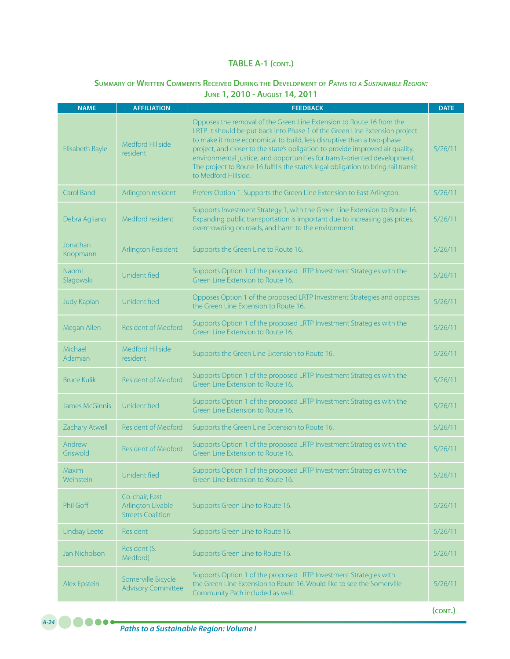### **Summary of Written Comments Received During the Development of** *Paths to <sup>a</sup> Sustainable Region:* **June 1, 2010 - August 14, 2011**

| <b>NAME</b>               | <b>AFFILIATION</b>                                              | <b>FEEDBACK</b>                                                                                                                                                                                                                                                                                                                                                                                                                                                                                              | <b>DATE</b> |
|---------------------------|-----------------------------------------------------------------|--------------------------------------------------------------------------------------------------------------------------------------------------------------------------------------------------------------------------------------------------------------------------------------------------------------------------------------------------------------------------------------------------------------------------------------------------------------------------------------------------------------|-------------|
| Elisabeth Bayle           | <b>Medford Hillside</b><br>resident                             | Opposes the removal of the Green Line Extension to Route 16 from the<br>LRTP. It should be put back into Phase 1 of the Green Line Extension project<br>to make it more economical to build, less disruptive than a two-phase<br>project, and closer to the state's obligation to provide improved air quality,<br>environmental justice, and opportunities for transit-oriented development.<br>The project to Route 16 fulfills the state's legal obligation to bring rail transit<br>to Medford Hillside. | 5/26/11     |
| Carol Band                | Arlington resident                                              | Prefers Option 1. Supports the Green Line Extension to East Arlington.                                                                                                                                                                                                                                                                                                                                                                                                                                       | 5/26/11     |
| Debra Agliano             | Medford resident                                                | Supports Investment Strategy 1, with the Green Line Extension to Route 16.<br>Expanding public transportation is important due to increasing gas prices,<br>overcrowding on roads, and harm to the environment.                                                                                                                                                                                                                                                                                              | 5/26/11     |
| Jonathan<br>Koopmann      | Arlington Resident                                              | Supports the Green Line to Route 16.                                                                                                                                                                                                                                                                                                                                                                                                                                                                         | 5/26/11     |
| Naomi<br>Slagowski        | Unidentified                                                    | Supports Option 1 of the proposed LRTP Investment Strategies with the<br>Green Line Extension to Route 16.                                                                                                                                                                                                                                                                                                                                                                                                   | 5/26/11     |
| <b>Judy Kaplan</b>        | Unidentified                                                    | Opposes Option 1 of the proposed LRTP Investment Strategies and opposes<br>the Green Line Extension to Route 16.                                                                                                                                                                                                                                                                                                                                                                                             | 5/26/11     |
| Megan Allen               | <b>Resident of Medford</b>                                      | Supports Option 1 of the proposed LRTP Investment Strategies with the<br>Green Line Extension to Route 16.                                                                                                                                                                                                                                                                                                                                                                                                   | 5/26/11     |
| Michael<br>Adamian        | Medford Hillside<br>resident                                    | Supports the Green Line Extension to Route 16.                                                                                                                                                                                                                                                                                                                                                                                                                                                               | 5/26/11     |
| <b>Bruce Kulik</b>        | <b>Resident of Medford</b>                                      | Supports Option 1 of the proposed LRTP Investment Strategies with the<br>Green Line Extension to Route 16.                                                                                                                                                                                                                                                                                                                                                                                                   | 5/26/11     |
| <b>James McGinnis</b>     | Unidentified                                                    | Supports Option 1 of the proposed LRTP Investment Strategies with the<br>Green Line Extension to Route 16.                                                                                                                                                                                                                                                                                                                                                                                                   | 5/26/11     |
| Zachary Atwell            | Resident of Medford                                             | Supports the Green Line Extension to Route 16.                                                                                                                                                                                                                                                                                                                                                                                                                                                               | 5/26/11     |
| Andrew<br>Griswold        | <b>Resident of Medford</b>                                      | Supports Option 1 of the proposed LRTP Investment Strategies with the<br>Green Line Extension to Route 16.                                                                                                                                                                                                                                                                                                                                                                                                   | 5/26/11     |
| <b>Maxim</b><br>Weinstein | Unidentified                                                    | Supports Option 1 of the proposed LRTP Investment Strategies with the<br>Green Line Extension to Route 16.                                                                                                                                                                                                                                                                                                                                                                                                   | 5/26/11     |
| Phil Goff                 | Co-chair, East<br>Arlington Livable<br><b>Streets Coalition</b> | Supports Green Line to Route 16.                                                                                                                                                                                                                                                                                                                                                                                                                                                                             | 5/26/11     |
| Lindsay Leete             | Resident                                                        | Supports Green Line to Route 16.                                                                                                                                                                                                                                                                                                                                                                                                                                                                             | 5/26/11     |
| Jan Nicholson             | Resident (S.<br>Medford)                                        | Supports Green Line to Route 16.                                                                                                                                                                                                                                                                                                                                                                                                                                                                             | 5/26/11     |
| Alex Epstein              | Somerville Bicycle<br><b>Advisory Committee</b>                 | Supports Option 1 of the proposed LRTP Investment Strategies with<br>the Green Line Extension to Route 16. Would like to see the Somerville<br>Community Path included as well.                                                                                                                                                                                                                                                                                                                              | 5/26/11     |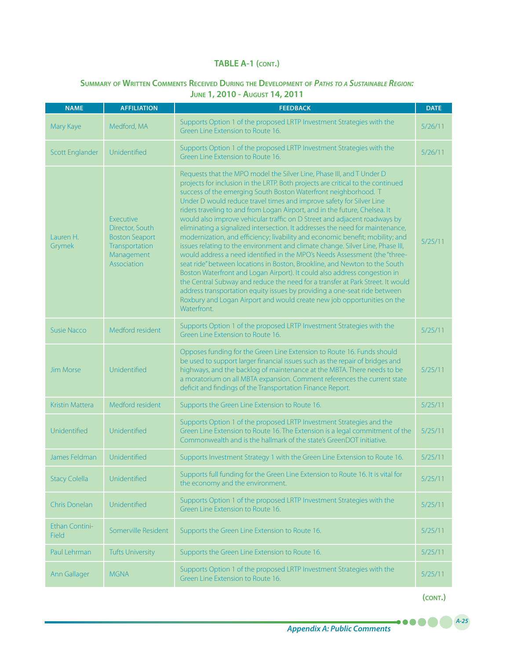# **Summary of Written Comments Received During the Development of** *Paths to <sup>a</sup> Sustainable Region:*  **June 1, 2010 - August 14, 2011**

| <b>NAME</b>             | <b>AFFILIATION</b>                                                                                          | <b>FEEDBACK</b>                                                                                                                                                                                                                                                                                                                                                                                                                                                                                                                                                                                                                                                                                                                                                                                                                                                                                                                                                                                                                                                                                                                                                                                                      | <b>DATE</b> |
|-------------------------|-------------------------------------------------------------------------------------------------------------|----------------------------------------------------------------------------------------------------------------------------------------------------------------------------------------------------------------------------------------------------------------------------------------------------------------------------------------------------------------------------------------------------------------------------------------------------------------------------------------------------------------------------------------------------------------------------------------------------------------------------------------------------------------------------------------------------------------------------------------------------------------------------------------------------------------------------------------------------------------------------------------------------------------------------------------------------------------------------------------------------------------------------------------------------------------------------------------------------------------------------------------------------------------------------------------------------------------------|-------------|
| Mary Kaye               | Medford, MA                                                                                                 | Supports Option 1 of the proposed LRTP Investment Strategies with the<br>Green Line Extension to Route 16.                                                                                                                                                                                                                                                                                                                                                                                                                                                                                                                                                                                                                                                                                                                                                                                                                                                                                                                                                                                                                                                                                                           | 5/26/11     |
| <b>Scott Englander</b>  | Unidentified                                                                                                | Supports Option 1 of the proposed LRTP Investment Strategies with the<br>Green Line Extension to Route 16.                                                                                                                                                                                                                                                                                                                                                                                                                                                                                                                                                                                                                                                                                                                                                                                                                                                                                                                                                                                                                                                                                                           | 5/26/11     |
| Lauren H.<br>Grymek     | <b>Executive</b><br>Director, South<br><b>Boston Seaport</b><br>Transportation<br>Management<br>Association | Requests that the MPO model the Silver Line, Phase III, and T Under D<br>projects for inclusion in the LRTP. Both projects are critical to the continued<br>success of the emerging South Boston Waterfront neighborhood. T<br>Under D would reduce travel times and improve safety for Silver Line<br>riders traveling to and from Logan Airport, and in the future, Chelsea. It<br>would also improve vehicular traffic on D Street and adjacent roadways by<br>eliminating a signalized intersection. It addresses the need for maintenance,<br>modernization, and efficiency; livability and economic benefit; mobility; and<br>issues relating to the environment and climate change. Silver Line, Phase III,<br>would address a need identified in the MPO's Needs Assessment (the "three-<br>seat ride" between locations in Boston, Brookline, and Newton to the South<br>Boston Waterfront and Logan Airport). It could also address congestion in<br>the Central Subway and reduce the need for a transfer at Park Street. It would<br>address transportation equity issues by providing a one-seat ride between<br>Roxbury and Logan Airport and would create new job opportunities on the<br>Waterfront. | 5/25/11     |
| <b>Susie Nacco</b>      | Medford resident                                                                                            | Supports Option 1 of the proposed LRTP Investment Strategies with the<br>Green Line Extension to Route 16.                                                                                                                                                                                                                                                                                                                                                                                                                                                                                                                                                                                                                                                                                                                                                                                                                                                                                                                                                                                                                                                                                                           | 5/25/11     |
| <b>Jim Morse</b>        | Unidentified                                                                                                | Opposes funding for the Green Line Extension to Route 16. Funds should<br>be used to support larger financial issues such as the repair of bridges and<br>highways, and the backlog of maintenance at the MBTA. There needs to be<br>a moratorium on all MBTA expansion. Comment references the current state<br>deficit and findings of the Transportation Finance Report.                                                                                                                                                                                                                                                                                                                                                                                                                                                                                                                                                                                                                                                                                                                                                                                                                                          | 5/25/11     |
| Kristin Mattera         | Medford resident                                                                                            | Supports the Green Line Extension to Route 16.                                                                                                                                                                                                                                                                                                                                                                                                                                                                                                                                                                                                                                                                                                                                                                                                                                                                                                                                                                                                                                                                                                                                                                       | 5/25/11     |
| Unidentified            | Unidentified                                                                                                | Supports Option 1 of the proposed LRTP Investment Strategies and the<br>Green Line Extension to Route 16. The Extension is a legal commitment of the<br>Commonwealth and is the hallmark of the state's GreenDOT initiative.                                                                                                                                                                                                                                                                                                                                                                                                                                                                                                                                                                                                                                                                                                                                                                                                                                                                                                                                                                                         | 5/25/11     |
| James Feldman           | Unidentified                                                                                                | Supports Investment Strategy 1 with the Green Line Extension to Route 16.                                                                                                                                                                                                                                                                                                                                                                                                                                                                                                                                                                                                                                                                                                                                                                                                                                                                                                                                                                                                                                                                                                                                            | 5/25/11     |
| <b>Stacy Colella</b>    | Unidentified                                                                                                | Supports full funding for the Green Line Extension to Route 16. It is vital for<br>the economy and the environment.                                                                                                                                                                                                                                                                                                                                                                                                                                                                                                                                                                                                                                                                                                                                                                                                                                                                                                                                                                                                                                                                                                  | 5/25/11     |
| Chris Donelan           | Unidentified                                                                                                | Supports Option 1 of the proposed LRTP Investment Strategies with the<br>Green Line Extension to Route 16.                                                                                                                                                                                                                                                                                                                                                                                                                                                                                                                                                                                                                                                                                                                                                                                                                                                                                                                                                                                                                                                                                                           | 5/25/11     |
| Ethan Contini-<br>Field | Somerville Resident                                                                                         | Supports the Green Line Extension to Route 16.                                                                                                                                                                                                                                                                                                                                                                                                                                                                                                                                                                                                                                                                                                                                                                                                                                                                                                                                                                                                                                                                                                                                                                       | 5/25/11     |
| Paul Lehrman            | <b>Tufts University</b>                                                                                     | Supports the Green Line Extension to Route 16.                                                                                                                                                                                                                                                                                                                                                                                                                                                                                                                                                                                                                                                                                                                                                                                                                                                                                                                                                                                                                                                                                                                                                                       | 5/25/11     |
| Ann Gallager            | <b>MGNA</b>                                                                                                 | Supports Option 1 of the proposed LRTP Investment Strategies with the<br>Green Line Extension to Route 16.                                                                                                                                                                                                                                                                                                                                                                                                                                                                                                                                                                                                                                                                                                                                                                                                                                                                                                                                                                                                                                                                                                           | 5/25/11     |

**(cont.)**

. . **. . .**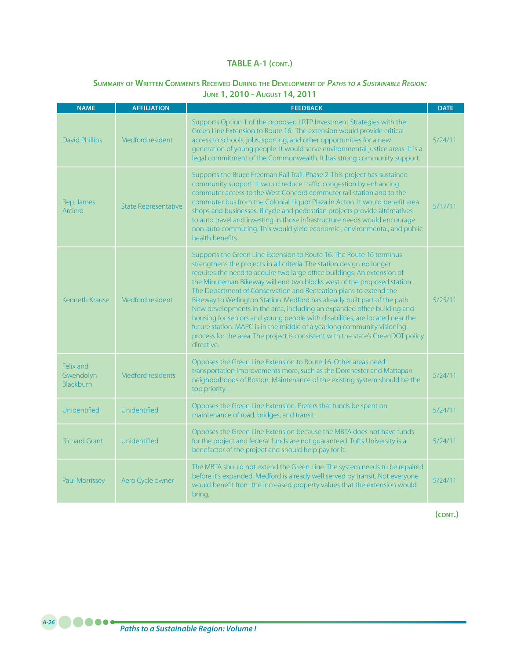# **Summary of Written Comments Received During the Development of** *Paths to <sup>a</sup> Sustainable Region:* **June 1, 2010 - August 14, 2011**

| <b>NAME</b>                                | <b>AFFILIATION</b>          | <b>FEEDBACK</b>                                                                                                                                                                                                                                                                                                                                                                                                                                                                                                                                                                                                                                                                                                                                                                                  | <b>DATE</b> |
|--------------------------------------------|-----------------------------|--------------------------------------------------------------------------------------------------------------------------------------------------------------------------------------------------------------------------------------------------------------------------------------------------------------------------------------------------------------------------------------------------------------------------------------------------------------------------------------------------------------------------------------------------------------------------------------------------------------------------------------------------------------------------------------------------------------------------------------------------------------------------------------------------|-------------|
| <b>David Phillips</b>                      | Medford resident            | Supports Option 1 of the proposed LRTP Investment Strategies with the<br>Green Line Extension to Route 16. The extension would provide critical<br>access to schools, jobs, sporting, and other opportunities for a new<br>generation of young people. It would serve environmental justice areas. It is a<br>legal commitment of the Commonwealth. It has strong community support.                                                                                                                                                                                                                                                                                                                                                                                                             | 5/24/11     |
| Rep. James<br>Arciero                      | <b>State Representative</b> | Supports the Bruce Freeman Rail Trail, Phase 2. This project has sustained<br>community support. It would reduce traffic congestion by enhancing<br>commuter access to the West Concord commuter rail station and to the<br>commuter bus from the Colonial Liquor Plaza in Acton. It would benefit area<br>shops and businesses. Bicycle and pedestrian projects provide alternatives<br>to auto travel and investing in those infrastructure needs would encourage<br>non-auto commuting. This would yield economic, environmental, and public<br>health benefits.                                                                                                                                                                                                                              | 5/17/11     |
| <b>Kenneth Krause</b>                      | Medford resident            | Supports the Green Line Extension to Route 16. The Route 16 terminus<br>strengthens the projects in all criteria. The station design no longer<br>requires the need to acquire two large office buildings. An extension of<br>the Minuteman Bikeway will end two blocks west of the proposed station.<br>The Department of Conservation and Recreation plans to extend the<br>Bikeway to Wellington Station. Medford has already built part of the path.<br>New developments in the area, including an expanded office building and<br>housing for seniors and young people with disabilities, are located near the<br>future station. MAPC is in the middle of a yearlong community visioning<br>process for the area. The project is consistent with the state's GreenDOT policy<br>directive. | 5/25/11     |
| Felix and<br>Gwendolyn<br><b>Blackburn</b> | Medford residents           | Opposes the Green Line Extension to Route 16. Other areas need<br>transportation improvements more, such as the Dorchester and Mattapan<br>neighborhoods of Boston. Maintenance of the existing system should be the<br>top priority.                                                                                                                                                                                                                                                                                                                                                                                                                                                                                                                                                            | 5/24/11     |
| Unidentified                               | Unidentified                | Opposes the Green Line Extension. Prefers that funds be spent on<br>maintenance of road, bridges, and transit.                                                                                                                                                                                                                                                                                                                                                                                                                                                                                                                                                                                                                                                                                   | 5/24/11     |
| <b>Richard Grant</b>                       | Unidentified                | Opposes the Green Line Extension because the MBTA does not have funds<br>for the project and federal funds are not guaranteed. Tufts University is a<br>benefactor of the project and should help pay for it.                                                                                                                                                                                                                                                                                                                                                                                                                                                                                                                                                                                    | 5/24/11     |
| <b>Paul Morrissey</b>                      | Aero Cycle owner            | The MBTA should not extend the Green Line. The system needs to be repaired<br>before it's expanded. Medford is already well served by transit. Not everyone<br>would benefit from the increased property values that the extension would<br>bring.                                                                                                                                                                                                                                                                                                                                                                                                                                                                                                                                               | 5/24/11     |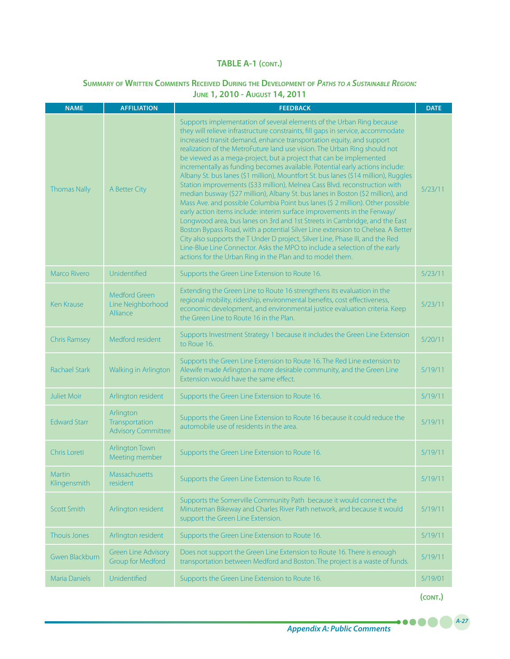# **Summary of Written Comments Received During the Development of** *Paths to <sup>a</sup> Sustainable Region:*

**June 1, 2010 - August 14, 2011**

| <b>NAME</b>            | <b>AFFILIATION</b>                                       | <b>FEEDBACK</b>                                                                                                                                                                                                                                                                                                                                                                                                                                                                                                                                                                                                                                                                                                                                                                                                                                                                                                                                                                                                                                                                                                                                                                                                                                                                       | <b>DATE</b> |
|------------------------|----------------------------------------------------------|---------------------------------------------------------------------------------------------------------------------------------------------------------------------------------------------------------------------------------------------------------------------------------------------------------------------------------------------------------------------------------------------------------------------------------------------------------------------------------------------------------------------------------------------------------------------------------------------------------------------------------------------------------------------------------------------------------------------------------------------------------------------------------------------------------------------------------------------------------------------------------------------------------------------------------------------------------------------------------------------------------------------------------------------------------------------------------------------------------------------------------------------------------------------------------------------------------------------------------------------------------------------------------------|-------------|
| <b>Thomas Nally</b>    | A Better City                                            | Supports implementation of several elements of the Urban Ring because<br>they will relieve infrastructure constraints, fill gaps in service, accommodate<br>increased transit demand, enhance transportation equity, and support<br>realization of the MetroFuture land use vision. The Urban Ring should not<br>be viewed as a mega-project, but a project that can be implemented<br>incrementally as funding becomes available. Potential early actions include:<br>Albany St. bus lanes (\$1 million), Mountfort St. bus lanes (\$14 million), Ruggles<br>Station improvements (\$33 million), Melnea Cass Blvd. reconstruction with<br>median busway (\$27 million), Albany St. bus lanes in Boston (\$2 million), and<br>Mass Ave. and possible Columbia Point bus lanes (\$ 2 million). Other possible<br>early action items include: interim surface improvements in the Fenway/<br>Longwood area, bus lanes on 3rd and 1st Streets in Cambridge, and the East<br>Boston Bypass Road, with a potential Silver Line extension to Chelsea. A Better<br>City also supports the T Under D project, Silver Line, Phase III, and the Red<br>Line-Blue Line Connector. Asks the MPO to include a selection of the early<br>actions for the Urban Ring in the Plan and to model them. | 5/23/11     |
| Marco Rivero           | Unidentified                                             | Supports the Green Line Extension to Route 16.                                                                                                                                                                                                                                                                                                                                                                                                                                                                                                                                                                                                                                                                                                                                                                                                                                                                                                                                                                                                                                                                                                                                                                                                                                        | 5/23/11     |
| <b>Ken Krause</b>      | Medford Green<br>Line Neighborhood<br>Alliance           | Extending the Green Line to Route 16 strengthens its evaluation in the<br>regional mobility, ridership, environmental benefits, cost effectiveness,<br>economic development, and environmental justice evaluation criteria. Keep<br>the Green Line to Route 16 in the Plan.                                                                                                                                                                                                                                                                                                                                                                                                                                                                                                                                                                                                                                                                                                                                                                                                                                                                                                                                                                                                           | 5/23/11     |
| <b>Chris Ramsey</b>    | Medford resident                                         | Supports Investment Strategy 1 because it includes the Green Line Extension<br>to Roue 16.                                                                                                                                                                                                                                                                                                                                                                                                                                                                                                                                                                                                                                                                                                                                                                                                                                                                                                                                                                                                                                                                                                                                                                                            | 5/20/11     |
| <b>Rachael Stark</b>   | Walking in Arlington                                     | Supports the Green Line Extension to Route 16. The Red Line extension to<br>Alewife made Arlington a more desirable community, and the Green Line<br>Extension would have the same effect.                                                                                                                                                                                                                                                                                                                                                                                                                                                                                                                                                                                                                                                                                                                                                                                                                                                                                                                                                                                                                                                                                            | 5/19/11     |
| <b>Juliet Moir</b>     | Arlington resident                                       | Supports the Green Line Extension to Route 16.                                                                                                                                                                                                                                                                                                                                                                                                                                                                                                                                                                                                                                                                                                                                                                                                                                                                                                                                                                                                                                                                                                                                                                                                                                        | 5/19/11     |
| <b>Edward Starr</b>    | Arlington<br>Transportation<br><b>Advisory Committee</b> | Supports the Green Line Extension to Route 16 because it could reduce the<br>automobile use of residents in the area.                                                                                                                                                                                                                                                                                                                                                                                                                                                                                                                                                                                                                                                                                                                                                                                                                                                                                                                                                                                                                                                                                                                                                                 | 5/19/11     |
| Chris Loreti           | <b>Arlington Town</b><br>Meeting member                  | Supports the Green Line Extension to Route 16.                                                                                                                                                                                                                                                                                                                                                                                                                                                                                                                                                                                                                                                                                                                                                                                                                                                                                                                                                                                                                                                                                                                                                                                                                                        | 5/19/11     |
| Martin<br>Klingensmith | Massachusetts<br><i>resident</i>                         | Supports the Green Line Extension to Route 16.                                                                                                                                                                                                                                                                                                                                                                                                                                                                                                                                                                                                                                                                                                                                                                                                                                                                                                                                                                                                                                                                                                                                                                                                                                        | 5/19/11     |
| <b>Scott Smith</b>     | Arlington resident                                       | Supports the Somerville Community Path because it would connect the<br>Minuteman Bikeway and Charles River Path network, and because it would<br>support the Green Line Extension.                                                                                                                                                                                                                                                                                                                                                                                                                                                                                                                                                                                                                                                                                                                                                                                                                                                                                                                                                                                                                                                                                                    | 5/19/11     |
| Thouis Jones           | Arlington resident                                       | Supports the Green Line Extension to Route 16.                                                                                                                                                                                                                                                                                                                                                                                                                                                                                                                                                                                                                                                                                                                                                                                                                                                                                                                                                                                                                                                                                                                                                                                                                                        | 5/19/11     |
| Gwen Blackburn         | <b>Green Line Advisory</b><br><b>Group for Medford</b>   | Does not support the Green Line Extension to Route 16. There is enough<br>transportation between Medford and Boston. The project is a waste of funds.                                                                                                                                                                                                                                                                                                                                                                                                                                                                                                                                                                                                                                                                                                                                                                                                                                                                                                                                                                                                                                                                                                                                 | 5/19/11     |
| <b>Maria Daniels</b>   | Unidentified                                             | Supports the Green Line Extension to Route 16.                                                                                                                                                                                                                                                                                                                                                                                                                                                                                                                                                                                                                                                                                                                                                                                                                                                                                                                                                                                                                                                                                                                                                                                                                                        | 5/19/01     |

**(cont.)**

.....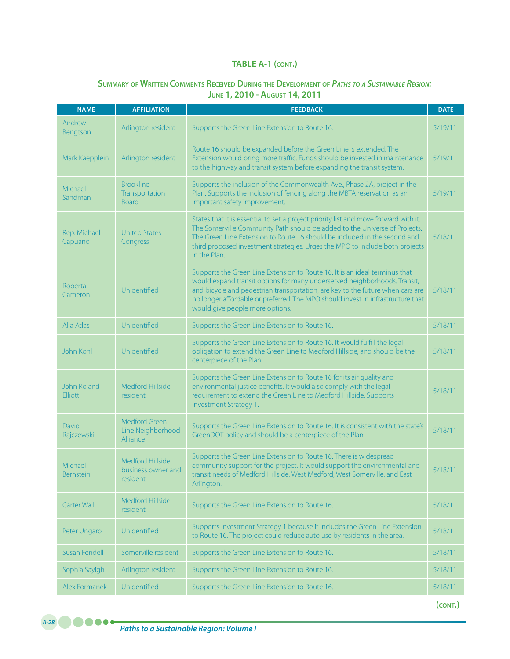### **Summary of Written Comments Received During the Development of** *Paths to <sup>a</sup> Sustainable Region:*  **June 1, 2010 - August 14, 2011**

| <b>NAME</b>                          | <b>AFFILIATION</b>                                 | <b>FEEDBACK</b>                                                                                                                                                                                                                                                                                                                                                  | <b>DATE</b> |
|--------------------------------------|----------------------------------------------------|------------------------------------------------------------------------------------------------------------------------------------------------------------------------------------------------------------------------------------------------------------------------------------------------------------------------------------------------------------------|-------------|
| Andrew<br>Bengtson                   | Arlington resident                                 | Supports the Green Line Extension to Route 16.                                                                                                                                                                                                                                                                                                                   | 5/19/11     |
| Mark Kaepplein                       | Arlington resident                                 | Route 16 should be expanded before the Green Line is extended. The<br>Extension would bring more traffic. Funds should be invested in maintenance<br>to the highway and transit system before expanding the transit system.                                                                                                                                      | 5/19/11     |
| Michael<br>Sandman                   | <b>Brookline</b><br>Transportation<br><b>Board</b> | Supports the inclusion of the Commonwealth Ave., Phase 2A, project in the<br>Plan. Supports the inclusion of fencing along the MBTA reservation as an<br>important safety improvement.                                                                                                                                                                           | 5/19/11     |
| Rep. Michael<br>Capuano              | <b>United States</b><br>Congress                   | States that it is essential to set a project priority list and move forward with it.<br>The Somerville Community Path should be added to the Universe of Projects.<br>The Green Line Extension to Route 16 should be included in the second and<br>third proposed investment strategies. Urges the MPO to include both projects<br>in the Plan.                  | 5/18/11     |
| <b>Roberta</b><br>Cameron            | Unidentified                                       | Supports the Green Line Extension to Route 16. It is an ideal terminus that<br>would expand transit options for many underserved neighborhoods. Transit,<br>and bicycle and pedestrian transportation, are key to the future when cars are<br>no longer affordable or preferred. The MPO should invest in infrastructure that<br>would give people more options. | 5/18/11     |
| Alia Atlas                           | Unidentified                                       | Supports the Green Line Extension to Route 16.                                                                                                                                                                                                                                                                                                                   | 5/18/11     |
| John Kohl                            | Unidentified                                       | Supports the Green Line Extension to Route 16. It would fulfill the legal<br>obligation to extend the Green Line to Medford Hillside, and should be the<br>centerpiece of the Plan.                                                                                                                                                                              | 5/18/11     |
| <b>John Roland</b><br><b>Elliott</b> | <b>Medford Hillside</b><br>resident                | Supports the Green Line Extension to Route 16 for its air quality and<br>environmental justice benefits. It would also comply with the legal<br>requirement to extend the Green Line to Medford Hillside. Supports<br>Investment Strategy 1.                                                                                                                     | 5/18/11     |
| David<br>Rajczewski                  | Medford Green<br>Line Neighborhood<br>Alliance     | Supports the Green Line Extension to Route 16. It is consistent with the state's<br>GreenDOT policy and should be a centerpiece of the Plan.                                                                                                                                                                                                                     | 5/18/11     |
| Michael<br><b>Bernstein</b>          | Medford Hillside<br>business owner and<br>resident | Supports the Green Line Extension to Route 16. There is widespread<br>community support for the project. It would support the environmental and<br>transit needs of Medford Hillside, West Medford, West Somerville, and East<br>Arlington.                                                                                                                      | 5/18/11     |
| Carter Wall                          | Medford Hillside<br>resident                       | Supports the Green Line Extension to Route 16.                                                                                                                                                                                                                                                                                                                   | 5/18/11     |
| Peter Ungaro                         | Unidentified                                       | Supports Investment Strategy 1 because it includes the Green Line Extension<br>to Route 16. The project could reduce auto use by residents in the area.                                                                                                                                                                                                          | 5/18/11     |
| Susan Fendell                        | Somerville resident                                | Supports the Green Line Extension to Route 16.                                                                                                                                                                                                                                                                                                                   | 5/18/11     |
| Sophia Sayigh                        | Arlington resident                                 | Supports the Green Line Extension to Route 16.                                                                                                                                                                                                                                                                                                                   | 5/18/11     |
| Alex Formanek                        | Unidentified                                       | Supports the Green Line Extension to Route 16.                                                                                                                                                                                                                                                                                                                   | 5/18/11     |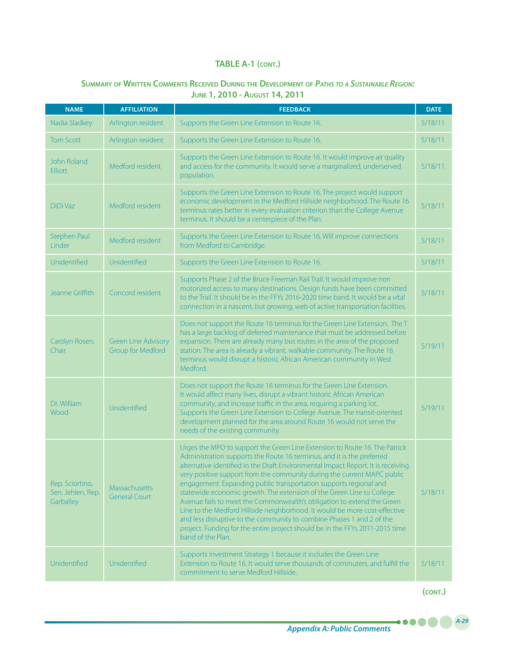### **Summary of Written Comments Received During the Development of** *Paths to <sup>a</sup> Sustainable Region:* **June 1, 2010 - August 14, 2011**

| <b>NAME</b>                                       | <b>AFFILIATION</b>                                     | <b>FEEDBACK</b>                                                                                                                                                                                                                                                                                                                                                                                                                                                                                                                                                                                                                                                                                                                                                                                         | <b>DATE</b> |
|---------------------------------------------------|--------------------------------------------------------|---------------------------------------------------------------------------------------------------------------------------------------------------------------------------------------------------------------------------------------------------------------------------------------------------------------------------------------------------------------------------------------------------------------------------------------------------------------------------------------------------------------------------------------------------------------------------------------------------------------------------------------------------------------------------------------------------------------------------------------------------------------------------------------------------------|-------------|
| Nadia Sladkey                                     | Arlington resident                                     | Supports the Green Line Extension to Route 16.                                                                                                                                                                                                                                                                                                                                                                                                                                                                                                                                                                                                                                                                                                                                                          | 5/18/11     |
| <b>Tom Scott</b>                                  | Arlington resident                                     | Supports the Green Line Extension to Route 16.                                                                                                                                                                                                                                                                                                                                                                                                                                                                                                                                                                                                                                                                                                                                                          | 5/18/11     |
| <b>John Roland</b><br><b>Elliott</b>              | Medford resident                                       | Supports the Green Line Extension to Route 16. It would improve air quality<br>and access for the community. It would serve a marginalized, underserved<br>population.                                                                                                                                                                                                                                                                                                                                                                                                                                                                                                                                                                                                                                  | 5/18/11     |
| DiDi Vaz                                          | Medford resident                                       | Supports the Green Line Extension to Route 16. The project would support<br>economic development in the Medford Hillside neighborhood. The Route 16<br>terminus rates better in every evaluation criterion than the College Avenue<br>terminus. It should be a centerpiece of the Plan.                                                                                                                                                                                                                                                                                                                                                                                                                                                                                                                 | 5/18/11     |
| <b>Stephen Paul</b><br>Linder                     | Medford resident                                       | Supports the Green Line Extension to Route 16. Will improve connections<br>from Medford to Cambridge.                                                                                                                                                                                                                                                                                                                                                                                                                                                                                                                                                                                                                                                                                                   | 5/18/11     |
| Unidentified                                      | Unidentified                                           | Supports the Green Line Extension to Route 16.                                                                                                                                                                                                                                                                                                                                                                                                                                                                                                                                                                                                                                                                                                                                                          | 5/18/11     |
| Jeanne Griffith                                   | Concord resident                                       | Supports Phase 2 of the Bruce Freeman Rail Trail. It would improve non<br>motorized access to many destinations. Design funds have been committed<br>to the Trail. It should be in the FFYs 2016-2020 time band. It would be a vital<br>connection in a nascent, but growing, web of active transportation facilities.                                                                                                                                                                                                                                                                                                                                                                                                                                                                                  | 5/18/11     |
| Carolyn Rosen,<br>Chair                           | <b>Green Line Advisory</b><br><b>Group for Medford</b> | Does not support the Route 16 terminus for the Green Line Extension. The T<br>has a large backlog of deferred maintenance that must be addressed before<br>expansion. There are already many bus routes in the area of the proposed<br>station. The area is already a vibrant, walkable community. The Route 16<br>terminus would disrupt a historic African American community in West<br>Medford.                                                                                                                                                                                                                                                                                                                                                                                                     | 5/19/11     |
| Dr. William<br>Wood                               | Unidentified                                           | Does not support the Route 16 terminus for the Green Line Extension.<br>It would affect many lives, disrupt a vibrant historic African American<br>community, and increase traffic in the area, requiring a parking lot.<br>Supports the Green Line Extension to College Avenue. The transit-oriented<br>development planned for the area around Route 16 would not serve the<br>needs of the existing community.                                                                                                                                                                                                                                                                                                                                                                                       | 5/19/11     |
| Rep. Sciortino,<br>Sen. Jehlen, Rep.<br>Garballey | Massachusetts<br><b>General Court</b>                  | Urges the MPO to support the Green Line Extension to Route 16. The Patrick<br>Administration supports the Route 16 terminus, and it is the preferred<br>alternative identified in the Draft Environmental Impact Report. It is receiving<br>very positive support from the community during the current MAPC public<br>engagement. Expanding public transportation supports regional and<br>statewide economic growth. The extension of the Green Line to College<br>Avenue fails to meet the Commonwealth's obligation to extend the Green<br>Line to the Medford Hillside neighborhood. It would be more cost-effective<br>and less disruptive to the community to combine Phases 1 and 2 of the<br>project. Funding for the entire project should be in the FFYs 2011-2015 time<br>band of the Plan. | 5/18/11     |
| Unidentified                                      | Unidentified                                           | Supports Investment Strategy 1 because it includes the Green Line<br>Extension to Route 16. It would serve thousands of commuters, and fulfill the<br>commitment to serve Medford Hillside.                                                                                                                                                                                                                                                                                                                                                                                                                                                                                                                                                                                                             | 5/18/11     |

**(cont.)**

.....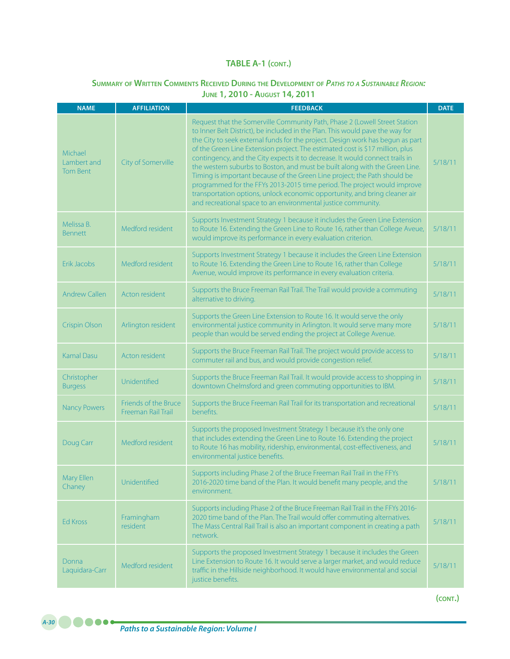# **Summary of Written Comments Received During the Development of** *Paths to <sup>a</sup> Sustainable Region:* **June 1, 2010 - August 14, 2011**

| <b>NAME</b>                               | <b>AFFILIATION</b>                         | <b>FEEDBACK</b>                                                                                                                                                                                                                                                                                                                                                                                                                                                                                                                                                                                                                                                                                                                                                                                       | <b>DATE</b> |
|-------------------------------------------|--------------------------------------------|-------------------------------------------------------------------------------------------------------------------------------------------------------------------------------------------------------------------------------------------------------------------------------------------------------------------------------------------------------------------------------------------------------------------------------------------------------------------------------------------------------------------------------------------------------------------------------------------------------------------------------------------------------------------------------------------------------------------------------------------------------------------------------------------------------|-------------|
| Michael<br>Lambert and<br><b>Tom Bent</b> | City of Somerville                         | Request that the Somerville Community Path, Phase 2 (Lowell Street Station<br>to Inner Belt District), be included in the Plan. This would pave the way for<br>the City to seek external funds for the project. Design work has begun as part<br>of the Green Line Extension project. The estimated cost is \$17 million, plus<br>contingency, and the City expects it to decrease. It would connect trails in<br>the western suburbs to Boston, and must be built along with the Green Line.<br>Timing is important because of the Green Line project; the Path should be<br>programmed for the FFYs 2013-2015 time period. The project would improve<br>transportation options, unlock economic opportunity, and bring cleaner air<br>and recreational space to an environmental justice community. | 5/18/11     |
| Melissa B.<br><b>Bennett</b>              | Medford resident                           | Supports Investment Strategy 1 because it includes the Green Line Extension<br>to Route 16. Extending the Green Line to Route 16, rather than College Aveue,<br>would improve its performance in every evaluation criterion.                                                                                                                                                                                                                                                                                                                                                                                                                                                                                                                                                                          | 5/18/11     |
| Erik Jacobs                               | Medford resident                           | Supports Investment Strategy 1 because it includes the Green Line Extension<br>to Route 16. Extending the Green Line to Route 16, rather than College<br>Avenue, would improve its performance in every evaluation criteria.                                                                                                                                                                                                                                                                                                                                                                                                                                                                                                                                                                          | 5/18/11     |
| <b>Andrew Callen</b>                      | Acton resident                             | Supports the Bruce Freeman Rail Trail. The Trail would provide a commuting<br>alternative to driving.                                                                                                                                                                                                                                                                                                                                                                                                                                                                                                                                                                                                                                                                                                 | 5/18/11     |
| <b>Crispin Olson</b>                      | Arlington resident                         | Supports the Green Line Extension to Route 16. It would serve the only<br>environmental justice community in Arlington. It would serve many more<br>people than would be served ending the project at College Avenue.                                                                                                                                                                                                                                                                                                                                                                                                                                                                                                                                                                                 | 5/18/11     |
| <b>Kamal Dasu</b>                         | Acton resident                             | Supports the Bruce Freeman Rail Trail. The project would provide access to<br>commuter rail and bus, and would provide congestion relief.                                                                                                                                                                                                                                                                                                                                                                                                                                                                                                                                                                                                                                                             | 5/18/11     |
| Christopher<br><b>Burgess</b>             | Unidentified                               | Supports the Bruce Freeman Rail Trail. It would provide access to shopping in<br>downtown Chelmsford and green commuting opportunities to IBM.                                                                                                                                                                                                                                                                                                                                                                                                                                                                                                                                                                                                                                                        | 5/18/11     |
| <b>Nancy Powers</b>                       | Friends of the Bruce<br>Freeman Rail Trail | Supports the Bruce Freeman Rail Trail for its transportation and recreational<br>benefits.                                                                                                                                                                                                                                                                                                                                                                                                                                                                                                                                                                                                                                                                                                            | 5/18/11     |
| Doug Carr                                 | Medford resident                           | Supports the proposed Investment Strategy 1 because it's the only one<br>that includes extending the Green Line to Route 16. Extending the project<br>to Route 16 has mobility, ridership, environmental, cost-effectiveness, and<br>environmental justice benefits.                                                                                                                                                                                                                                                                                                                                                                                                                                                                                                                                  | 5/18/11     |
| Mary Ellen<br>Chaney                      | Unidentified                               | Supports including Phase 2 of the Bruce Freeman Rail Trail in the FFYs<br>2016-2020 time band of the Plan. It would benefit many people, and the<br>environment.                                                                                                                                                                                                                                                                                                                                                                                                                                                                                                                                                                                                                                      | 5/18/11     |
| <b>Ed Kross</b>                           | Framingham<br>resident                     | Supports including Phase 2 of the Bruce Freeman Rail Trail in the FFYs 2016-<br>2020 time band of the Plan. The Trail would offer commuting alternatives.<br>The Mass Central Rail Trail is also an important component in creating a path<br>network.                                                                                                                                                                                                                                                                                                                                                                                                                                                                                                                                                | 5/18/11     |
| Donna<br>Laquidara-Carr                   | Medford resident                           | Supports the proposed Investment Strategy 1 because it includes the Green<br>Line Extension to Route 16. It would serve a larger market, and would reduce<br>traffic in the Hillside neighborhood. It would have environmental and social<br>justice benefits.                                                                                                                                                                                                                                                                                                                                                                                                                                                                                                                                        | 5/18/11     |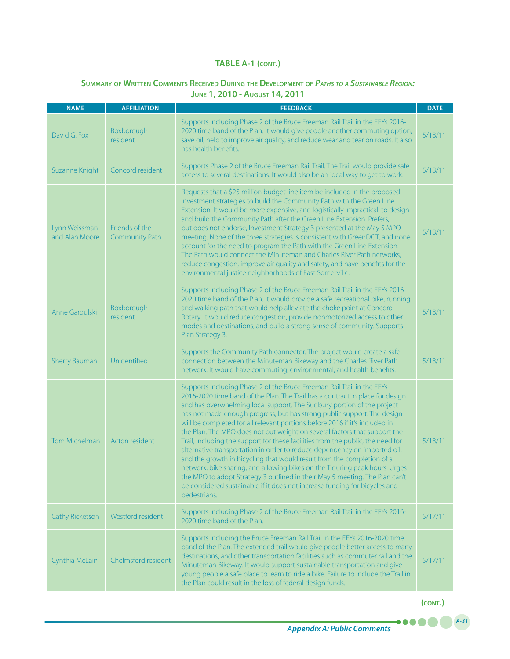# **Summary of Written Comments Received During the Development of** *Paths to <sup>a</sup> Sustainable Region:*  **June 1, 2010 - August 14, 2011**

| <b>NAME</b>                     | <b>AFFILIATION</b>               | <b>FEEDBACK</b>                                                                                                                                                                                                                                                                                                                                                                                                                                                                                                                                                                                                                                                                                                                                                                                                                                                                                                                                                                | <b>DATE</b> |
|---------------------------------|----------------------------------|--------------------------------------------------------------------------------------------------------------------------------------------------------------------------------------------------------------------------------------------------------------------------------------------------------------------------------------------------------------------------------------------------------------------------------------------------------------------------------------------------------------------------------------------------------------------------------------------------------------------------------------------------------------------------------------------------------------------------------------------------------------------------------------------------------------------------------------------------------------------------------------------------------------------------------------------------------------------------------|-------------|
| David G. Fox                    | Boxborough<br><i>resident</i>    | Supports including Phase 2 of the Bruce Freeman Rail Trail in the FFYs 2016-<br>2020 time band of the Plan. It would give people another commuting option,<br>save oil, help to improve air quality, and reduce wear and tear on roads. It also<br>has health benefits.                                                                                                                                                                                                                                                                                                                                                                                                                                                                                                                                                                                                                                                                                                        | 5/18/11     |
| Suzanne Knight                  | Concord resident                 | Supports Phase 2 of the Bruce Freeman Rail Trail. The Trail would provide safe<br>access to several destinations. It would also be an ideal way to get to work.                                                                                                                                                                                                                                                                                                                                                                                                                                                                                                                                                                                                                                                                                                                                                                                                                | 5/18/11     |
| Lynn Weissman<br>and Alan Moore | Friends of the<br>Community Path | Requests that a \$25 million budget line item be included in the proposed<br>investment strategies to build the Community Path with the Green Line<br>Extension. It would be more expensive, and logistically impractical, to design<br>and build the Community Path after the Green Line Extension. Prefers,<br>but does not endorse, Investment Strategy 3 presented at the May 5 MPO<br>meeting. None of the three strategies is consistent with GreenDOT, and none<br>account for the need to program the Path with the Green Line Extension.<br>The Path would connect the Minuteman and Charles River Path networks,<br>reduce congestion, improve air quality and safety, and have benefits for the<br>environmental justice neighborhoods of East Somerville.                                                                                                                                                                                                          | 5/18/11     |
| Anne Gardulski                  | Boxborough<br><i>resident</i>    | Supports including Phase 2 of the Bruce Freeman Rail Trail in the FFYs 2016-<br>2020 time band of the Plan. It would provide a safe recreational bike, running<br>and walking path that would help alleviate the choke point at Concord<br>Rotary. It would reduce congestion, provide nonmotorized access to other<br>modes and destinations, and build a strong sense of community. Supports<br>Plan Strategy 3.                                                                                                                                                                                                                                                                                                                                                                                                                                                                                                                                                             | 5/18/11     |
| <b>Sherry Bauman</b>            | Unidentified                     | Supports the Community Path connector. The project would create a safe<br>connection between the Minuteman Bikeway and the Charles River Path<br>network. It would have commuting, environmental, and health benefits.                                                                                                                                                                                                                                                                                                                                                                                                                                                                                                                                                                                                                                                                                                                                                         | 5/18/11     |
| <b>Tom Michelman</b>            | Acton resident                   | Supports including Phase 2 of the Bruce Freeman Rail Trail in the FFYs<br>2016-2020 time band of the Plan. The Trail has a contract in place for design<br>and has overwhelming local support. The Sudbury portion of the project<br>has not made enough progress, but has strong public support. The design<br>will be completed for all relevant portions before 2016 if it's included in<br>the Plan. The MPO does not put weight on several factors that support the<br>Trail, including the support for these facilities from the public, the need for<br>alternative transportation in order to reduce dependency on imported oil,<br>and the growth in bicycling that would result from the completion of a<br>network, bike sharing, and allowing bikes on the T during peak hours. Urges<br>the MPO to adopt Strategy 3 outlined in their May 5 meeting. The Plan can't<br>be considered sustainable if it does not increase funding for bicycles and<br>pedestrians. | 5/18/11     |
| Cathy Ricketson                 | Westford resident                | Supports including Phase 2 of the Bruce Freeman Rail Trail in the FFYs 2016-<br>2020 time band of the Plan.                                                                                                                                                                                                                                                                                                                                                                                                                                                                                                                                                                                                                                                                                                                                                                                                                                                                    | 5/17/11     |
| Cynthia McLain                  | Chelmsford resident              | Supports including the Bruce Freeman Rail Trail in the FFYs 2016-2020 time<br>band of the Plan. The extended trail would give people better access to many<br>destinations, and other transportation facilities such as commuter rail and the<br>Minuteman Bikeway. It would support sustainable transportation and give<br>young people a safe place to learn to ride a bike. Failure to include the Trail in<br>the Plan could result in the loss of federal design funds.                                                                                                                                                                                                                                                                                                                                                                                                                                                                                                   | 5/17/11     |

**(cont.)**

.....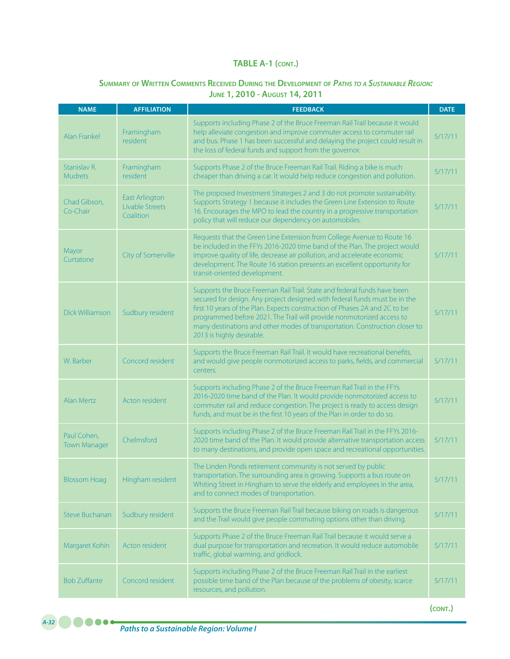# **Summary of Written Comments Received During the Development of** *Paths to <sup>a</sup> Sustainable Region:* **June 1, 2010 - August 14, 2011**

| <b>NAME</b>                        | <b>AFFILIATION</b>                                    | <b>FEEDBACK</b>                                                                                                                                                                                                                                                                                                                                                                                                           | <b>DATE</b> |
|------------------------------------|-------------------------------------------------------|---------------------------------------------------------------------------------------------------------------------------------------------------------------------------------------------------------------------------------------------------------------------------------------------------------------------------------------------------------------------------------------------------------------------------|-------------|
| <b>Alan Frankel</b>                | Framingham<br>resident                                | Supports including Phase 2 of the Bruce Freeman Rail Trail because it would<br>help alleviate congestion and improve commuter access to commuter rail<br>and bus. Phase 1 has been successful and delaying the project could result in<br>the loss of federal funds and support from the governor.                                                                                                                        | 5/17/11     |
| Stanislav R.<br><b>Mudrets</b>     | Framingham<br>resident                                | Supports Phase 2 of the Bruce Freeman Rail Trail. Riding a bike is much<br>cheaper than driving a car. It would help reduce congestion and pollution.                                                                                                                                                                                                                                                                     | 5/17/11     |
| Chad Gibson,<br>Co-Chair           | <b>East Arlington</b><br>Livable Streets<br>Coalition | The proposed Investment Strategies 2 and 3 do not promote sustainability.<br>Supports Strategy 1 because it includes the Green Line Extension to Route<br>16. Encourages the MPO to lead the country in a progressive transportation<br>policy that will reduce our dependency on automobiles.                                                                                                                            | 5/17/11     |
| Mayor<br>Curtatone                 | City of Somerville                                    | Requests that the Green Line Extension from College Avenue to Route 16<br>be included in the FFYs 2016-2020 time band of the Plan. The project would<br>improve quality of life, decrease air pollution, and accelerate economic<br>development. The Route 16 station presents an excellent opportunity for<br>transit-oriented development.                                                                              | 5/17/11     |
| Dick Williamson                    | Sudbury resident                                      | Supports the Bruce Freeman Rail Trail. State and federal funds have been<br>secured for design. Any project designed with federal funds must be in the<br>first 10 years of the Plan. Expects construction of Phases 2A and 2C to be<br>programmed before 2021. The Trail will provide nonmotorized access to<br>many destinations and other modes of transportation. Construction closer to<br>2013 is highly desirable. | 5/17/11     |
| W. Barber                          | Concord resident                                      | Supports the Bruce Freeman Rail Trail. It would have recreational benefits,<br>and would give people nonmotorized access to parks, fields, and commercial<br>centers.                                                                                                                                                                                                                                                     | 5/17/11     |
| <b>Alan Mertz</b>                  | Acton resident                                        | Supports including Phase 2 of the Bruce Freeman Rail Trail in the FFYs<br>2016-2020 time band of the Plan. It would provide nonmotorized access to<br>commuter rail and reduce congestion. The project is ready to access design<br>funds, and must be in the first 10 years of the Plan in order to do so.                                                                                                               | 5/17/11     |
| Paul Cohen,<br><b>Town Manager</b> | Chelmsford                                            | Supports including Phase 2 of the Bruce Freeman Rail Trail in the FFYs 2016-<br>2020 time band of the Plan. It would provide alternative transportation access<br>to many destinations, and provide open space and recreational opportunities.                                                                                                                                                                            | 5/17/11     |
| <b>Blossom Hoag</b>                | Hingham resident                                      | The Linden Ponds retirement community is not served by public<br>transportation. The surrounding area is growing. Supports a bus route on<br>Whiting Street in Hingham to serve the elderly and employees in the area,<br>and to connect modes of transportation.                                                                                                                                                         | 5/17/11     |
| <b>Steve Buchanan</b>              | Sudbury resident                                      | Supports the Bruce Freeman Rail Trail because biking on roads is dangerous<br>and the Trail would give people commuting options other than driving.                                                                                                                                                                                                                                                                       | 5/17/11     |
| Margaret Kohin                     | Acton resident                                        | Supports Phase 2 of the Bruce Freeman Rail Trail because it would serve a<br>dual purpose for transportation and recreation. It would reduce automobile<br>traffic, global warming, and gridlock.                                                                                                                                                                                                                         | 5/17/11     |
| <b>Bob Zuffante</b>                | Concord resident                                      | Supports including Phase 2 of the Bruce Freeman Rail Trail in the earliest<br>possible time band of the Plan because of the problems of obesity, scarce<br>resources, and pollution.                                                                                                                                                                                                                                      | 5/17/11     |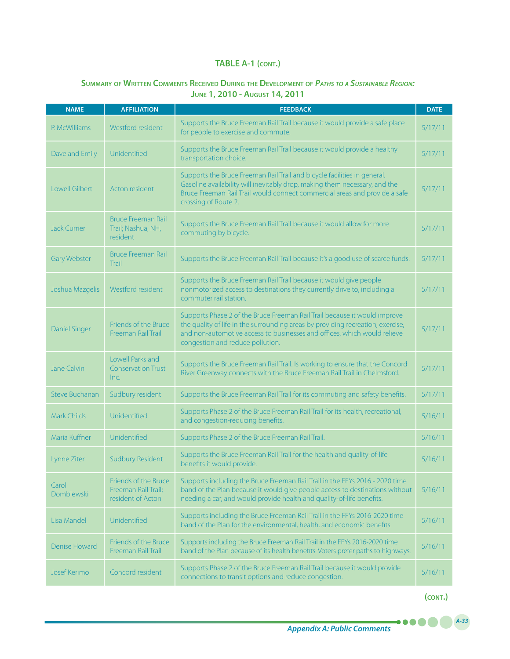### **Summary of Written Comments Received During the Development of** *Paths to <sup>a</sup> Sustainable Region:* **June 1, 2010 - August 14, 2011**

| <b>NAME</b>           | <b>AFFILIATION</b>                                               | <b>FEEDBACK</b>                                                                                                                                                                                                                                                              | <b>DATE</b> |
|-----------------------|------------------------------------------------------------------|------------------------------------------------------------------------------------------------------------------------------------------------------------------------------------------------------------------------------------------------------------------------------|-------------|
| P. McWilliams         | Westford resident                                                | Supports the Bruce Freeman Rail Trail because it would provide a safe place<br>for people to exercise and commute.                                                                                                                                                           | 5/17/11     |
| Dave and Emily        | Unidentified                                                     | Supports the Bruce Freeman Rail Trail because it would provide a healthy<br>transportation choice.                                                                                                                                                                           | 5/17/11     |
| <b>Lowell Gilbert</b> | Acton resident                                                   | Supports the Bruce Freeman Rail Trail and bicycle facilities in general.<br>Gasoline availability will inevitably drop, making them necessary, and the<br>Bruce Freeman Rail Trail would connect commercial areas and provide a safe<br>crossing of Route 2.                 | 5/17/11     |
| <b>Jack Currier</b>   | <b>Bruce Freeman Rail</b><br>Trail; Nashua, NH,<br>resident      | Supports the Bruce Freeman Rail Trail because it would allow for more<br>commuting by bicycle.                                                                                                                                                                               | 5/17/11     |
| <b>Gary Webster</b>   | <b>Bruce Freeman Rail</b><br>Trail                               | Supports the Bruce Freeman Rail Trail because it's a good use of scarce funds.                                                                                                                                                                                               | 5/17/11     |
| Joshua Mazgelis       | Westford resident                                                | Supports the Bruce Freeman Rail Trail because it would give people<br>nonmotorized access to destinations they currently drive to, including a<br>commuter rail station.                                                                                                     | 5/17/11     |
| <b>Daniel Singer</b>  | Friends of the Bruce<br>Freeman Rail Trail                       | Supports Phase 2 of the Bruce Freeman Rail Trail because it would improve<br>the quality of life in the surrounding areas by providing recreation, exercise,<br>and non-automotive access to businesses and offices, which would relieve<br>congestion and reduce pollution. | 5/17/11     |
| Jane Calvin           | Lowell Parks and<br><b>Conservation Trust</b><br>Inc.            | Supports the Bruce Freeman Rail Trail. Is working to ensure that the Concord<br>River Greenway connects with the Bruce Freeman Rail Trail in Chelmsford.                                                                                                                     | 5/17/11     |
| <b>Steve Buchanan</b> | Sudbury resident                                                 | Supports the Bruce Freeman Rail Trail for its commuting and safety benefits.                                                                                                                                                                                                 | 5/17/11     |
| Mark Childs           | Unidentified                                                     | Supports Phase 2 of the Bruce Freeman Rail Trail for its health, recreational,<br>and congestion-reducing benefits.                                                                                                                                                          | 5/16/11     |
| Maria Kuffner         | Unidentified                                                     | Supports Phase 2 of the Bruce Freeman Rail Trail.                                                                                                                                                                                                                            | 5/16/11     |
| Lynne Ziter           | <b>Sudbury Resident</b>                                          | Supports the Bruce Freeman Rail Trail for the health and quality-of-life<br>benefits it would provide.                                                                                                                                                                       | 5/16/11     |
| Carol<br>Domblewski   | Friends of the Bruce<br>Freeman Rail Trail;<br>resident of Acton | Supports including the Bruce Freeman Rail Trail in the FFYs 2016 - 2020 time<br>band of the Plan because it would give people access to destinations without<br>needing a car, and would provide health and quality-of-life benefits.                                        | 5/16/11     |
| Lisa Mandel           | Unidentified                                                     | Supports including the Bruce Freeman Rail Trail in the FFYs 2016-2020 time<br>band of the Plan for the environmental, health, and economic benefits.                                                                                                                         | 5/16/11     |
| <b>Denise Howard</b>  | Friends of the Bruce<br>Freeman Rail Trail                       | Supports including the Bruce Freeman Rail Trail in the FFYs 2016-2020 time<br>band of the Plan because of its health benefits. Voters prefer paths to highways.                                                                                                              | 5/16/11     |
| <b>Josef Kerimo</b>   | Concord resident                                                 | Supports Phase 2 of the Bruce Freeman Rail Trail because it would provide<br>connections to transit options and reduce congestion.                                                                                                                                           | 5/16/11     |

**(cont.)**

.....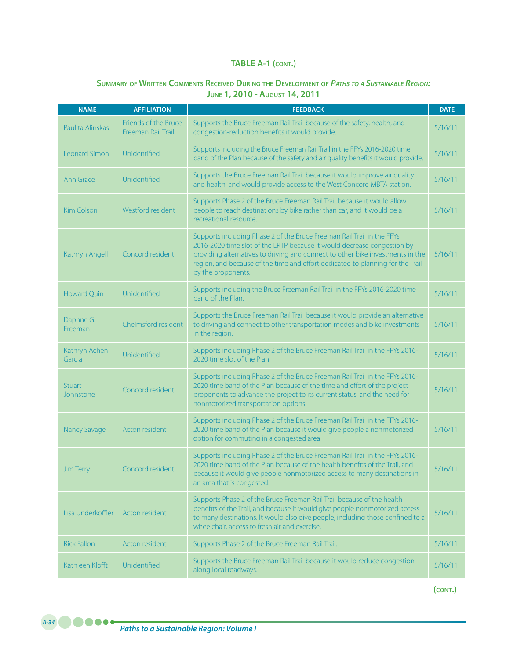# **Summary of Written Comments Received During the Development of** *Paths to <sup>a</sup> Sustainable Region:*  **June 1, 2010 - August 14, 2011**

| <b>NAME</b>                | <b>AFFILIATION</b>                         | <b>FEEDBACK</b>                                                                                                                                                                                                                                                                                                                             | <b>DATE</b> |
|----------------------------|--------------------------------------------|---------------------------------------------------------------------------------------------------------------------------------------------------------------------------------------------------------------------------------------------------------------------------------------------------------------------------------------------|-------------|
| Paulita Alinskas           | Friends of the Bruce<br>Freeman Rail Trail | Supports the Bruce Freeman Rail Trail because of the safety, health, and<br>congestion-reduction benefits it would provide.                                                                                                                                                                                                                 | 5/16/11     |
| Leonard Simon              | Unidentified                               | Supports including the Bruce Freeman Rail Trail in the FFYs 2016-2020 time<br>band of the Plan because of the safety and air quality benefits it would provide.                                                                                                                                                                             | 5/16/11     |
| <b>Ann Grace</b>           | Unidentified                               | Supports the Bruce Freeman Rail Trail because it would improve air quality<br>and health, and would provide access to the West Concord MBTA station.                                                                                                                                                                                        | 5/16/11     |
| <b>Kim Colson</b>          | Westford resident                          | Supports Phase 2 of the Bruce Freeman Rail Trail because it would allow<br>people to reach destinations by bike rather than car, and it would be a<br>recreational resource.                                                                                                                                                                | 5/16/11     |
| Kathryn Angell             | Concord resident                           | Supports including Phase 2 of the Bruce Freeman Rail Trail in the FFYs<br>2016-2020 time slot of the LRTP because it would decrease congestion by<br>providing alternatives to driving and connect to other bike investments in the<br>region, and because of the time and effort dedicated to planning for the Trail<br>by the proponents. | 5/16/11     |
| <b>Howard Quin</b>         | Unidentified                               | Supports including the Bruce Freeman Rail Trail in the FFYs 2016-2020 time<br>band of the Plan.                                                                                                                                                                                                                                             | 5/16/11     |
| Daphne G.<br>Freeman       | Chelmsford resident                        | Supports the Bruce Freeman Rail Trail because it would provide an alternative<br>to driving and connect to other transportation modes and bike investments<br>in the region.                                                                                                                                                                | 5/16/11     |
| Kathryn Achen<br>Garcia    | Unidentified                               | Supports including Phase 2 of the Bruce Freeman Rail Trail in the FFYs 2016-<br>2020 time slot of the Plan.                                                                                                                                                                                                                                 | 5/16/11     |
| <b>Stuart</b><br>Johnstone | Concord resident                           | Supports including Phase 2 of the Bruce Freeman Rail Trail in the FFYs 2016-<br>2020 time band of the Plan because of the time and effort of the project<br>proponents to advance the project to its current status, and the need for<br>nonmotorized transportation options.                                                               | 5/16/11     |
| Nancy Savage               | Acton resident                             | Supports including Phase 2 of the Bruce Freeman Rail Trail in the FFYs 2016-<br>2020 time band of the Plan because it would give people a nonmotorized<br>option for commuting in a congested area.                                                                                                                                         | 5/16/11     |
| <b>Jim Terry</b>           | Concord resident                           | Supports including Phase 2 of the Bruce Freeman Rail Trail in the FFYs 2016-<br>2020 time band of the Plan because of the health benefits of the Trail, and<br>because it would give people nonmotorized access to many destinations in<br>an area that is congested.                                                                       | 5/16/11     |
| Lisa Underkoffler          | Acton resident                             | Supports Phase 2 of the Bruce Freeman Rail Trail because of the health<br>benefits of the Trail, and because it would give people nonmotorized access<br>to many destinations. It would also give people, including those confined to a<br>wheelchair, access to fresh air and exercise.                                                    | 5/16/11     |
| <b>Rick Fallon</b>         | Acton resident                             | Supports Phase 2 of the Bruce Freeman Rail Trail.                                                                                                                                                                                                                                                                                           | 5/16/11     |
| Kathleen Klofft            | Unidentified                               | Supports the Bruce Freeman Rail Trail because it would reduce congestion<br>along local roadways.                                                                                                                                                                                                                                           | 5/16/11     |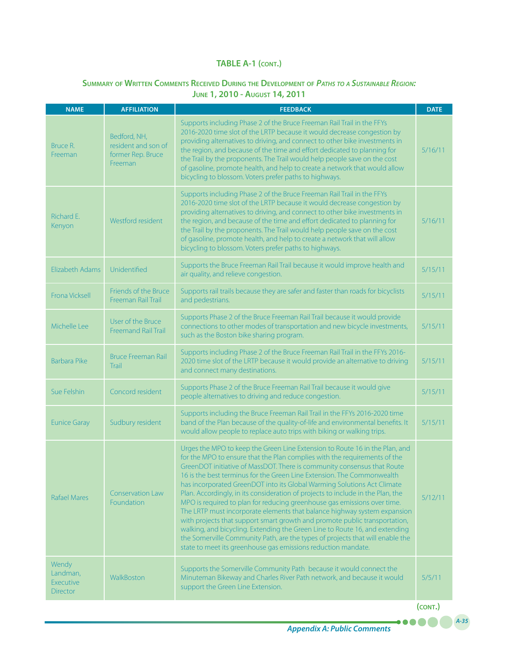# **Summary of Written Comments Received During the Development of** *Paths to <sup>a</sup> Sustainable Region:* **June 1, 2010 - August 14, 2011**

| <b>NAME</b>                                       | <b>AFFILIATION</b>                                                  | <b>FEEDBACK</b>                                                                                                                                                                                                                                                                                                                                                                                                                                                                                                                                                                                                                                                                                                                                                                                                                                                                                                                                    | <b>DATE</b> |
|---------------------------------------------------|---------------------------------------------------------------------|----------------------------------------------------------------------------------------------------------------------------------------------------------------------------------------------------------------------------------------------------------------------------------------------------------------------------------------------------------------------------------------------------------------------------------------------------------------------------------------------------------------------------------------------------------------------------------------------------------------------------------------------------------------------------------------------------------------------------------------------------------------------------------------------------------------------------------------------------------------------------------------------------------------------------------------------------|-------------|
| Bruce R.<br>Freeman                               | Bedford, NH,<br>resident and son of<br>former Rep. Bruce<br>Freeman | Supports including Phase 2 of the Bruce Freeman Rail Trail in the FFYs<br>2016-2020 time slot of the LRTP because it would decrease congestion by<br>providing alternatives to driving, and connect to other bike investments in<br>the region, and because of the time and effort dedicated to planning for<br>the Trail by the proponents. The Trail would help people save on the cost<br>of gasoline, promote health, and help to create a network that would allow<br>bicycling to blossom. Voters prefer paths to highways.                                                                                                                                                                                                                                                                                                                                                                                                                  | 5/16/11     |
| Richard E.<br>Kenyon                              | Westford resident                                                   | Supports including Phase 2 of the Bruce Freeman Rail Trail in the FFYs<br>2016-2020 time slot of the LRTP because it would decrease congestion by<br>providing alternatives to driving, and connect to other bike investments in<br>the region, and because of the time and effort dedicated to planning for<br>the Trail by the proponents. The Trail would help people save on the cost<br>of gasoline, promote health, and help to create a network that will allow<br>bicycling to blossom. Voters prefer paths to highways.                                                                                                                                                                                                                                                                                                                                                                                                                   | 5/16/11     |
| Elizabeth Adams                                   | Unidentified                                                        | Supports the Bruce Freeman Rail Trail because it would improve health and<br>air quality, and relieve congestion.                                                                                                                                                                                                                                                                                                                                                                                                                                                                                                                                                                                                                                                                                                                                                                                                                                  | 5/15/11     |
| <b>Frona Vicksell</b>                             | Friends of the Bruce<br>Freeman Rail Trail                          | Supports rail trails because they are safer and faster than roads for bicyclists<br>and pedestrians.                                                                                                                                                                                                                                                                                                                                                                                                                                                                                                                                                                                                                                                                                                                                                                                                                                               | 5/15/11     |
| Michelle Lee                                      | User of the Bruce<br><b>Freemand Rail Trail</b>                     | Supports Phase 2 of the Bruce Freeman Rail Trail because it would provide<br>connections to other modes of transportation and new bicycle investments,<br>such as the Boston bike sharing program.                                                                                                                                                                                                                                                                                                                                                                                                                                                                                                                                                                                                                                                                                                                                                 | 5/15/11     |
| <b>Barbara Pike</b>                               | <b>Bruce Freeman Rail</b><br>Trail                                  | Supports including Phase 2 of the Bruce Freeman Rail Trail in the FFYs 2016-<br>2020 time slot of the LRTP because it would provide an alternative to driving<br>and connect many destinations.                                                                                                                                                                                                                                                                                                                                                                                                                                                                                                                                                                                                                                                                                                                                                    | 5/15/11     |
| Sue Felshin                                       | Concord resident                                                    | Supports Phase 2 of the Bruce Freeman Rail Trail because it would give<br>people alternatives to driving and reduce congestion.                                                                                                                                                                                                                                                                                                                                                                                                                                                                                                                                                                                                                                                                                                                                                                                                                    | 5/15/11     |
| <b>Eunice Garay</b>                               | Sudbury resident                                                    | Supports including the Bruce Freeman Rail Trail in the FFYs 2016-2020 time<br>band of the Plan because of the quality-of-life and environmental benefits. It<br>would allow people to replace auto trips with biking or walking trips.                                                                                                                                                                                                                                                                                                                                                                                                                                                                                                                                                                                                                                                                                                             | 5/15/11     |
| <b>Rafael Mares</b>                               | <b>Conservation Law</b><br>Foundation                               | Urges the MPO to keep the Green Line Extension to Route 16 in the Plan, and<br>for the MPO to ensure that the Plan complies with the requirements of the<br>GreenDOT initiative of MassDOT. There is community consensus that Route<br>16 is the best terminus for the Green Line Extension. The Commonwealth<br>has incorporated GreenDOT into its Global Warming Solutions Act Climate<br>Plan. Accordingly, in its consideration of projects to include in the Plan, the<br>MPO is required to plan for reducing greenhouse gas emissions over time.<br>The LRTP must incorporate elements that balance highway system expansion<br>with projects that support smart growth and promote public transportation,<br>walking, and bicycling. Extending the Green Line to Route 16, and extending<br>the Somerville Community Path, are the types of projects that will enable the<br>state to meet its greenhouse gas emissions reduction mandate. | 5/12/11     |
| Wendy<br>Landman,<br><b>Executive</b><br>Director | WalkBoston                                                          | Supports the Somerville Community Path because it would connect the<br>Minuteman Bikeway and Charles River Path network, and because it would<br>support the Green Line Extension.                                                                                                                                                                                                                                                                                                                                                                                                                                                                                                                                                                                                                                                                                                                                                                 | 5/5/11      |
|                                                   |                                                                     |                                                                                                                                                                                                                                                                                                                                                                                                                                                                                                                                                                                                                                                                                                                                                                                                                                                                                                                                                    | (CONT.)     |

*A-35*

.....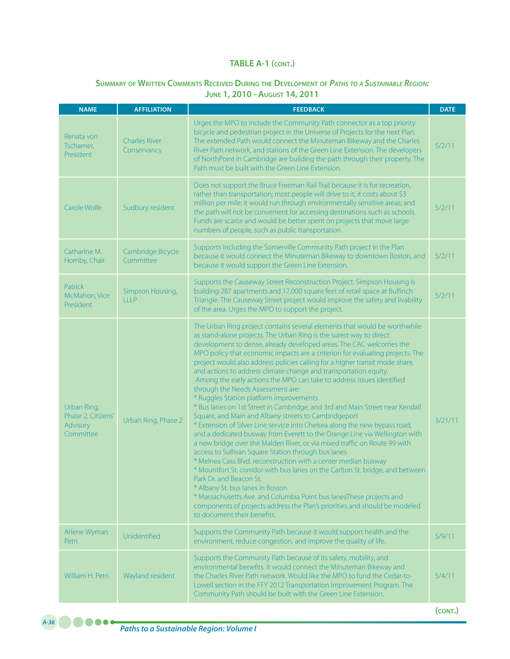### **Summary of Written Comments Received During the Development of** *Paths to <sup>a</sup> Sustainable Region:* **June 1, 2010 - August 14, 2011**

| <b>NAME</b>                                                | <b>AFFILIATION</b>                  | <b>FEEDBACK</b>                                                                                                                                                                                                                                                                                                                                                                                                                                                                                                                                                                                                                                                                                                                                                                                                                                                                                                                                                                                                                                                                                                                                                                                                                                                                                                                                                                                                                                                      | <b>DATE</b> |
|------------------------------------------------------------|-------------------------------------|----------------------------------------------------------------------------------------------------------------------------------------------------------------------------------------------------------------------------------------------------------------------------------------------------------------------------------------------------------------------------------------------------------------------------------------------------------------------------------------------------------------------------------------------------------------------------------------------------------------------------------------------------------------------------------------------------------------------------------------------------------------------------------------------------------------------------------------------------------------------------------------------------------------------------------------------------------------------------------------------------------------------------------------------------------------------------------------------------------------------------------------------------------------------------------------------------------------------------------------------------------------------------------------------------------------------------------------------------------------------------------------------------------------------------------------------------------------------|-------------|
| Renata von<br>Tscharner,<br>President                      | <b>Charles River</b><br>Conservancy | Urges the MPO to include the Community Path connector as a top priority<br>bicycle and pedestrian project in the Universe of Projects for the next Plan.<br>The extended Path would connect the Minuteman Bikeway and the Charles<br>River Path network, and stations of the Green Line Extension. The developers<br>of NorthPoint in Cambridge are building the path through their property. The<br>Path must be built with the Green Line Extension.                                                                                                                                                                                                                                                                                                                                                                                                                                                                                                                                                                                                                                                                                                                                                                                                                                                                                                                                                                                                               | 5/2/11      |
| Carole Wolfe                                               | Sudbury resident                    | Does not support the Bruce Freeman Rail Trail because it is for recreation,<br>rather than transportation; most people will drive to it; it costs about \$3<br>million per mile; it would run through environmentally sensitive areas; and<br>the path will not be convenient for accessing destinations such as schools.<br>Funds are scarce and would be better spent on projects that move large<br>numbers of people, such as public transportation.                                                                                                                                                                                                                                                                                                                                                                                                                                                                                                                                                                                                                                                                                                                                                                                                                                                                                                                                                                                                             | 5/2/11      |
| Catharine M.<br>Hornby, Chair                              | Cambridge Bicycle<br>Committee      | Supports including the Somerville Community Path project in the Plan<br>because it would connect the Minuteman Bikeway to downtown Boston, and<br>because it would support the Green Line Extension.                                                                                                                                                                                                                                                                                                                                                                                                                                                                                                                                                                                                                                                                                                                                                                                                                                                                                                                                                                                                                                                                                                                                                                                                                                                                 | 5/2/11      |
| Patrick<br>McMahon, Vice<br>President                      | Simpson Housing,<br><b>LLLP</b>     | Supports the Causeway Street Reconstruction Project. Simpson Housing is<br>building 287 apartments and 17,000 square feet of retail space at Bulfinch<br>Triangle. The Causeway Street project would improve the safety and livability<br>of the area. Urges the MPO to support the project.                                                                                                                                                                                                                                                                                                                                                                                                                                                                                                                                                                                                                                                                                                                                                                                                                                                                                                                                                                                                                                                                                                                                                                         | 5/2/11      |
| Urban Ring,<br>Phase 2, Citizens'<br>Advisory<br>Committee | Urban Ring, Phase 2                 | The Urban Ring project contains several elements that would be worthwhile<br>as stand-alone projects. The Urban Ring is the surest way to direct<br>development to dense, already developed areas. The CAC welcomes the<br>MPO policy that economic impacts are a criterion for evaluating projects. The<br>project would also address policies calling for a higher transit mode share,<br>and actions to address climate change and transportation equity.<br>Among the early actions the MPO can take to address issues identified<br>through the Needs Assessment are:<br>* Ruggles Station platform improvements<br>* Bus lanes on 1st Street in Cambridge, and 3rd and Main Street near Kendall<br>Square, and Main and Albany streets to Cambridgeport<br>* Extension of Silver Line service into Chelsea along the new bypass road,<br>and a dedicated busway from Everett to the Orange Line via Wellington with<br>a new bridge over the Malden River, or via mixed traffic on Route 99 with<br>access to Sullivan Square Station through bus lanes<br>* Melnea Cass Blvd. reconstruction with a center median busway<br>* Mountfort St. corridor with bus lanes on the Carlton St. bridge, and between<br>Park Dr. and Beacon St.<br>* Albany St. bus lanes in Boston<br>* Massachusetts Ave. and Columbia Point bus lanesThese projects and<br>components of projects address the Plan's priorities and should be modeled<br>to document their benefits. | 3/21/11     |
| Arlene Wyman<br>Petri                                      | Unidentified                        | Supports the Community Path because it would support health and the<br>environment, reduce congestion, and improve the quality of life.                                                                                                                                                                                                                                                                                                                                                                                                                                                                                                                                                                                                                                                                                                                                                                                                                                                                                                                                                                                                                                                                                                                                                                                                                                                                                                                              | 5/9/11      |
| William H. Petri                                           | Wayland resident                    | Supports the Community Path because of its safety, mobility, and<br>environmental benefits. It would connect the Minuteman Bikeway and<br>the Charles River Path network. Would like the MPO to fund the Cedar-to-<br>Lowell section in the FFY 2012 Transportation Improvement Program. The<br>Community Path should be built with the Green Line Extension.                                                                                                                                                                                                                                                                                                                                                                                                                                                                                                                                                                                                                                                                                                                                                                                                                                                                                                                                                                                                                                                                                                        | 5/4/11      |
|                                                            |                                     |                                                                                                                                                                                                                                                                                                                                                                                                                                                                                                                                                                                                                                                                                                                                                                                                                                                                                                                                                                                                                                                                                                                                                                                                                                                                                                                                                                                                                                                                      | (CONT.)     |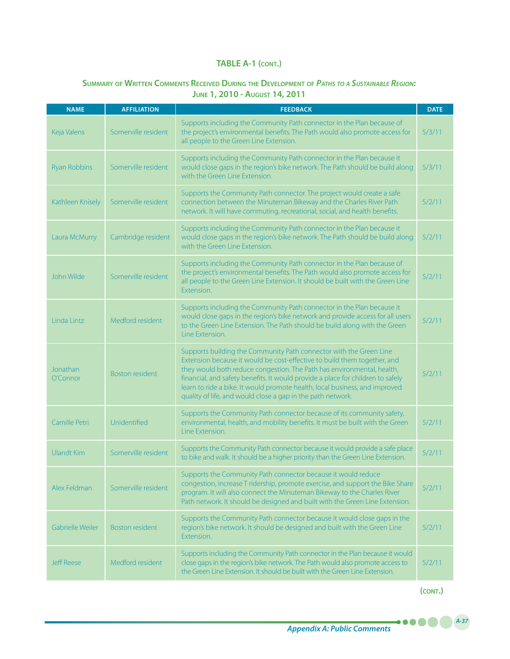# **Summary of Written Comments Received During the Development of** *Paths to <sup>a</sup> Sustainable Region:* **June 1, 2010 - August 14, 2011**

| <b>NAME</b>          | <b>AFFILIATION</b>     | <b>FEEDBACK</b>                                                                                                                                                                                                                                                                                                                                                                                                                                           | <b>DATE</b> |
|----------------------|------------------------|-----------------------------------------------------------------------------------------------------------------------------------------------------------------------------------------------------------------------------------------------------------------------------------------------------------------------------------------------------------------------------------------------------------------------------------------------------------|-------------|
| Keja Valens          | Somerville resident    | Supports including the Community Path connector in the Plan because of<br>the project's environmental benefits. The Path would also promote access for<br>all people to the Green Line Extension.                                                                                                                                                                                                                                                         | 5/3/11      |
| <b>Ryan Robbins</b>  | Somerville resident    | Supports including the Community Path connector in the Plan because it<br>would close gaps in the region's bike network. The Path should be build along<br>with the Green Line Extension.                                                                                                                                                                                                                                                                 | 5/3/11      |
| Kathleen Knisely     | Somerville resident    | Supports the Community Path connector. The project would create a safe<br>connection between the Minuteman Bikeway and the Charles River Path<br>network. It will have commuting, recreational, social, and health benefits.                                                                                                                                                                                                                              | 5/2/11      |
| Laura McMurry        | Cambridge resident     | Supports including the Community Path connector in the Plan because it<br>would close gaps in the region's bike network. The Path should be build along<br>with the Green Line Extension.                                                                                                                                                                                                                                                                 | 5/2/11      |
| John Wilde           | Somerville resident    | Supports including the Community Path connector in the Plan because of<br>the project's environmental benefits. The Path would also promote access for<br>all people to the Green Line Extension. It should be built with the Green Line<br>Extension.                                                                                                                                                                                                    | 5/2/11      |
| Linda Lintz          | Medford resident       | Supports including the Community Path connector in the Plan because it<br>would close gaps in the region's bike network and provide access for all users<br>to the Green Line Extension. The Path should be build along with the Green<br>Line Extension.                                                                                                                                                                                                 | 5/2/11      |
| Jonathan<br>O'Connor | <b>Boston resident</b> | Supports building the Community Path connector with the Green Line<br>Extension because it would be cost-effective to build them together, and<br>they would both reduce congestion. The Path has environmental, health,<br>financial, and safety benefits. It would provide a place for children to safely<br>learn to ride a bike. It would promote health, local business, and improved<br>quality of life, and would close a gap in the path network. | 5/2/11      |
| Camille Petri        | Unidentified           | Supports the Community Path connector because of its community safety,<br>environmental, health, and mobility benefits. It must be built with the Green<br>Line Extension.                                                                                                                                                                                                                                                                                | 5/2/11      |
| <b>Ulandt Kim</b>    | Somerville resident    | Supports the Community Path connector because it would provide a safe place<br>to bike and walk. It should be a higher priority than the Green Line Extension.                                                                                                                                                                                                                                                                                            | 5/2/11      |
| Alex Feldman         | Somerville resident    | Supports the Community Path connector because it would reduce<br>congestion, increase T ridership, promote exercise, and support the Bike Share<br>program. It will also connect the Minuteman Bikeway to the Charles River<br>Path network. It should be designed and built with the Green Line Extension.                                                                                                                                               | 5/2/11      |
| Gabrielle Weiler     | <b>Boston resident</b> | Supports the Community Path connector because it would close gaps in the<br>region's bike network. It should be designed and built with the Green Line<br>Extension.                                                                                                                                                                                                                                                                                      | 5/2/11      |
| <b>Jeff Reese</b>    | Medford resident       | Supports including the Community Path connector in the Plan because it would<br>close gaps in the region's bike network. The Path would also promote access to<br>the Green Line Extension. It should be built with the Green Line Extension.                                                                                                                                                                                                             | 5/2/11      |

**(cont.)**

.....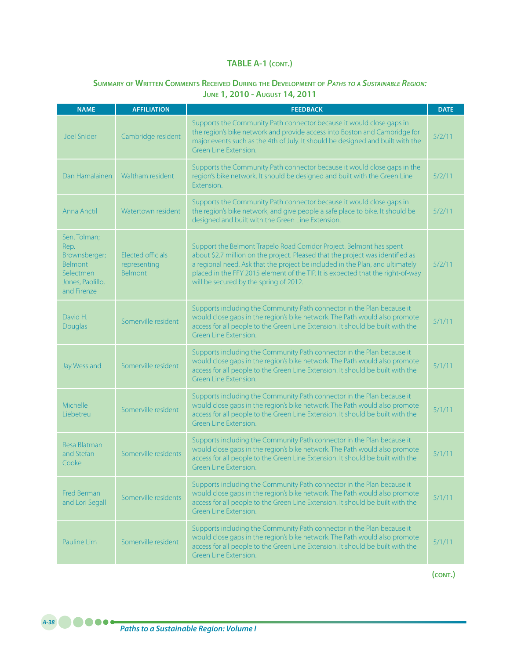# **Summary of Written Comments Received During the Development of** *Paths to <sup>a</sup> Sustainable Region:* **June 1, 2010 - August 14, 2011**

| <b>NAME</b>                                                                                             | <b>AFFILIATION</b>                                  | <b>FEEDBACK</b>                                                                                                                                                                                                                                                                                                                                                      | <b>DATE</b> |
|---------------------------------------------------------------------------------------------------------|-----------------------------------------------------|----------------------------------------------------------------------------------------------------------------------------------------------------------------------------------------------------------------------------------------------------------------------------------------------------------------------------------------------------------------------|-------------|
| <b>Joel Snider</b>                                                                                      | Cambridge resident                                  | Supports the Community Path connector because it would close gaps in<br>the region's bike network and provide access into Boston and Cambridge for<br>major events such as the 4th of July. It should be designed and built with the<br>Green Line Extension.                                                                                                        | 5/2/11      |
| Dan Hamalainen                                                                                          | Waltham resident                                    | Supports the Community Path connector because it would close gaps in the<br>region's bike network. It should be designed and built with the Green Line<br>Extension.                                                                                                                                                                                                 | 5/2/11      |
| Anna Anctil                                                                                             | Watertown resident                                  | Supports the Community Path connector because it would close gaps in<br>the region's bike network, and give people a safe place to bike. It should be<br>designed and built with the Green Line Extension.                                                                                                                                                           | 5/2/11      |
| Sen. Tolman;<br>Rep.<br>Brownsberger;<br><b>Belmont</b><br>Selectmen<br>Jones, Paolillo,<br>and Firenze | Elected officials<br>representing<br><b>Belmont</b> | Support the Belmont Trapelo Road Corridor Project. Belmont has spent<br>about \$2.7 million on the project. Pleased that the project was identified as<br>a regional need. Ask that the project be included in the Plan, and ultimately<br>placed in the FFY 2015 element of the TIP. It is expected that the right-of-way<br>will be secured by the spring of 2012. | 5/2/11      |
| David H.<br>Douglas                                                                                     | Somerville resident                                 | Supports including the Community Path connector in the Plan because it<br>would close gaps in the region's bike network. The Path would also promote<br>access for all people to the Green Line Extension. It should be built with the<br>Green Line Extension.                                                                                                      | 5/1/11      |
| Jay Wessland                                                                                            | Somerville resident                                 | Supports including the Community Path connector in the Plan because it<br>would close gaps in the region's bike network. The Path would also promote<br>access for all people to the Green Line Extension. It should be built with the<br>Green Line Extension.                                                                                                      | 5/1/11      |
| <b>Michelle</b><br>Liebetreu                                                                            | Somerville resident                                 | Supports including the Community Path connector in the Plan because it<br>would close gaps in the region's bike network. The Path would also promote<br>access for all people to the Green Line Extension. It should be built with the<br>Green Line Extension.                                                                                                      | 5/1/11      |
| Resa Blatman<br>and Stefan<br>Cooke                                                                     | Somerville residents                                | Supports including the Community Path connector in the Plan because it<br>would close gaps in the region's bike network. The Path would also promote<br>access for all people to the Green Line Extension. It should be built with the<br>Green Line Extension.                                                                                                      | 5/1/11      |
| <b>Fred Berman</b><br>and Lori Segall                                                                   | Somerville residents                                | Supports including the Community Path connector in the Plan because it<br>would close gaps in the region's bike network. The Path would also promote<br>access for all people to the Green Line Extension. It should be built with the<br>Green Line Extension.                                                                                                      | 5/1/11      |
| Pauline Lim                                                                                             | Somerville resident                                 | Supports including the Community Path connector in the Plan because it<br>would close gaps in the region's bike network. The Path would also promote<br>access for all people to the Green Line Extension. It should be built with the<br>Green Line Extension.                                                                                                      | 5/1/11      |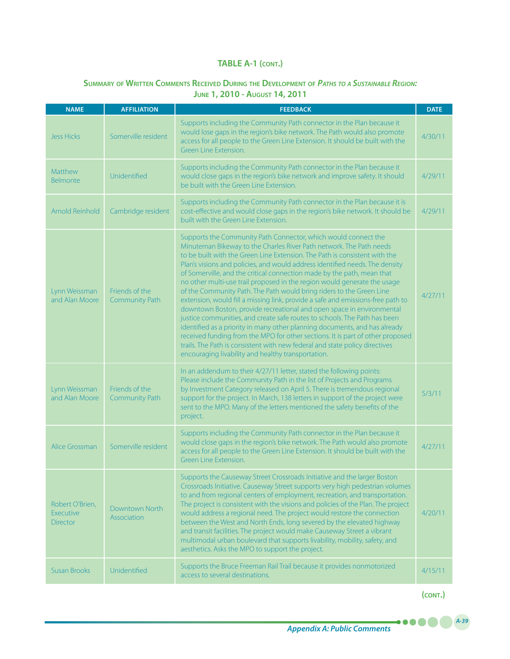## **Summary of Written Comments Received During the Development of** *Paths to <sup>a</sup> Sustainable Region:* **June 1, 2010 - August 14, 2011**

| <b>NAME</b>                                     | <b>AFFILIATION</b>                      | <b>FEEDBACK</b>                                                                                                                                                                                                                                                                                                                                                                                                                                                                                                                                                                                                                                                                                                                                                                                                                                                                                                                                                                                                                                                                 | <b>DATE</b> |
|-------------------------------------------------|-----------------------------------------|---------------------------------------------------------------------------------------------------------------------------------------------------------------------------------------------------------------------------------------------------------------------------------------------------------------------------------------------------------------------------------------------------------------------------------------------------------------------------------------------------------------------------------------------------------------------------------------------------------------------------------------------------------------------------------------------------------------------------------------------------------------------------------------------------------------------------------------------------------------------------------------------------------------------------------------------------------------------------------------------------------------------------------------------------------------------------------|-------------|
| <b>Jess Hicks</b>                               | Somerville resident                     | Supports including the Community Path connector in the Plan because it<br>would lose gaps in the region's bike network. The Path would also promote<br>access for all people to the Green Line Extension. It should be built with the<br>Green Line Extension.                                                                                                                                                                                                                                                                                                                                                                                                                                                                                                                                                                                                                                                                                                                                                                                                                  | 4/30/11     |
| Matthew<br>Belmonte                             | Unidentified                            | Supports including the Community Path connector in the Plan because it<br>would close gaps in the region's bike network and improve safety. It should<br>be built with the Green Line Extension.                                                                                                                                                                                                                                                                                                                                                                                                                                                                                                                                                                                                                                                                                                                                                                                                                                                                                | 4/29/11     |
| Arnold Reinhold                                 | Cambridge resident                      | Supports including the Community Path connector in the Plan because it is<br>cost-effective and would close gaps in the region's bike network. It should be<br>built with the Green Line Extension.                                                                                                                                                                                                                                                                                                                                                                                                                                                                                                                                                                                                                                                                                                                                                                                                                                                                             | 4/29/11     |
| Lynn Weissman<br>and Alan Moore                 | Friends of the<br>Community Path        | Supports the Community Path Connector, which would connect the<br>Minuteman Bikeway to the Charles River Path network. The Path needs<br>to be built with the Green Line Extension. The Path is consistent with the<br>Plan's visions and policies, and would address identified needs. The density<br>of Somerville, and the critical connection made by the path, mean that<br>no other multi-use trail proposed in the region would generate the usage<br>of the Community Path. The Path would bring riders to the Green Line<br>extension, would fill a missing link, provide a safe and emissions-free path to<br>downtown Boston, provide recreational and open space in environmental<br>justice communities, and create safe routes to schools. The Path has been<br>identified as a priority in many other planning documents, and has already<br>received funding from the MPO for other sections. It is part of other proposed<br>trails. The Path is consistent with new federal and state policy directives<br>encouraging livability and healthy transportation. | 4/27/11     |
| Lynn Weissman<br>and Alan Moore                 | Friends of the<br><b>Community Path</b> | In an addendum to their 4/27/11 letter, stated the following points:<br>Please include the Community Path in the list of Projects and Programs<br>by Investment Category released on April 5. There is tremendous regional<br>support for the project. In March, 138 letters in support of the project were<br>sent to the MPO. Many of the letters mentioned the safety benefits of the<br>project.                                                                                                                                                                                                                                                                                                                                                                                                                                                                                                                                                                                                                                                                            | 5/3/11      |
| Alice Grossman                                  | Somerville resident                     | Supports including the Community Path connector in the Plan because it<br>would close gaps in the region's bike network. The Path would also promote<br>access for all people to the Green Line Extension. It should be built with the<br>Green Line Extension.                                                                                                                                                                                                                                                                                                                                                                                                                                                                                                                                                                                                                                                                                                                                                                                                                 | 4/27/11     |
| Robert O'Brien,<br>Executive<br><b>Director</b> | Downtown North<br>Association           | Supports the Causeway Street Crossroads Initiative and the larger Boston<br>Crossroads Initiative. Causeway Street supports very high pedestrian volumes<br>to and from regional centers of employment, recreation, and transportation.<br>The project is consistent with the visions and policies of the Plan. The project<br>would address a regional need. The project would restore the connection<br>between the West and North Ends, long severed by the elevated highway<br>and transit facilities. The project would make Causeway Street a vibrant<br>multimodal urban boulevard that supports livability, mobility, safety, and<br>aesthetics. Asks the MPO to support the project.                                                                                                                                                                                                                                                                                                                                                                                   | 4/20/11     |
| <b>Susan Brooks</b>                             | Unidentified                            | Supports the Bruce Freeman Rail Trail because it provides nonmotorized<br>access to several destinations.                                                                                                                                                                                                                                                                                                                                                                                                                                                                                                                                                                                                                                                                                                                                                                                                                                                                                                                                                                       | 4/15/11     |

**(cont.)**

.....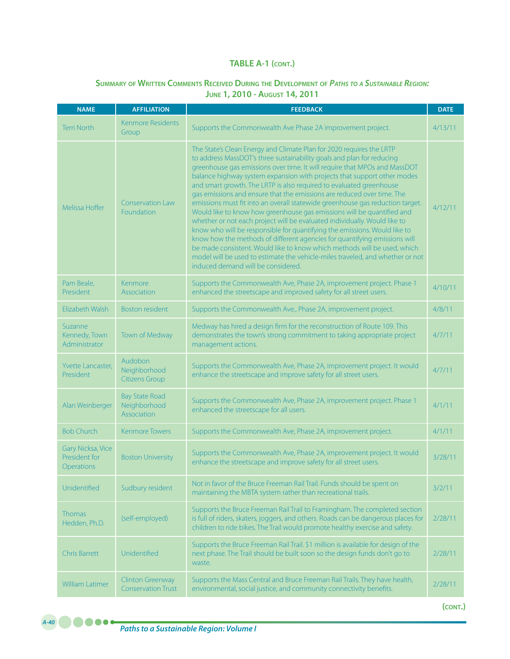# **Summary of Written Comments Received During the Development of** *Paths to <sup>a</sup> Sustainable Region:* **June 1, 2010 - August 14, 2011**

| <b>NAME</b>                                      | <b>AFFILIATION</b>                                   | <b>FEEDBACK</b>                                                                                                                                                                                                                                                                                                                                                                                                                                                                                                                                                                                                                                                                                                                                                                                                                                                                                                                                                                                                                                             |         |  |  |
|--------------------------------------------------|------------------------------------------------------|-------------------------------------------------------------------------------------------------------------------------------------------------------------------------------------------------------------------------------------------------------------------------------------------------------------------------------------------------------------------------------------------------------------------------------------------------------------------------------------------------------------------------------------------------------------------------------------------------------------------------------------------------------------------------------------------------------------------------------------------------------------------------------------------------------------------------------------------------------------------------------------------------------------------------------------------------------------------------------------------------------------------------------------------------------------|---------|--|--|
| <b>Terri North</b>                               | <b>Kenmore Residents</b><br>Group                    | Supports the Commonwealth Ave Phase 2A improvement project.                                                                                                                                                                                                                                                                                                                                                                                                                                                                                                                                                                                                                                                                                                                                                                                                                                                                                                                                                                                                 | 4/13/11 |  |  |
| Melissa Hoffer                                   | <b>Conservation Law</b><br>Foundation                | The State's Clean Energy and Climate Plan for 2020 requires the LRTP<br>to address MassDOT's three sustainability goals and plan for reducing<br>greenhouse gas emissions over time. It will require that MPOs and MassDOT<br>balance highway system expansion with projects that support other modes<br>and smart growth. The LRTP is also required to evaluated greenhouse<br>gas emissions and ensure that the emissions are reduced over time. The<br>emissions must fit into an overall statewide greenhouse gas reduction target.<br>Would like to know how greenhouse gas emissions will be quantified and<br>whether or not each project will be evaluated individually. Would like to<br>know who will be responsible for quantifying the emissions. Would like to<br>know how the methods of different agencies for quantifying emissions will<br>be made consistent. Would like to know which methods will be used, which<br>model will be used to estimate the vehicle-miles traveled, and whether or not<br>induced demand will be considered. | 4/12/11 |  |  |
| Pam Beale,<br>President                          | Kenmore<br>Association                               | Supports the Commonwealth Ave, Phase 2A, improvement project. Phase 1<br>enhanced the streetscape and improved safety for all street users.                                                                                                                                                                                                                                                                                                                                                                                                                                                                                                                                                                                                                                                                                                                                                                                                                                                                                                                 | 4/10/11 |  |  |
| Flizabeth Walsh                                  | <b>Boston resident</b>                               | Supports the Commonwealth Ave., Phase 2A, improvement project.                                                                                                                                                                                                                                                                                                                                                                                                                                                                                                                                                                                                                                                                                                                                                                                                                                                                                                                                                                                              | 4/8/11  |  |  |
| Suzanne<br>Kennedy, Town<br>Administrator        | Town of Medway                                       | Medway has hired a design firm for the reconstruction of Route 109. This<br>demonstrates the town's strong commitment to taking appropriate project<br>management actions.                                                                                                                                                                                                                                                                                                                                                                                                                                                                                                                                                                                                                                                                                                                                                                                                                                                                                  | 4/7/11  |  |  |
| Yvette Lancaster,<br>President                   | Audobon<br>Neighborhood<br><b>Citizens Group</b>     | Supports the Commonwealth Ave, Phase 2A, improvement project. It would<br>enhance the streetscape and improve safety for all street users.                                                                                                                                                                                                                                                                                                                                                                                                                                                                                                                                                                                                                                                                                                                                                                                                                                                                                                                  | 4/7/11  |  |  |
| Alan Weinberger                                  | <b>Bay State Road</b><br>Neighborhood<br>Association | Supports the Commonwealth Ave, Phase 2A, improvement project. Phase 1<br>enhanced the streetscape for all users.                                                                                                                                                                                                                                                                                                                                                                                                                                                                                                                                                                                                                                                                                                                                                                                                                                                                                                                                            | 4/1/11  |  |  |
| <b>Bob Church</b>                                | <b>Kenmore Towers</b>                                | Supports the Commonwealth Ave, Phase 2A, improvement project.                                                                                                                                                                                                                                                                                                                                                                                                                                                                                                                                                                                                                                                                                                                                                                                                                                                                                                                                                                                               | 4/1/11  |  |  |
| Gary Nicksa, Vice<br>President for<br>Operations | <b>Boston University</b>                             | Supports the Commonwealth Ave, Phase 2A, improvement project. It would<br>enhance the streetscape and improve safety for all street users.                                                                                                                                                                                                                                                                                                                                                                                                                                                                                                                                                                                                                                                                                                                                                                                                                                                                                                                  | 3/28/11 |  |  |
| Unidentified                                     | Sudbury resident                                     | Not in favor of the Bruce Freeman Rail Trail. Funds should be spent on<br>maintaining the MBTA system rather than recreational trails.                                                                                                                                                                                                                                                                                                                                                                                                                                                                                                                                                                                                                                                                                                                                                                                                                                                                                                                      | 3/2/11  |  |  |
| <b>Thomas</b><br>Hedden, Ph.D.                   | (self-employed)                                      | Supports the Bruce Freeman Rail Trail to Framingham. The completed section<br>is full of riders, skaters, joggers, and others. Roads can be dangerous places for<br>children to ride bikes. The Trail would promote healthy exercise and safety.                                                                                                                                                                                                                                                                                                                                                                                                                                                                                                                                                                                                                                                                                                                                                                                                            | 2/28/11 |  |  |
| <b>Chris Barrett</b>                             | Unidentified                                         | Supports the Bruce Freeman Rail Trail. \$1 million is available for design of the<br>next phase. The Trail should be built soon so the design funds don't go to<br>waste.                                                                                                                                                                                                                                                                                                                                                                                                                                                                                                                                                                                                                                                                                                                                                                                                                                                                                   | 2/28/11 |  |  |
| William Latimer                                  | <b>Clinton Greenway</b><br><b>Conservation Trust</b> | Supports the Mass Central and Bruce Freeman Rail Trails. They have health,<br>environmental, social justice, and community connectivity benefits.                                                                                                                                                                                                                                                                                                                                                                                                                                                                                                                                                                                                                                                                                                                                                                                                                                                                                                           | 2/28/11 |  |  |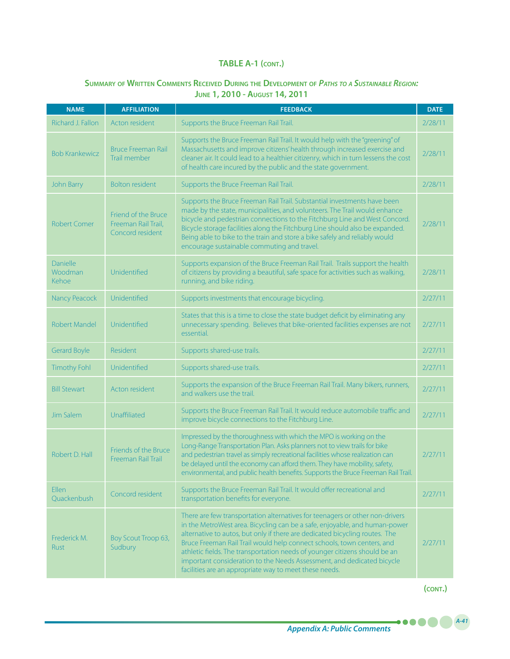# **Summary of Written Comments Received During the Development of** *Paths to <sup>a</sup> Sustainable Region:*  **June 1, 2010 - August 14, 2011**

| <b>NAME</b>                  | <b>AFFILIATION</b>                                             | <b>FEEDBACK</b>                                                                                                                                                                                                                                                                                                                                                                                                                                                                                                                       | <b>DATE</b> |
|------------------------------|----------------------------------------------------------------|---------------------------------------------------------------------------------------------------------------------------------------------------------------------------------------------------------------------------------------------------------------------------------------------------------------------------------------------------------------------------------------------------------------------------------------------------------------------------------------------------------------------------------------|-------------|
| Richard J. Fallon            | Acton resident                                                 | Supports the Bruce Freeman Rail Trail.                                                                                                                                                                                                                                                                                                                                                                                                                                                                                                | 2/28/11     |
| <b>Bob Krankewicz</b>        | <b>Bruce Freeman Rail</b><br>Trail member                      | Supports the Bruce Freeman Rail Trail. It would help with the "greening" of<br>Massachusetts and improve citizens' health through increased exercise and<br>cleaner air. It could lead to a healthier citizenry, which in turn lessens the cost<br>of health care incured by the public and the state government.                                                                                                                                                                                                                     | 2/28/11     |
| John Barry                   | <b>Bolton resident</b>                                         | Supports the Bruce Freeman Rail Trail.                                                                                                                                                                                                                                                                                                                                                                                                                                                                                                | 2/28/11     |
| <b>Robert Comer</b>          | Friend of the Bruce<br>Freeman Rail Trail,<br>Concord resident | Supports the Bruce Freeman Rail Trail. Substantial investments have been<br>made by the state, municipalities, and volunteers. The Trail would enhance<br>bicycle and pedestrian connections to the Fitchburg Line and West Concord.<br>Bicycle storage facilities along the Fitchburg Line should also be expanded.<br>Being able to bike to the train and store a bike safely and reliably would<br>encourage sustainable commuting and travel.                                                                                     | 2/28/11     |
| Danielle<br>Woodman<br>Kehoe | Unidentified                                                   | Supports expansion of the Bruce Freeman Rail Trail. Trails support the health<br>of citizens by providing a beautiful, safe space for activities such as walking,<br>running, and bike riding.                                                                                                                                                                                                                                                                                                                                        | 2/28/11     |
| Nancy Peacock                | Unidentified                                                   | Supports investments that encourage bicycling.                                                                                                                                                                                                                                                                                                                                                                                                                                                                                        | 2/27/11     |
| <b>Robert Mandel</b>         | Unidentified                                                   | States that this is a time to close the state budget deficit by eliminating any<br>unnecessary spending. Believes that bike-oriented facilities expenses are not<br>essential.                                                                                                                                                                                                                                                                                                                                                        | 2/27/11     |
| <b>Gerard Boyle</b>          | Resident                                                       | Supports shared-use trails.                                                                                                                                                                                                                                                                                                                                                                                                                                                                                                           | 2/27/11     |
| <b>Timothy Fohl</b>          | Unidentified                                                   | Supports shared-use trails.                                                                                                                                                                                                                                                                                                                                                                                                                                                                                                           | 2/27/11     |
| <b>Bill Stewart</b>          | Acton resident                                                 | Supports the expansion of the Bruce Freeman Rail Trail. Many bikers, runners,<br>and walkers use the trail.                                                                                                                                                                                                                                                                                                                                                                                                                           | 2/27/11     |
| Jim Salem                    | Unaffiliated                                                   | Supports the Bruce Freeman Rail Trail. It would reduce automobile traffic and<br>improve bicycle connections to the Fitchburg Line.                                                                                                                                                                                                                                                                                                                                                                                                   | 2/27/11     |
| Robert D. Hall               | Friends of the Bruce<br>Freeman Rail Trail                     | Impressed by the thoroughness with which the MPO is working on the<br>Long-Range Transportation Plan. Asks planners not to view trails for bike<br>and pedestrian travel as simply recreational facilities whose realization can<br>be delayed until the economy can afford them. They have mobility, safety,<br>environmental, and public health benefits. Supports the Bruce Freeman Rail Trail.                                                                                                                                    | 2/27/11     |
| <b>Ellen</b><br>Quackenbush  | Concord resident                                               | Supports the Bruce Freeman Rail Trail. It would offer recreational and<br>transportation benefits for everyone.                                                                                                                                                                                                                                                                                                                                                                                                                       | 2/27/11     |
| Frederick M.<br>Rust         | Boy Scout Troop 63,<br>Sudbury                                 | There are few transportation alternatives for teenagers or other non-drivers<br>in the MetroWest area. Bicycling can be a safe, enjoyable, and human-power<br>alternative to autos, but only if there are dedicated bicycling routes. The<br>Bruce Freeman Rail Trail would help connect schools, town centers, and<br>athletic fields. The transportation needs of younger citizens should be an<br>important consideration to the Needs Assessment, and dedicated bicycle<br>facilities are an appropriate way to meet these needs. | 2/27/11     |

**(cont.)**

.....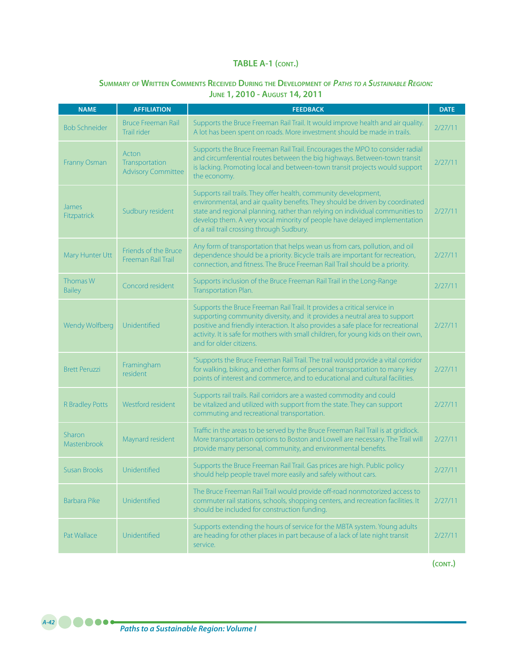# **Summary of Written Comments Received During the Development of** *Paths to <sup>a</sup> Sustainable Region:* **June 1, 2010 - August 14, 2011**

| <b>NAME</b>                 | <b>AFFILIATION</b>                                   | <b>FEEDBACK</b>                                                                                                                                                                                                                                                                                                                                             | <b>DATE</b> |
|-----------------------------|------------------------------------------------------|-------------------------------------------------------------------------------------------------------------------------------------------------------------------------------------------------------------------------------------------------------------------------------------------------------------------------------------------------------------|-------------|
| <b>Bob Schneider</b>        | <b>Bruce Freeman Rail</b><br>Trail rider             | Supports the Bruce Freeman Rail Trail. It would improve health and air quality.<br>A lot has been spent on roads. More investment should be made in trails.                                                                                                                                                                                                 | 2/27/11     |
| Franny Osman                | Acton<br>Transportation<br><b>Advisory Committee</b> | Supports the Bruce Freeman Rail Trail. Encourages the MPO to consider radial<br>and circumferential routes between the big highways. Between-town transit<br>is lacking. Promoting local and between-town transit projects would support<br>the economy.                                                                                                    | 2/27/11     |
| <b>James</b><br>Fitzpatrick | Sudbury resident                                     | Supports rail trails. They offer health, community development,<br>environmental, and air quality benefits. They should be driven by coordinated<br>state and regional planning, rather than relying on individual communities to<br>develop them. A very vocal minority of people have delayed implementation<br>of a rail trail crossing through Sudbury. | 2/27/11     |
| Mary Hunter Utt             | Friends of the Bruce<br>Freeman Rail Trail           | Any form of transportation that helps wean us from cars, pollution, and oil<br>dependence should be a priority. Bicycle trails are important for recreation,<br>connection, and fitness. The Bruce Freeman Rail Trail should be a priority.                                                                                                                 | 2/27/11     |
| Thomas W<br><b>Bailey</b>   | Concord resident                                     | Supports inclusion of the Bruce Freeman Rail Trail in the Long-Range<br>Transportation Plan.                                                                                                                                                                                                                                                                | 2/27/11     |
| Wendy Wolfberg              | Unidentified                                         | Supports the Bruce Freeman Rail Trail. It provides a critical service in<br>supporting community diversity, and it provides a neutral area to support<br>positive and friendly interaction. It also provides a safe place for recreational<br>activity. It is safe for mothers with small children, for young kids on their own,<br>and for older citizens. | 2/27/11     |
| <b>Brett Peruzzi</b>        | Framingham<br>resident                               | "Supports the Bruce Freeman Rail Trail. The trail would provide a vital corridor<br>for walking, biking, and other forms of personal transportation to many key<br>points of interest and commerce, and to educational and cultural facilities.                                                                                                             | 2/27/11     |
| <b>R</b> Bradley Potts      | Westford resident                                    | Supports rail trails. Rail corridors are a wasted commodity and could<br>be vitalized and utilized with support from the state. They can support<br>commuting and recreational transportation.                                                                                                                                                              | 2/27/11     |
| Sharon<br>Mastenbrook       | Maynard resident                                     | Traffic in the areas to be served by the Bruce Freeman Rail Trail is at gridlock.<br>More transportation options to Boston and Lowell are necessary. The Trail will<br>provide many personal, community, and environmental benefits.                                                                                                                        | 2/27/11     |
| <b>Susan Brooks</b>         | Unidentified                                         | Supports the Bruce Freeman Rail Trail. Gas prices are high. Public policy<br>should help people travel more easily and safely without cars.                                                                                                                                                                                                                 | 2/27/11     |
| <b>Barbara Pike</b>         | Unidentified                                         | The Bruce Freeman Rail Trail would provide off-road nonmotorized access to<br>commuter rail stations, schools, shopping centers, and recreation facilities. It<br>should be included for construction funding.                                                                                                                                              | 2/27/11     |
| Pat Wallace                 | Unidentified                                         | Supports extending the hours of service for the MBTA system. Young adults<br>are heading for other places in part because of a lack of late night transit<br>service.                                                                                                                                                                                       | 2/27/11     |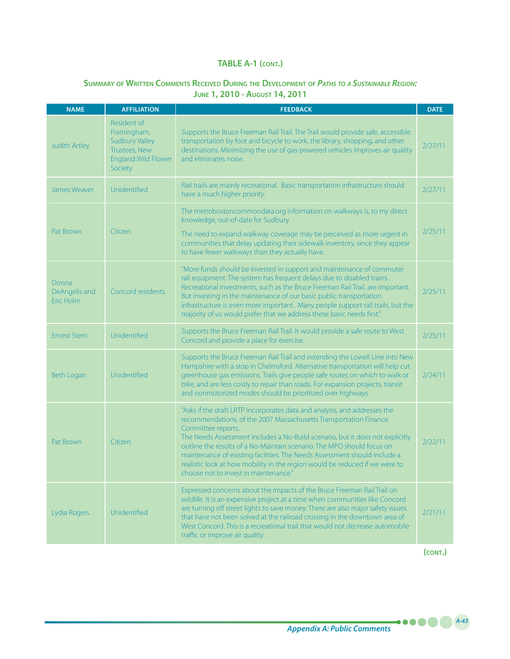# **Summary of Written Comments Received During the Development of** *Paths to <sup>a</sup> Sustainable Region:*  **June 1, 2010 - August 14, 2011**

| <b>NAME</b>                         | <b>AFFILIATION</b>                                                                                            | <b>FEEDBACK</b>                                                                                                                                                                                                                                                                                                                                                                                                                                                                                                                      | <b>DATE</b> |
|-------------------------------------|---------------------------------------------------------------------------------------------------------------|--------------------------------------------------------------------------------------------------------------------------------------------------------------------------------------------------------------------------------------------------------------------------------------------------------------------------------------------------------------------------------------------------------------------------------------------------------------------------------------------------------------------------------------|-------------|
| <b>Judith Artley</b>                | Resident of<br>Framingham,<br><b>Sudbury Valley</b><br>Trustees, New<br><b>England Wild Flower</b><br>Society | Supports the Bruce Freeman Rail Trail. The Trail would provide safe, accessible<br>transportation by foot and bicycle to work, the library, shopping, and other<br>destinations. Minimizing the use of gas-powered vehicles improves air quality<br>and eliminates noise.                                                                                                                                                                                                                                                            | 2/27/11     |
| James Weaver                        | Unidentified                                                                                                  | Rail trails are mainly recreational. Basic transportation infrastructure should<br>have a much higher priority.                                                                                                                                                                                                                                                                                                                                                                                                                      | 2/27/11     |
| Pat Brown                           | Citizen                                                                                                       | The metrobostoncommondata.org information on walkways is, to my direct<br>knowledge, out-of-date for Sudbury.<br>The need to expand walkway coverage may be perceived as more urgent in<br>communities that delay updating their sidewalk inventory, since they appear<br>to have fewer walkways than they actually have.                                                                                                                                                                                                            | 2/25/11     |
| Donna<br>DeAngelis and<br>Eric Holm | Concord residents                                                                                             | "More funds should be invested in support and maintenance of commuter<br>rail equipment. The system has frequent delays due to disabled trains.<br>Recreational investments, such as the Bruce Freeman Rail Trail, are important.<br>But investing in the maintenance of our basic public transportation<br>infrastructure is even more important. Many people support rail trails, but the<br>majority of us would prefer that we address these basic needs first."                                                                 | 2/25/11     |
| <b>Ernest Stern</b>                 | Unidentified                                                                                                  | Supports the Bruce Freeman Rail Trail. It would provide a safe route to West<br>Concord and provide a place for exercise.                                                                                                                                                                                                                                                                                                                                                                                                            | 2/25/11     |
| Beth Logan                          | Unidentified                                                                                                  | Supports the Bruce Freeman Rail Trail and extending the Lowell Line into New<br>Hampshire with a stop in Chelmsford. Alternative transportation will help cut<br>greenhouse gas emissions. Trails give people safe routes on which to walk or<br>bike, and are less costly to repair than roads. For expansion projects, transit<br>and nonmotorized modes should be prioritized over highways.                                                                                                                                      | 2/24/11     |
| Pat Brown                           | Citizen                                                                                                       | "Asks if the draft LRTP incorporates data and analysis, and addresses the<br>recommendations, of the 2007 Massachusetts Transportation Finance<br>Committee reports.<br>The Needs Assessment includes a No-Build scenario, but it does not explicitly<br>outline the results of a No-Maintain scenario. The MPO should focus on<br>maintenance of existing facilities. The Needs Assessment should include a<br>realistic look at how mobility in the region would be reduced if we were to<br>choose not to invest in maintenance." | 2/22/11     |
| Lydia Rogers                        | Unidentified                                                                                                  | Expressed concerns about the impacts of the Bruce Freeman Rail Trail on<br>wildlife. It is an expensive project at a time when communities like Concord<br>are turning off street lights to save money. There are also major safety issues<br>that have not been solved at the railroad crossing in the downtown area of<br>West Concord. This is a recreational trail that would not decrease automobile<br>traffic or improve air quality.                                                                                         | 2/21/11     |

**(cont.)**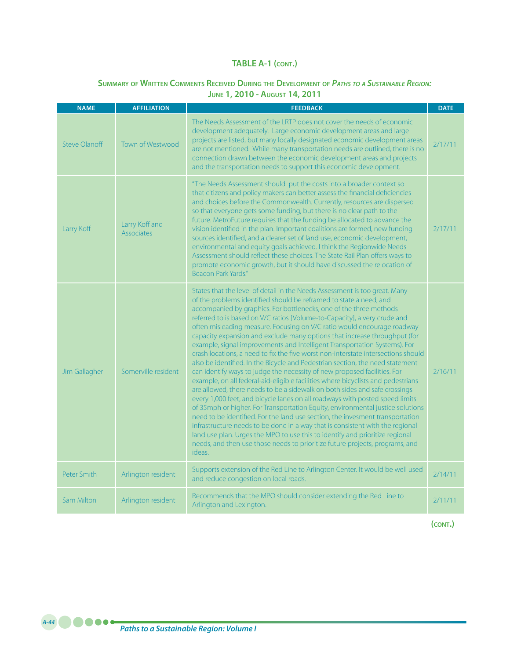#### **Summary of Written Comments Received During the Development of** *Paths to <sup>a</sup> Sustainable Region:* **June 1, 2010 - August 14, 2011**

| <b>NAME</b>          | <b>AFFILIATION</b>           | <b>FEEDBACK</b>                                                                                                                                                                                                                                                                                                                                                                                                                                                                                                                                                                                                                                                                                                                                                                                                                                                                                                                                                                                                                                                                                                                                                                                                                                                                                                                                                                                                                                                            | <b>DATE</b> |
|----------------------|------------------------------|----------------------------------------------------------------------------------------------------------------------------------------------------------------------------------------------------------------------------------------------------------------------------------------------------------------------------------------------------------------------------------------------------------------------------------------------------------------------------------------------------------------------------------------------------------------------------------------------------------------------------------------------------------------------------------------------------------------------------------------------------------------------------------------------------------------------------------------------------------------------------------------------------------------------------------------------------------------------------------------------------------------------------------------------------------------------------------------------------------------------------------------------------------------------------------------------------------------------------------------------------------------------------------------------------------------------------------------------------------------------------------------------------------------------------------------------------------------------------|-------------|
| <b>Steve Olanoff</b> | <b>Town of Westwood</b>      | The Needs Assessment of the LRTP does not cover the needs of economic<br>development adequately. Large economic development areas and large<br>projects are listed, but many locally designated economic development areas<br>are not mentioned. While many transportation needs are outlined, there is no<br>connection drawn between the economic development areas and projects<br>and the transportation needs to support this economic development.                                                                                                                                                                                                                                                                                                                                                                                                                                                                                                                                                                                                                                                                                                                                                                                                                                                                                                                                                                                                                   | 2/17/11     |
| Larry Koff           | Larry Koff and<br>Associates | "The Needs Assessment should put the costs into a broader context so<br>that citizens and policy makers can better assess the financial deficiencies<br>and choices before the Commonwealth. Currently, resources are dispersed<br>so that everyone gets some funding, but there is no clear path to the<br>future. MetroFuture requires that the funding be allocated to advance the<br>vision identified in the plan. Important coalitions are formed, new funding<br>sources identified, and a clearer set of land use, economic development,<br>environmental and equity goals achieved. I think the Regionwide Needs<br>Assessment should reflect these choices. The State Rail Plan offers ways to<br>promote economic growth, but it should have discussed the relocation of<br>Beacon Park Yards."                                                                                                                                                                                                                                                                                                                                                                                                                                                                                                                                                                                                                                                                 | 2/17/11     |
| Jim Gallagher        | Somerville resident          | States that the level of detail in the Needs Assessment is too great. Many<br>of the problems identified should be reframed to state a need, and<br>accompanied by graphics. For bottlenecks, one of the three methods<br>referred to is based on V/C ratios [Volume-to-Capacity], a very crude and<br>often misleading measure. Focusing on V/C ratio would encourage roadway<br>capacity expansion and exclude many options that increase throughput (for<br>example, signal improvements and Intelligent Transportation Systems). For<br>crash locations, a need to fix the five worst non-interstate intersections should<br>also be identified. In the Bicycle and Pedestrian section, the need statement<br>can identify ways to judge the necessity of new proposed facilities. For<br>example, on all federal-aid-eligible facilities where bicyclists and pedestrians<br>are allowed, there needs to be a sidewalk on both sides and safe crossings<br>every 1,000 feet, and bicycle lanes on all roadways with posted speed limits<br>of 35mph or higher. For Transportation Equity, environmental justice solutions<br>need to be identified. For the land use section, the invesment transportation<br>infrastructure needs to be done in a way that is consistent with the regional<br>land use plan. Urges the MPO to use this to identify and prioritize regional<br>needs, and then use those needs to prioritize future projects, programs, and<br>ideas. | 2/16/11     |
| Peter Smith          | Arlington resident           | Supports extension of the Red Line to Arlington Center. It would be well used<br>and reduce congestion on local roads.                                                                                                                                                                                                                                                                                                                                                                                                                                                                                                                                                                                                                                                                                                                                                                                                                                                                                                                                                                                                                                                                                                                                                                                                                                                                                                                                                     | 2/14/11     |
| <b>Sam Milton</b>    | Arlington resident           | Recommends that the MPO should consider extending the Red Line to<br>Arlington and Lexington.                                                                                                                                                                                                                                                                                                                                                                                                                                                                                                                                                                                                                                                                                                                                                                                                                                                                                                                                                                                                                                                                                                                                                                                                                                                                                                                                                                              | 2/11/11     |

**(cont.)**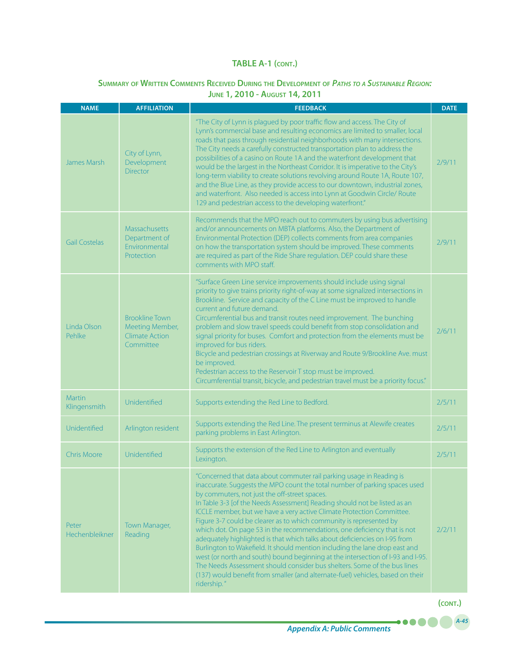# **Summary of Written Comments Received During the Development of** *Paths to <sup>a</sup> Sustainable Region:*

|  |  |  |  |  | <b>JUNE 1, 2010 - AUGUST 14, 2011</b> |  |  |  |  |  |
|--|--|--|--|--|---------------------------------------|--|--|--|--|--|
|--|--|--|--|--|---------------------------------------|--|--|--|--|--|

| <b>NAME</b>                   | <b>AFFILIATION</b>                                                             | <b>FEEDBACK</b>                                                                                                                                                                                                                                                                                                                                                                                                                                                                                                                                                                                                                                                                                                                                                                                                                                                                                                                           |        |  |  |  |  |
|-------------------------------|--------------------------------------------------------------------------------|-------------------------------------------------------------------------------------------------------------------------------------------------------------------------------------------------------------------------------------------------------------------------------------------------------------------------------------------------------------------------------------------------------------------------------------------------------------------------------------------------------------------------------------------------------------------------------------------------------------------------------------------------------------------------------------------------------------------------------------------------------------------------------------------------------------------------------------------------------------------------------------------------------------------------------------------|--------|--|--|--|--|
| James Marsh                   | City of Lynn,<br>Development<br><b>Director</b>                                | "The City of Lynn is plagued by poor traffic flow and access. The City of<br>Lynn's commercial base and resulting economics are limited to smaller, local<br>roads that pass through residential neighborhoods with many intersections.<br>The City needs a carefully constructed transportation plan to address the<br>possibilities of a casino on Route 1A and the waterfront development that<br>would be the largest in the Northeast Corridor. It is imperative to the City's<br>long-term viability to create solutions revolving around Route 1A, Route 107,<br>and the Blue Line, as they provide access to our downtown, industrial zones,<br>and waterfront. Also needed is access into Lynn at Goodwin Circle/ Route<br>129 and pedestrian access to the developing waterfront."                                                                                                                                              | 2/9/11 |  |  |  |  |
| <b>Gail Costelas</b>          | <b>Massachusetts</b><br>Department of<br>Environmental<br>Protection           | Recommends that the MPO reach out to commuters by using bus advertising<br>and/or announcements on MBTA platforms. Also, the Department of<br>Environmental Protection (DEP) collects comments from area companies<br>on how the transportation system should be improved. These comments<br>are required as part of the Ride Share regulation. DEP could share these<br>comments with MPO staff.                                                                                                                                                                                                                                                                                                                                                                                                                                                                                                                                         | 2/9/11 |  |  |  |  |
| Linda Olson<br>Pehlke         | <b>Brookline Town</b><br>Meeting Member,<br><b>Climate Action</b><br>Committee | "Surface Green Line service improvements should include using signal<br>priority to give trains priority right-of-way at some signalized intersections in<br>Brookline. Service and capacity of the C Line must be improved to handle<br>current and future demand.<br>Circumferential bus and transit routes need improvement. The bunching<br>problem and slow travel speeds could benefit from stop consolidation and<br>signal priority for buses. Comfort and protection from the elements must be<br>improved for bus riders.<br>Bicycle and pedestrian crossings at Riverway and Route 9/Brookline Ave. must<br>be improved.<br>Pedestrian access to the Reservoir T stop must be improved.<br>Circumferential transit, bicycle, and pedestrian travel must be a priority focus."                                                                                                                                                  | 2/6/11 |  |  |  |  |
| <b>Martin</b><br>Klingensmith | Unidentified                                                                   | Supports extending the Red Line to Bedford.                                                                                                                                                                                                                                                                                                                                                                                                                                                                                                                                                                                                                                                                                                                                                                                                                                                                                               | 2/5/11 |  |  |  |  |
| Unidentified                  | Arlington resident                                                             | Supports extending the Red Line. The present terminus at Alewife creates<br>parking problems in East Arlington.                                                                                                                                                                                                                                                                                                                                                                                                                                                                                                                                                                                                                                                                                                                                                                                                                           | 2/5/11 |  |  |  |  |
| <b>Chris Moore</b>            | Unidentified                                                                   | Supports the extension of the Red Line to Arlington and eventually<br>Lexington.                                                                                                                                                                                                                                                                                                                                                                                                                                                                                                                                                                                                                                                                                                                                                                                                                                                          | 2/5/11 |  |  |  |  |
| Peter<br>Hechenbleikner       | Town Manager,<br>Reading                                                       | "Concerned that data about commuter rail parking usage in Reading is<br>inaccurate. Suggests the MPO count the total number of parking spaces used<br>by commuters, not just the off-street spaces.<br>In Table 3-3 [of the Needs Assessment] Reading should not be listed as an<br>ICCLE member, but we have a very active Climate Protection Committee.<br>Figure 3-7 could be clearer as to which community is represented by<br>which dot. On page 53 in the recommendations, one deficiency that is not<br>adequately highlighted is that which talks about deficiencies on I-95 from<br>Burlington to Wakefield. It should mention including the lane drop east and<br>west (or north and south) bound beginning at the intersection of I-93 and I-95.<br>The Needs Assessment should consider bus shelters. Some of the bus lines<br>(137) would benefit from smaller (and alternate-fuel) vehicles, based on their<br>ridership." | 2/2/11 |  |  |  |  |

**(cont.)**

 $\bullet\bullet\bullet\bullet$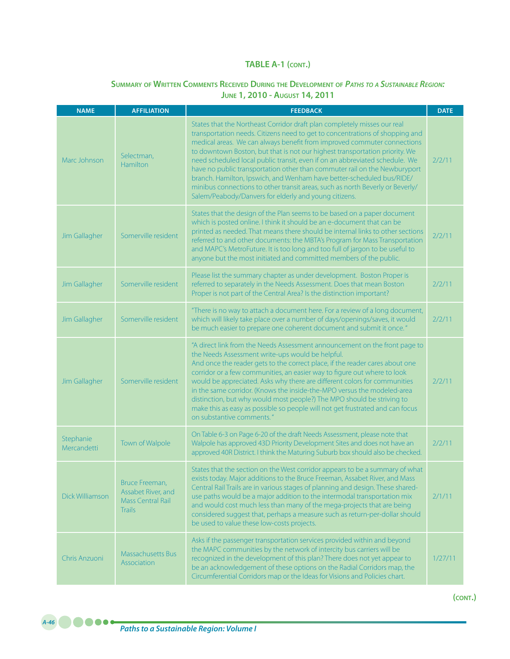#### **Summary of Written Comments Received During the Development of** *Paths to <sup>a</sup> Sustainable Region:* **June 1, 2010 - August 14, 2011**

| <b>NAME</b>              | <b>AFFILIATION</b>                                                         | <b>FEEDBACK</b>                                                                                                                                                                                                                                                                                                                                                                                                                                                                                                                                                                                                                                                                                   | <b>DATE</b> |
|--------------------------|----------------------------------------------------------------------------|---------------------------------------------------------------------------------------------------------------------------------------------------------------------------------------------------------------------------------------------------------------------------------------------------------------------------------------------------------------------------------------------------------------------------------------------------------------------------------------------------------------------------------------------------------------------------------------------------------------------------------------------------------------------------------------------------|-------------|
| Marc Johnson             | Selectman,<br>Hamilton                                                     | States that the Northeast Corridor draft plan completely misses our real<br>transportation needs. Citizens need to get to concentrations of shopping and<br>medical areas. We can always benefit from improved commuter connections<br>to downtown Boston, but that is not our highest transportation priority. We<br>need scheduled local public transit, even if on an abbreviated schedule. We<br>have no public transportation other than commuter rail on the Newburyport<br>branch. Hamilton, Ipswich, and Wenham have better-scheduled bus/RIDE/<br>minibus connections to other transit areas, such as north Beverly or Beverly/<br>Salem/Peabody/Danvers for elderly and young citizens. | 2/2/11      |
| Jim Gallagher            | Somerville resident                                                        | States that the design of the Plan seems to be based on a paper document<br>which is posted online. I think it should be an e-document that can be<br>printed as needed. That means there should be internal links to other sections<br>referred to and other documents: the MBTA's Program for Mass Transportation<br>and MAPC's MetroFuture. It is too long and too full of jargon to be useful to<br>anyone but the most initiated and committed members of the public.                                                                                                                                                                                                                        | 2/2/11      |
| Jim Gallagher            | Somerville resident                                                        | Please list the summary chapter as under development. Boston Proper is<br>referred to separately in the Needs Assessment. Does that mean Boston<br>Proper is not part of the Central Area? Is the distinction important?                                                                                                                                                                                                                                                                                                                                                                                                                                                                          | 2/2/11      |
| Jim Gallagher            | Somerville resident                                                        | "There is no way to attach a document here. For a review of a long document,<br>which will likely take place over a number of days/openings/saves, it would<br>be much easier to prepare one coherent document and submit it once."                                                                                                                                                                                                                                                                                                                                                                                                                                                               | 2/2/11      |
| Jim Gallagher            | Somerville resident                                                        | "A direct link from the Needs Assessment announcement on the front page to<br>the Needs Assessment write-ups would be helpful.<br>And once the reader gets to the correct place, if the reader cares about one<br>corridor or a few communities, an easier way to figure out where to look<br>would be appreciated. Asks why there are different colors for communities<br>in the same corridor. (Knows the inside-the-MPO versus the modeled-area<br>distinction, but why would most people?) The MPO should be striving to<br>make this as easy as possible so people will not get frustrated and can focus<br>on substantive comments."                                                        | 2/2/11      |
| Stephanie<br>Mercandetti | Town of Walpole                                                            | On Table 6-3 on Page 6-20 of the draft Needs Assessment, please note that<br>Walpole has approved 43D Priority Development Sites and does not have an<br>approved 40R District. I think the Maturing Suburb box should also be checked.                                                                                                                                                                                                                                                                                                                                                                                                                                                           | 2/2/11      |
| Dick Williamson          | Bruce Freeman,<br>Assabet River, and<br>Mass Central Rail<br><b>Trails</b> | States that the section on the West corridor appears to be a summary of what<br>exists today. Major additions to the Bruce Freeman, Assabet River, and Mass<br>Central Rail Trails are in various stages of planning and design. These shared-<br>use paths would be a major addition to the intermodal transportation mix<br>and would cost much less than many of the mega-projects that are being<br>considered suggest that, perhaps a measure such as return-per-dollar should<br>be used to value these low-costs projects.                                                                                                                                                                 | 2/1/11      |
| Chris Anzuoni            | <b>Massachusetts Bus</b><br>Association                                    | Asks if the passenger transportation services provided within and beyond<br>the MAPC communities by the network of intercity bus carriers will be<br>recognized in the development of this plan? There does not yet appear to<br>be an acknowledgement of these options on the Radial Corridors map, the<br>Circumferential Corridors map or the Ideas for Visions and Policies chart.                                                                                                                                                                                                                                                                                                            | 1/27/11     |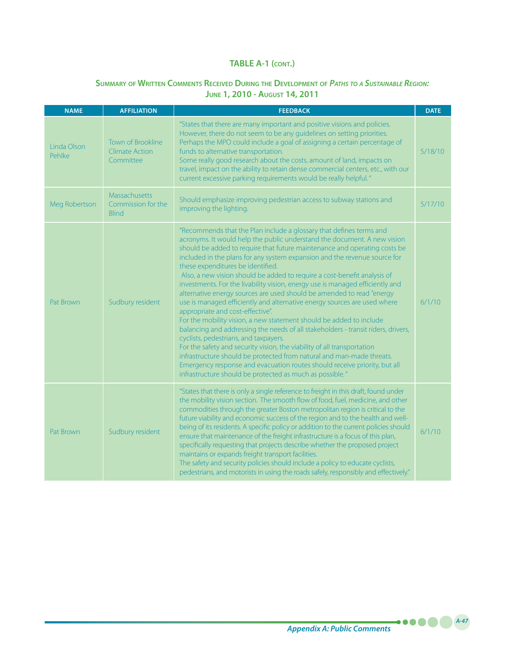# **Summary of Written Comments Received During the Development of** *Paths to <sup>a</sup> Sustainable Region:* **June 1, 2010 - August 14, 2011**

| <b>NAME</b>           | <b>AFFILIATION</b>                                      | <b>FEEDBACK</b>                                                                                                                                                                                                                                                                                                                                                                                                                                                                                                                                                                                                                                                                                                                                                                                                                                                                                                                                                                                                                                                                                                                                                                                        |         |  |  |  |  |
|-----------------------|---------------------------------------------------------|--------------------------------------------------------------------------------------------------------------------------------------------------------------------------------------------------------------------------------------------------------------------------------------------------------------------------------------------------------------------------------------------------------------------------------------------------------------------------------------------------------------------------------------------------------------------------------------------------------------------------------------------------------------------------------------------------------------------------------------------------------------------------------------------------------------------------------------------------------------------------------------------------------------------------------------------------------------------------------------------------------------------------------------------------------------------------------------------------------------------------------------------------------------------------------------------------------|---------|--|--|--|--|
| Linda Olson<br>Pehlke | <b>Town of Brookline</b><br>Climate Action<br>Committee | "States that there are many important and positive visions and policies.<br>However, there do not seem to be any guidelines on setting priorities.<br>Perhaps the MPO could include a goal of assigning a certain percentage of<br>funds to alternative transportation.<br>Some really good research about the costs, amount of land, impacts on<br>travel, impact on the ability to retain dense commercial centers, etc., with our<br>current excessive parking requirements would be really helpful."                                                                                                                                                                                                                                                                                                                                                                                                                                                                                                                                                                                                                                                                                               | 5/18/10 |  |  |  |  |
| Meg Robertson         | Massachusetts<br>Commission for the<br><b>Blind</b>     | Should emphasize improving pedestrian access to subway stations and<br>improving the lighting.                                                                                                                                                                                                                                                                                                                                                                                                                                                                                                                                                                                                                                                                                                                                                                                                                                                                                                                                                                                                                                                                                                         | 5/17/10 |  |  |  |  |
| Pat Brown             | Sudbury resident                                        | "Recommends that the Plan include a glossary that defines terms and<br>acronyms. It would help the public understand the document. A new vision<br>should be added to require that future maintenance and operating costs be<br>included in the plans for any system expansion and the revenue source for<br>these expenditures be identified.<br>Also, a new vision should be added to require a cost-benefit analysis of<br>investments. For the livability vision, energy use is managed efficiently and<br>alternative energy sources are used should be amended to read "energy<br>use is managed efficiently and alternative energy sources are used where<br>appropriate and cost-effective".<br>For the mobility vision, a new statement should be added to include<br>balancing and addressing the needs of all stakeholders - transit riders, drivers,<br>cyclists, pedestrians, and taxpayers.<br>For the safety and security vision, the viability of all transportation<br>infrastructure should be protected from natural and man-made threats.<br>Emergency response and evacuation routes should receive priority, but all<br>infrastructure should be protected as much as possible." | 6/1/10  |  |  |  |  |
| Pat Brown             | Sudbury resident                                        | "States that there is only a single reference to freight in this draft, found under<br>the mobility vision section. The smooth flow of food, fuel, medicine, and other<br>commodities through the greater Boston metropolitan region is critical to the<br>future viability and economic success of the region and to the health and well-<br>being of its residents. A specific policy or addition to the current policies should<br>ensure that maintenance of the freight infrastructure is a focus of this plan,<br>specifically requesting that projects describe whether the proposed project<br>maintains or expands freight transport facilities.<br>The safety and security policies should include a policy to educate cyclists,<br>pedestrians, and motorists in using the roads safely, responsibly and effectively."                                                                                                                                                                                                                                                                                                                                                                      | 6/1/10  |  |  |  |  |

*Appendix A: Public Comments*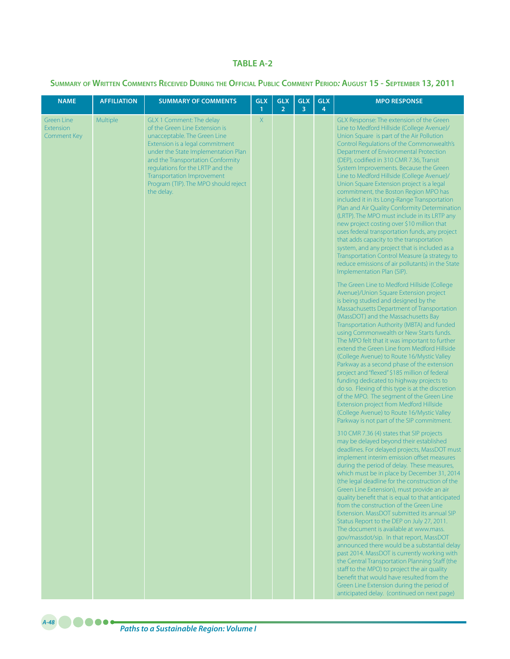#### **TABLE A-2**

**Summary of Written Comments Received During the Official Public Comment Period***:* **August 15 - September 13, 2011**

| <b>NAME</b>                                                 | <b>AFFILIATION</b> | <b>SUMMARY OF COMMENTS</b>                                                                                                                                                                                                                                                                                                               | <b>GLX</b><br>$\mathbf{1}$ | <b>GLX</b><br>$\overline{2}$ | <b>GLX</b><br>3 | <b>GLX</b><br>4 | <b>MPO RESPONSE</b>                                                                                                                                                                                                                                                                                                                                                                                                                                                                                                                                                                                                                                                                                                                                                                                                                                                                                                                                                                                                                                                                                                                                                                                                                                                                                                                                                                                                                                                                                                                                                                                                                                                                                                                                                                                                                                                                                                                                                                                                                                                                                                                                                                                                                                                                                                                                                                                                                                                                                                                                                                                                                                                                                                                                                                                       |
|-------------------------------------------------------------|--------------------|------------------------------------------------------------------------------------------------------------------------------------------------------------------------------------------------------------------------------------------------------------------------------------------------------------------------------------------|----------------------------|------------------------------|-----------------|-----------------|-----------------------------------------------------------------------------------------------------------------------------------------------------------------------------------------------------------------------------------------------------------------------------------------------------------------------------------------------------------------------------------------------------------------------------------------------------------------------------------------------------------------------------------------------------------------------------------------------------------------------------------------------------------------------------------------------------------------------------------------------------------------------------------------------------------------------------------------------------------------------------------------------------------------------------------------------------------------------------------------------------------------------------------------------------------------------------------------------------------------------------------------------------------------------------------------------------------------------------------------------------------------------------------------------------------------------------------------------------------------------------------------------------------------------------------------------------------------------------------------------------------------------------------------------------------------------------------------------------------------------------------------------------------------------------------------------------------------------------------------------------------------------------------------------------------------------------------------------------------------------------------------------------------------------------------------------------------------------------------------------------------------------------------------------------------------------------------------------------------------------------------------------------------------------------------------------------------------------------------------------------------------------------------------------------------------------------------------------------------------------------------------------------------------------------------------------------------------------------------------------------------------------------------------------------------------------------------------------------------------------------------------------------------------------------------------------------------------------------------------------------------------------------------------------------------|
| <b>Green Line</b><br><b>Extension</b><br><b>Comment Key</b> | <b>Multiple</b>    | GLX 1 Comment: The delay<br>of the Green Line Extension is<br>unacceptable. The Green Line<br>Extension is a legal commitment<br>under the State Implementation Plan<br>and the Transportation Conformity<br>regulations for the LRTP and the<br><b>Transportation Improvement</b><br>Program (TIP). The MPO should reject<br>the delay. | X                          |                              |                 |                 | GLX Response: The extension of the Green<br>Line to Medford Hillside (College Avenue)/<br>Union Square is part of the Air Pollution<br>Control Regulations of the Commonwealth's<br>Department of Environmental Protection<br>(DEP), codified in 310 CMR 7.36, Transit<br>System Improvements. Because the Green<br>Line to Medford Hillside (College Avenue)/<br>Union Square Extension project is a legal<br>commitment, the Boston Region MPO has<br>included it in its Long-Range Transportation<br>Plan and Air Quality Conformity Determination<br>(LRTP). The MPO must include in its LRTP any<br>new project costing over \$10 million that<br>uses federal transportation funds, any project<br>that adds capacity to the transportation<br>system, and any project that is included as a<br>Transportation Control Measure (a strategy to<br>reduce emissions of air pollutants) in the State<br>Implementation Plan (SIP).<br>The Green Line to Medford Hillside (College<br>Avenue)/Union Square Extension project<br>is being studied and designed by the<br>Massachusetts Department of Transportation<br>(MassDOT) and the Massachusetts Bay<br>Transportation Authority (MBTA) and funded<br>using Commonwealth or New Starts funds.<br>The MPO felt that it was important to further<br>extend the Green Line from Medford Hillside<br>(College Avenue) to Route 16/Mystic Valley<br>Parkway as a second phase of the extension<br>project and "flexed" \$185 million of federal<br>funding dedicated to highway projects to<br>do so. Flexing of this type is at the discretion<br>of the MPO. The segment of the Green Line<br>Extension project from Medford Hillside<br>(College Avenue) to Route 16/Mystic Valley<br>Parkway is not part of the SIP commitment.<br>310 CMR 7.36 (4) states that SIP projects<br>may be delayed beyond their established<br>deadlines. For delayed projects, MassDOT must<br>implement interim emission offset measures<br>during the period of delay. These measures,<br>which must be in place by December 31, 2014<br>(the legal deadline for the construction of the<br>Green Line Extension), must provide an air<br>quality benefit that is equal to that anticipated<br>from the construction of the Green Line<br>Extension. MassDOT submitted its annual SIP<br>Status Report to the DEP on July 27, 2011.<br>The document is available at www.mass.<br>gov/massdot/sip. In that report, MassDOT<br>announced there would be a substantial delay<br>past 2014. MassDOT is currently working with<br>the Central Transportation Planning Staff (the<br>staff to the MPO) to project the air quality<br>benefit that would have resulted from the<br>Green Line Extension during the period of<br>anticipated delay. (continued on next page) |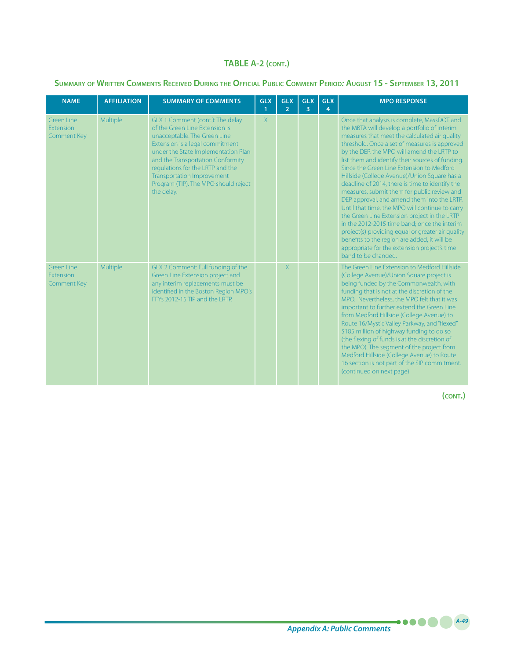## **Summary of Written Comments Received During the Official Public Comment Period***:* **August 15 - September 13, 2011**

| <b>NAME</b>                                                 | <b>AFFILIATION</b> | <b>SUMMARY OF COMMENTS</b>                                                                                                                                                                                                                                                                                                                       | <b>GLX</b><br>$\mathbf{1}$ | <b>GLX</b><br>$\overline{2}$ | <b>GLX</b><br>$\overline{3}$ | <b>GLX</b><br>4 | <b>MPO RESPONSE</b>                                                                                                                                                                                                                                                                                                                                                                                                                                                                                                                                                                                                                                                                                                                                                                                                                                                          |
|-------------------------------------------------------------|--------------------|--------------------------------------------------------------------------------------------------------------------------------------------------------------------------------------------------------------------------------------------------------------------------------------------------------------------------------------------------|----------------------------|------------------------------|------------------------------|-----------------|------------------------------------------------------------------------------------------------------------------------------------------------------------------------------------------------------------------------------------------------------------------------------------------------------------------------------------------------------------------------------------------------------------------------------------------------------------------------------------------------------------------------------------------------------------------------------------------------------------------------------------------------------------------------------------------------------------------------------------------------------------------------------------------------------------------------------------------------------------------------------|
| Green Line<br><b>Extension</b><br><b>Comment Key</b>        | Multiple           | GLX 1 Comment (cont.): The delay<br>of the Green Line Extension is<br>unacceptable. The Green Line<br>Extension is a legal commitment<br>under the State Implementation Plan<br>and the Transportation Conformity<br>regulations for the LRTP and the<br><b>Transportation Improvement</b><br>Program (TIP). The MPO should reject<br>the delay. | $\chi$                     |                              |                              |                 | Once that analysis is complete, MassDOT and<br>the MBTA will develop a portfolio of interim<br>measures that meet the calculated air quality<br>threshold. Once a set of measures is approved<br>by the DEP, the MPO will amend the LRTP to<br>list them and identify their sources of funding.<br>Since the Green Line Extension to Medford<br>Hillside (College Avenue)/Union Square has a<br>deadline of 2014, there is time to identify the<br>measures, submit them for public review and<br>DEP approval, and amend them into the LRTP.<br>Until that time, the MPO will continue to carry<br>the Green Line Extension project in the LRTP<br>in the 2012-2015 time band; once the interim<br>project(s) providing equal or greater air quality<br>benefits to the region are added, it will be<br>appropriate for the extension project's time<br>band to be changed. |
| <b>Green Line</b><br><b>Extension</b><br><b>Comment Key</b> | Multiple           | GLX 2 Comment: Full funding of the<br>Green Line Extension project and<br>any interim replacements must be<br>identified in the Boston Region MPO's<br>FFYs 2012-15 TIP and the LRTP.                                                                                                                                                            |                            | X                            |                              |                 | The Green Line Extension to Medford Hillside<br>(College Avenue)/Union Square project is<br>being funded by the Commonwealth, with<br>funding that is not at the discretion of the<br>MPO. Nevertheless, the MPO felt that it was<br>important to further extend the Green Line<br>from Medford Hillside (College Avenue) to<br>Route 16/Mystic Valley Parkway, and "flexed"<br>\$185 million of highway funding to do so<br>(the flexing of funds is at the discretion of<br>the MPO). The segment of the project from<br>Medford Hillside (College Avenue) to Route<br>16 section is not part of the SIP commitment.<br>(continued on next page)                                                                                                                                                                                                                           |

**(cont.)**

*A-49*

.....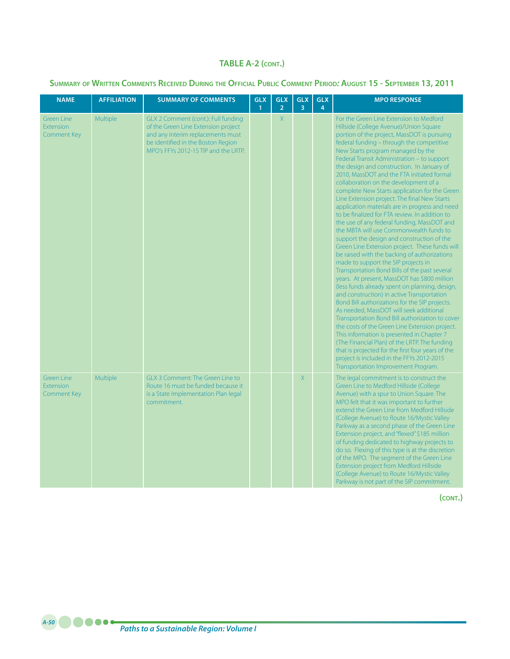## **Summary of Written Comments Received During the Official Public Comment Period***:* **August 15 - September 13, 2011**

| <b>NAME</b>                                                 | <b>AFFILIATION</b> | <b>SUMMARY OF COMMENTS</b>                                                                                                                                                                    | <b>GLX</b><br>$\mathbf{1}$ | <b>GLX</b><br>$\overline{2}$ | <b>GLX</b><br>$\overline{3}$ | <b>GLX</b><br>$\overline{4}$ | <b>MPO RESPONSE</b>                                                                                                                                                                                                                                                                                                                                                                                                                                                                                                                                                                                                                                                                                                                                                                                                                                                                                                                                                                                                                                                                                                                                                                                                                                                                                                                                                                                                                                                                                                                     |
|-------------------------------------------------------------|--------------------|-----------------------------------------------------------------------------------------------------------------------------------------------------------------------------------------------|----------------------------|------------------------------|------------------------------|------------------------------|-----------------------------------------------------------------------------------------------------------------------------------------------------------------------------------------------------------------------------------------------------------------------------------------------------------------------------------------------------------------------------------------------------------------------------------------------------------------------------------------------------------------------------------------------------------------------------------------------------------------------------------------------------------------------------------------------------------------------------------------------------------------------------------------------------------------------------------------------------------------------------------------------------------------------------------------------------------------------------------------------------------------------------------------------------------------------------------------------------------------------------------------------------------------------------------------------------------------------------------------------------------------------------------------------------------------------------------------------------------------------------------------------------------------------------------------------------------------------------------------------------------------------------------------|
| <b>Green Line</b><br><b>Extension</b><br><b>Comment Key</b> | Multiple           | GLX 2 Comment (cont.): Full funding<br>of the Green Line Extension project<br>and any interim replacements must<br>be identified in the Boston Region<br>MPO's FFYs 2012-15 TIP and the LRTP. |                            | X                            |                              |                              | For the Green Line Extension to Medford<br>Hillside (College Avenue)/Union Square<br>portion of the project, MassDOT is pursuing<br>federal funding - through the competitive<br>New Starts program managed by the<br>Federal Transit Administration - to support<br>the design and construction. In January of<br>2010, MassDOT and the FTA initiated formal<br>collaboration on the development of a<br>complete New Starts application for the Green<br>Line Extension project. The final New Starts<br>application materials are in progress and need<br>to be finalized for FTA review. In addition to<br>the use of any federal funding, MassDOT and<br>the MBTA will use Commonwealth funds to<br>support the design and construction of the<br>Green Line Extension project. These funds will<br>be raised with the backing of authorizations<br>made to support the SIP projects in<br>Transportation Bond Bills of the past several<br>years. At present, MassDOT has \$800 million<br>(less funds already spent on planning, design,<br>and construction) in active Transportation<br>Bond Bill authorizations for the SIP projects.<br>As needed, MassDOT will seek additional<br>Transportation Bond Bill authorization to cover<br>the costs of the Green Line Extension project.<br>This information is presented in Chapter 7<br>(The Financial Plan) of the LRTP. The funding<br>that is projected for the first four years of the<br>project is included in the FFYs 2012-2015<br>Transportation Improvement Program. |
| <b>Green Line</b><br><b>Extension</b><br><b>Comment Key</b> | Multiple           | <b>GLX 3 Comment: The Green Line to</b><br>Route 16 must be funded because it<br>is a State Implementation Plan legal<br>commitment.                                                          |                            |                              | $\overline{X}$               |                              | The legal commitment is to construct the<br>Green Line to Medford Hillside (College<br>Avenue) with a spur to Union Square. The<br>MPO felt that it was important to further<br>extend the Green Line from Medford Hillside<br>(College Avenue) to Route 16/Mystic Valley<br>Parkway as a second phase of the Green Line<br>Extension project, and "flexed" \$185 million<br>of funding dedicated to highway projects to<br>do so. Flexing of this type is at the discretion<br>of the MPO. The segment of the Green Line<br>Extension project from Medford Hillside<br>(College Avenue) to Route 16/Mystic Valley<br>Parkway is not part of the SIP commitment.                                                                                                                                                                                                                                                                                                                                                                                                                                                                                                                                                                                                                                                                                                                                                                                                                                                                        |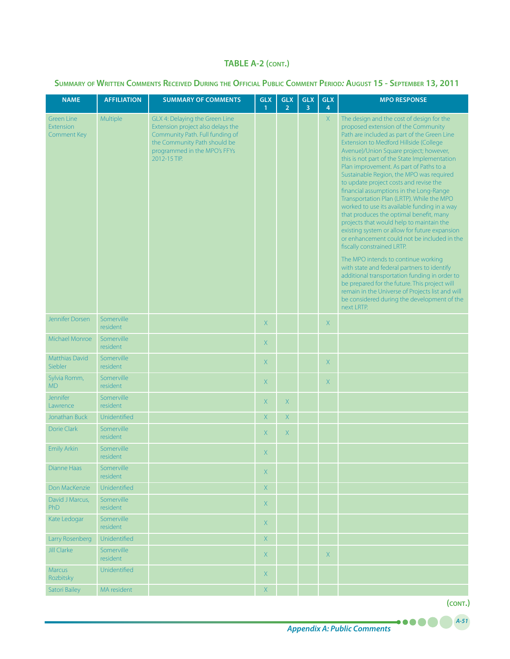## **Summary of Written Comments Received During the Official Public Comment Period***:* **August 15 - September 13, 2011**

| <b>NAME</b>                                   | <b>AFFILIATION</b>     | <b>SUMMARY OF COMMENTS</b>                                                                                                                                                             | <b>GLX</b><br>$\mathbf{1}$ | <b>GLX</b><br>$\overline{2}$ | <b>GLX</b><br>$\overline{3}$ | <b>GLX</b><br>4 | <b>MPO RESPONSE</b>                                                                                                                                                                                                                                                                                                                                                                                                                                                                                                                                                                                                                                                                                                                                                                                                                                                                                                                                                                                                                                                        |
|-----------------------------------------------|------------------------|----------------------------------------------------------------------------------------------------------------------------------------------------------------------------------------|----------------------------|------------------------------|------------------------------|-----------------|----------------------------------------------------------------------------------------------------------------------------------------------------------------------------------------------------------------------------------------------------------------------------------------------------------------------------------------------------------------------------------------------------------------------------------------------------------------------------------------------------------------------------------------------------------------------------------------------------------------------------------------------------------------------------------------------------------------------------------------------------------------------------------------------------------------------------------------------------------------------------------------------------------------------------------------------------------------------------------------------------------------------------------------------------------------------------|
| <b>Green Line</b><br>Extension<br>Comment Key | Multiple               | GLX 4: Delaying the Green Line<br>Extension project also delays the<br>Community Path. Full funding of<br>the Community Path should be<br>programmed in the MPO's FFYs<br>2012-15 TIP. |                            |                              |                              | $\mathsf{X}$    | The design and the cost of design for the<br>proposed extension of the Community<br>Path are included as part of the Green Line<br>Extension to Medford Hillside (College<br>Avenue)/Union Square project; however,<br>this is not part of the State Implementation<br>Plan improvement. As part of Paths to a<br>Sustainable Region, the MPO was required<br>to update project costs and revise the<br>financial assumptions in the Long-Range<br>Transportation Plan (LRTP). While the MPO<br>worked to use its available funding in a way<br>that produces the optimal benefit, many<br>projects that would help to maintain the<br>existing system or allow for future expansion<br>or enhancement could not be included in the<br>fiscally constrained LRTP.<br>The MPO intends to continue working<br>with state and federal partners to identify<br>additional transportation funding in order to<br>be prepared for the future. This project will<br>remain in the Universe of Projects list and will<br>be considered during the development of the<br>next LRTP. |
| Jennifer Dorsen                               | Somerville<br>resident |                                                                                                                                                                                        | X                          |                              |                              | X.              |                                                                                                                                                                                                                                                                                                                                                                                                                                                                                                                                                                                                                                                                                                                                                                                                                                                                                                                                                                                                                                                                            |
| Michael Monroe                                | Somerville<br>resident |                                                                                                                                                                                        | X                          |                              |                              |                 |                                                                                                                                                                                                                                                                                                                                                                                                                                                                                                                                                                                                                                                                                                                                                                                                                                                                                                                                                                                                                                                                            |
| <b>Matthias David</b><br>Siebler              | Somerville<br>resident |                                                                                                                                                                                        | X                          |                              |                              | X               |                                                                                                                                                                                                                                                                                                                                                                                                                                                                                                                                                                                                                                                                                                                                                                                                                                                                                                                                                                                                                                                                            |
| Sylvia Romm,<br>M <sub>D</sub>                | Somerville<br>resident |                                                                                                                                                                                        | $\mathsf{X}$               |                              |                              | X               |                                                                                                                                                                                                                                                                                                                                                                                                                                                                                                                                                                                                                                                                                                                                                                                                                                                                                                                                                                                                                                                                            |
| Jennifer<br>Lawrence                          | Somerville<br>resident |                                                                                                                                                                                        | $\mathsf{X}$               | $\mathsf{X}$                 |                              |                 |                                                                                                                                                                                                                                                                                                                                                                                                                                                                                                                                                                                                                                                                                                                                                                                                                                                                                                                                                                                                                                                                            |
| Jonathan Buck                                 | Unidentified           |                                                                                                                                                                                        | $\mathsf{X}$               | Χ                            |                              |                 |                                                                                                                                                                                                                                                                                                                                                                                                                                                                                                                                                                                                                                                                                                                                                                                                                                                                                                                                                                                                                                                                            |
| Dorie Clark                                   | Somerville<br>resident |                                                                                                                                                                                        | X.                         | X                            |                              |                 |                                                                                                                                                                                                                                                                                                                                                                                                                                                                                                                                                                                                                                                                                                                                                                                                                                                                                                                                                                                                                                                                            |
| <b>Emily Arkin</b>                            | Somerville<br>resident |                                                                                                                                                                                        | X.                         |                              |                              |                 |                                                                                                                                                                                                                                                                                                                                                                                                                                                                                                                                                                                                                                                                                                                                                                                                                                                                                                                                                                                                                                                                            |
| Dianne Haas                                   | Somerville<br>resident |                                                                                                                                                                                        | X.                         |                              |                              |                 |                                                                                                                                                                                                                                                                                                                                                                                                                                                                                                                                                                                                                                                                                                                                                                                                                                                                                                                                                                                                                                                                            |
| Don MacKenzie                                 | Unidentified           |                                                                                                                                                                                        | X                          |                              |                              |                 |                                                                                                                                                                                                                                                                                                                                                                                                                                                                                                                                                                                                                                                                                                                                                                                                                                                                                                                                                                                                                                                                            |
| David J Marcus,<br><b>PhD</b>                 | Somerville<br>resident |                                                                                                                                                                                        | X                          |                              |                              |                 |                                                                                                                                                                                                                                                                                                                                                                                                                                                                                                                                                                                                                                                                                                                                                                                                                                                                                                                                                                                                                                                                            |
| Kate Ledogar                                  | Somerville<br>resident |                                                                                                                                                                                        | X                          |                              |                              |                 |                                                                                                                                                                                                                                                                                                                                                                                                                                                                                                                                                                                                                                                                                                                                                                                                                                                                                                                                                                                                                                                                            |
| Larry Rosenberg                               | Unidentified           |                                                                                                                                                                                        | $\mathsf X$                |                              |                              |                 |                                                                                                                                                                                                                                                                                                                                                                                                                                                                                                                                                                                                                                                                                                                                                                                                                                                                                                                                                                                                                                                                            |
| <b>Jill Clarke</b>                            | Somerville<br>resident |                                                                                                                                                                                        | X                          |                              |                              | X               |                                                                                                                                                                                                                                                                                                                                                                                                                                                                                                                                                                                                                                                                                                                                                                                                                                                                                                                                                                                                                                                                            |
| Marcus<br>Rozbitsky                           | Unidentified           |                                                                                                                                                                                        | X                          |                              |                              |                 |                                                                                                                                                                                                                                                                                                                                                                                                                                                                                                                                                                                                                                                                                                                                                                                                                                                                                                                                                                                                                                                                            |
| <b>Satori Bailey</b>                          | MA resident            |                                                                                                                                                                                        | $\bar{\mathsf{X}}$         |                              |                              |                 |                                                                                                                                                                                                                                                                                                                                                                                                                                                                                                                                                                                                                                                                                                                                                                                                                                                                                                                                                                                                                                                                            |

**(cont.)**

*A-51*

....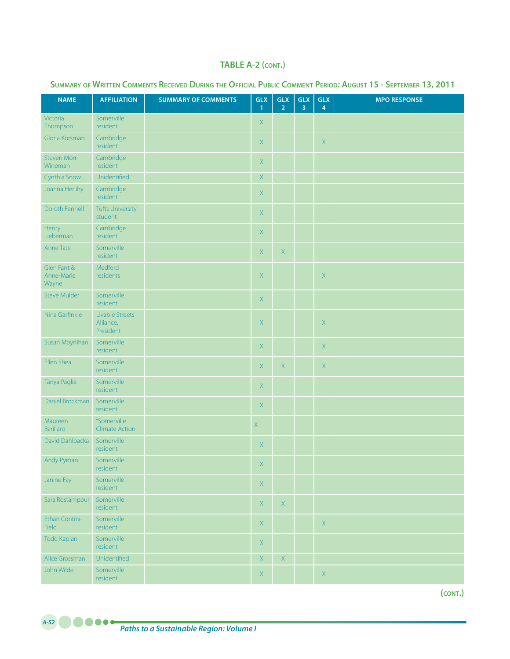| <b>NAME</b>                        | <b>AFFILIATION</b>                        | <b>SUMMARY OF COMMENTS</b> | <b>GLX</b><br>$\mathbf{1}$ | <b>GLX</b><br>$\overline{2}$ | GLX<br>3 | GLX<br>$\overline{4}$ | <b>MPO RESPONSE</b> |
|------------------------------------|-------------------------------------------|----------------------------|----------------------------|------------------------------|----------|-----------------------|---------------------|
| Victoria<br>Thompson               | Somerville<br>resident                    |                            | $\mathsf{X}$               |                              |          |                       |                     |
| Gloria Korsman                     | Cambridge<br>resident                     |                            | $\mathsf{X}$               |                              |          | $\mathsf X$           |                     |
| <b>Steven Morr-</b><br>Wineman     | Cambridge<br>resident                     |                            | $\mathsf{X}$               |                              |          |                       |                     |
| Cynthia Snow                       | Unidentified                              |                            | $\mathsf X$                |                              |          |                       |                     |
| Joanna Herlihy                     | Cambridge<br>resident                     |                            | $\mathsf{X}$               |                              |          |                       |                     |
| Doroth Fennell                     | <b>Tufts University</b><br>student        |                            | $\mathsf X$                |                              |          |                       |                     |
| Henry<br>Lieberman                 | Cambridge<br>resident                     |                            | $\mathsf X$                |                              |          |                       |                     |
| Anne Tate                          | Somerville<br>resident                    |                            | X                          | X                            |          |                       |                     |
| Glen Fant &<br>Anne-Marie<br>Wayne | Medford<br>residents                      |                            | $\mathsf X$                |                              |          | $\mathsf X$           |                     |
| <b>Steve Mulder</b>                | Somerville<br>resident                    |                            | $\mathsf X$                |                              |          |                       |                     |
| Nina Garfinkle                     | Livable Streets<br>Alliance,<br>President |                            | $\mathsf X$                |                              |          | $\mathsf X$           |                     |
| Susan Moynihan                     | Somerville<br>resident                    |                            | X                          |                              |          | X                     |                     |
| Ellen Shea                         | Somerville<br>resident                    |                            | X                          | $\mathsf X$                  |          | X                     |                     |
| Tanya Paglia                       | Somerville<br>resident                    |                            | $\mathsf X$                |                              |          |                       |                     |
| Daniel Brockman                    | Somerville<br>resident                    |                            | X                          |                              |          |                       |                     |
| Maureen<br><b>Barillaro</b>        | "Somerville<br><b>Climate Action</b>      |                            | $\mathsf X$                |                              |          |                       |                     |
| David Dahlbacka                    | Somerville<br>resident                    |                            | $\mathsf X$                |                              |          |                       |                     |
| Andy Pyman                         | Somerville<br>resident                    |                            | $\mathsf X$                |                              |          |                       |                     |
| Janine Fay                         | Somerville<br>resident                    |                            | $\mathsf X$                |                              |          |                       |                     |
| Sara Rostampour                    | Somerville<br>resident                    |                            | $\mathsf X$                | $\mathsf X$                  |          |                       |                     |
| Ethan Contini-<br>Field            | Somerville<br>resident                    |                            | $\mathsf X$                |                              |          | $\mathsf X$           |                     |
| <b>Todd Kaplan</b>                 | Somerville<br>resident                    |                            | $\mathsf X$                |                              |          |                       |                     |
| Alice Grossman                     | Unidentified                              |                            | $\mathsf{X}$               | $\mathsf{X}% _{0}$           |          |                       |                     |
| John Wilde                         | Somerville<br>resident                    |                            | $\mathsf X$                |                              |          | $\mathsf X$           |                     |

## **Summary of Written Comments Received During the Official Public Comment Period***:* **August 15 - September 13, 2011**

**(cont.)**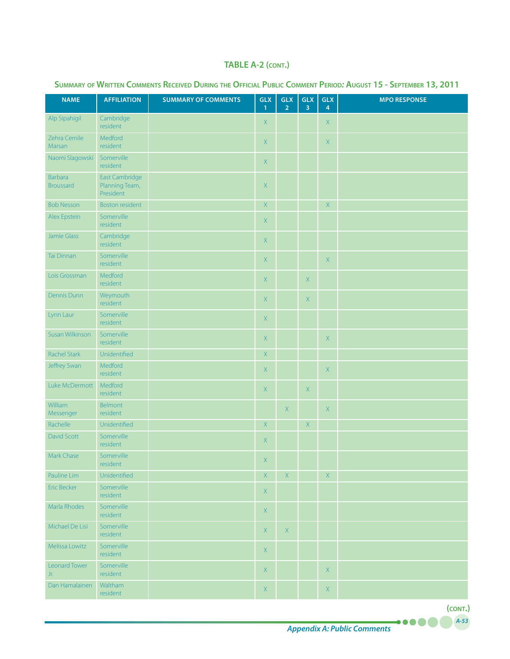| <b>NAME</b>                        | <b>AFFILIATION</b>                            | <b>SUMMARY OF COMMENTS</b> | <b>GLX</b><br>$\mathbf{1}$ | <b>GLX</b><br>$\overline{2}$ | GLX<br>$\overline{3}$ | <b>GLX</b><br>4                                     | <b>MPO RESPONSE</b> |
|------------------------------------|-----------------------------------------------|----------------------------|----------------------------|------------------------------|-----------------------|-----------------------------------------------------|---------------------|
| Alp Sipahigil                      | Cambridge<br>resident                         |                            | $\mathsf X$                |                              |                       | $\mathsf X$                                         |                     |
| Zehra Cemile<br>Marsan             | Medford<br>resident                           |                            | $\mathsf X$                |                              |                       | $\mathsf X$                                         |                     |
| Naomi Slagowski                    | Somerville<br>resident                        |                            | X                          |                              |                       |                                                     |                     |
| <b>Barbara</b><br><b>Broussard</b> | East Cambridge<br>Planning Team,<br>President |                            | $\mathsf X$                |                              |                       |                                                     |                     |
| <b>Bob Nesson</b>                  | <b>Boston resident</b>                        |                            | $\mathsf X$                |                              |                       | $\mathsf X$                                         |                     |
| Alex Epstein                       | Somerville<br>resident                        |                            | $\mathsf{X}% _{0}$         |                              |                       |                                                     |                     |
| Jamie Glass                        | Cambridge<br>resident                         |                            | $\mathsf X$                |                              |                       |                                                     |                     |
| Tai Dinnan                         | Somerville<br>resident                        |                            | $\mathsf X$                |                              |                       | $\bar{\mathsf{X}}$                                  |                     |
| Lois Grossman                      | Medford<br>resident                           |                            | $\mathsf X$                |                              | $\mathsf X$           |                                                     |                     |
| Dennis Dunn                        | Weymouth<br>resident                          |                            | $\mathsf X$                |                              | $\mathsf X$           |                                                     |                     |
| Lynn Laur                          | Somerville<br>resident                        |                            | $\mathsf X$                |                              |                       |                                                     |                     |
| Susan Wilkinson                    | Somerville<br>resident                        |                            | $\mathsf X$                |                              |                       | $\mathsf X$                                         |                     |
| <b>Rachel Stark</b>                | Unidentified                                  |                            | $\mathsf X$                |                              |                       |                                                     |                     |
| Jeffrey Swan                       | Medford<br>resident                           |                            | $\mathsf X$                |                              |                       | $\mathsf X$                                         |                     |
| Luke McDermott                     | Medford<br>resident                           |                            | $\mathsf{X}$               |                              | $\mathsf X$           |                                                     |                     |
| William<br>Messenger               | Belmont<br>resident                           |                            |                            | $\mathsf X$                  |                       | $\mathsf X$                                         |                     |
| Rachelle                           | Unidentified                                  |                            | $\mathsf X$                |                              | $\mathsf X$           |                                                     |                     |
| <b>David Scott</b>                 | Somerville<br>resident                        |                            | $\mathsf{X}% _{0}$         |                              |                       |                                                     |                     |
| Mark Chase                         | Somerville<br>resident                        |                            | X                          |                              |                       |                                                     |                     |
| Pauline Lim                        | Unidentified                                  |                            | X                          | $\mathsf{X}$                 |                       | $\mathsf X$                                         |                     |
| <b>Eric Becker</b>                 | Somerville<br>resident                        |                            | $\mathsf{X}$               |                              |                       |                                                     |                     |
| Marla Rhodes                       | Somerville<br>resident                        |                            | $\mathsf{X}$               |                              |                       |                                                     |                     |
| Michael De Lisi                    | Somerville<br>resident                        |                            | $X_{\rm c}$                | X                            |                       |                                                     |                     |
| Melissa Lowitz                     | Somerville<br>resident                        |                            | $\mathsf{X}$               |                              |                       |                                                     |                     |
| <b>Leonard Tower</b><br>Jr.        | Somerville<br>resident                        |                            | $\mathsf{X}$               |                              |                       | $\mathsf{X}% _{0}^{\prime}=\mathsf{X}_{0}^{\prime}$ |                     |
| Dan Hamalainen                     | Waltham<br>resident                           |                            | $\mathsf{X}$               |                              |                       | $\mathsf X$                                         |                     |

# **Summary of Written Comments Received During the Official Public Comment Period***:* **August 15 - September 13, 2011**

*Appendix A: Public Comments*

*A-53* **(cont.)**

.....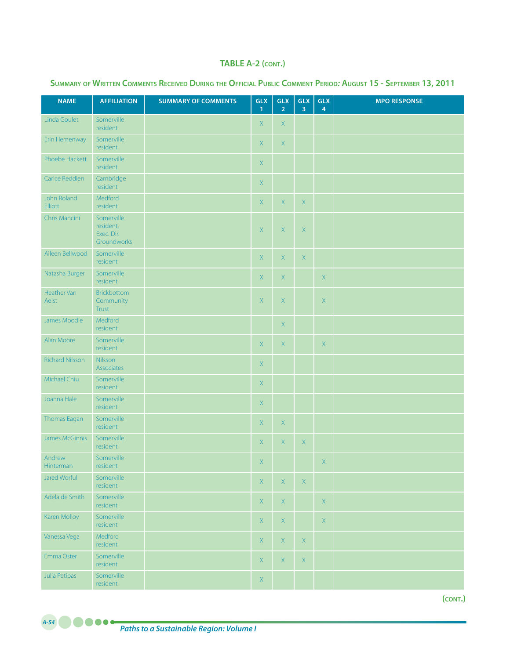| <b>NAME</b>            | <b>AFFILIATION</b>                                   | <b>SUMMARY OF COMMENTS</b> | GLX<br>$\mathbf{1}$ | <b>GLX</b><br>2 <sup>7</sup> | GLX<br>$\overline{3}$ | <b>GLX</b><br>$\overline{4}$ | <b>MPO RESPONSE</b> |
|------------------------|------------------------------------------------------|----------------------------|---------------------|------------------------------|-----------------------|------------------------------|---------------------|
| Linda Goulet           | Somerville<br>resident                               |                            | X                   | X                            |                       |                              |                     |
| Erin Hemenway          | Somerville<br>resident                               |                            | X                   | $\mathsf{X}$                 |                       |                              |                     |
| Phoebe Hackett         | Somerville<br>resident                               |                            | X                   |                              |                       |                              |                     |
| Carice Reddien         | Cambridge<br>resident                                |                            | $\mathsf X$         |                              |                       |                              |                     |
| John Roland<br>Elliott | Medford<br>resident                                  |                            | X                   | X                            | $\mathsf X$           |                              |                     |
| Chris Mancini          | Somerville<br>resident,<br>Exec. Dir.<br>Groundworks |                            | X                   | X                            | $\mathsf X$           |                              |                     |
| Aileen Bellwood        | Somerville<br>resident                               |                            | $\mathsf X$         | $\mathsf X$                  | $\mathsf X$           |                              |                     |
| Natasha Burger         | Somerville<br>resident                               |                            | $\mathsf X$         | $\mathsf X$                  |                       | $\mathsf X$                  |                     |
| Heather Van<br>Aelst   | Brickbottom<br>Community<br><b>Trust</b>             |                            | $\mathsf X$         | $\mathsf X$                  |                       | $\mathsf X$                  |                     |
| James Moodie           | Medford<br>resident                                  |                            |                     | $\mathsf{X}$                 |                       |                              |                     |
| Alan Moore             | Somerville<br>resident                               |                            | X                   | X                            |                       | $\mathsf{X}$                 |                     |
| <b>Richard Nilsson</b> | Nilsson<br>Associates                                |                            | $\mathsf{X}% _{0}$  |                              |                       |                              |                     |
| Michael Chiu           | Somerville<br>resident                               |                            | $\mathsf X$         |                              |                       |                              |                     |
| Joanna Hale            | Somerville<br>resident                               |                            | $\mathsf X$         |                              |                       |                              |                     |
| Thomas Eagan           | Somerville<br>resident                               |                            | X                   | X                            |                       |                              |                     |
| James McGinnis         | Somerville<br>resident                               |                            | X                   | X                            | $\mathsf X$           |                              |                     |
| Andrew<br>Hinterman    | Somerville<br>resident                               |                            | X.                  |                              |                       | $\mathsf{X}$                 |                     |
| Jared Worful           | Somerville<br>resident                               |                            | $\mathsf{X}% _{0}$  | X                            | $\mathsf X$           |                              |                     |
| Adelaide Smith         | Somerville<br>resident                               |                            | $\mathsf{X}% _{0}$  | $\mathsf{X}$                 |                       | $\mathsf{X}% _{0}$           |                     |
| Karen Molloy           | Somerville<br>resident                               |                            | $\mathsf{X}$        | $\mathsf{X}$                 |                       | $\mathsf X$                  |                     |
| Vanessa Vega           | Medford<br>resident                                  |                            | $\mathsf{X}$        | $\mathsf{X}$                 | $\mathsf X$           |                              |                     |
| Emma Oster             | Somerville<br>resident                               |                            | $\mathsf{X}% _{0}$  | $\mathsf{X}$                 | $\mathsf X$           |                              |                     |
| Julia Petipas          | Somerville<br>resident                               |                            | $\mathsf X$         |                              |                       |                              |                     |

## **Summary of Written Comments Received During the Official Public Comment Period***:* **August 15 - September 13, 2011**

**(cont.)**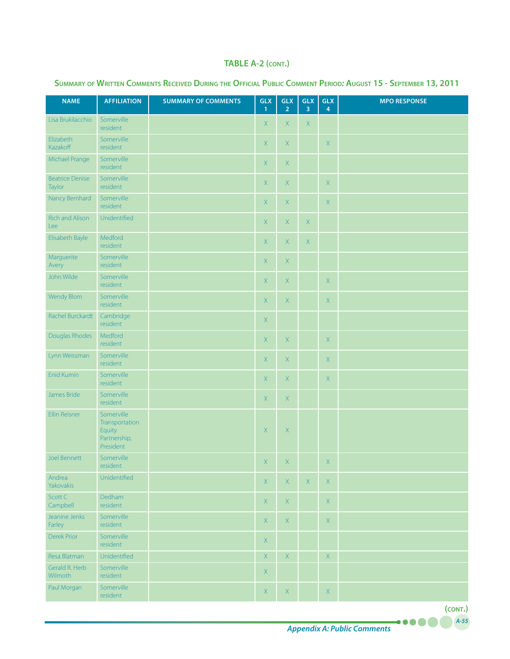| <b>NAME</b>                      | <b>AFFILIATION</b>                                                  | <b>SUMMARY OF COMMENTS</b> | <b>GLX</b><br>$\overline{1}$ | <b>GLX</b><br>$\overline{2}$ | <b>GLX</b><br>$\overline{3}$ | <b>GLX</b><br>$\overline{4}$ | <b>MPO RESPONSE</b> |
|----------------------------------|---------------------------------------------------------------------|----------------------------|------------------------------|------------------------------|------------------------------|------------------------------|---------------------|
| Lisa Brukilacchio                | Somerville<br>resident                                              |                            | $\mathsf X$                  | $\mathsf{X}$                 | $\mathsf X$                  |                              |                     |
| Elizabeth<br>Kazakoff            | Somerville<br>resident                                              |                            | $\mathsf{X}$                 | $\mathsf X$                  |                              | $\mathsf X$                  |                     |
| Michael Prange                   | Somerville<br>resident                                              |                            | $\mathsf{X}$                 | $\mathsf X$                  |                              |                              |                     |
| <b>Beatrice Denise</b><br>Taylor | Somerville<br>resident                                              |                            | X                            | $\mathsf X$                  |                              | X                            |                     |
| Nancy Bernhard                   | Somerville<br>resident                                              |                            | X                            | $\mathsf X$                  |                              | $\mathsf X$                  |                     |
| Rich and Alison<br>Lee           | Unidentified                                                        |                            | X                            | $\mathsf{X}$                 | $\mathsf X$                  |                              |                     |
| Elisabeth Bayle                  | Medford<br>resident                                                 |                            | X                            | $\mathsf{X}$                 | $\mathsf X$                  |                              |                     |
| Marguerite<br>Avery              | Somerville<br>resident                                              |                            | X                            | $\mathsf{X}$                 |                              |                              |                     |
| John Wilde                       | Somerville<br>resident                                              |                            | $\mathsf X$                  | $\mathsf X$                  |                              | $\mathsf X$                  |                     |
| <b>Wendy Blom</b>                | Somerville<br>resident                                              |                            | $\mathsf X$                  | $\mathsf X$                  |                              | $\mathsf X$                  |                     |
| Rachel Burckardt                 | Cambridge<br>resident                                               |                            | $\mathsf X$                  |                              |                              |                              |                     |
| Douglas Rhodes                   | Medford<br>resident                                                 |                            | $\mathsf X$                  | $\mathsf X$                  |                              | $\mathsf X$                  |                     |
| Lynn Weissman                    | Somerville<br>resident                                              |                            | $\mathsf X$                  | $\mathsf X$                  |                              | $\mathsf X$                  |                     |
| <b>Enid Kumin</b>                | Somerville<br>resident                                              |                            | $\mathsf{X}$                 | $\mathsf X$                  |                              | $\mathsf X$                  |                     |
| James Bride                      | Somerville<br>resident                                              |                            | $\mathsf{X}$                 | $\mathsf X$                  |                              |                              |                     |
| Ellin Reisner                    | Somerville<br>Transportation<br>Equity<br>Partnership,<br>President |                            | $\mathsf X$                  | $\mathsf X$                  |                              |                              |                     |
| Joel Bennett                     | Somerville<br>resident                                              |                            | X                            | $\mathsf X$                  |                              | $\mathsf X$                  |                     |
| Andrea<br>Yakovakis              | Unidentified                                                        |                            | X                            | X                            | $\mathsf X$                  | $\mathsf X$                  |                     |
| Scott C<br>Campbell              | Dedham<br>resident                                                  |                            | X                            | $\mathsf{X}$                 |                              | $\mathsf X$                  |                     |
| Jeanine Jenks<br>Farley          | Somerville<br>resident                                              |                            | X                            | $\mathsf{X}$                 |                              | $\mathsf{X}% _{0}$           |                     |
| <b>Derek Prior</b>               | Somerville<br>resident                                              |                            | X                            |                              |                              |                              |                     |
| Resa Blatman                     | Unidentified                                                        |                            | $\mathsf{X}$                 | $\mathsf X$                  |                              | $\mathsf X$                  |                     |
| Gerald R. Herb<br>Wilmoth        | Somerville<br>resident                                              |                            | $\mathsf{X}$                 |                              |                              |                              |                     |
| Paul Morgan                      | Somerville<br>resident                                              |                            | X                            | $\mathsf{X}$                 |                              | $\mathsf X$                  |                     |

#### **Summary of Written Comments Received During the Official Public Comment Period***:* **August 15 - September 13, 2011**

*A-55*

.....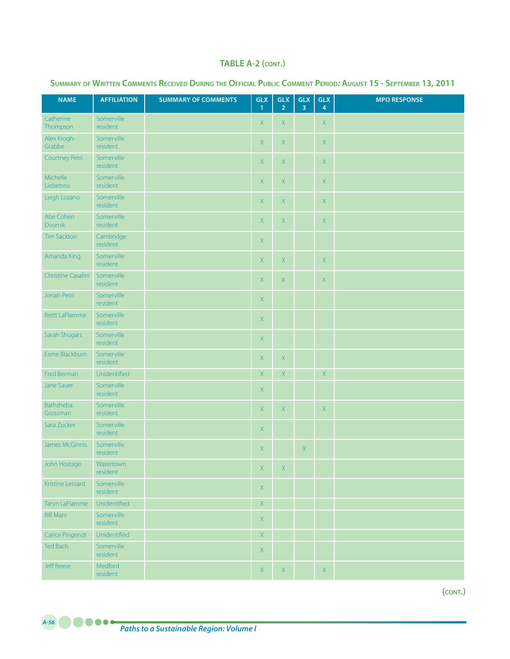| <b>NAME</b>           | <b>AFFILIATION</b>     | <b>SUMMARY OF COMMENTS</b> | <b>GLX</b><br>$\mathbf{1}$ | <b>GLX</b><br>2 <sup>1</sup> | <b>GLX</b><br>$\overline{3}$ | <b>GLX</b><br>$\overline{4}$ | <b>MPO RESPONSE</b> |
|-----------------------|------------------------|----------------------------|----------------------------|------------------------------|------------------------------|------------------------------|---------------------|
| Catherine<br>Thompson | Somerville<br>resident |                            | X                          | $\mathsf{X}$                 |                              | X                            |                     |
| Alex Krogh-<br>Grabbe | Somerville<br>resident |                            | X                          | $\mathsf X$                  |                              | $\mathsf X$                  |                     |
| Courtney Petri        | Somerville<br>resident |                            | X                          | $\mathsf{X}$                 |                              | X                            |                     |
| Michelle<br>Liebetreu | Somerville<br>resident |                            | X                          | $\mathsf X$                  |                              | $\mathsf X$                  |                     |
| Leigh Lozano          | Somerville<br>resident |                            | X                          | $\mathsf X$                  |                              | $\mathsf X$                  |                     |
| Abe Cohen<br>Dvornik  | Somerville<br>resident |                            | X                          | $\mathsf X$                  |                              | $\mathsf X$                  |                     |
| <b>Tim Sackton</b>    | Cambridge<br>resident  |                            | X                          |                              |                              |                              |                     |
| Amanda King           | Somerville<br>resident |                            | X                          | X                            |                              | $\mathsf{X}$                 |                     |
| Christine Casalini    | Somerville<br>resident |                            | X                          | $\mathsf X$                  |                              | $\mathsf{X}$                 |                     |
| Jonah Petri           | Somerville<br>resident |                            | $\mathsf X$                |                              |                              |                              |                     |
| <b>Brett LaFlamme</b> | Somerville<br>resident |                            | $\mathsf X$                |                              |                              |                              |                     |
| Sarah Shugars         | Somerville<br>resident |                            | $\mathsf X$                |                              |                              |                              |                     |
| Esme Blackburn        | Somerville<br>resident |                            | $\mathsf X$                | $\mathsf X$                  |                              |                              |                     |
| Fred Berman           | Unidentified           |                            | $\mathsf X$                | $\mathsf X$                  |                              | $\mathsf X$                  |                     |
| <b>Jane Sauer</b>     | Somerville<br>resident |                            | X                          |                              |                              |                              |                     |
| Bathsheba<br>Grossman | Somerville<br>resident |                            | $\mathsf X$                | $\mathsf X$                  |                              | $\mathsf X$                  |                     |
| Sara Zucker           | Somerville<br>resident |                            | $\mathsf X$                |                              |                              |                              |                     |
| James McGinnis        | Somerville<br>resident |                            | $\mathsf X$                |                              | $\mathsf X$                  |                              |                     |
| John Hostage          | Watertown<br>resident  |                            | X                          | $\boldsymbol{\mathsf{X}}$    |                              |                              |                     |
| Kristine Lessard      | Somerville<br>resident |                            | $\mathsf X$                |                              |                              |                              |                     |
| Taryn LaFlamme        | Unidentified           |                            | $\mathsf X$                |                              |                              |                              |                     |
| <b>Bill Marx</b>      | Somerville<br>resident |                            | $\mathsf{X}$               |                              |                              |                              |                     |
| Carice Pingenot       | Unidentified           |                            | $\mathsf X$                |                              |                              |                              |                     |
| Ted Bach              | Somerville<br>resident |                            | $\mathsf X$                |                              |                              |                              |                     |
| <b>Jeff Reese</b>     | Medford<br>resident    |                            | X                          | X                            |                              | $\mathsf{X}$                 |                     |

## **Summary of Written Comments Received During the Official Public Comment Period***:* **August 15 - September 13, 2011**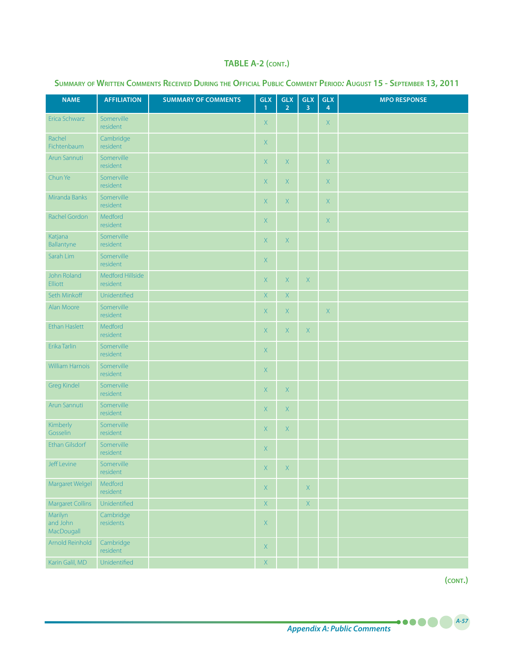| <b>NAME</b>                       | <b>AFFILIATION</b>           | <b>SUMMARY OF COMMENTS</b> | <b>GLX</b><br>$\mathbf{1}$ | <b>GLX</b><br>2 <sup>1</sup> | GLX<br>$\overline{3}$ | GLX<br>$\overline{4}$ | <b>MPO RESPONSE</b> |
|-----------------------------------|------------------------------|----------------------------|----------------------------|------------------------------|-----------------------|-----------------------|---------------------|
| Erica Schwarz                     | Somerville<br>resident       |                            | $\mathsf X$                |                              |                       | $\mathsf{X}$          |                     |
| Rachel<br>Fichtenbaum             | Cambridge<br>resident        |                            | $\mathsf{X}$               |                              |                       |                       |                     |
| Arun Sannuti                      | Somerville<br>resident       |                            | $\mathsf{X}% _{0}$         | $\mathsf{X}$                 |                       | $\mathsf X$           |                     |
| Chun Ye                           | Somerville<br>resident       |                            | X                          | X                            |                       | $\mathsf X$           |                     |
| Miranda Banks                     | Somerville<br>resident       |                            | X                          | X                            |                       | $\mathsf X$           |                     |
| Rachel Gordon                     | Medford<br>resident          |                            | X                          |                              |                       | $\mathsf X$           |                     |
| Katjana<br>Ballantyne             | Somerville<br>resident       |                            | X                          | X                            |                       |                       |                     |
| Sarah Lim                         | Somerville<br>resident       |                            | X                          |                              |                       |                       |                     |
| John Roland<br>Elliott            | Medford Hillside<br>resident |                            | $\mathsf{X}$               | X                            | $\mathsf X$           |                       |                     |
| Seth Minkoff                      | Unidentified                 |                            | X                          | $\mathsf{X}$                 |                       |                       |                     |
| Alan Moore                        | Somerville<br>resident       |                            | $\mathsf{X}$               | X                            |                       | $\mathsf X$           |                     |
| <b>Ethan Haslett</b>              | Medford<br>resident          |                            | X                          | X                            | $\mathsf X$           |                       |                     |
| Erika Tarlin                      | Somerville<br>resident       |                            | X                          |                              |                       |                       |                     |
| William Harnois                   | Somerville<br>resident       |                            | $\mathsf{X}$               |                              |                       |                       |                     |
| <b>Greg Kindel</b>                | Somerville<br>resident       |                            | $\mathsf X$                | $\mathsf{X}$                 |                       |                       |                     |
| Arun Sannuti                      | Somerville<br>resident       |                            | $\mathsf{X}$               | $\mathsf{X}$                 |                       |                       |                     |
| Kimberly<br>Gosselin              | Somerville<br>resident       |                            | $\mathsf X$                | $\mathsf X$                  |                       |                       |                     |
| <b>Ethan Gilsdorf</b>             | Somerville<br>resident       |                            | $\mathsf X$                |                              |                       |                       |                     |
| Jeff Levine                       | Somerville<br>resident       |                            | $X^{\pm}$                  | $\mathbf{X}$                 |                       |                       |                     |
| Margaret Welgel                   | Medford<br>resident          |                            | $\mathsf X$                |                              | $\mathsf X$           |                       |                     |
| <b>Margaret Collins</b>           | Unidentified                 |                            | $\mathsf X$                |                              | $\mathsf X$           |                       |                     |
| Marilyn<br>and John<br>MacDougall | Cambridge<br>residents       |                            | $\mathsf X$                |                              |                       |                       |                     |
| Arnold Reinhold                   | Cambridge<br>resident        |                            | $\mathsf X$                |                              |                       |                       |                     |
| Karin Galil, MD                   | Unidentified                 |                            | $\overline{X}$             |                              |                       |                       |                     |

## **Summary of Written Comments Received During the Official Public Comment Period***:* **August 15 - September 13, 2011**

**(cont.)**

*A-57*

**.....**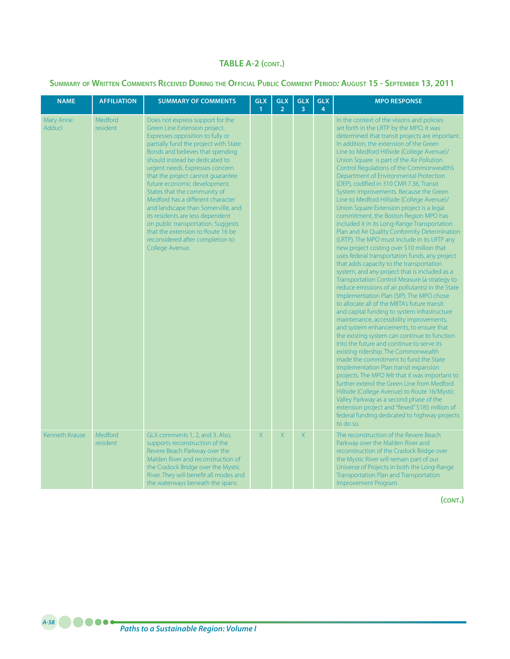## **Summary of Written Comments Received During the Official Public Comment Period***:* **August 15 - September 13, 2011**

| <b>NAME</b>           | <b>AFFILIATION</b>  | <b>SUMMARY OF COMMENTS</b>                                                                                                                                                                                                                                                                                                                                                                                                                                                                                                                                                                                    | <b>GLX</b><br>$\mathbf{1}$ | <b>GLX</b><br>2 <sup>1</sup> | <b>GLX</b><br>$\overline{3}$ | <b>GLX</b><br>$\overline{4}$ | <b>MPO RESPONSE</b>                                                                                                                                                                                                                                                                                                                                                                                                                                                                                                                                                                                                                                                                                                                                                                                                                                                                                                                                                                                                                                                                                                                                                                                                                                                                                                                                                                                                                                                                                                                                                                                                                                                                                                                                                                                                        |
|-----------------------|---------------------|---------------------------------------------------------------------------------------------------------------------------------------------------------------------------------------------------------------------------------------------------------------------------------------------------------------------------------------------------------------------------------------------------------------------------------------------------------------------------------------------------------------------------------------------------------------------------------------------------------------|----------------------------|------------------------------|------------------------------|------------------------------|----------------------------------------------------------------------------------------------------------------------------------------------------------------------------------------------------------------------------------------------------------------------------------------------------------------------------------------------------------------------------------------------------------------------------------------------------------------------------------------------------------------------------------------------------------------------------------------------------------------------------------------------------------------------------------------------------------------------------------------------------------------------------------------------------------------------------------------------------------------------------------------------------------------------------------------------------------------------------------------------------------------------------------------------------------------------------------------------------------------------------------------------------------------------------------------------------------------------------------------------------------------------------------------------------------------------------------------------------------------------------------------------------------------------------------------------------------------------------------------------------------------------------------------------------------------------------------------------------------------------------------------------------------------------------------------------------------------------------------------------------------------------------------------------------------------------------|
| Mary Anne<br>Adduci   | Medford<br>resident | Does not express support for the<br>Green Line Extension project.<br>Expresses opposition to fully or<br>partially fund the project with State<br>Bonds and believes that spending<br>should instead be dedicated to<br>urgent needs. Expresses concern<br>that the project cannot quarantee<br>future economic development.<br>States that the community of<br>Medford has a different character<br>and landscape than Somerville, and<br>its residents are less dependent<br>on public transportation. Suggests<br>that the extension to Route 16 be<br>reconsidered after completion to<br>College Avenue. |                            |                              |                              |                              | In the context of the visions and policies<br>set forth in the LRTP by the MPO, it was<br>determined that transit projects are important.<br>In addition, the extension of the Green<br>Line to Medford Hillside (College Avenue)/<br>Union Square is part of the Air Pollution<br>Control Regulations of the Commonwealth's<br>Department of Environmental Protection<br>(DEP), codified in 310 CMR 7.36, Transit<br>System Improvements. Because the Green<br>Line to Medford Hillside (College Avenue)/<br>Union Square Extension project is a legal<br>commitment, the Boston Region MPO has<br>included it in its Long-Range Transportation<br>Plan and Air Quality Conformity Determination<br>(LRTP). The MPO must include in its LRTP any<br>new project costing over \$10 million that<br>uses federal transportation funds, any project<br>that adds capacity to the transportation<br>system, and any project that is included as a<br>Transportation Control Measure (a strategy to<br>reduce emissions of air pollutants) in the State<br>Implementation Plan (SIP). The MPO chose<br>to allocate all of the MBTA's future transit<br>and capital funding to system infrastructure<br>maintenance, accessibility improvements,<br>and system enhancements, to ensure that<br>the existing system can continue to function<br>into the future and continue to serve its<br>existing ridership. The Commonwealth<br>made the commitment to fund the State<br>Implementation Plan transit expansion<br>projects. The MPO felt that it was important to<br>further extend the Green Line from Medford<br>Hillside (College Avenue) to Route 16/Mystic<br>Valley Parkway as a second phase of the<br>extension project and "flexed" \$185 million of<br>federal funding dedicated to highway projects<br>to do so. |
| <b>Kenneth Krause</b> | Medford<br>resident | GLX comments 1, 2, and 3. Also,<br>supports reconstruction of the<br>Revere Beach Parkway over the<br>Malden River and reconstruction of<br>the Cradock Bridge over the Mystic<br>River. They will benefit all modes and<br>the waterways beneath the spans.                                                                                                                                                                                                                                                                                                                                                  | X                          | X                            | X                            |                              | The reconstruction of the Revere Beach<br>Parkway over the Malden River and<br>reconstruction of the Cradock Bridge over<br>the Mystic River will remain part of our<br>Universe of Projects in both the Long-Range<br>Transportation Plan and Transportation<br>Improvement Program.                                                                                                                                                                                                                                                                                                                                                                                                                                                                                                                                                                                                                                                                                                                                                                                                                                                                                                                                                                                                                                                                                                                                                                                                                                                                                                                                                                                                                                                                                                                                      |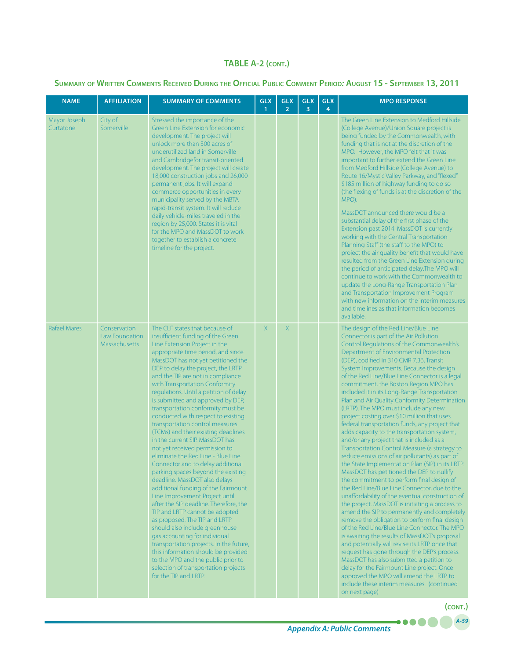## **Summary of Written Comments Received During the Official Public Comment Period***:* **August 15 - September 13, 2011**

| <b>NAME</b>               | <b>AFFILIATION</b>                                     | <b>SUMMARY OF COMMENTS</b>                                                                                                                                                                                                                                                                                                                                                                                                                                                                                                                                                                                                                                                                                                                                                                                                                                                                                                                                                                                                                                                                                                                                                                                 | <b>GLX</b><br>$\mathbf{1}$ | <b>GLX</b><br>$\overline{2}$ | <b>GLX</b><br>3 | <b>GLX</b><br>4 | <b>MPO RESPONSE</b>                                                                                                                                                                                                                                                                                                                                                                                                                                                                                                                                                                                                                                                                                                                                                                                                                                                                                                                                                                                                                                                                                                                                                                                                                                                                                                                                                                                                                                                                                                                                                                                       |
|---------------------------|--------------------------------------------------------|------------------------------------------------------------------------------------------------------------------------------------------------------------------------------------------------------------------------------------------------------------------------------------------------------------------------------------------------------------------------------------------------------------------------------------------------------------------------------------------------------------------------------------------------------------------------------------------------------------------------------------------------------------------------------------------------------------------------------------------------------------------------------------------------------------------------------------------------------------------------------------------------------------------------------------------------------------------------------------------------------------------------------------------------------------------------------------------------------------------------------------------------------------------------------------------------------------|----------------------------|------------------------------|-----------------|-----------------|-----------------------------------------------------------------------------------------------------------------------------------------------------------------------------------------------------------------------------------------------------------------------------------------------------------------------------------------------------------------------------------------------------------------------------------------------------------------------------------------------------------------------------------------------------------------------------------------------------------------------------------------------------------------------------------------------------------------------------------------------------------------------------------------------------------------------------------------------------------------------------------------------------------------------------------------------------------------------------------------------------------------------------------------------------------------------------------------------------------------------------------------------------------------------------------------------------------------------------------------------------------------------------------------------------------------------------------------------------------------------------------------------------------------------------------------------------------------------------------------------------------------------------------------------------------------------------------------------------------|
| Mayor Joseph<br>Curtatone | City of<br>Somerville                                  | Stressed the importance of the<br>Green Line Extension for economic<br>development. The project will<br>unlock more than 300 acres of<br>underutilized land in Somerville<br>and Cambridgefor transit-oriented<br>development. The project will create<br>18,000 construction jobs and 26,000<br>permanent jobs. It will expand<br>commerce opportunities in every<br>municipality served by the MBTA<br>rapid-transit system. It will reduce<br>daily vehicle-miles traveled in the<br>region by 25,000. States it is vital<br>for the MPO and MassDOT to work<br>together to establish a concrete<br>timeline for the project.                                                                                                                                                                                                                                                                                                                                                                                                                                                                                                                                                                           |                            |                              |                 |                 | The Green Line Extension to Medford Hillside<br>(College Avenue)/Union Square project is<br>being funded by the Commonwealth, with<br>funding that is not at the discretion of the<br>MPO. However, the MPO felt that it was<br>important to further extend the Green Line<br>from Medford Hillside (College Avenue) to<br>Route 16/Mystic Valley Parkway, and "flexed"<br>\$185 million of highway funding to do so<br>(the flexing of funds is at the discretion of the<br>MPO).<br>MassDOT announced there would be a<br>substantial delay of the first phase of the<br>Extension past 2014. MassDOT is currently<br>working with the Central Transportation<br>Planning Staff (the staff to the MPO) to<br>project the air quality benefit that would have<br>resulted from the Green Line Extension during<br>the period of anticipated delay. The MPO will<br>continue to work with the Commonwealth to<br>update the Long-Range Transportation Plan<br>and Transportation Improvement Program<br>with new information on the interim measures<br>and timelines as that information becomes<br>available.                                                                                                                                                                                                                                                                                                                                                                                                                                                                                           |
| <b>Rafael Mares</b>       | Conservation<br>Law Foundation<br><b>Massachusetts</b> | The CLF states that because of<br>insufficient funding of the Green<br>Line Extension Project in the<br>appropriate time period, and since<br>MassDOT has not yet petitioned the<br>DEP to delay the project, the LRTP<br>and the TIP are not in compliance<br>with Transportation Conformity<br>regulations. Until a petition of delay<br>is submitted and approved by DEP,<br>transportation conformity must be<br>conducted with respect to existing<br>transportation control measures<br>(TCMs) and their existing deadlines<br>in the current SIP. MassDOT has<br>not yet received permission to<br>eliminate the Red Line - Blue Line<br>Connector and to delay additional<br>parking spaces beyond the existing<br>deadline. MassDOT also delays<br>additional funding of the Fairmount<br>Line Improvement Project until<br>after the SIP deadline. Therefore, the<br>TIP and LRTP cannot be adopted<br>as proposed. The TIP and LRTP<br>should also include greenhouse<br>gas accounting for individual<br>transportation projects. In the future,<br>this information should be provided<br>to the MPO and the public prior to<br>selection of transportation projects<br>for the TIP and LRTP. | X                          | X                            |                 |                 | The design of the Red Line/Blue Line<br>Connector is part of the Air Pollution<br>Control Regulations of the Commonwealth's<br>Department of Environmental Protection<br>(DEP), codified in 310 CMR 7.36, Transit<br>System Improvements. Because the design<br>of the Red Line/Blue Line Connector is a legal<br>commitment, the Boston Region MPO has<br>included it in its Long-Range Transportation<br>Plan and Air Quality Conformity Determination<br>(LRTP). The MPO must include any new<br>project costing over \$10 million that uses<br>federal transportation funds, any project that<br>adds capacity to the transportation system,<br>and/or any project that is included as a<br>Transportation Control Measure (a strategy to<br>reduce emissions of air pollutants) as part of<br>the State Implementation Plan (SIP) in its LRTP.<br>MassDOT has petitioned the DEP to nullify<br>the commitment to perform final design of<br>the Red Line/Blue Line Connector, due to the<br>unaffordability of the eventual construction of<br>the project. MassDOT is initiating a process to<br>amend the SIP to permanently and completely<br>remove the obligation to perform final design<br>of the Red Line/Blue Line Connector. The MPO<br>is awaiting the results of MassDOT's proposal<br>and potentially will revise its LRTP once that<br>request has gone through the DEP's process.<br>MassDOT has also submitted a petition to<br>delay for the Fairmount Line project. Once<br>approved the MPO will amend the LRTP to<br>include these interim measures. (continued<br>on next page) |

*A-59*

**(cont.)**

....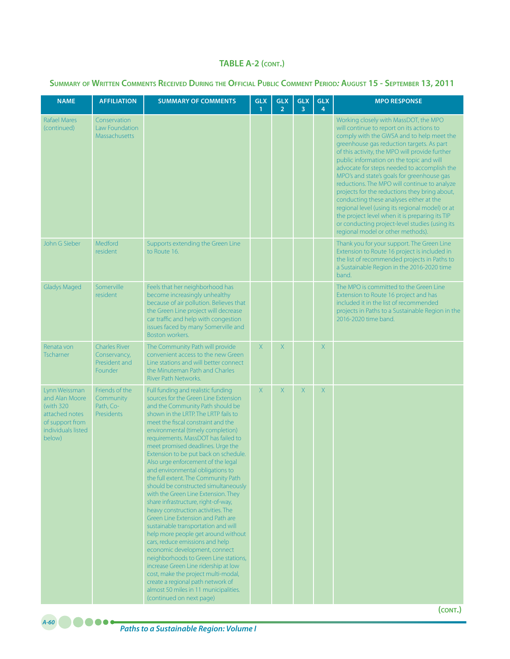# **Summary of Written Comments Received During the Official Public Comment Period***:* **August 15 - September 13, 2011**

| <b>NAME</b>                                                                                                        | <b>AFFILIATION</b>                                               | <b>SUMMARY OF COMMENTS</b>                                                                                                                                                                                                                                                                                                                                                                                                                                                                                                                                                                                                                                                                                                                                                                                                                                                                                                                                                                                                                                   | <b>GLX</b><br>$\mathbf{1}$ | <b>GLX</b><br>$\overline{2}$ | <b>GLX</b><br>3 | <b>GLX</b><br>4 | <b>MPO RESPONSE</b>                                                                                                                                                                                                                                                                                                                                                                                                                                                                                                                                                                                                                                                                                             |
|--------------------------------------------------------------------------------------------------------------------|------------------------------------------------------------------|--------------------------------------------------------------------------------------------------------------------------------------------------------------------------------------------------------------------------------------------------------------------------------------------------------------------------------------------------------------------------------------------------------------------------------------------------------------------------------------------------------------------------------------------------------------------------------------------------------------------------------------------------------------------------------------------------------------------------------------------------------------------------------------------------------------------------------------------------------------------------------------------------------------------------------------------------------------------------------------------------------------------------------------------------------------|----------------------------|------------------------------|-----------------|-----------------|-----------------------------------------------------------------------------------------------------------------------------------------------------------------------------------------------------------------------------------------------------------------------------------------------------------------------------------------------------------------------------------------------------------------------------------------------------------------------------------------------------------------------------------------------------------------------------------------------------------------------------------------------------------------------------------------------------------------|
| <b>Rafael Mares</b><br>(continued)                                                                                 | Conservation<br>Law Foundation<br>Massachusetts                  |                                                                                                                                                                                                                                                                                                                                                                                                                                                                                                                                                                                                                                                                                                                                                                                                                                                                                                                                                                                                                                                              |                            |                              |                 |                 | Working closely with MassDOT, the MPO<br>will continue to report on its actions to<br>comply with the GWSA and to help meet the<br>greenhouse gas reduction targets. As part<br>of this activity, the MPO will provide further<br>public information on the topic and will<br>advocate for steps needed to accomplish the<br>MPO's and state's goals for greenhouse gas<br>reductions. The MPO will continue to analyze<br>projects for the reductions they bring about,<br>conducting these analyses either at the<br>regional level (using its regional model) or at<br>the project level when it is preparing its TIP<br>or conducting project-level studies (using its<br>regional model or other methods). |
| John G Sieber                                                                                                      | Medford<br>resident                                              | Supports extending the Green Line<br>to Route 16.                                                                                                                                                                                                                                                                                                                                                                                                                                                                                                                                                                                                                                                                                                                                                                                                                                                                                                                                                                                                            |                            |                              |                 |                 | Thank you for your support. The Green Line<br>Extension to Route 16 project is included in<br>the list of recommended projects in Paths to<br>a Sustainable Region in the 2016-2020 time<br>band.                                                                                                                                                                                                                                                                                                                                                                                                                                                                                                               |
| <b>Gladys Maged</b>                                                                                                | Somerville<br>resident                                           | Feels that her neighborhood has<br>become increasingly unhealthy<br>because of air pollution. Believes that<br>the Green Line project will decrease<br>car traffic and help with congestion<br>issues faced by many Somerville and<br>Boston workers.                                                                                                                                                                                                                                                                                                                                                                                                                                                                                                                                                                                                                                                                                                                                                                                                        |                            |                              |                 |                 | The MPO is committed to the Green Line<br>Extension to Route 16 project and has<br>included it in the list of recommended<br>projects in Paths to a Sustainable Region in the<br>2016-2020 time band.                                                                                                                                                                                                                                                                                                                                                                                                                                                                                                           |
| Renata von<br>Tscharner                                                                                            | <b>Charles River</b><br>Conservancy,<br>President and<br>Founder | The Community Path will provide<br>convenient access to the new Green<br>Line stations and will better connect<br>the Minuteman Path and Charles<br>River Path Networks.                                                                                                                                                                                                                                                                                                                                                                                                                                                                                                                                                                                                                                                                                                                                                                                                                                                                                     | X.                         | X                            |                 | X               |                                                                                                                                                                                                                                                                                                                                                                                                                                                                                                                                                                                                                                                                                                                 |
| Lynn Weissman<br>and Alan Moore<br>(with 320)<br>attached notes<br>of support from<br>individuals listed<br>below) | Friends of the<br>Community<br>Path, Co-<br>Presidents           | Full funding and realistic funding<br>sources for the Green Line Extension<br>and the Community Path should be<br>shown in the LRTP. The LRTP fails to<br>meet the fiscal constraint and the<br>environmental (timely completion)<br>requirements. MassDOT has failed to<br>meet promised deadlines. Urge the<br>Extension to be put back on schedule.<br>Also urge enforcement of the legal<br>and environmental obligations to<br>the full extent. The Community Path<br>should be constructed simultaneously<br>with the Green Line Extension. They<br>share infrastructure, right-of-way,<br>heavy construction activities. The<br>Green Line Extension and Path are<br>sustainable transportation and will<br>help more people get around without<br>cars, reduce emissions and help<br>economic development, connect<br>neighborhoods to Green Line stations,<br>increase Green Line ridership at low<br>cost, make the project multi-modal,<br>create a regional path network of<br>almost 50 miles in 11 municipalities.<br>(continued on next page) | X                          | X                            | X               | X               |                                                                                                                                                                                                                                                                                                                                                                                                                                                                                                                                                                                                                                                                                                                 |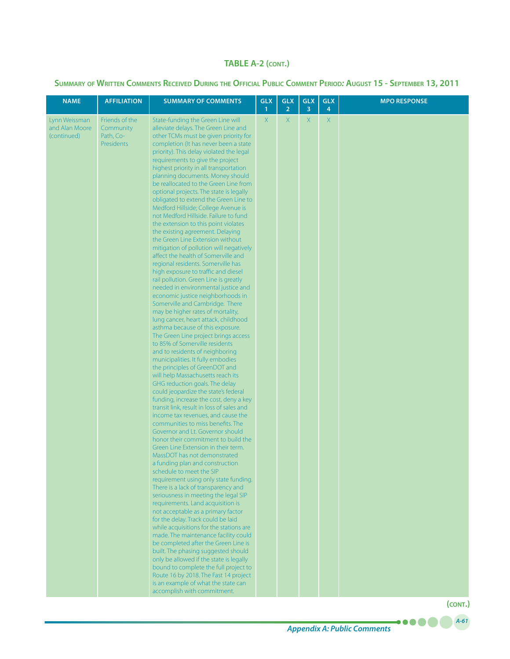## **Summary of Written Comments Received During the Official Public Comment Period***:* **August 15 - September 13, 2011**

| <b>NAME</b>                                    | <b>AFFILIATION</b>                                            | <b>SUMMARY OF COMMENTS</b>                                                                                                                                                                                                                                                                                                                                                                                                                                                                                                                                                                                                                                                                                                                                                                                                                                                                                                                                                                                                                                                                                                                                                                                                                                                                                                                                                                                                                                                                                                                                                                                                                                                                                                                                                                                                                                                                                                                                                                                                                                                                                                                                                                                                                                                                                                                                                                         | <b>GLX</b><br>$\mathbf{1}$ | <b>GLX</b><br>$\overline{2}$ | <b>GLX</b><br>3 | <b>GLX</b><br>4 | <b>MPO RESPONSE</b> |
|------------------------------------------------|---------------------------------------------------------------|----------------------------------------------------------------------------------------------------------------------------------------------------------------------------------------------------------------------------------------------------------------------------------------------------------------------------------------------------------------------------------------------------------------------------------------------------------------------------------------------------------------------------------------------------------------------------------------------------------------------------------------------------------------------------------------------------------------------------------------------------------------------------------------------------------------------------------------------------------------------------------------------------------------------------------------------------------------------------------------------------------------------------------------------------------------------------------------------------------------------------------------------------------------------------------------------------------------------------------------------------------------------------------------------------------------------------------------------------------------------------------------------------------------------------------------------------------------------------------------------------------------------------------------------------------------------------------------------------------------------------------------------------------------------------------------------------------------------------------------------------------------------------------------------------------------------------------------------------------------------------------------------------------------------------------------------------------------------------------------------------------------------------------------------------------------------------------------------------------------------------------------------------------------------------------------------------------------------------------------------------------------------------------------------------------------------------------------------------------------------------------------------------|----------------------------|------------------------------|-----------------|-----------------|---------------------|
| Lynn Weissman<br>and Alan Moore<br>(continued) | Friends of the<br>Community<br>Path, Co-<br><b>Presidents</b> | State-funding the Green Line will<br>alleviate delays. The Green Line and<br>other TCMs must be given priority for<br>completion (It has never been a state<br>priority). This delay violated the legal<br>requirements to give the project<br>highest priority in all transportation<br>planning documents. Money should<br>be reallocated to the Green Line from<br>optional projects. The state is legally<br>obligated to extend the Green Line to<br>Medford Hillside; College Avenue is<br>not Medford Hillside. Failure to fund<br>the extension to this point violates<br>the existing agreement. Delaying<br>the Green Line Extension without<br>mitigation of pollution will negatively<br>affect the health of Somerville and<br>regional residents. Somerville has<br>high exposure to traffic and diesel<br>rail pollution. Green Line is greatly<br>needed in environmental justice and<br>economic justice neighborhoods in<br>Somerville and Cambridge. There<br>may be higher rates of mortality,<br>lung cancer, heart attack, childhood<br>asthma because of this exposure.<br>The Green Line project brings access<br>to 85% of Somerville residents<br>and to residents of neighboring<br>municipalities. It fully embodies<br>the principles of GreenDOT and<br>will help Massachusetts reach its<br>GHG reduction goals. The delay<br>could jeopardize the state's federal<br>funding, increase the cost, deny a key<br>transit link, result in loss of sales and<br>income tax revenues, and cause the<br>communities to miss benefits. The<br>Governor and Lt. Governor should<br>honor their commitment to build the<br>Green Line Extension in their term.<br>MassDOT has not demonstrated<br>a funding plan and construction<br>schedule to meet the SIP<br>requirement using only state funding.<br>There is a lack of transparency and<br>seriousness in meeting the legal SIP<br>requirements. Land acquisition is<br>not acceptable as a primary factor<br>for the delay. Track could be laid<br>while acquisitions for the stations are<br>made. The maintenance facility could<br>be completed after the Green Line is<br>built. The phasing suggested should<br>only be allowed if the state is legally<br>bound to complete the full project to<br>Route 16 by 2018. The Fast 14 project<br>is an example of what the state can<br>accomplish with commitment. | X                          | X.                           | $\mathsf X$     | $\mathsf X$     |                     |

.....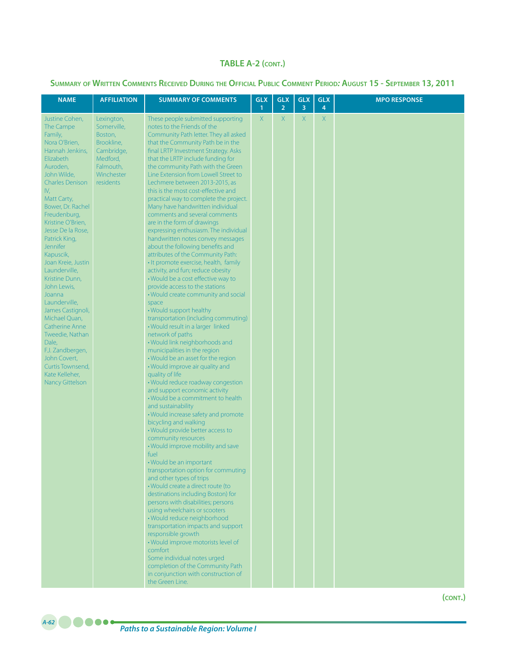## **Summary of Written Comments Received During the Official Public Comment Period***:* **August 15 - September 13, 2011**

| <b>NAME</b>                                                                                                                                                                                                                                                                                                                                                                                                                                                                                                                                                                            | <b>AFFILIATION</b>                                                                                                   | <b>SUMMARY OF COMMENTS</b>                                                                                                                                                                                                                                                                                                                                                                                                                                                                                                                                                                                                                                                                                                                                                                                                                                                                                                                                                                                                                                                                                                                                                                                                                                                                                                                                                                                                                                                                                                                                                                                                                                                                                                                                                                                                                                                                                                                                                                                               | <b>GLX</b><br>$\mathbf{1}$ | <b>GLX</b><br>$\overline{2}$ | <b>GLX</b><br>3 | <b>GLX</b><br>4 | <b>MPO RESPONSE</b> |
|----------------------------------------------------------------------------------------------------------------------------------------------------------------------------------------------------------------------------------------------------------------------------------------------------------------------------------------------------------------------------------------------------------------------------------------------------------------------------------------------------------------------------------------------------------------------------------------|----------------------------------------------------------------------------------------------------------------------|--------------------------------------------------------------------------------------------------------------------------------------------------------------------------------------------------------------------------------------------------------------------------------------------------------------------------------------------------------------------------------------------------------------------------------------------------------------------------------------------------------------------------------------------------------------------------------------------------------------------------------------------------------------------------------------------------------------------------------------------------------------------------------------------------------------------------------------------------------------------------------------------------------------------------------------------------------------------------------------------------------------------------------------------------------------------------------------------------------------------------------------------------------------------------------------------------------------------------------------------------------------------------------------------------------------------------------------------------------------------------------------------------------------------------------------------------------------------------------------------------------------------------------------------------------------------------------------------------------------------------------------------------------------------------------------------------------------------------------------------------------------------------------------------------------------------------------------------------------------------------------------------------------------------------------------------------------------------------------------------------------------------------|----------------------------|------------------------------|-----------------|-----------------|---------------------|
| Justine Cohen,<br>The Campe<br>Family,<br>Nora O'Brien,<br>Hannah Jenkins,<br>Elizabeth<br>Auroden,<br>John Wilde,<br><b>Charles Denison</b><br>IV,<br>Matt Carty,<br>Bower, Dr. Rachel<br>Freudenburg,<br>Kristine O'Brien,<br>Jesse De la Rose,<br>Patrick King,<br><b>Jennifer</b><br>Kapuscik,<br>Joan Kreie, Justin<br>Launderville,<br>Kristine Dunn.<br>John Lewis,<br>Joanna<br>Launderville,<br>James Castignoli,<br>Michael Quan,<br>Catherine Anne<br>Tweedie, Nathan<br>Dale,<br>F.J. Zandbergen,<br>John Covert,<br>Curtis Townsend,<br>Kate Kelleher,<br>Nancy Gittelson | Lexington,<br>Somerville,<br>Boston,<br>Brookline,<br>Cambridge,<br>Medford,<br>Falmouth,<br>Winchester<br>residents | These people submitted supporting<br>notes to the Friends of the<br>Community Path letter. They all asked<br>that the Community Path be in the<br>final LRTP Investment Strategy. Asks<br>that the LRTP include funding for<br>the community Path with the Green<br>Line Extension from Lowell Street to<br>Lechmere between 2013-2015, as<br>this is the most cost-effective and<br>practical way to complete the project.<br>Many have handwritten individual<br>comments and several comments<br>are in the form of drawings<br>expressing enthusiasm. The individual<br>handwritten notes convey messages<br>about the following benefits and<br>attributes of the Community Path:<br>. It promote exercise, health, family<br>activity, and fun; reduce obesity<br>. Would be a cost effective way to<br>provide access to the stations<br>. Would create community and social<br>space<br>. Would support healthy<br>transportation (including commuting)<br>• Would result in a larger linked<br>network of paths<br>• Would link neighborhoods and<br>municipalities in the region<br>• Would be an asset for the region<br>• Would improve air quality and<br>quality of life<br>· Would reduce roadway congestion<br>and support economic activity<br>. Would be a commitment to health<br>and sustainability<br>• Would increase safety and promote<br>bicycling and walking<br>• Would provide better access to<br>community resources<br>. Would improve mobility and save<br>fuel<br>• Would be an important<br>transportation option for commuting<br>and other types of trips<br>· Would create a direct route (to<br>destinations including Boston) for<br>persons with disabilities; persons<br>using wheelchairs or scooters<br>· Would reduce neighborhood<br>transportation impacts and support<br>responsible growth<br>. Would improve motorists level of<br>comfort<br>Some individual notes urged<br>completion of the Community Path<br>in conjunction with construction of<br>the Green Line. | X                          | X                            | $\mathsf{X}$    | X               |                     |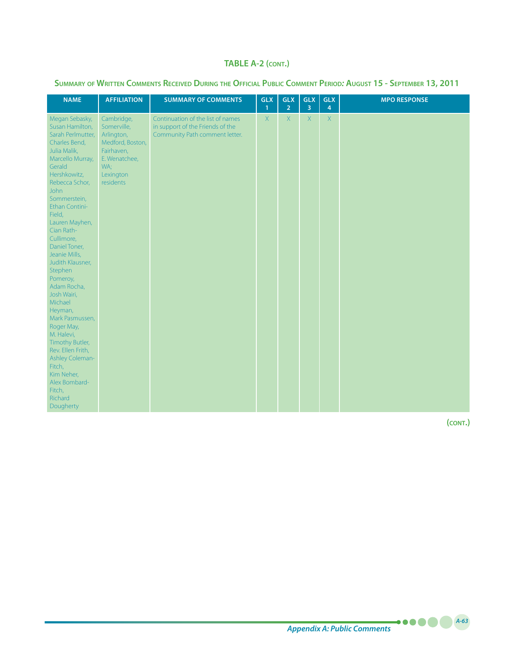## **Summary of Written Comments Received During the Official Public Comment Period***:* **August 15 - September 13, 2011**

| <b>NAME</b>                                                                                                                                                                                                                                                                                                                                                                                                                                                                                                                                                                            | <b>AFFILIATION</b>                                                                                                          | <b>SUMMARY OF COMMENTS</b>                                                                              | <b>GLX</b><br>$\mathbf{1}$ | <b>GLX</b><br>$\overline{2}$ | <b>GLX</b><br>$\overline{3}$ | <b>GLX</b><br>4 | <b>MPO RESPONSE</b> |
|----------------------------------------------------------------------------------------------------------------------------------------------------------------------------------------------------------------------------------------------------------------------------------------------------------------------------------------------------------------------------------------------------------------------------------------------------------------------------------------------------------------------------------------------------------------------------------------|-----------------------------------------------------------------------------------------------------------------------------|---------------------------------------------------------------------------------------------------------|----------------------------|------------------------------|------------------------------|-----------------|---------------------|
| Megan Sebasky,<br>Susan Hamilton,<br>Sarah Perlmutter,<br>Charles Bend,<br>Julia Malik,<br>Marcello Murray,<br>Gerald<br>Hershkowitz,<br>Rebecca Schor,<br><b>John</b><br>Sommerstein,<br>Ethan Contini-<br>Field,<br>Lauren Mayhen,<br>Cian Rath-<br>Cullimore,<br>Daniel Toner,<br>Jeanie Mills,<br>Judith Klausner,<br>Stephen<br>Pomeroy,<br>Adam Rocha,<br>Josh Wairi,<br>Michael<br>Heyman,<br>Mark Pasmussen,<br>Roger May,<br>M. Halevi,<br>Timothy Butler,<br>Rev. Ellen Frith,<br>Ashley Coleman-<br>Fitch,<br>Kim Neher,<br>Alex Bombard-<br>Fitch,<br>Richard<br>Dougherty | Cambridge,<br>Somerville,<br>Arlington,<br>Medford, Boston,<br>Fairhaven,<br>E. Wenatchee,<br>WA;<br>Lexington<br>residents | Continuation of the list of names<br>in support of the Friends of the<br>Community Path comment letter. | $\mathsf{X}$               | X                            | $\overline{X}$               | $\overline{X}$  |                     |

**(cont.)**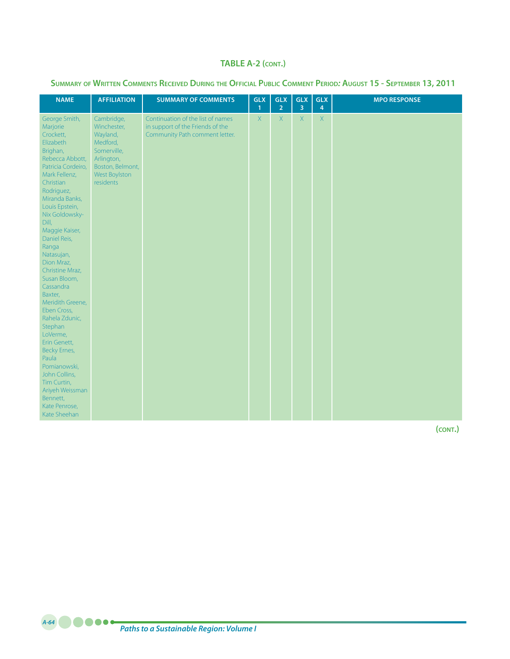**Summary of Written Comments Received During the Official Public Comment Period***:* **August 15 - September 13, 2011**

| <b>NAME</b>                                                                                                                                                                                                                                                                                                                                                                                                                                                                                                                                                                                | <b>AFFILIATION</b>                                                                                                               | <b>SUMMARY OF COMMENTS</b>                                                                              | <b>GLX</b><br>$\mathbf{1}$ | <b>GLX</b><br>$\overline{2}$ | <b>GLX</b><br>3 | <b>GLX</b><br>4 | <b>MPO RESPONSE</b> |
|--------------------------------------------------------------------------------------------------------------------------------------------------------------------------------------------------------------------------------------------------------------------------------------------------------------------------------------------------------------------------------------------------------------------------------------------------------------------------------------------------------------------------------------------------------------------------------------------|----------------------------------------------------------------------------------------------------------------------------------|---------------------------------------------------------------------------------------------------------|----------------------------|------------------------------|-----------------|-----------------|---------------------|
| George Smith,<br>Marjorie<br>Crockett,<br>Elizabeth<br>Brighan,<br>Rebecca Abbott,<br>Patricia Cordeiro,<br>Mark Fellenz,<br>Christian<br>Rodriguez,<br>Miranda Banks,<br>Louis Epstein,<br>Nix Goldowsky-<br>Dill,<br>Maggie Kaiser,<br>Daniel Reis,<br>Ranga<br>Natasujan,<br>Dion Mraz,<br>Christine Mraz,<br>Susan Bloom,<br>Cassandra<br>Baxter,<br>Meridith Greene,<br>Eben Cross,<br>Rahela Zdunic,<br>Stephan<br>LoVerme,<br>Erin Genett,<br>Becky Ernes,<br>Paula<br>Pomianowski,<br>John Collins,<br>Tim Curtin,<br>Ariyeh Weissman<br>Bennett,<br>Kate Penrose,<br>Kate Sheehan | Cambridge,<br>Winchester,<br>Wayland,<br>Medford,<br>Somerville,<br>Arlington,<br>Boston, Belmont,<br>West Boylston<br>residents | Continuation of the list of names<br>in support of the Friends of the<br>Community Path comment letter. | $\chi$                     | X                            | $\chi$          | $\mathsf{X}$    |                     |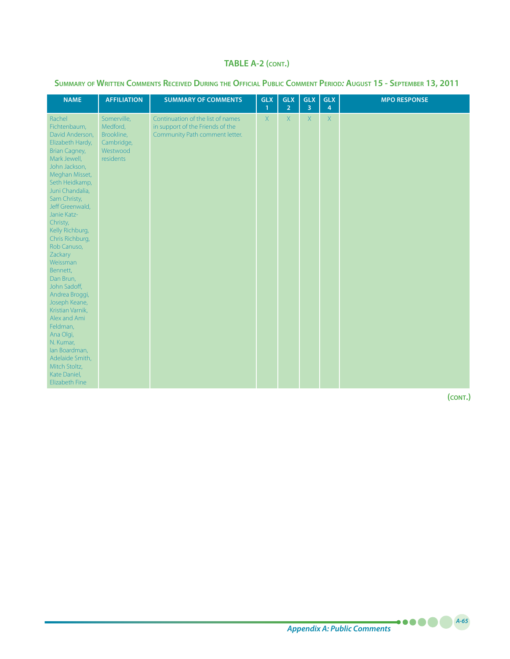| SUMMARY OF WRITTEN COMMENTS RECEIVED DURING THE OFFICIAL PUBLIC COMMENT PERIOD: AUGUST 15 - SEPTEMBER 13, 2011 |  |  |  |
|----------------------------------------------------------------------------------------------------------------|--|--|--|
|----------------------------------------------------------------------------------------------------------------|--|--|--|

| <b>NAME</b>                                                                                                                                                                                                                                                                                                                                                                                                                                                                                                                                                          | <b>AFFILIATION</b>                                                           | <b>SUMMARY OF COMMENTS</b>                                                                              | <b>GLX</b><br>$\mathbf{1}$ | <b>GLX</b><br>$\overline{2}$ | <b>GLX</b><br>3 | <b>GLX</b><br>4 | <b>MPO RESPONSE</b> |
|----------------------------------------------------------------------------------------------------------------------------------------------------------------------------------------------------------------------------------------------------------------------------------------------------------------------------------------------------------------------------------------------------------------------------------------------------------------------------------------------------------------------------------------------------------------------|------------------------------------------------------------------------------|---------------------------------------------------------------------------------------------------------|----------------------------|------------------------------|-----------------|-----------------|---------------------|
| Rachel<br>Fichtenbaum,<br>David Anderson,<br>Elizabeth Hardy,<br><b>Brian Cagney,</b><br>Mark Jewell,<br>John Jackson,<br>Meghan Misset,<br>Seth Heidkamp,<br>Juni Chandalia,<br>Sam Christy,<br>Jeff Greenwald,<br>Janie Katz-<br>Christy,<br>Kelly Richburg,<br>Chris Richburg,<br>Rob Canuso,<br>Zackary<br>Weissman<br>Bennett,<br>Dan Brun,<br>John Sadoff,<br>Andrea Broggi,<br>Joseph Keane,<br>Kristian Varnik,<br>Alex and Ami<br>Feldman,<br>Ana Olgi,<br>N. Kumar,<br>lan Boardman,<br>Adelaide Smith,<br>Mitch Stoltz,<br>Kate Daniel,<br>Elizabeth Fine | Somerville,<br>Medford,<br>Brookline,<br>Cambridge,<br>Westwood<br>residents | Continuation of the list of names<br>in support of the Friends of the<br>Community Path comment letter. | $\overline{X}$             | $\overline{X}$               | $\mathsf X$     | $\mathsf X$     |                     |

**(cont.)**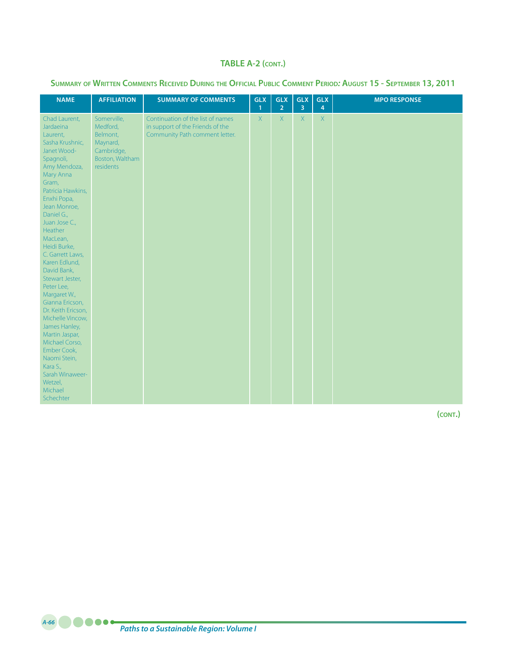**Summary of Written Comments Received During the Official Public Comment Period***:* **August 15 - September 13, 2011**

| <b>NAME</b>                                                                                                                                                                                                                                                                                                                                                                                                                                                                                                                                                                   | <b>AFFILIATION</b>                                                                                   | <b>SUMMARY OF COMMENTS</b>                                                                              | <b>GLX</b><br>$\mathbf{1}$ | <b>GLX</b><br>$\overline{2}$ | <b>GLX</b><br>3 | <b>GLX</b><br>4    | <b>MPO RESPONSE</b> |
|-------------------------------------------------------------------------------------------------------------------------------------------------------------------------------------------------------------------------------------------------------------------------------------------------------------------------------------------------------------------------------------------------------------------------------------------------------------------------------------------------------------------------------------------------------------------------------|------------------------------------------------------------------------------------------------------|---------------------------------------------------------------------------------------------------------|----------------------------|------------------------------|-----------------|--------------------|---------------------|
| Chad Laurent,<br>Jardaeina<br>Laurent,<br>Sasha Krushnic,<br>Janet Wood-<br>Spagnoli,<br>Amy Mendoza,<br>Mary Anna<br>Gram,<br>Patricia Hawkins,<br>Enxhi Popa,<br>Jean Monroe,<br>Daniel G.,<br>Juan Jose C.,<br>Heather<br>MacLean,<br>Heidi Burke,<br>C. Garrett Laws,<br>Karen Edlund,<br>David Bank,<br>Stewart Jester,<br>Peter Lee,<br>Margaret W.,<br>Gianna Ericson,<br>Dr. Keith Ericson,<br>Michelle Vincow,<br>James Hanley,<br>Martin Jaspar,<br>Michael Corso,<br>Ember Cook,<br>Naomi Stein,<br>Kara S.,<br>Sarah Winaweer-<br>Wetzel,<br>Michael<br>Schechter | Somerville,<br>Medford,<br>Belmont,<br>Maynard,<br>Cambridge,<br>Boston, Waltham<br><i>residents</i> | Continuation of the list of names<br>in support of the Friends of the<br>Community Path comment letter. | $\overline{X}$             | $\overline{X}$               | $\mathsf{X}$    | $\mathsf{X}% _{0}$ |                     |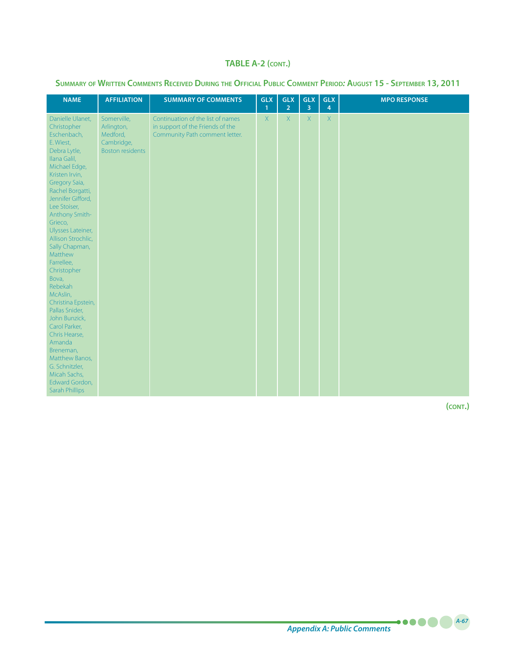|  |  |  |  |  | SUMMARY OF WRITTEN COMMENTS RECEIVED DURING THE OFFICIAL PUBLIC COMMENT PERIOD: AUGUST 15 - SEPTEMBER 13, 2011 |
|--|--|--|--|--|----------------------------------------------------------------------------------------------------------------|
|--|--|--|--|--|----------------------------------------------------------------------------------------------------------------|

| <b>NAME</b>                                                                                                                                                                                                                                                                                                                                                                                                                                                                                                                                                                                        | <b>AFFILIATION</b>                                                             | <b>SUMMARY OF COMMENTS</b>                                                                              | <b>GLX</b><br>$\mathbf{1}$ | <b>GLX</b><br>$\overline{2}$ | <b>GLX</b><br>3 | <b>GLX</b><br>4 | <b>MPO RESPONSE</b> |
|----------------------------------------------------------------------------------------------------------------------------------------------------------------------------------------------------------------------------------------------------------------------------------------------------------------------------------------------------------------------------------------------------------------------------------------------------------------------------------------------------------------------------------------------------------------------------------------------------|--------------------------------------------------------------------------------|---------------------------------------------------------------------------------------------------------|----------------------------|------------------------------|-----------------|-----------------|---------------------|
| Danielle Ulanet,<br>Christopher<br>Eschenbach,<br>E. Wiest,<br>Debra Lytle,<br>Ilana Galil,<br>Michael Edge,<br>Kristen Irvin,<br>Gregory Saia,<br>Rachel Borgatti,<br>Jennifer Gifford,<br>Lee Stoiser,<br><b>Anthony Smith-</b><br>Grieco,<br>Ulysses Lateiner,<br>Allison Strochlic,<br>Sally Chapman,<br>Matthew<br>Farrellee,<br>Christopher<br>Bova,<br>Rebekah<br>McAslin,<br>Christina Epstein,<br>Pallas Snider,<br>John Bunzick,<br>Carol Parker,<br>Chris Hearse,<br>Amanda<br>Breneman,<br>Matthew Banos,<br>G. Schnitzler,<br>Micah Sachs,<br>Edward Gordon,<br><b>Sarah Phillips</b> | Somerville,<br>Arlington,<br>Medford,<br>Cambridge,<br><b>Boston residents</b> | Continuation of the list of names<br>in support of the Friends of the<br>Community Path comment letter. | X                          | $\overline{X}$               | $\mathsf{X}$    | $\mathsf{X}$    |                     |

**(cont.)**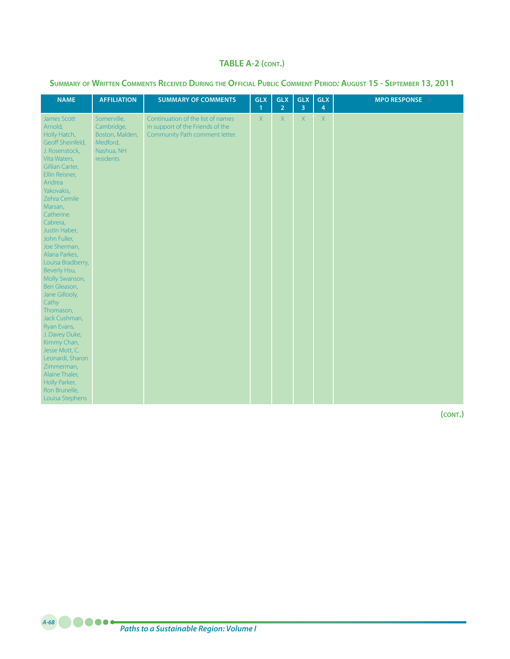| SUMMARY OF WRITTEN COMMENTS RECEIVED DURING THE OFFICIAL PUBLIC COMMENT PERIOD: AUGUST 15 - SEPTEMBER 13, 2011 |  |  |  |  |  |  |
|----------------------------------------------------------------------------------------------------------------|--|--|--|--|--|--|
|----------------------------------------------------------------------------------------------------------------|--|--|--|--|--|--|

| <b>NAME</b>                                                                                                                                                                                                                                                                                                                                                                                                                                                                                                                                                                                | <b>AFFILIATION</b>                                                                         | <b>SUMMARY OF COMMENTS</b>                                                                              | <b>GLX</b><br>$\mathbf{1}$ | <b>GLX</b><br>$\overline{2}$ | <b>GLX</b><br>$\overline{3}$ | <b>GLX</b><br>4 | <b>MPO RESPONSE</b> |
|--------------------------------------------------------------------------------------------------------------------------------------------------------------------------------------------------------------------------------------------------------------------------------------------------------------------------------------------------------------------------------------------------------------------------------------------------------------------------------------------------------------------------------------------------------------------------------------------|--------------------------------------------------------------------------------------------|---------------------------------------------------------------------------------------------------------|----------------------------|------------------------------|------------------------------|-----------------|---------------------|
| James Scott<br>Arnold,<br>Holly Hatch,<br>Geoff Sheinfeld,<br>J. Rosenstock,<br>Vita Waters,<br>Gillian Carter,<br>Ellin Reisner,<br>Andrea<br>Yakovakis,<br>Zehra Cemile<br>Marsan,<br>Catherine<br>Cabrera,<br>Justin Haber,<br>John Fuller,<br>Joe Sherman,<br>Alana Parkes,<br>Louisa Bradberry,<br>Beverly Hsu,<br>Molly Swanson,<br>Ben Gleason,<br>Jane Gillooly,<br>Cathy<br>Thomason,<br>Jack Cushman,<br>Ryan Evans,<br>J. Davey Duke,<br>Kimmy Chan,<br>Jesse Mott, C.<br>Leonardi, Sharon<br>Zimmerman,<br>Alaine Thaler,<br>Holly Parker,<br>Ron Brunelle,<br>Louisa Stephens | Somerville,<br>Cambridge,<br>Boston, Malden,<br>Medford,<br>Nashua, NH<br><i>residents</i> | Continuation of the list of names<br>in support of the Friends of the<br>Community Path comment letter. | X                          | X                            | $\overline{X}$               | $\mathsf{X}$    |                     |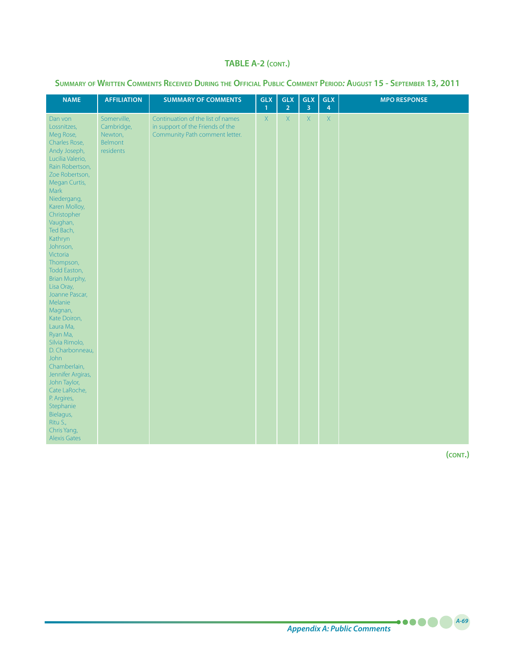| SUMMARY OF WRITTEN COMMENTS RECEIVED DURING THE OFFICIAL PUBLIC COMMENT PERIOD: AUGUST 15 - SEPTEMBER 13, 2011 |  |  |  |  |  |  |
|----------------------------------------------------------------------------------------------------------------|--|--|--|--|--|--|
|----------------------------------------------------------------------------------------------------------------|--|--|--|--|--|--|

| <b>NAME</b>                                                                                                                                                                                                                                                                                                                                                                                                                                                                                                                                                                                                                         | <b>AFFILIATION</b>                                           | <b>SUMMARY OF COMMENTS</b>                                                                              | <b>GLX</b><br>$\mathbf{1}$ | <b>GLX</b><br>$\overline{2}$ | <b>GLX</b><br>3 | <b>GLX</b><br>$\overline{4}$ | <b>MPO RESPONSE</b> |
|-------------------------------------------------------------------------------------------------------------------------------------------------------------------------------------------------------------------------------------------------------------------------------------------------------------------------------------------------------------------------------------------------------------------------------------------------------------------------------------------------------------------------------------------------------------------------------------------------------------------------------------|--------------------------------------------------------------|---------------------------------------------------------------------------------------------------------|----------------------------|------------------------------|-----------------|------------------------------|---------------------|
| Dan von<br>Lossnitzes,<br>Meg Rose,<br>Charles Rose,<br>Andy Joseph,<br>Lucilia Valerio,<br>Rain Robertson,<br>Zoe Robertson,<br>Megan Curtis,<br>Mark<br>Niedergang,<br>Karen Molloy,<br>Christopher<br>Vaughan,<br>Ted Bach,<br>Kathryn<br>Johnson,<br>Victoria<br>Thompson,<br>Todd Easton,<br>Brian Murphy,<br>Lisa Oray,<br>Joanne Pascar,<br>Melanie<br>Magnan,<br>Kate Doiron,<br>Laura Ma,<br>Ryan Ma,<br>Silvia Rimolo,<br>D. Charbonneau,<br><b>John</b><br>Chamberlain,<br>Jennifer Argiras,<br>John Taylor,<br>Cate LaRoche,<br>P. Argires,<br>Stephanie<br>Bielagus,<br>Ritu S.,<br>Chris Yang,<br><b>Alexis Gates</b> | Somerville,<br>Cambridge,<br>Newton,<br>Belmont<br>residents | Continuation of the list of names<br>in support of the Friends of the<br>Community Path comment letter. | X                          | $\mathsf{X}$                 | $\mathsf X$     | $\mathsf X$                  |                     |

**(cont.)**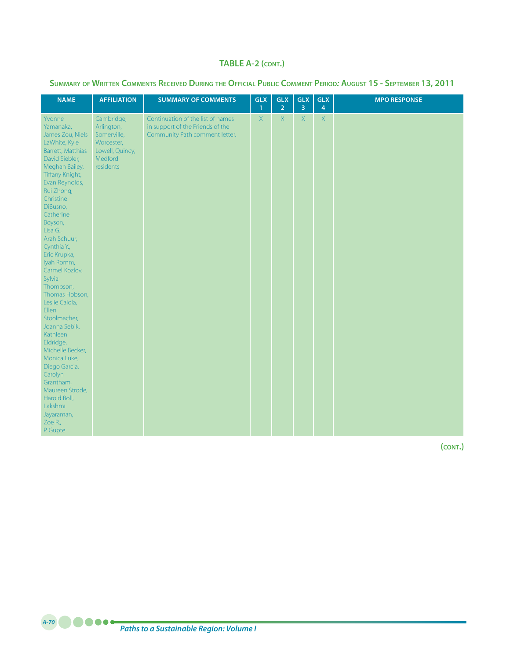| SUMMARY OF WRITTEN COMMENTS RECEIVED DURING THE OFFICIAL PUBLIC COMMENT PERIOD: AUGUST 15 - SEPTEMBER 13, 2011 |  |  |  |  |  |  |
|----------------------------------------------------------------------------------------------------------------|--|--|--|--|--|--|
|----------------------------------------------------------------------------------------------------------------|--|--|--|--|--|--|

| <b>NAME</b>                                                                                                                                                                                                                                                                                                                                                                                                                                                                                                                                                                                                    | <b>AFFILIATION</b>                                                                               | <b>SUMMARY OF COMMENTS</b>                                                                              | <b>GLX</b><br>$\mathbf{1}$ | <b>GLX</b><br>$\overline{2}$ | <b>GLX</b><br>$\overline{\mathbf{3}}$ | <b>GLX</b><br>4 | <b>MPO RESPONSE</b> |
|----------------------------------------------------------------------------------------------------------------------------------------------------------------------------------------------------------------------------------------------------------------------------------------------------------------------------------------------------------------------------------------------------------------------------------------------------------------------------------------------------------------------------------------------------------------------------------------------------------------|--------------------------------------------------------------------------------------------------|---------------------------------------------------------------------------------------------------------|----------------------------|------------------------------|---------------------------------------|-----------------|---------------------|
| Yvonne<br>Yamanaka,<br>James Zou, Niels<br>LaWhite, Kyle<br>Barrett, Matthias<br>David Siebler,<br>Meghan Bailey,<br>Tiffany Knight,<br>Evan Reynolds,<br>Rui Zhong,<br>Christine<br>DiBusno,<br>Catherine<br>Boyson,<br>Lisa G.,<br>Arah Schuur,<br>Cynthia Y.,<br>Eric Krupka,<br>Iyah Romm,<br>Carmel Kozlov,<br>Sylvia<br>Thompson,<br>Thomas Hobson,<br>Leslie Caiola,<br>Ellen<br>Stoolmacher,<br>Joanna Sebik,<br>Kathleen<br>Eldridge,<br>Michelle Becker,<br>Monica Luke,<br>Diego Garcia,<br>Carolyn<br>Grantham,<br>Maureen Strode,<br>Harold Boll,<br>Lakshmi<br>Jayaraman,<br>Zoe R.,<br>P. Gupte | Cambridge,<br>Arlington,<br>Somerville,<br>Worcester,<br>Lowell, Quincy,<br>Medford<br>residents | Continuation of the list of names<br>in support of the Friends of the<br>Community Path comment letter. | X                          | X                            | $\mathsf{X}$                          | $\mathsf X$     |                     |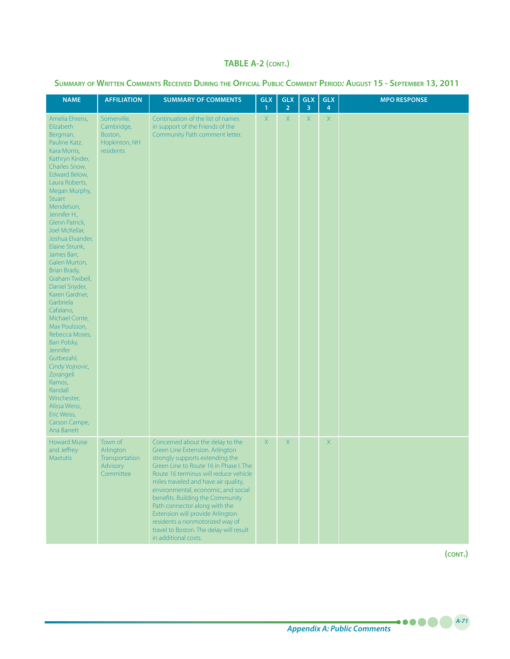| SUMMARY OF WRITTEN COMMENTS RECEIVED DURING THE OFFICIAL PUBLIC COMMENT PERIOD: AUGUST 15 - SEPTEMBER 13, 2011 |  |  |  |  |  |  |
|----------------------------------------------------------------------------------------------------------------|--|--|--|--|--|--|
|----------------------------------------------------------------------------------------------------------------|--|--|--|--|--|--|

| <b>NAME</b>                                                                                                                                                                                                                                                                                                                                                                                                                                                                                                                                                                                                                                                   | <b>AFFILIATION</b>                                                        | <b>SUMMARY OF COMMENTS</b>                                                                                                                                                                                                                                                                                                                                                                                                                                                              | <b>GLX</b><br>$\mathbf{1}$ | <b>GLX</b><br>$\overline{2}$ | <b>GLX</b><br>3 | <b>GLX</b><br>4 | <b>MPO RESPONSE</b> |
|---------------------------------------------------------------------------------------------------------------------------------------------------------------------------------------------------------------------------------------------------------------------------------------------------------------------------------------------------------------------------------------------------------------------------------------------------------------------------------------------------------------------------------------------------------------------------------------------------------------------------------------------------------------|---------------------------------------------------------------------------|-----------------------------------------------------------------------------------------------------------------------------------------------------------------------------------------------------------------------------------------------------------------------------------------------------------------------------------------------------------------------------------------------------------------------------------------------------------------------------------------|----------------------------|------------------------------|-----------------|-----------------|---------------------|
| Amelia Ehrens,<br>Elizabeth<br>Bergman,<br>Pauline Katz,<br>Kara Morris,<br>Kathryn Kinder,<br>Charles Snow,<br>Edward Below,<br>Laura Roberts,<br>Megan Murphy,<br><b>Stuart</b><br>Mendelson,<br>Jennifer H.,<br>Glenn Patrick,<br>Joel McKellar,<br>Joshua Elvander,<br>Elaine Strunk,<br>James Barr,<br>Galen Murton,<br>Brian Brady,<br>Graham Twibell,<br>Daniel Snyder,<br>Karen Gardner,<br>Garbriela<br>Cafalano,<br>Michael Conte,<br>Max Poulsson,<br>Rebecca Moses,<br>Barr Polsky,<br>Jennifer<br>Gutbezahl,<br>Cindy Vojnovic,<br>Zorangeli<br>Ramos,<br>Randall<br>Winchester,<br>Alissa Weiss,<br>Eric Weiss,<br>Carson Campe,<br>Ana Barrett | Somerville,<br>Cambridge,<br>Boston,<br>Hopkinton, NH<br><i>residents</i> | Continuation of the list of names<br>in support of the Friends of the<br>Community Path comment letter.                                                                                                                                                                                                                                                                                                                                                                                 | X                          | X                            | X               | $\mathsf X$     |                     |
| <b>Howard Muise</b><br>and Jeffrey<br><b>Maxtutis</b>                                                                                                                                                                                                                                                                                                                                                                                                                                                                                                                                                                                                         | Town of<br>Arlington<br>Transportation<br>Advisory<br>Committee           | Concerned about the delay to the<br>Green Line Extension. Arlington<br>strongly supports extending the<br>Green Line to Route 16 in Phase I. The<br>Route 16 terminus will reduce vehicle<br>miles traveled and have air quality,<br>environmental, economic, and social<br>benefits. Building the Community<br>Path connector along with the<br>Extension will provide Arlington<br>residents a nonmotorized way of<br>travel to Boston. The delay will result<br>in additional costs. | X                          | X                            |                 | $\mathsf X$     |                     |

**(cont.)**

*A-71*

.....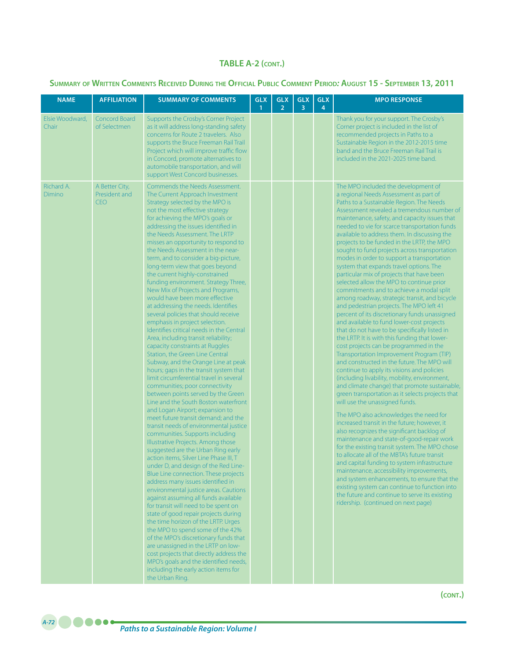## **Summary of Written Comments Received During the Official Public Comment Period***:* **August 15 - September 13, 2011**

| <b>NAME</b>              | <b>AFFILIATION</b>                            | <b>SUMMARY OF COMMENTS</b>                                                                                                                                                                                                                                                                                                                                                                                                                                                                                                                                                                                                                                                                                                                                                                                                                                                                                                                                                                                                                                                                                                                                                                                                                                                                                                                                                                                                                                                                                                                                                                                                                                                                                                                                                                                                                                                                                                                                      | <b>GLX</b><br>$\mathbf{1}$ | <b>GLX</b><br>$\overline{2}$ | <b>GLX</b><br>3 | <b>GLX</b><br>4 | <b>MPO RESPONSE</b>                                                                                                                                                                                                                                                                                                                                                                                                                                                                                                                                                                                                                                                                                                                                                                                                                                                                                                                                                                                                                                                                                                                                                                                                                                                                                                                                                                                                                                                                                                                                                                                                                                                                                                                                                                                                                                                                                       |
|--------------------------|-----------------------------------------------|-----------------------------------------------------------------------------------------------------------------------------------------------------------------------------------------------------------------------------------------------------------------------------------------------------------------------------------------------------------------------------------------------------------------------------------------------------------------------------------------------------------------------------------------------------------------------------------------------------------------------------------------------------------------------------------------------------------------------------------------------------------------------------------------------------------------------------------------------------------------------------------------------------------------------------------------------------------------------------------------------------------------------------------------------------------------------------------------------------------------------------------------------------------------------------------------------------------------------------------------------------------------------------------------------------------------------------------------------------------------------------------------------------------------------------------------------------------------------------------------------------------------------------------------------------------------------------------------------------------------------------------------------------------------------------------------------------------------------------------------------------------------------------------------------------------------------------------------------------------------------------------------------------------------------------------------------------------------|----------------------------|------------------------------|-----------------|-----------------|-----------------------------------------------------------------------------------------------------------------------------------------------------------------------------------------------------------------------------------------------------------------------------------------------------------------------------------------------------------------------------------------------------------------------------------------------------------------------------------------------------------------------------------------------------------------------------------------------------------------------------------------------------------------------------------------------------------------------------------------------------------------------------------------------------------------------------------------------------------------------------------------------------------------------------------------------------------------------------------------------------------------------------------------------------------------------------------------------------------------------------------------------------------------------------------------------------------------------------------------------------------------------------------------------------------------------------------------------------------------------------------------------------------------------------------------------------------------------------------------------------------------------------------------------------------------------------------------------------------------------------------------------------------------------------------------------------------------------------------------------------------------------------------------------------------------------------------------------------------------------------------------------------------|
| Elsie Woodward,<br>Chair | Concord Board<br>of Selectmen                 | Supports the Crosby's Corner Project<br>as it will address long-standing safety<br>concerns for Route 2 travelers. Also<br>supports the Bruce Freeman Rail Trail<br>Project which will improve traffic flow<br>in Concord, promote alternatives to<br>automobile transportation, and will<br>support West Concord businesses.                                                                                                                                                                                                                                                                                                                                                                                                                                                                                                                                                                                                                                                                                                                                                                                                                                                                                                                                                                                                                                                                                                                                                                                                                                                                                                                                                                                                                                                                                                                                                                                                                                   |                            |                              |                 |                 | Thank you for your support. The Crosby's<br>Corner project is included in the list of<br>recommended projects in Paths to a<br>Sustainable Region in the 2012-2015 time<br>band and the Bruce Freeman Rail Trail is<br>included in the 2021-2025 time band.                                                                                                                                                                                                                                                                                                                                                                                                                                                                                                                                                                                                                                                                                                                                                                                                                                                                                                                                                                                                                                                                                                                                                                                                                                                                                                                                                                                                                                                                                                                                                                                                                                               |
| Richard A.<br>Dimino     | A Better City,<br>President and<br><b>CEO</b> | Commends the Needs Assessment.<br>The Current Approach Investment<br>Strategy selected by the MPO is<br>not the most effective strategy<br>for achieving the MPO's goals or<br>addressing the issues identified in<br>the Needs Assessment. The LRTP<br>misses an opportunity to respond to<br>the Needs Assessment in the near-<br>term, and to consider a big-picture,<br>long-term view that goes beyond<br>the current highly-constrained<br>funding environment. Strategy Three,<br>New Mix of Projects and Programs,<br>would have been more effective<br>at addressing the needs. Identifies<br>several policies that should receive<br>emphasis in project selection.<br>Identifies critical needs in the Central<br>Area, including transit reliability;<br>capacity constraints at Ruggles<br>Station, the Green Line Central<br>Subway, and the Orange Line at peak<br>hours; gaps in the transit system that<br>limit circumferential travel in several<br>communities; poor connectivity<br>between points served by the Green<br>Line and the South Boston waterfront<br>and Logan Airport; expansion to<br>meet future transit demand; and the<br>transit needs of environmental justice<br>communities. Supports including<br>Illustrative Projects. Among those<br>suggested are the Urban Ring early<br>action items, Silver Line Phase III, T<br>under D, and design of the Red Line-<br>Blue Line connection. These projects<br>address many issues identified in<br>environmental justice areas. Cautions<br>against assuming all funds available<br>for transit will need to be spent on<br>state of good repair projects during<br>the time horizon of the LRTP. Urges<br>the MPO to spend some of the 42%<br>of the MPO's discretionary funds that<br>are unassigned in the LRTP on low-<br>cost projects that directly address the<br>MPO's goals and the identified needs,<br>including the early action items for<br>the Urban Ring. |                            |                              |                 |                 | The MPO included the development of<br>a regional Needs Assessment as part of<br>Paths to a Sustainable Region. The Needs<br>Assessment revealed a tremendous number of<br>maintenance, safety, and capacity issues that<br>needed to vie for scarce transportation funds<br>available to address them. In discussing the<br>projects to be funded in the LRTP, the MPO<br>sought to fund projects across transportation<br>modes in order to support a transportation<br>system that expands travel options. The<br>particular mix of projects that have been<br>selected allow the MPO to continue prior<br>commitments and to achieve a modal split<br>among roadway, strategic transit, and bicycle<br>and pedestrian projects. The MPO left 41<br>percent of its discretionary funds unassigned<br>and available to fund lower-cost projects<br>that do not have to be specifically listed in<br>the LRTP. It is with this funding that lower-<br>cost projects can be programmed in the<br>Transportation Improvement Program (TIP)<br>and constructed in the future. The MPO will<br>continue to apply its visions and policies<br>(including livability, mobility, environment,<br>and climate change) that promote sustainable,<br>green transportation as it selects projects that<br>will use the unassigned funds.<br>The MPO also acknowledges the need for<br>increased transit in the future; however, it<br>also recognizes the significant backlog of<br>maintenance and state-of-good-repair work<br>for the existing transit system. The MPO chose<br>to allocate all of the MBTA's future transit<br>and capital funding to system infrastructure<br>maintenance, accessibility improvements,<br>and system enhancements, to ensure that the<br>existing system can continue to function into<br>the future and continue to serve its existing<br>ridership. (continued on next page) |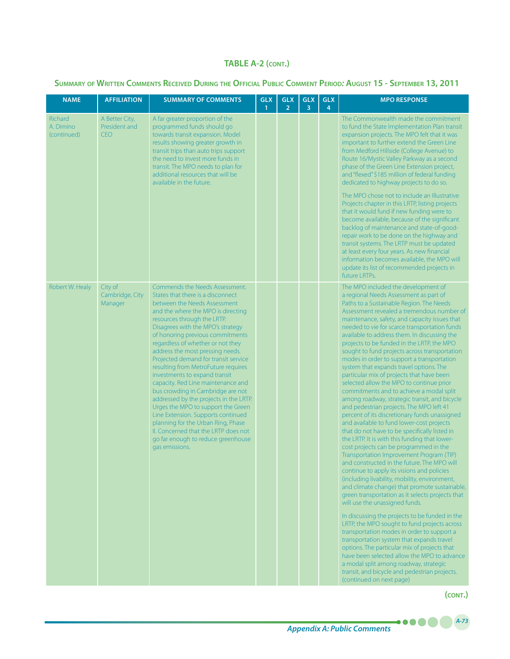#### **Summary of Written Comments Received During the Official Public Comment Period***:* **August 15 - September 13, 2011**

| <b>NAME</b>                         | <b>AFFILIATION</b>                            | <b>SUMMARY OF COMMENTS</b>                                                                                                                                                                                                                                                                                                                                                                                                                                                                                                                                                                                                                                                                                                                                                        | <b>GLX</b><br>$\mathbf{1}$ | <b>GLX</b><br>$\overline{2}$ | <b>GLX</b><br>3 | <b>GLX</b><br>4 | <b>MPO RESPONSE</b>                                                                                                                                                                                                                                                                                                                                                                                                                                                                                                                                                                                                                                                                                                                                                                                                                                                                                                                                                                                                                                                                                                                                                                                                                                                                                                                                                                                                                                                                                                                                                                                                                                                                                                                               |
|-------------------------------------|-----------------------------------------------|-----------------------------------------------------------------------------------------------------------------------------------------------------------------------------------------------------------------------------------------------------------------------------------------------------------------------------------------------------------------------------------------------------------------------------------------------------------------------------------------------------------------------------------------------------------------------------------------------------------------------------------------------------------------------------------------------------------------------------------------------------------------------------------|----------------------------|------------------------------|-----------------|-----------------|---------------------------------------------------------------------------------------------------------------------------------------------------------------------------------------------------------------------------------------------------------------------------------------------------------------------------------------------------------------------------------------------------------------------------------------------------------------------------------------------------------------------------------------------------------------------------------------------------------------------------------------------------------------------------------------------------------------------------------------------------------------------------------------------------------------------------------------------------------------------------------------------------------------------------------------------------------------------------------------------------------------------------------------------------------------------------------------------------------------------------------------------------------------------------------------------------------------------------------------------------------------------------------------------------------------------------------------------------------------------------------------------------------------------------------------------------------------------------------------------------------------------------------------------------------------------------------------------------------------------------------------------------------------------------------------------------------------------------------------------------|
| Richard<br>A. Dimino<br>(continued) | A Better City,<br>President and<br><b>CFO</b> | A far greater proportion of the<br>programmed funds should go<br>towards transit expansion. Model<br>results showing greater growth in<br>transit trips than auto trips support<br>the need to invest more funds in<br>transit. The MPO needs to plan for<br>additional resources that will be<br>available in the future.                                                                                                                                                                                                                                                                                                                                                                                                                                                        |                            |                              |                 |                 | The Commonwealth made the commitment<br>to fund the State Implementation Plan transit<br>expansion projects. The MPO felt that it was<br>important to further extend the Green Line<br>from Medford Hillside (College Avenue) to<br>Route 16/Mystic Valley Parkway as a second<br>phase of the Green Line Extension project,<br>and "flexed" \$185 million of federal funding<br>dedicated to highway projects to do so.                                                                                                                                                                                                                                                                                                                                                                                                                                                                                                                                                                                                                                                                                                                                                                                                                                                                                                                                                                                                                                                                                                                                                                                                                                                                                                                          |
|                                     |                                               |                                                                                                                                                                                                                                                                                                                                                                                                                                                                                                                                                                                                                                                                                                                                                                                   |                            |                              |                 |                 | The MPO chose not to include an Illustrative<br>Projects chapter in this LRTP, listing projects<br>that it would fund if new funding were to<br>become available, because of the significant<br>backlog of maintenance and state-of-good-<br>repair work to be done on the highway and<br>transit systems. The LRTP must be updated<br>at least every four years. As new financial<br>information becomes available, the MPO will<br>update its list of recommended projects in<br>future LRTPs.                                                                                                                                                                                                                                                                                                                                                                                                                                                                                                                                                                                                                                                                                                                                                                                                                                                                                                                                                                                                                                                                                                                                                                                                                                                  |
| Robert W. Healy                     | City of<br>Cambridge, City<br>Manager         | Commends the Needs Assessment.<br>States that there is a disconnect<br>between the Needs Assessment<br>and the where the MPO is directing<br>resources through the LRTP.<br>Disagrees with the MPO's strategy<br>of honoring previous commitments<br>regardless of whether or not they<br>address the most pressing needs.<br>Projected demand for transit service<br>resulting from MetroFuture requires<br>investments to expand transit<br>capacity. Red Line maintenance and<br>bus crowding in Cambridge are not<br>addressed by the projects in the LRTP.<br>Urges the MPO to support the Green<br>Line Extension. Supports continued<br>planning for the Urban Ring, Phase<br>II. Concerned that the LRTP does not<br>go far enough to reduce greenhouse<br>gas emissions. |                            |                              |                 |                 | The MPO included the development of<br>a regional Needs Assessment as part of<br>Paths to a Sustainable Region. The Needs<br>Assessment revealed a tremendous number of<br>maintenance, safety, and capacity issues that<br>needed to vie for scarce transportation funds<br>available to address them. In discussing the<br>projects to be funded in the LRTP, the MPO<br>sought to fund projects across transportation<br>modes in order to support a transportation<br>system that expands travel options. The<br>particular mix of projects that have been<br>selected allow the MPO to continue prior<br>commitments and to achieve a modal split<br>among roadway, strategic transit, and bicycle<br>and pedestrian projects. The MPO left 41<br>percent of its discretionary funds unassigned<br>and available to fund lower-cost projects<br>that do not have to be specifically listed in<br>the LRTP. It is with this funding that lower-<br>cost projects can be programmed in the<br>Transportation Improvement Program (TIP)<br>and constructed in the future. The MPO will<br>continue to apply its visions and policies<br>(including livability, mobility, environment,<br>and climate change) that promote sustainable,<br>green transportation as it selects projects that<br>will use the unassigned funds.<br>In discussing the projects to be funded in the<br>LRTP, the MPO sought to fund projects across<br>transportation modes in order to support a<br>transportation system that expands travel<br>options. The particular mix of projects that<br>have been selected allow the MPO to advance<br>a modal split among roadway, strategic<br>transit, and bicycle and pedestrian projects.<br>(continued on next page) |

*A-73*

....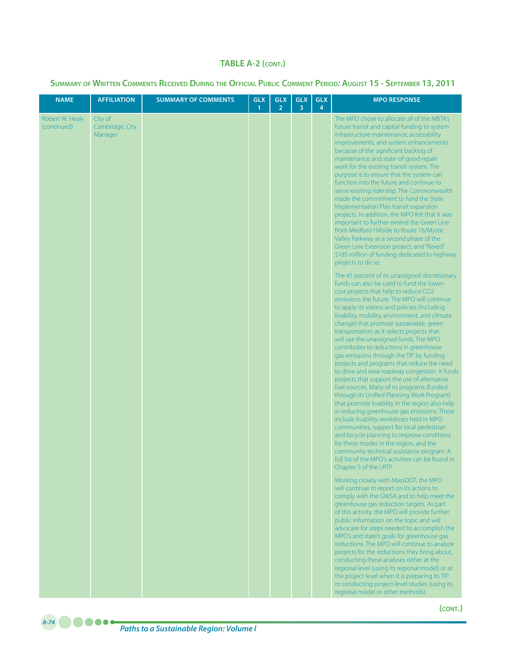| <b>NAME</b>                    | <b>AFFILIATION</b>                    | <b>SUMMARY OF COMMENTS</b> | <b>GLX</b><br>1 | <b>GLX</b><br>$\overline{2}$ | <b>GLX</b><br>3 | <b>GLX</b><br>4 | <b>MPO RESPONSE</b>                                                                                                                                                                                                                                                                                                                                                                                                                                                                                                                                                                                                                                                                                                                                                                                                                                                                                                                                                                                                                                                                                                                                                        |
|--------------------------------|---------------------------------------|----------------------------|-----------------|------------------------------|-----------------|-----------------|----------------------------------------------------------------------------------------------------------------------------------------------------------------------------------------------------------------------------------------------------------------------------------------------------------------------------------------------------------------------------------------------------------------------------------------------------------------------------------------------------------------------------------------------------------------------------------------------------------------------------------------------------------------------------------------------------------------------------------------------------------------------------------------------------------------------------------------------------------------------------------------------------------------------------------------------------------------------------------------------------------------------------------------------------------------------------------------------------------------------------------------------------------------------------|
| Robert W. Healy<br>(continued) | City of<br>Cambridge, City<br>Manager |                            |                 |                              |                 |                 | The MPO chose to allocate all of the MBTA's<br>future transit and capital funding to system<br>infrastructure maintenance, accessibility<br>improvements, and system enhancements<br>because of the significant backlog of<br>maintenance and state-of-good-repair<br>work for the existing transit system. The<br>purpose is to ensure that the system can<br>function into the future and continue to<br>serve existing ridership. The Commonwealth<br>made the commitment to fund the State<br>Implementation Plan transit expansion<br>projects. In addition, the MPO felt that it was<br>important to further extend the Green Line<br>from Medford Hillside to Route 16/Mystic<br>Valley Parkway as a second phase of the<br>Green Line Extension project, and "flexed"<br>\$185 million of funding dedicated to highway<br>projects to do so.                                                                                                                                                                                                                                                                                                                       |
|                                |                                       |                            |                 |                              |                 |                 | The 41 percent of its unassigned discretionary<br>funds can also be used to fund the lower-<br>cost projects that help to reduce CO2<br>emissions the future. The MPO will continue<br>to apply its visions and policies (including<br>livability, mobility, environment, and climate<br>change) that promote sustainable, green<br>transportation as it selects projects that<br>will use the unassigned funds. The MPO<br>contributes to reductions in greenhouse<br>gas emissions through the TIP by funding<br>projects and programs that reduce the need<br>to drive and ease roadway congestion. It funds<br>projects that support the use of alternative<br>fuel sources. Many of its programs (funded<br>through its Unified Planning Work Program)<br>that promote livability in the region also help<br>in reducing greenhouse gas emissions. These<br>include livability workshops held in MPO<br>communities, support for local pedestrian<br>and bicycle planning to improve conditions<br>for these modes in the region, and the<br>community technical assistance program. A<br>full list of the MPO's activities can be found in<br>Chapter 5 of the LRTP. |
|                                |                                       |                            |                 |                              |                 |                 | Working closely with MassDOT, the MPO<br>will continue to report on its actions to<br>comply with the GWSA and to help meet the<br>greenhouse gas reduction targets. As part<br>of this activity, the MPO will provide further<br>public information on the topic and will<br>advocate for steps needed to accomplish the<br>MPO's and state's goals for greenhouse gas<br>reductions. The MPO will continue to analyze<br>projects for the reductions they bring about,<br>conducting these analyses either at the<br>regional level (using its regional model) or at<br>the project level when it is preparing its TIP<br>or conducting project-level studies (using its<br>regional model or other methods).                                                                                                                                                                                                                                                                                                                                                                                                                                                            |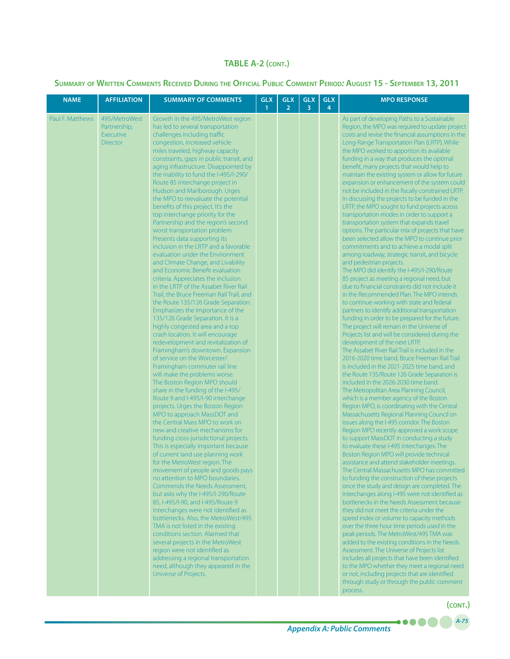### **Summary of Written Comments Received During the Official Public Comment Period***:* **August 15 - September 13, 2011**

| <b>NAME</b>      | <b>AFFILIATION</b>                                                   | <b>SUMMARY OF COMMENTS</b>                                                                                                                                                                                                                                                                                                                                                                                                                                                                                                                                                                                                                                                                                                                                                                                                                                                                                                                                                                                                                                                                                                                                                                                                                                                                                                                                                                                                                                                                                                                                                                                                                                                                                                                                                                                                                                                                                                                                                                                                                                                                                                                                                                               | <b>GLX</b><br>$\overline{1}$ | <b>GLX</b><br>$\overline{2}$ | <b>GLX</b><br>3 | <b>GLX</b><br>4 | <b>MPO RESPONSE</b>                                                                                                                                                                                                                                                                                                                                                                                                                                                                                                                                                                                                                                                                                                                                                                                                                                                                                                                                                                                                                                                                                                                                                                                                                                                                                                                                                                                                                                                                                                                                                                                                                                                                                                                                                                                                                                                                                                                                                                                                                                                                                                                                                                                                                                                                                                                                                                                                                                                                                                                                                                                                                                                                                                                                                                                                                                                               |
|------------------|----------------------------------------------------------------------|----------------------------------------------------------------------------------------------------------------------------------------------------------------------------------------------------------------------------------------------------------------------------------------------------------------------------------------------------------------------------------------------------------------------------------------------------------------------------------------------------------------------------------------------------------------------------------------------------------------------------------------------------------------------------------------------------------------------------------------------------------------------------------------------------------------------------------------------------------------------------------------------------------------------------------------------------------------------------------------------------------------------------------------------------------------------------------------------------------------------------------------------------------------------------------------------------------------------------------------------------------------------------------------------------------------------------------------------------------------------------------------------------------------------------------------------------------------------------------------------------------------------------------------------------------------------------------------------------------------------------------------------------------------------------------------------------------------------------------------------------------------------------------------------------------------------------------------------------------------------------------------------------------------------------------------------------------------------------------------------------------------------------------------------------------------------------------------------------------------------------------------------------------------------------------------------------------|------------------------------|------------------------------|-----------------|-----------------|-----------------------------------------------------------------------------------------------------------------------------------------------------------------------------------------------------------------------------------------------------------------------------------------------------------------------------------------------------------------------------------------------------------------------------------------------------------------------------------------------------------------------------------------------------------------------------------------------------------------------------------------------------------------------------------------------------------------------------------------------------------------------------------------------------------------------------------------------------------------------------------------------------------------------------------------------------------------------------------------------------------------------------------------------------------------------------------------------------------------------------------------------------------------------------------------------------------------------------------------------------------------------------------------------------------------------------------------------------------------------------------------------------------------------------------------------------------------------------------------------------------------------------------------------------------------------------------------------------------------------------------------------------------------------------------------------------------------------------------------------------------------------------------------------------------------------------------------------------------------------------------------------------------------------------------------------------------------------------------------------------------------------------------------------------------------------------------------------------------------------------------------------------------------------------------------------------------------------------------------------------------------------------------------------------------------------------------------------------------------------------------------------------------------------------------------------------------------------------------------------------------------------------------------------------------------------------------------------------------------------------------------------------------------------------------------------------------------------------------------------------------------------------------------------------------------------------------------------------------------------------------|
| Paul F. Matthews | 495/MetroWest<br>Partnership,<br><b>Executive</b><br><b>Director</b> | Growth in the 495/MetroWest region<br>has led to several transportation<br>challenges including traffic<br>congestion, increased vehicle<br>miles traveled, highway capacity<br>constraints, gaps in public transit, and<br>aging infrastructure. Disappointed by<br>the inability to fund the I-495/I-290/<br>Route 85 interchange project in<br>Hudson and Marlborough. Urges<br>the MPO to reevaluate the potential<br>benefits of this project. It's the<br>top interchange priority for the<br>Partnership and the region's second<br>worst transportation problem.<br>Presents data supporting its<br>inclusion in the LRTP and a favorable<br>evaluation under the Environment<br>and Climate Change, and Livability<br>and Economic Benefit evaluation<br>criteria. Appreciates the inclusion<br>in the LRTP of the Assabet River Rail<br>Trail, the Bruce Freeman Rail Trail, and<br>the Route 135/126 Grade Separation.<br>Emphasizes the importance of the<br>135/126 Grade Separation. It is a<br>highly congested area and a top<br>crash location. It will encourage<br>redevelopment and revitalization of<br>Framingham's downtown. Expansion<br>of service on the Worcester/<br>Framingham commuter rail line<br>will make the problems worse.<br>The Boston Region MPO should<br>share in the funding of the I-495/<br>Route 9 and I-495/I-90 interchange<br>projects. Urges the Boston Region<br>MPO to approach MassDOT and<br>the Central Mass MPO to work on<br>new and creative mechanisms for<br>funding cross-jurisdictional projects.<br>This is especially important because<br>of current land use planning work<br>for the MetroWest region. The<br>movement of people and goods pays<br>no attention to MPO boundaries.<br>Commends the Needs Assessment.<br>but asks why the I-495/I-290/Route<br>85, I-495/I-90, and I-495/Route 9<br>interchanges were not identified as<br>bottlenecks. Also, the MetroWest/495<br>TMA is not listed in the existing<br>conditions section. Alarmed that<br>several projects in the MetroWest<br>region were not identified as<br>addressing a regional transportation<br>need, although they appeared in the<br>Universe of Projects. |                              |                              |                 |                 | As part of developing Paths to a Sustainable<br>Region, the MPO was required to update project<br>costs and revise the financial assumptions in the<br>Long-Range Transportation Plan (LRTP). While<br>the MPO worked to apportion its available<br>funding in a way that produces the optimal<br>benefit, many projects that would help to<br>maintain the existing system or allow for future<br>expansion or enhancement of the system could<br>not be included in the fiscally constrained LRTP.<br>In discussing the projects to be funded in the<br>LRTP, the MPO sought to fund projects across<br>transportation modes in order to support a<br>transportation system that expands travel<br>options. The particular mix of projects that have<br>been selected allow the MPO to continue prior<br>commitments and to achieve a modal split<br>among roadway, strategic transit, and bicycle<br>and pedestrian projects.<br>The MPO did identify the I-495/I-290/Route<br>85 project as meeting a regional need, but<br>due to financial constraints did not include it<br>in the Recommended Plan. The MPO intends<br>to continue working with state and federal<br>partners to identify additional transportation<br>funding in order to be prepared for the future.<br>The project will remain in the Universe of<br>Projects list and will be considered during the<br>development of the next LRTP.<br>The Assabet River Rail Trail is included in the<br>2016-2020 time band, Bruce Freeman Rail Trail<br>is included in the 2021-2025 time band, and<br>the Route 135/Route 126 Grade Separation is<br>included in the 2026-2030 time band.<br>The Metropolitan Area Planning Council,<br>which is a member agency of the Boston<br>Region MPO, is coordinating with the Central<br>Massachusetts Regional Planning Council on<br>issues along the I-495 corridor. The Boston<br>Region MPO recently approved a work scope<br>to support MassDOT in conducting a study<br>to evaluate these I-495 interchanges. The<br>Boston Region MPO will provide technical<br>assistance and attend stakeholder meetings.<br>The Central Massachusetts MPO has committed<br>to funding the construction of these projects<br>once the study and design are completed. The<br>interchanges along I-495 were not identified as<br>bottlenecks in the Needs Assessment because<br>they did not meet the criteria under the<br>speed index or volume to capacity methods<br>over the three hour time periods used in the<br>peak periods. The MetroWest/495 TMA was<br>added to the existing conditions in the Needs<br>Assessment. The Universe of Projects list<br>includes all projects that have been identified<br>to the MPO whether they meet a regional need<br>or not, including projects that are identified<br>through study or through the public comment<br>process. |

*A-75* **(cont.)**

 $\bullet\bullet\bullet\bullet$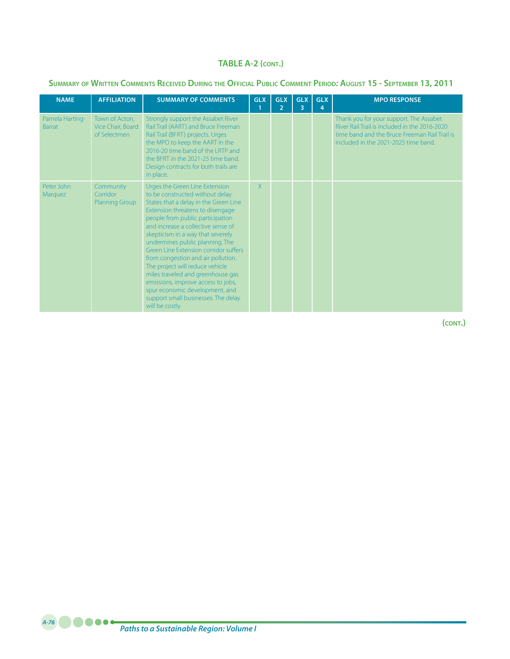#### **Summary of Written Comments Received During the Official Public Comment Period***:* **August 15 - September 13, 2011**

| <b>NAME</b>                      | <b>AFFILIATION</b>                                  | <b>SUMMARY OF COMMENTS</b>                                                                                                                                                                                                                                                                                                                                                                                                                                                                                                                                                                 | <b>GLX</b> | <b>GLX</b><br>$\overline{2}$ | <b>GLX</b><br>3 | <b>GLX</b><br>4 | <b>MPO RESPONSE</b>                                                                                                                                                               |
|----------------------------------|-----------------------------------------------------|--------------------------------------------------------------------------------------------------------------------------------------------------------------------------------------------------------------------------------------------------------------------------------------------------------------------------------------------------------------------------------------------------------------------------------------------------------------------------------------------------------------------------------------------------------------------------------------------|------------|------------------------------|-----------------|-----------------|-----------------------------------------------------------------------------------------------------------------------------------------------------------------------------------|
| Pamela Harting-<br><b>Barrat</b> | Town of Acton,<br>Vice Chair, Board<br>of Selectmen | Strongly support the Assabet River<br>Rail Trail (AART) and Bruce Freeman<br>Rail Trail (BFRT) projects. Urges<br>the MPO to keep the AART in the<br>2016-20 time band of the LRTP and<br>the BFRT in the 2021-25 time band.<br>Design contracts for both trails are<br>in place.                                                                                                                                                                                                                                                                                                          |            |                              |                 |                 | Thank you for your support. The Assabet<br>River Rail Trail is included in the 2016-2020<br>time band and the Bruce Freeman Rail Trail is<br>included in the 2021-2025 time band. |
| Peter John<br>Marquez            | Community<br>Corridor<br><b>Planning Group</b>      | Urges the Green Line Extension<br>to be constructed without delay.<br>States that a delay in the Green Line<br>Extension threatens to disengage<br>people from public participation<br>and increase a collective sense of<br>skepticism in a way that severely<br>undermines public planning. The<br>Green Line Extension corridor suffers<br>from congestion and air pollution.<br>The project will reduce vehicle<br>miles traveled and greenhouse gas<br>emissions, improve access to jobs,<br>spur economic development, and<br>support small businesses. The delay<br>will be costly. | X          |                              |                 |                 |                                                                                                                                                                                   |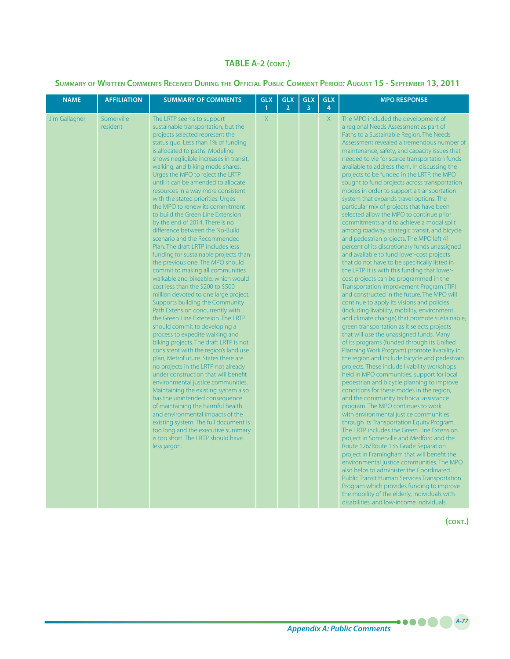#### **Summary of Written Comments Received During the Official Public Comment Period***:* **August 15 - September 13, 2011**

| <b>NAME</b>   | <b>AFFILIATION</b>     | <b>SUMMARY OF COMMENTS</b>                                                                                                                                                                                                                                                                                                                                                                                                                                                                                                                                                                                                                                                                                                                                                                                                                                                                                                                                                                                                                                                                                                                                                                                                                                                                                                                                                                                                                                                                                                                                                                         | <b>GLX</b><br>$\mathbf{1}$ | <b>GLX</b><br>$\overline{2}$ | <b>GLX</b><br>$\overline{3}$ | <b>GLX</b><br>$\overline{4}$ | <b>MPO RESPONSE</b>                                                                                                                                                                                                                                                                                                                                                                                                                                                                                                                                                                                                                                                                                                                                                                                                                                                                                                                                                                                                                                                                                                                                                                                                                                                                                                                                                                                                                                                                                                                                                                                                                                                                                                                                                                                                                                                                                                                                                                                                                                                                                                                                                                                                                                                                                                                |
|---------------|------------------------|----------------------------------------------------------------------------------------------------------------------------------------------------------------------------------------------------------------------------------------------------------------------------------------------------------------------------------------------------------------------------------------------------------------------------------------------------------------------------------------------------------------------------------------------------------------------------------------------------------------------------------------------------------------------------------------------------------------------------------------------------------------------------------------------------------------------------------------------------------------------------------------------------------------------------------------------------------------------------------------------------------------------------------------------------------------------------------------------------------------------------------------------------------------------------------------------------------------------------------------------------------------------------------------------------------------------------------------------------------------------------------------------------------------------------------------------------------------------------------------------------------------------------------------------------------------------------------------------------|----------------------------|------------------------------|------------------------------|------------------------------|------------------------------------------------------------------------------------------------------------------------------------------------------------------------------------------------------------------------------------------------------------------------------------------------------------------------------------------------------------------------------------------------------------------------------------------------------------------------------------------------------------------------------------------------------------------------------------------------------------------------------------------------------------------------------------------------------------------------------------------------------------------------------------------------------------------------------------------------------------------------------------------------------------------------------------------------------------------------------------------------------------------------------------------------------------------------------------------------------------------------------------------------------------------------------------------------------------------------------------------------------------------------------------------------------------------------------------------------------------------------------------------------------------------------------------------------------------------------------------------------------------------------------------------------------------------------------------------------------------------------------------------------------------------------------------------------------------------------------------------------------------------------------------------------------------------------------------------------------------------------------------------------------------------------------------------------------------------------------------------------------------------------------------------------------------------------------------------------------------------------------------------------------------------------------------------------------------------------------------------------------------------------------------------------------------------------------------|
| Jim Gallagher | Somerville<br>resident | The LRTP seems to support<br>sustainable transportation, but the<br>projects selected represent the<br>status quo. Less than 1% of funding<br>is allocated to paths. Modeling<br>shows negligible increases in transit,<br>walking, and biking mode shares.<br>Urges the MPO to reject the LRTP<br>until it can be amended to allocate<br>resources in a way more consistent<br>with the stated priorities. Urges<br>the MPO to renew its commitment<br>to build the Green Line Extension<br>by the end of 2014. There is no<br>difference between the No-Build<br>scenario and the Recommended<br>Plan. The draft LRTP includes less<br>funding for sustainable projects than<br>the previous one. The MPO should<br>commit to making all communities<br>walkable and bikeable, which would<br>cost less than the \$200 to \$500<br>million devoted to one large project.<br>Supports building the Community<br>Path Extension concurrently with<br>the Green Line Extension. The LRTP<br>should commit to developing a<br>process to expedite walking and<br>biking projects. The draft LRTP is not<br>consistent with the region's land use<br>plan, MetroFuture. States there are<br>no projects in the LRTP not already<br>under construction that will benefit<br>environmental justice communities.<br>Maintaining the existing system also<br>has the unintended consequence<br>of maintaining the harmful health<br>and environmental impacts of the<br>existing system. The full document is<br>too long and the executive summary<br>is too short. The LRTP should have<br>less jargon. | $\chi$                     |                              |                              | $\mathsf{X}$                 | The MPO included the development of<br>a regional Needs Assessment as part of<br>Paths to a Sustainable Region. The Needs<br>Assessment revealed a tremendous number of<br>maintenance, safety, and capacity issues that<br>needed to vie for scarce transportation funds<br>available to address them. In discussing the<br>projects to be funded in the LRTP, the MPO<br>sought to fund projects across transportation<br>modes in order to support a transportation<br>system that expands travel options. The<br>particular mix of projects that have been<br>selected allow the MPO to continue prior<br>commitments and to achieve a modal split<br>among roadway, strategic transit, and bicycle<br>and pedestrian projects. The MPO left 41<br>percent of its discretionary funds unassigned<br>and available to fund lower-cost projects<br>that do not have to be specifically listed in<br>the LRTP. It is with this funding that lower-<br>cost projects can be programmed in the<br>Transportation Improvement Program (TIP)<br>and constructed in the future. The MPO will<br>continue to apply its visions and policies<br>(including livability, mobility, environment,<br>and climate change) that promote sustainable,<br>green transportation as it selects projects<br>that will use the unassigned funds. Many<br>of its programs (funded through its Unified<br>Planning Work Program) promote livability in<br>the region and include bicycle and pedestrain<br>projects. These include livability workshops<br>held in MPO communities, support for local<br>pedestrian and bicycle planning to improve<br>conditions for these modes in the region,<br>and the community technical assistance<br>program. The MPO continues to work<br>with environmental justice communities<br>through its Transportation Equity Program.<br>The LRTP includes the Green Line Extension<br>project in Somerville and Medford and the<br>Route 126/Route 135 Grade Separation<br>project in Framingham that will benefit the<br>environmental justice communities. The MPO<br>also helps to administer the Coordinated<br><b>Public Transit Human Services Transportation</b><br>Program which provides funding to improve<br>the mobility of the elderly, individuals with<br>disabilities, and low-income individuals. |

**(cont.)**

*A-77*

**-....**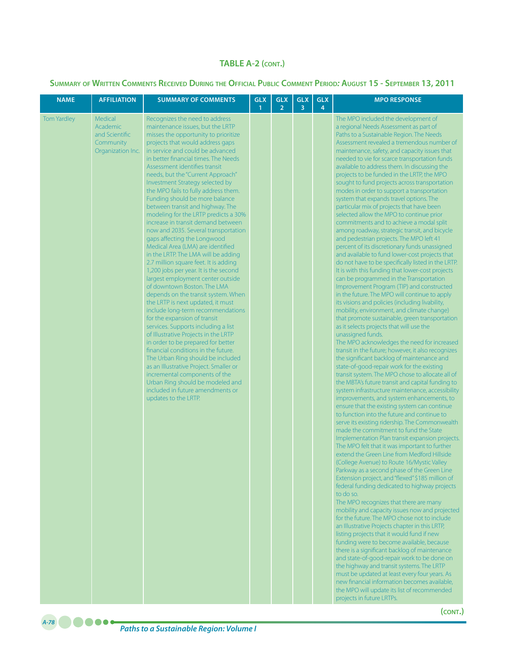| <b>NAME</b>        | <b>AFFILIATION</b>                                                      | <b>SUMMARY OF COMMENTS</b>                                                                                                                                                                                                                                                                                                                                                                                                                                                                                                                                                                                                                                                                                                                                                                                                                                                                                                                                                                                                                                                                                                                                                                                                                                                                                                                                            | <b>GLX</b><br>$\mathbf{1}$ | <b>GLX</b><br>$\overline{2}$ | <b>GLX</b><br>3 | <b>GLX</b><br>$\overline{4}$ | <b>MPO RESPONSE</b>                                                                                                                                                                                                                                                                                                                                                                                                                                                                                                                                                                                                                                                                                                                                                                                                                                                                                                                                                                                                                                                                                                                                                                                                                                                                                                                                                                                                                                                                                                                                                                                                                                                                                                                                                                                                                                                                                                                                                                                                                                                                                                                                                                                                                                                                                                                                                                                                                                                                                                                                                                                                                                                                                                                                                                                                                                                                                                               |
|--------------------|-------------------------------------------------------------------------|-----------------------------------------------------------------------------------------------------------------------------------------------------------------------------------------------------------------------------------------------------------------------------------------------------------------------------------------------------------------------------------------------------------------------------------------------------------------------------------------------------------------------------------------------------------------------------------------------------------------------------------------------------------------------------------------------------------------------------------------------------------------------------------------------------------------------------------------------------------------------------------------------------------------------------------------------------------------------------------------------------------------------------------------------------------------------------------------------------------------------------------------------------------------------------------------------------------------------------------------------------------------------------------------------------------------------------------------------------------------------|----------------------------|------------------------------|-----------------|------------------------------|-----------------------------------------------------------------------------------------------------------------------------------------------------------------------------------------------------------------------------------------------------------------------------------------------------------------------------------------------------------------------------------------------------------------------------------------------------------------------------------------------------------------------------------------------------------------------------------------------------------------------------------------------------------------------------------------------------------------------------------------------------------------------------------------------------------------------------------------------------------------------------------------------------------------------------------------------------------------------------------------------------------------------------------------------------------------------------------------------------------------------------------------------------------------------------------------------------------------------------------------------------------------------------------------------------------------------------------------------------------------------------------------------------------------------------------------------------------------------------------------------------------------------------------------------------------------------------------------------------------------------------------------------------------------------------------------------------------------------------------------------------------------------------------------------------------------------------------------------------------------------------------------------------------------------------------------------------------------------------------------------------------------------------------------------------------------------------------------------------------------------------------------------------------------------------------------------------------------------------------------------------------------------------------------------------------------------------------------------------------------------------------------------------------------------------------------------------------------------------------------------------------------------------------------------------------------------------------------------------------------------------------------------------------------------------------------------------------------------------------------------------------------------------------------------------------------------------------------------------------------------------------------------------------------------------------|
| <b>Tom Yardley</b> | Medical<br>Academic<br>and Scientific<br>Community<br>Organization Inc. | Recognizes the need to address<br>maintenance issues, but the LRTP<br>misses the opportunity to prioritize<br>projects that would address gaps<br>in service and could be advanced<br>in better financial times. The Needs<br>Assessment identifies transit<br>needs, but the "Current Approach"<br>Investment Strategy selected by<br>the MPO fails to fully address them.<br>Funding should be more balance<br>between transit and highway. The<br>modeling for the LRTP predicts a 30%<br>increase in transit demand between<br>now and 2035. Several transportation<br>gaps affecting the Longwood<br>Medical Area (LMA) are identified<br>in the LRTP. The LMA will be adding<br>2.7 million square feet. It is adding<br>1,200 jobs per year. It is the second<br>largest employment center outside<br>of downtown Boston. The LMA<br>depends on the transit system. When<br>the LRTP is next updated, it must<br>include long-term recommendations<br>for the expansion of transit<br>services. Supports including a list<br>of Illustrative Projects in the LRTP<br>in order to be prepared for better<br>financial conditions in the future.<br>The Urban Ring should be included<br>as an Illustrative Project. Smaller or<br>incremental components of the<br>Urban Ring should be modeled and<br>included in future amendments or<br>updates to the LRTP. |                            |                              |                 |                              | The MPO included the development of<br>a regional Needs Assessment as part of<br>Paths to a Sustainable Region. The Needs<br>Assessment revealed a tremendous number of<br>maintenance, safety, and capacity issues that<br>needed to vie for scarce transportation funds<br>available to address them. In discussing the<br>projects to be funded in the LRTP, the MPO<br>sought to fund projects across transportation<br>modes in order to support a transportation<br>system that expands travel options. The<br>particular mix of projects that have been<br>selected allow the MPO to continue prior<br>commitments and to achieve a modal split<br>among roadway, strategic transit, and bicycle<br>and pedestrian projects. The MPO left 41<br>percent of its discretionary funds unassigned<br>and available to fund lower-cost projects that<br>do not have to be specifically listed in the LRTP.<br>It is with this funding that lower-cost projects<br>can be programmed in the Transportation<br>Improvement Program (TIP) and constructed<br>in the future. The MPO will continue to apply<br>its visions and policies (including livability,<br>mobility, environment, and climate change)<br>that promote sustainable, green transportation<br>as it selects projects that will use the<br>unassigned funds.<br>The MPO acknowledges the need for increased<br>transit in the future; however, it also recognizes<br>the significant backlog of maintenance and<br>state-of-good-repair work for the existing<br>transit system. The MPO chose to allocate all of<br>the MBTA's future transit and capital funding to<br>system infrastructure maintenance, accessibility<br>improvements, and system enhancements, to<br>ensure that the existing system can continue<br>to function into the future and continue to<br>serve its existing ridership. The Commonwealth<br>made the commitment to fund the State<br>Implementation Plan transit expansion projects.<br>The MPO felt that it was important to further<br>extend the Green Line from Medford Hillside<br>(College Avenue) to Route 16/Mystic Valley<br>Parkway as a second phase of the Green Line<br>Extension project, and "flexed" \$185 million of<br>federal funding dedicated to highway projects<br>to do so.<br>The MPO recognizes that there are many<br>mobility and capacity issues now and projected<br>for the future. The MPO chose not to include<br>an Illustrative Projects chapter in this LRTP,<br>listing projects that it would fund if new<br>funding were to become available, because<br>there is a significant backlog of maintenance<br>and state-of-good-repair work to be done on<br>the highway and transit systems. The LRTP<br>must be updated at least every four years. As<br>new financial information becomes available,<br>the MPO will update its list of recommended<br>projects in future LRTPs.<br>(CONT.) |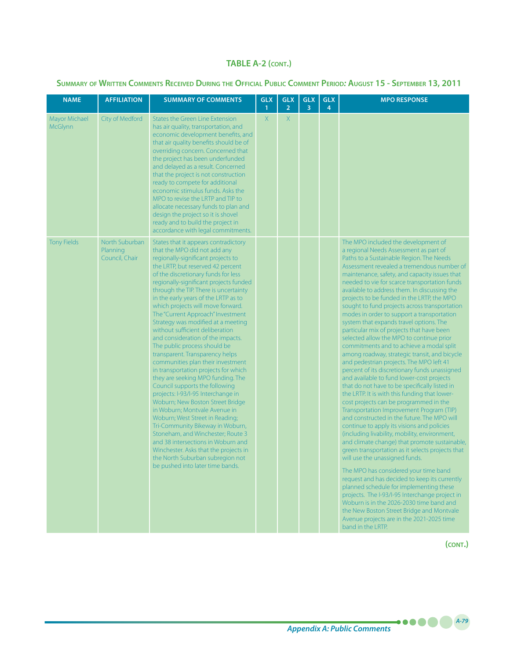### **Summary of Written Comments Received During the Official Public Comment Period***:* **August 15 - September 13, 2011**

| <b>NAME</b>                     | <b>AFFILIATION</b>                           | <b>SUMMARY OF COMMENTS</b>                                                                                                                                                                                                                                                                                                                                                                                                                                                                                                                                                                                                                                                                                                                                                                                                                                                                                                                                                                                                                                                                                     | GLX<br>1     | <b>GLX</b><br>$\overline{2}$ | <b>GLX</b><br>3 | <b>GLX</b><br>4 | <b>MPO RESPONSE</b>                                                                                                                                                                                                                                                                                                                                                                                                                                                                                                                                                                                                                                                                                                                                                                                                                                                                                                                                                                                                                                                                                                                                                                                                                                                                                                                                                                                                                                                                                                                                                                                                                                                              |
|---------------------------------|----------------------------------------------|----------------------------------------------------------------------------------------------------------------------------------------------------------------------------------------------------------------------------------------------------------------------------------------------------------------------------------------------------------------------------------------------------------------------------------------------------------------------------------------------------------------------------------------------------------------------------------------------------------------------------------------------------------------------------------------------------------------------------------------------------------------------------------------------------------------------------------------------------------------------------------------------------------------------------------------------------------------------------------------------------------------------------------------------------------------------------------------------------------------|--------------|------------------------------|-----------------|-----------------|----------------------------------------------------------------------------------------------------------------------------------------------------------------------------------------------------------------------------------------------------------------------------------------------------------------------------------------------------------------------------------------------------------------------------------------------------------------------------------------------------------------------------------------------------------------------------------------------------------------------------------------------------------------------------------------------------------------------------------------------------------------------------------------------------------------------------------------------------------------------------------------------------------------------------------------------------------------------------------------------------------------------------------------------------------------------------------------------------------------------------------------------------------------------------------------------------------------------------------------------------------------------------------------------------------------------------------------------------------------------------------------------------------------------------------------------------------------------------------------------------------------------------------------------------------------------------------------------------------------------------------------------------------------------------------|
| Mayor Michael<br><b>McGlynn</b> | City of Medford                              | <b>States the Green Line Extension</b><br>has air quality, transportation, and<br>economic development benefits, and<br>that air quality benefits should be of<br>overriding concern. Concerned that<br>the project has been underfunded<br>and delayed as a result. Concerned<br>that the project is not construction<br>ready to compete for additional<br>economic stimulus funds. Asks the<br>MPO to revise the LRTP and TIP to<br>allocate necessary funds to plan and<br>design the project so it is shovel<br>ready and to build the project in<br>accordance with legal commitments.                                                                                                                                                                                                                                                                                                                                                                                                                                                                                                                   | $\mathsf{X}$ | $\mathsf{X}$                 |                 |                 |                                                                                                                                                                                                                                                                                                                                                                                                                                                                                                                                                                                                                                                                                                                                                                                                                                                                                                                                                                                                                                                                                                                                                                                                                                                                                                                                                                                                                                                                                                                                                                                                                                                                                  |
| <b>Tony Fields</b>              | North Suburban<br>Planning<br>Council, Chair | States that it appears contradictory<br>that the MPO did not add any<br>regionally-significant projects to<br>the LRTP, but reserved 42 percent<br>of the discretionary funds for less<br>regionally-significant projects funded<br>through the TIP. There is uncertainty<br>in the early years of the LRTP as to<br>which projects will move forward.<br>The "Current Approach" Investment<br>Strategy was modified at a meeting<br>without sufficient deliberation<br>and consideration of the impacts.<br>The public process should be<br>transparent. Transparency helps<br>communities plan their investment<br>in transportation projects for which<br>they are seeking MPO funding. The<br>Council supports the following<br>projects: I-93/I-95 Interchange in<br>Woburn; New Boston Street Bridge<br>in Woburn; Montvale Avenue in<br>Woburn; West Street in Reading;<br>Tri-Community Bikeway in Woburn,<br>Stoneham, and Winchester; Route 3<br>and 38 intersections in Woburn and<br>Winchester. Asks that the projects in<br>the North Suburban subregion not<br>be pushed into later time bands. |              |                              |                 |                 | The MPO included the development of<br>a regional Needs Assessment as part of<br>Paths to a Sustainable Region. The Needs<br>Assessment revealed a tremendous number of<br>maintenance, safety, and capacity issues that<br>needed to vie for scarce transportation funds<br>available to address them. In discussing the<br>projects to be funded in the LRTP, the MPO<br>sought to fund projects across transportation<br>modes in order to support a transportation<br>system that expands travel options. The<br>particular mix of projects that have been<br>selected allow the MPO to continue prior<br>commitments and to achieve a modal split<br>among roadway, strategic transit, and bicycle<br>and pedestrian projects. The MPO left 41<br>percent of its discretionary funds unassigned<br>and available to fund lower-cost projects<br>that do not have to be specifically listed in<br>the LRTP. It is with this funding that lower-<br>cost projects can be programmed in the<br>Transportation Improvement Program (TIP)<br>and constructed in the future. The MPO will<br>continue to apply its visions and policies<br>(including livability, mobility, environment,<br>and climate change) that promote sustainable,<br>green transportation as it selects projects that<br>will use the unassigned funds.<br>The MPO has considered your time band<br>request and has decided to keep its currently<br>planned schedule for implementing these<br>projects. The I-93/I-95 Interchange project in<br>Woburn is in the 2026-2030 time band and<br>the New Boston Street Bridge and Montvale<br>Avenue projects are in the 2021-2025 time<br>band in the LRTP. |

**(cont.)**

*A-79*

.....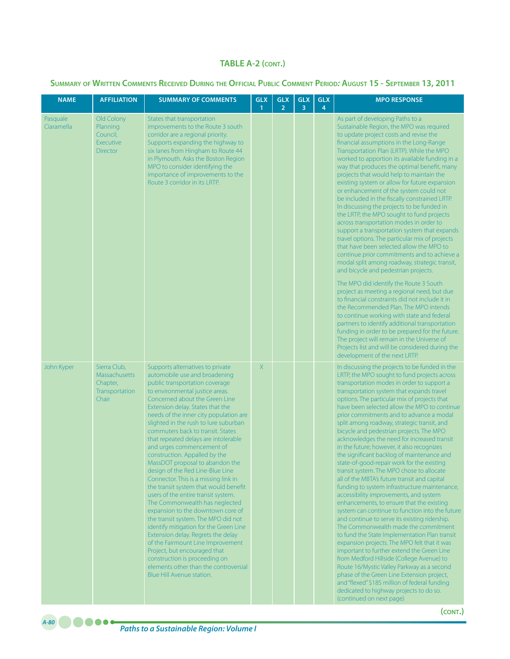#### **Summary of Written Comments Received During the Official Public Comment Period***:* **August 15 - September 13, 2011**

| <b>NAME</b>            | <b>AFFILIATION</b>                                                          | <b>SUMMARY OF COMMENTS</b>                                                                                                                                                                                                                                                                                                                                                                                                                                                                                                                                                                                                                                                                                                                                                                                                                                                                                                                                                                                          | <b>GLX</b><br>$\mathbf{1}$ | <b>GLX</b><br>$\overline{2}$ | <b>GLX</b><br>3 | <b>GLX</b><br>4 | <b>MPO RESPONSE</b>                                                                                                                                                                                                                                                                                                                                                                                                                                                                                                                                                                                                                                                                                                                                                                                                                                                                                                                                                                                                                                                                                                                                                                                                                                                                                                                                                                                                        |
|------------------------|-----------------------------------------------------------------------------|---------------------------------------------------------------------------------------------------------------------------------------------------------------------------------------------------------------------------------------------------------------------------------------------------------------------------------------------------------------------------------------------------------------------------------------------------------------------------------------------------------------------------------------------------------------------------------------------------------------------------------------------------------------------------------------------------------------------------------------------------------------------------------------------------------------------------------------------------------------------------------------------------------------------------------------------------------------------------------------------------------------------|----------------------------|------------------------------|-----------------|-----------------|----------------------------------------------------------------------------------------------------------------------------------------------------------------------------------------------------------------------------------------------------------------------------------------------------------------------------------------------------------------------------------------------------------------------------------------------------------------------------------------------------------------------------------------------------------------------------------------------------------------------------------------------------------------------------------------------------------------------------------------------------------------------------------------------------------------------------------------------------------------------------------------------------------------------------------------------------------------------------------------------------------------------------------------------------------------------------------------------------------------------------------------------------------------------------------------------------------------------------------------------------------------------------------------------------------------------------------------------------------------------------------------------------------------------------|
| Pasquale<br>Ciaramella | Old Colony<br>Planning<br>Council,<br>Executive<br><b>Director</b>          | States that transportation<br>improvements to the Route 3 south<br>corridor are a regional priority.<br>Supports expanding the highway to<br>six lanes from Hingham to Route 44<br>in Plymouth. Asks the Boston Region<br>MPO to consider identifying the<br>importance of improvements to the<br>Route 3 corridor in its LRTP.                                                                                                                                                                                                                                                                                                                                                                                                                                                                                                                                                                                                                                                                                     |                            |                              |                 |                 | As part of developing Paths to a<br>Sustainable Region, the MPO was required<br>to update project costs and revise the<br>financial assumptions in the Long-Range<br>Transportation Plan (LRTP). While the MPO<br>worked to apportion its available funding in a<br>way that produces the optimal benefit, many<br>projects that would help to maintain the<br>existing system or allow for future expansion<br>or enhancement of the system could not<br>be included in the fiscally constrained LRTP.<br>In discussing the projects to be funded in<br>the LRTP, the MPO sought to fund projects<br>across transportation modes in order to<br>support a transportation system that expands<br>travel options. The particular mix of projects<br>that have been selected allow the MPO to<br>continue prior commitments and to achieve a<br>modal split among roadway, strategic transit,<br>and bicycle and pedestrian projects.<br>The MPO did identify the Route 3 South<br>project as meeting a regional need, but due<br>to financial constraints did not include it in<br>the Recommended Plan. The MPO intends<br>to continue working with state and federal<br>partners to identify additional transportation<br>funding in order to be prepared for the future.<br>The project will remain in the Universe of<br>Projects list and will be considered during the<br>development of the next LRTP.               |
| John Kyper             | Sierra Club,<br><b>Massachusetts</b><br>Chapter,<br>Transportation<br>Chair | Supports alternatives to private<br>automobile use and broadening<br>public transportation coverage<br>to environmental justice areas.<br>Concerned about the Green Line<br>Extension delay. States that the<br>needs of the inner city population are<br>slighted in the rush to lure suburban<br>commuters back to transit. States<br>that repeated delays are intolerable<br>and urges commencement of<br>construction. Appalled by the<br>MassDOT proposal to abandon the<br>design of the Red Line-Blue Line<br>Connector. This is a missing link in<br>the transit system that would benefit<br>users of the entire transit system.<br>The Commonwealth has neglected<br>expansion to the downtown core of<br>the transit system. The MPO did not<br>identify mitigation for the Green Line<br>Extension delay. Regrets the delay<br>of the Fairmount Line Improvement<br>Project, but encouraged that<br>construction is proceeding on<br>elements other than the controversial<br>Blue Hill Avenue station. | X                          |                              |                 |                 | In discussing the projects to be funded in the<br>LRTP, the MPO sought to fund projects across<br>transportation modes in order to support a<br>transportation system that expands travel<br>options. The particular mix of projects that<br>have been selected allow the MPO to continue<br>prior commitments and to advance a modal<br>split among roadway, strategic transit, and<br>bicycle and pedestrian projects. The MPO<br>acknowledges the need for increased transit<br>in the future; however, it also recognizes<br>the significant backlog of maintenance and<br>state-of-good-repair work for the existing<br>transit system. The MPO chose to allocate<br>all of the MBTA's future transit and capital<br>funding to system infrastructure maintenance,<br>accessibility improvements, and system<br>enhancements, to ensure that the existing<br>system can continue to function into the future<br>and continue to serve its existing ridership.<br>The Commonwealth made the commitment<br>to fund the State Implementation Plan transit<br>expansion projects. The MPO felt that it was<br>important to further extend the Green Line<br>from Medford Hillside (College Avenue) to<br>Route 16/Mystic Valley Parkway as a second<br>phase of the Green Line Extension project,<br>and "flexed" \$185 million of federal funding<br>dedicated to highway projects to do so.<br>(continued on next page) |

**(cont.)**

*Paths to a Sustainable Region: Volume I A-80*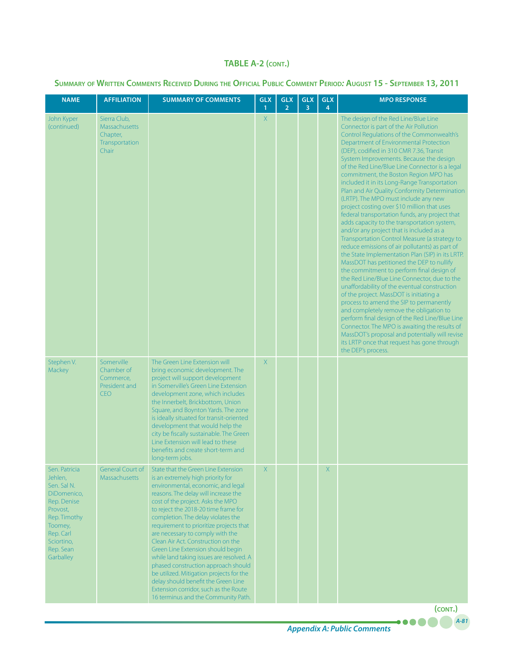### **Summary of Written Comments Received During the Official Public Comment Period***:* **August 15 - September 13, 2011**

| <b>NAME</b>                                                                                                                                                       | <b>AFFILIATION</b>                                                          | <b>SUMMARY OF COMMENTS</b>                                                                                                                                                                                                                                                                                                                                                                                                                                                                                                                                                                                                                         | <b>GLX</b><br>1 | <b>GLX</b><br>$\overline{2}$ | <b>GLX</b><br>3 | <b>GLX</b><br>4 | <b>MPO RESPONSE</b>                                                                                                                                                                                                                                                                                                                                                                                                                                                                                                                                                                                                                                                                                                                                                                                                                                                                                                                                                                                                                                                                                                                                                                                                                                                                                                                                                                                      |
|-------------------------------------------------------------------------------------------------------------------------------------------------------------------|-----------------------------------------------------------------------------|----------------------------------------------------------------------------------------------------------------------------------------------------------------------------------------------------------------------------------------------------------------------------------------------------------------------------------------------------------------------------------------------------------------------------------------------------------------------------------------------------------------------------------------------------------------------------------------------------------------------------------------------------|-----------------|------------------------------|-----------------|-----------------|----------------------------------------------------------------------------------------------------------------------------------------------------------------------------------------------------------------------------------------------------------------------------------------------------------------------------------------------------------------------------------------------------------------------------------------------------------------------------------------------------------------------------------------------------------------------------------------------------------------------------------------------------------------------------------------------------------------------------------------------------------------------------------------------------------------------------------------------------------------------------------------------------------------------------------------------------------------------------------------------------------------------------------------------------------------------------------------------------------------------------------------------------------------------------------------------------------------------------------------------------------------------------------------------------------------------------------------------------------------------------------------------------------|
| John Kyper<br>(continued)                                                                                                                                         | Sierra Club,<br><b>Massachusetts</b><br>Chapter,<br>Transportation<br>Chair |                                                                                                                                                                                                                                                                                                                                                                                                                                                                                                                                                                                                                                                    | $\mathsf{X}$    |                              |                 |                 | The design of the Red Line/Blue Line<br>Connector is part of the Air Pollution<br>Control Regulations of the Commonwealth's<br>Department of Environmental Protection<br>(DEP), codified in 310 CMR 7.36, Transit<br>System Improvements. Because the design<br>of the Red Line/Blue Line Connector is a legal<br>commitment, the Boston Region MPO has<br>included it in its Long-Range Transportation<br>Plan and Air Quality Conformity Determination<br>(LRTP). The MPO must include any new<br>project costing over \$10 million that uses<br>federal transportation funds, any project that<br>adds capacity to the transportation system,<br>and/or any project that is included as a<br>Transportation Control Measure (a strategy to<br>reduce emissions of air pollutants) as part of<br>the State Implementation Plan (SIP) in its LRTP.<br>MassDOT has petitioned the DEP to nullify<br>the commitment to perform final design of<br>the Red Line/Blue Line Connector, due to the<br>unaffordability of the eventual construction<br>of the project. MassDOT is initiating a<br>process to amend the SIP to permanently<br>and completely remove the obligation to<br>perform final design of the Red Line/Blue Line<br>Connector. The MPO is awaiting the results of<br>MassDOT's proposal and potentially will revise<br>its LRTP once that request has gone through<br>the DEP's process. |
| Stephen V.<br>Mackey                                                                                                                                              | Somerville<br>Chamber of<br>Commerce,<br>President and<br><b>CEO</b>        | The Green Line Extension will<br>bring economic development. The<br>project will support development<br>in Somerville's Green Line Extension<br>development zone, which includes<br>the Innerbelt, Brickbottom, Union<br>Square, and Boynton Yards. The zone<br>is ideally situated for transit-oriented<br>development that would help the<br>city be fiscally sustainable. The Green<br>Line Extension will lead to these<br>benefits and create short-term and<br>long-term jobs.                                                                                                                                                               | X               |                              |                 |                 |                                                                                                                                                                                                                                                                                                                                                                                                                                                                                                                                                                                                                                                                                                                                                                                                                                                                                                                                                                                                                                                                                                                                                                                                                                                                                                                                                                                                          |
| Sen. Patricia<br>Jehlen,<br>Sen. Sal N.<br>DiDomenico,<br>Rep. Denise<br>Provost,<br>Rep. Timothy<br>Toomey,<br>Rep. Carl<br>Sciortino,<br>Rep. Sean<br>Garballey | <b>General Court of</b><br>Massachusetts                                    | State that the Green Line Extension<br>is an extremely high priority for<br>environmental, economic, and legal<br>reasons. The delay will increase the<br>cost of the project. Asks the MPO<br>to reject the 2018-20 time frame for<br>completion. The delay violates the<br>requirement to prioritize projects that<br>are necessary to comply with the<br>Clean Air Act. Construction on the<br>Green Line Extension should begin<br>while land taking issues are resolved. A<br>phased construction approach should<br>be utilized. Mitigation projects for the<br>delay should benefit the Green Line<br>Extension corridor, such as the Route | X.              |                              |                 | X               |                                                                                                                                                                                                                                                                                                                                                                                                                                                                                                                                                                                                                                                                                                                                                                                                                                                                                                                                                                                                                                                                                                                                                                                                                                                                                                                                                                                                          |
|                                                                                                                                                                   |                                                                             | 16 terminus and the Community Path.                                                                                                                                                                                                                                                                                                                                                                                                                                                                                                                                                                                                                |                 |                              |                 |                 | (CONT.)                                                                                                                                                                                                                                                                                                                                                                                                                                                                                                                                                                                                                                                                                                                                                                                                                                                                                                                                                                                                                                                                                                                                                                                                                                                                                                                                                                                                  |

*A-81*

....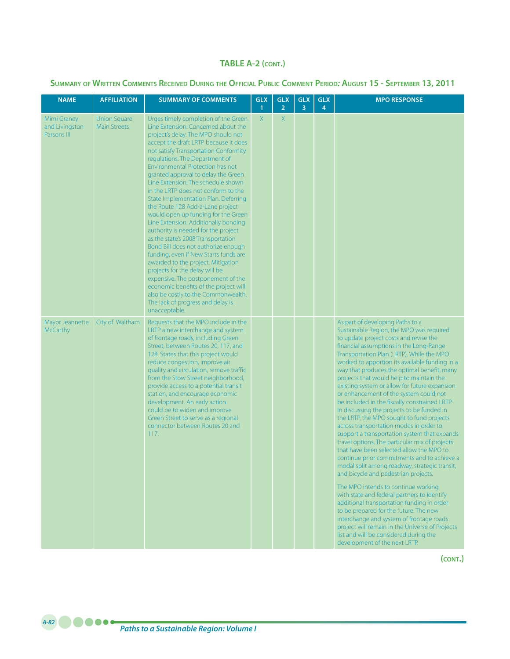**Summary of Written Comments Received During the Official Public Comment Period***:* **August 15 - September 13, 2011**

| <b>NAME</b>                                  | <b>AFFILIATION</b>                         | <b>SUMMARY OF COMMENTS</b>                                                                                                                                                                                                                                                                                                                                                                                                                                                                                                                                                                                                                                                                                                                                                                                                                                                                                                                                                 | <b>GLX</b><br>1 | <b>GLX</b><br>$\overline{2}$ | <b>GLX</b><br>3 | <b>GLX</b><br>4 | <b>MPO RESPONSE</b>                                                                                                                                                                                                                                                                                                                                                                                                                                                                                                                                                                                                                                                                                                                                                                                                                                                                                                                                                                                                                                                                                                                                                                                                                                                                         |
|----------------------------------------------|--------------------------------------------|----------------------------------------------------------------------------------------------------------------------------------------------------------------------------------------------------------------------------------------------------------------------------------------------------------------------------------------------------------------------------------------------------------------------------------------------------------------------------------------------------------------------------------------------------------------------------------------------------------------------------------------------------------------------------------------------------------------------------------------------------------------------------------------------------------------------------------------------------------------------------------------------------------------------------------------------------------------------------|-----------------|------------------------------|-----------------|-----------------|---------------------------------------------------------------------------------------------------------------------------------------------------------------------------------------------------------------------------------------------------------------------------------------------------------------------------------------------------------------------------------------------------------------------------------------------------------------------------------------------------------------------------------------------------------------------------------------------------------------------------------------------------------------------------------------------------------------------------------------------------------------------------------------------------------------------------------------------------------------------------------------------------------------------------------------------------------------------------------------------------------------------------------------------------------------------------------------------------------------------------------------------------------------------------------------------------------------------------------------------------------------------------------------------|
| Mimi Graney<br>and Livingston<br>Parsons III | <b>Union Square</b><br><b>Main Streets</b> | Urges timely completion of the Green<br>Line Extension. Concerned about the<br>project's delay. The MPO should not<br>accept the draft LRTP because it does<br>not satisfy Transportation Conformity<br>regulations. The Department of<br>Environmental Protection has not<br>granted approval to delay the Green<br>Line Extension. The schedule shown<br>in the LRTP does not conform to the<br>State Implementation Plan. Deferring<br>the Route 128 Add-a-Lane project<br>would open up funding for the Green<br>Line Extension. Additionally bonding<br>authority is needed for the project<br>as the state's 2008 Transportation<br>Bond Bill does not authorize enough<br>funding, even if New Starts funds are<br>awarded to the project. Mitigation<br>projects for the delay will be<br>expensive. The postponement of the<br>economic benefits of the project will<br>also be costly to the Commonwealth.<br>The lack of progress and delay is<br>unacceptable. | $\mathsf{X}$    | X                            |                 |                 |                                                                                                                                                                                                                                                                                                                                                                                                                                                                                                                                                                                                                                                                                                                                                                                                                                                                                                                                                                                                                                                                                                                                                                                                                                                                                             |
| Mayor Jeannette<br><b>McCarthy</b>           | City of Waltham                            | Requests that the MPO include in the<br>LRTP a new interchange and system<br>of frontage roads, including Green<br>Street, between Routes 20, 117, and<br>128. States that this project would<br>reduce congestion, improve air<br>quality and circulation, remove traffic<br>from the Stow Street neighborhood,<br>provide access to a potential transit<br>station, and encourage economic<br>development. An early action<br>could be to widen and improve<br>Green Street to serve as a regional<br>connector between Routes 20 and<br>117.                                                                                                                                                                                                                                                                                                                                                                                                                            |                 |                              |                 |                 | As part of developing Paths to a<br>Sustainable Region, the MPO was required<br>to update project costs and revise the<br>financial assumptions in the Long-Range<br>Transportation Plan (LRTP). While the MPO<br>worked to apportion its available funding in a<br>way that produces the optimal benefit, many<br>projects that would help to maintain the<br>existing system or allow for future expansion<br>or enhancement of the system could not<br>be included in the fiscally constrained LRTP.<br>In discussing the projects to be funded in<br>the LRTP, the MPO sought to fund projects<br>across transportation modes in order to<br>support a transportation system that expands<br>travel options. The particular mix of projects<br>that have been selected allow the MPO to<br>continue prior commitments and to achieve a<br>modal split among roadway, strategic transit,<br>and bicycle and pedestrian projects.<br>The MPO intends to continue working<br>with state and federal partners to identify<br>additional transportation funding in order<br>to be prepared for the future. The new<br>interchange and system of frontage roads<br>project will remain in the Universe of Projects<br>list and will be considered during the<br>development of the next LRTP. |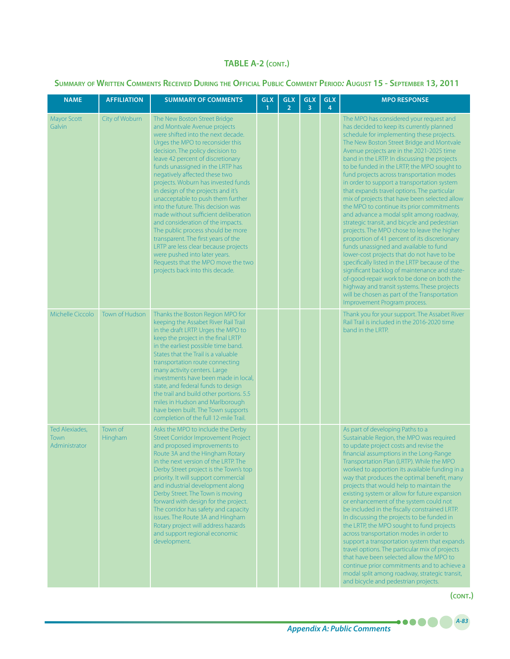#### **Summary of Written Comments Received During the Official Public Comment Period***:* **August 15 - September 13, 2011**

| <b>NAME</b>                             | <b>AFFILIATION</b>        | <b>SUMMARY OF COMMENTS</b>                                                                                                                                                                                                                                                                                                                                                                                                                                                                                                                                                                                                                                                                                                                              | <b>GLX</b><br>1 | <b>GLX</b><br>$\overline{2}$ | <b>GLX</b><br>3 | <b>GLX</b><br>4 | <b>MPO RESPONSE</b>                                                                                                                                                                                                                                                                                                                                                                                                                                                                                                                                                                                                                                                                                                                                                                                                                                                                                                                                                                                                                                                                                                                      |
|-----------------------------------------|---------------------------|---------------------------------------------------------------------------------------------------------------------------------------------------------------------------------------------------------------------------------------------------------------------------------------------------------------------------------------------------------------------------------------------------------------------------------------------------------------------------------------------------------------------------------------------------------------------------------------------------------------------------------------------------------------------------------------------------------------------------------------------------------|-----------------|------------------------------|-----------------|-----------------|------------------------------------------------------------------------------------------------------------------------------------------------------------------------------------------------------------------------------------------------------------------------------------------------------------------------------------------------------------------------------------------------------------------------------------------------------------------------------------------------------------------------------------------------------------------------------------------------------------------------------------------------------------------------------------------------------------------------------------------------------------------------------------------------------------------------------------------------------------------------------------------------------------------------------------------------------------------------------------------------------------------------------------------------------------------------------------------------------------------------------------------|
| <b>Mayor Scott</b><br>Galvin            | City of Woburn            | The New Boston Street Bridge<br>and Montvale Avenue projects<br>were shifted into the next decade.<br>Urges the MPO to reconsider this<br>decision. The policy decision to<br>leave 42 percent of discretionary<br>funds unassigned in the LRTP has<br>negatively affected these two<br>projects. Woburn has invested funds<br>in design of the projects and it's<br>unacceptable to push them further<br>into the future. This decision was<br>made without sufficient deliberation<br>and consideration of the impacts.<br>The public process should be more<br>transparent. The first years of the<br>LRTP are less clear because projects<br>were pushed into later years.<br>Requests that the MPO move the two<br>projects back into this decade. |                 |                              |                 |                 | The MPO has considered your request and<br>has decided to keep its currently planned<br>schedule for implementing these projects.<br>The New Boston Street Bridge and Montvale<br>Avenue projects are in the 2021-2025 time<br>band in the LRTP. In discussing the projects<br>to be funded in the LRTP, the MPO sought to<br>fund projects across transportation modes<br>in order to support a transportation system<br>that expands travel options. The particular<br>mix of projects that have been selected allow<br>the MPO to continue its prior commitments<br>and advance a modal split among roadway,<br>strategic transit, and bicycle and pedestrian<br>projects. The MPO chose to leave the higher<br>proportion of 41 percent of its discretionary<br>funds unassigned and available to fund<br>lower-cost projects that do not have to be<br>specifically listed in the LRTP because of the<br>significant backlog of maintenance and state-<br>of-good-repair work to be done on both the<br>highway and transit systems. These projects<br>will be chosen as part of the Transportation<br>Improvement Program process. |
| Michelle Ciccolo                        | Town of Hudson            | Thanks the Boston Region MPO for<br>keeping the Assabet River Rail Trail<br>in the draft LRTP. Urges the MPO to<br>keep the project in the final LRTP<br>in the earliest possible time band.<br>States that the Trail is a valuable<br>transportation route connecting<br>many activity centers. Large<br>investments have been made in local,<br>state, and federal funds to design<br>the trail and build other portions. 5.5<br>miles in Hudson and Marlborough<br>have been built. The Town supports<br>completion of the full 12-mile Trail.                                                                                                                                                                                                       |                 |                              |                 |                 | Thank you for your support. The Assabet River<br>Rail Trail is included in the 2016-2020 time<br>band in the LRTP.                                                                                                                                                                                                                                                                                                                                                                                                                                                                                                                                                                                                                                                                                                                                                                                                                                                                                                                                                                                                                       |
| Ted Alexiades,<br>Town<br>Administrator | Town of<br><b>Hingham</b> | Asks the MPO to include the Derby<br><b>Street Corridor Improvement Project</b><br>and proposed improvements to<br>Route 3A and the Hingham Rotary<br>in the next version of the LRTP. The<br>Derby Street project is the Town's top<br>priority. It will support commercial<br>and industrial development along<br>Derby Street. The Town is moving<br>forward with design for the project.<br>The corridor has safety and capacity<br>issues. The Route 3A and Hingham<br>Rotary project will address hazards<br>and support regional economic<br>development.                                                                                                                                                                                        |                 |                              |                 |                 | As part of developing Paths to a<br>Sustainable Region, the MPO was required<br>to update project costs and revise the<br>financial assumptions in the Long-Range<br>Transportation Plan (LRTP). While the MPO<br>worked to apportion its available funding in a<br>way that produces the optimal benefit, many<br>projects that would help to maintain the<br>existing system or allow for future expansion<br>or enhancement of the system could not<br>be included in the fiscally constrained LRTP.<br>In discussing the projects to be funded in<br>the LRTP, the MPO sought to fund projects<br>across transportation modes in order to<br>support a transportation system that expands<br>travel options. The particular mix of projects<br>that have been selected allow the MPO to<br>continue prior commitments and to achieve a<br>modal split among roadway, strategic transit,<br>and bicycle and pedestrian projects.                                                                                                                                                                                                      |

**(cont.)**

*A-83*

....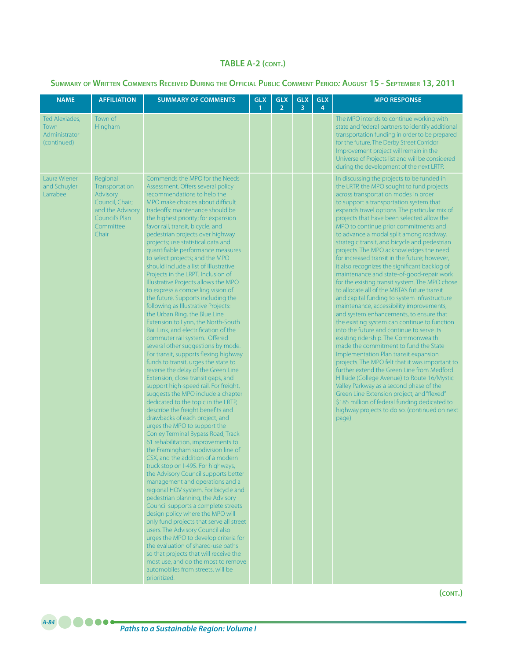### **Summary of Written Comments Received During the Official Public Comment Period***:* **August 15 - September 13, 2011**

| <b>NAME</b>                                                   | <b>AFFILIATION</b>                                                                                                    | <b>SUMMARY OF COMMENTS</b>                                                                                                                                                                                                                                                                                                                                                                                                                                                                                                                                                                                                                                                                                                                                                                                                                                                                                                                                                                                                                                                                                                                                                                                                                                                                                                                                                                                                                                                                                                                                                                                                                                                                                                                                                                                                                                                                                                                                               | <b>GLX</b><br>1 | <b>GLX</b><br>$\overline{2}$ | <b>GLX</b><br>3 | <b>GLX</b><br>4 | <b>MPO RESPONSE</b>                                                                                                                                                                                                                                                                                                                                                                                                                                                                                                                                                                                                                                                                                                                                                                                                                                                                                                                                                                                                                                                                                                                                                                                                                                                                                                                                                                                                           |
|---------------------------------------------------------------|-----------------------------------------------------------------------------------------------------------------------|--------------------------------------------------------------------------------------------------------------------------------------------------------------------------------------------------------------------------------------------------------------------------------------------------------------------------------------------------------------------------------------------------------------------------------------------------------------------------------------------------------------------------------------------------------------------------------------------------------------------------------------------------------------------------------------------------------------------------------------------------------------------------------------------------------------------------------------------------------------------------------------------------------------------------------------------------------------------------------------------------------------------------------------------------------------------------------------------------------------------------------------------------------------------------------------------------------------------------------------------------------------------------------------------------------------------------------------------------------------------------------------------------------------------------------------------------------------------------------------------------------------------------------------------------------------------------------------------------------------------------------------------------------------------------------------------------------------------------------------------------------------------------------------------------------------------------------------------------------------------------------------------------------------------------------------------------------------------------|-----------------|------------------------------|-----------------|-----------------|-------------------------------------------------------------------------------------------------------------------------------------------------------------------------------------------------------------------------------------------------------------------------------------------------------------------------------------------------------------------------------------------------------------------------------------------------------------------------------------------------------------------------------------------------------------------------------------------------------------------------------------------------------------------------------------------------------------------------------------------------------------------------------------------------------------------------------------------------------------------------------------------------------------------------------------------------------------------------------------------------------------------------------------------------------------------------------------------------------------------------------------------------------------------------------------------------------------------------------------------------------------------------------------------------------------------------------------------------------------------------------------------------------------------------------|
| Ted Alexiades,<br><b>Town</b><br>Administrator<br>(continued) | Town of<br>Hingham                                                                                                    |                                                                                                                                                                                                                                                                                                                                                                                                                                                                                                                                                                                                                                                                                                                                                                                                                                                                                                                                                                                                                                                                                                                                                                                                                                                                                                                                                                                                                                                                                                                                                                                                                                                                                                                                                                                                                                                                                                                                                                          |                 |                              |                 |                 | The MPO intends to continue working with<br>state and federal partners to identify additional<br>transportation funding in order to be prepared<br>for the future. The Derby Street Corridor<br>Improvement project will remain in the<br>Universe of Projects list and will be considered<br>during the development of the next LRTP.                                                                                                                                                                                                                                                                                                                                                                                                                                                                                                                                                                                                                                                                                                                                                                                                                                                                                                                                                                                                                                                                                        |
| Laura Wiener<br>and Schuyler<br>Larrabee                      | Regional<br>Transportation<br>Advisory<br>Council, Chair;<br>and the Advisory<br>Council's Plan<br>Committee<br>Chair | Commends the MPO for the Needs<br>Assessment. Offers several policy<br>recommendations to help the<br>MPO make choices about difficult<br>tradeoffs: maintenance should be<br>the highest priority; for expansion<br>favor rail, transit, bicycle, and<br>pedestrian projects over highway<br>projects; use statistical data and<br>quantifiable performance measures<br>to select projects; and the MPO<br>should include a list of Illustrative<br>Projects in the LRPT. Inclusion of<br>Illustrative Projects allows the MPO<br>to express a compelling vision of<br>the future. Supports including the<br>following as Illustrative Projects:<br>the Urban Ring, the Blue Line<br>Extension to Lynn, the North-South<br>Rail Link, and electrification of the<br>commuter rail system. Offered<br>several other suggestions by mode.<br>For transit, supports flexing highway<br>funds to transit, urges the state to<br>reverse the delay of the Green Line<br>Extension, close transit gaps, and<br>support high-speed rail. For freight,<br>suggests the MPO include a chapter<br>dedicated to the topic in the LRTP,<br>describe the freight benefits and<br>drawbacks of each project, and<br>urges the MPO to support the<br>Conley Terminal Bypass Road, Track<br>61 rehabilitation, improvements to<br>the Framingham subdivision line of<br>CSX, and the addition of a modern<br>truck stop on I-495. For highways,<br>the Advisory Council supports better<br>management and operations and a<br>regional HOV system. For bicycle and<br>pedestrian planning, the Advisory<br>Council supports a complete streets<br>design policy where the MPO will<br>only fund projects that serve all street<br>users. The Advisory Council also<br>urges the MPO to develop criteria for<br>the evaluation of shared-use paths<br>so that projects that will receive the<br>most use, and do the most to remove<br>automobiles from streets, will be<br>prioritized. |                 |                              |                 |                 | In discussing the projects to be funded in<br>the LRTP, the MPO sought to fund projects<br>across transportation modes in order<br>to support a transportation system that<br>expands travel options. The particular mix of<br>projects that have been selected allow the<br>MPO to continue prior commitments and<br>to advance a modal split among roadway,<br>strategic transit, and bicycle and pedestrian<br>projects. The MPO acknowledges the need<br>for increased transit in the future; however,<br>it also recognizes the significant backlog of<br>maintenance and state-of-good-repair work<br>for the existing transit system. The MPO chose<br>to allocate all of the MBTA's future transit<br>and capital funding to system infrastructure<br>maintenance, accessibility improvements,<br>and system enhancements, to ensure that<br>the existing system can continue to function<br>into the future and continue to serve its<br>existing ridership. The Commonwealth<br>made the commitment to fund the State<br>Implementation Plan transit expansion<br>projects. The MPO felt that it was important to<br>further extend the Green Line from Medford<br>Hillside (College Avenue) to Route 16/Mystic<br>Valley Parkway as a second phase of the<br>Green Line Extension project, and "flexed"<br>\$185 million of federal funding dedicated to<br>highway projects to do so. (continued on next<br>page) |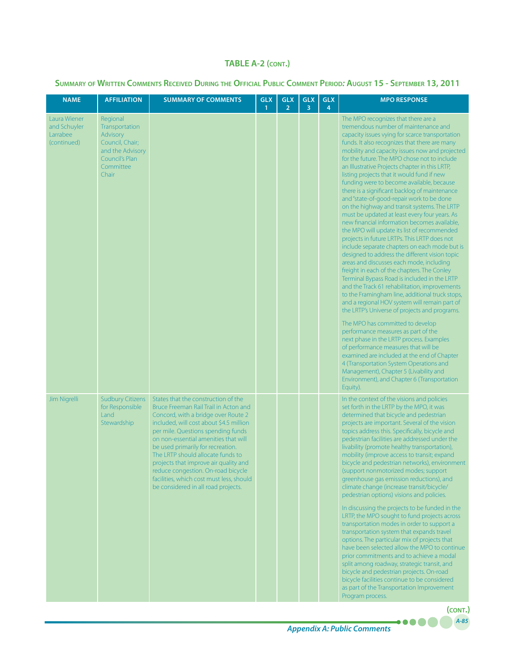#### **Summary of Written Comments Received During the Official Public Comment Period***:* **August 15 - September 13, 2011**

| <b>NAME</b>                                             | <b>AFFILIATION</b>                                                                                                    | <b>SUMMARY OF COMMENTS</b>                                                                                                                                                                                                                                                                                                                                                                                                                                                               | <b>GLX</b><br>$\mathbf{1}$ | <b>GLX</b><br>$\overline{2}$ | <b>GLX</b><br>3 | <b>GLX</b><br>$\overline{4}$ | <b>MPO RESPONSE</b>                                                                                                                                                                                                                                                                                                                                                                                                                                                                                                                                                                                                                                                                                                                                                                                                                                                                                                                                                                                                                                                                                                                                                                                                                                                                                                                                                                                                                                                                                                                                                                            |
|---------------------------------------------------------|-----------------------------------------------------------------------------------------------------------------------|------------------------------------------------------------------------------------------------------------------------------------------------------------------------------------------------------------------------------------------------------------------------------------------------------------------------------------------------------------------------------------------------------------------------------------------------------------------------------------------|----------------------------|------------------------------|-----------------|------------------------------|------------------------------------------------------------------------------------------------------------------------------------------------------------------------------------------------------------------------------------------------------------------------------------------------------------------------------------------------------------------------------------------------------------------------------------------------------------------------------------------------------------------------------------------------------------------------------------------------------------------------------------------------------------------------------------------------------------------------------------------------------------------------------------------------------------------------------------------------------------------------------------------------------------------------------------------------------------------------------------------------------------------------------------------------------------------------------------------------------------------------------------------------------------------------------------------------------------------------------------------------------------------------------------------------------------------------------------------------------------------------------------------------------------------------------------------------------------------------------------------------------------------------------------------------------------------------------------------------|
| Laura Wiener<br>and Schuyler<br>Larrabee<br>(continued) | Regional<br>Transportation<br>Advisory<br>Council, Chair;<br>and the Advisory<br>Council's Plan<br>Committee<br>Chair |                                                                                                                                                                                                                                                                                                                                                                                                                                                                                          |                            |                              |                 |                              | The MPO recognizes that there are a<br>tremendous number of maintenance and<br>capacity issues vying for scarce transportation<br>funds. It also recognizes that there are many<br>mobility and capacity issues now and projected<br>for the future. The MPO chose not to include<br>an Illustrative Projects chapter in this LRTP,<br>listing projects that it would fund if new<br>funding were to become available, because<br>there is a significant backlog of maintenance<br>and "state-of-good-repair work to be done<br>on the highway and transit systems. The LRTP<br>must be updated at least every four years. As<br>new financial information becomes available,<br>the MPO will update its list of recommended<br>projects in future LRTPs. This LRTP does not<br>include separate chapters on each mode but is<br>designed to address the different vision topic<br>areas and discusses each mode, including<br>freight in each of the chapters. The Conley<br>Terminal Bypass Road is included in the LRTP<br>and the Track 61 rehabilitation, improvements<br>to the Framingham line, additional truck stops,<br>and a regional HOV system will remain part of<br>the LRTP's Universe of projects and programs.<br>The MPO has committed to develop<br>performance measures as part of the<br>next phase in the LRTP process. Examples<br>of performance measures that will be<br>examined are included at the end of Chapter<br>4 (Transportation System Operations and<br>Management), Chapter 5 (Livability and<br>Environment), and Chapter 6 (Transportation<br>Equity). |
| Jim Nigrelli                                            | <b>Sudbury Citizens</b><br>for Responsible<br>Land<br>Stewardship                                                     | States that the construction of the<br>Bruce Freeman Rail Trail in Acton and<br>Concord, with a bridge over Route 2<br>included, will cost about \$4.5 million<br>per mile. Questions spending funds<br>on non-essential amenities that will<br>be used primarily for recreation.<br>The LRTP should allocate funds to<br>projects that improve air quality and<br>reduce congestion. On-road bicycle<br>facilities, which cost must less, should<br>be considered in all road projects. |                            |                              |                 |                              | In the context of the visions and policies<br>set forth in the LRTP by the MPO, it was<br>determined that bicycle and pedestrian<br>projects are important. Several of the vision<br>topics address this. Specifically, bicycle and<br>pedestrian facilities are addressed under the<br>livability (promote healthy transportation),<br>mobility (improve access to transit; expand<br>bicycle and pedestrian networks), environment<br>(support nonmotorized modes; support<br>greenhouse gas emission reductions), and<br>climate change (increase transit/bicycle/<br>pedestrian options) visions and policies.<br>In discussing the projects to be funded in the<br>LRTP, the MPO sought to fund projects across<br>transportation modes in order to support a<br>transportation system that expands travel<br>options. The particular mix of projects that<br>have been selected allow the MPO to continue<br>prior commitments and to achieve a modal<br>split among roadway, strategic transit, and<br>bicycle and pedestrian projects. On-road<br>bicycle facilities continue to be considered<br>as part of the Transportation Improvement<br>Program process.<br>(CONT.)                                                                                                                                                                                                                                                                                                                                                                                                             |

*A-85*

....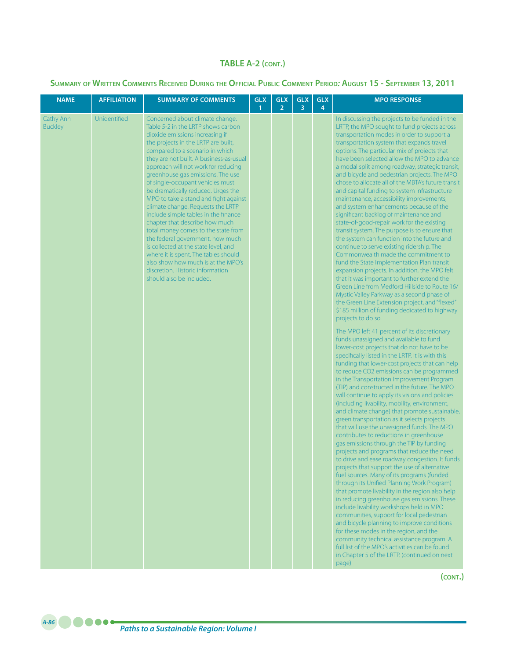**Summary of Written Comments Received During the Official Public Comment Period***:* **August 15 - September 13, 2011**

| <b>NAME</b>                 | <b>AFFILIATION</b> | <b>SUMMARY OF COMMENTS</b>                                                                                                                                                                                                                                                                                                                                                                                                                                                                                                                                                                                                                                                                                                                                                                                   | <b>GLX</b><br>$\overline{1}$ | <b>GLX</b><br>$\overline{2}$ | <b>GLX</b><br>$\overline{3}$ | <b>GLX</b><br>$\overline{4}$ | <b>MPO RESPONSE</b>                                                                                                                                                                                                                                                                                                                                                                                                                                                                                                                                                                                                                                                                                                                                                                                                                                                                                                                                                                                                                                                                                                                                                                                                                                                                                                                                                                                                                                                                                                                                                                                                                                                                                                                                                                                                                                                                                                                                                                                                                                                                                                                                                                                                                                                                                                                                                                                                                                                                                                                                                                                                                                                |
|-----------------------------|--------------------|--------------------------------------------------------------------------------------------------------------------------------------------------------------------------------------------------------------------------------------------------------------------------------------------------------------------------------------------------------------------------------------------------------------------------------------------------------------------------------------------------------------------------------------------------------------------------------------------------------------------------------------------------------------------------------------------------------------------------------------------------------------------------------------------------------------|------------------------------|------------------------------|------------------------------|------------------------------|--------------------------------------------------------------------------------------------------------------------------------------------------------------------------------------------------------------------------------------------------------------------------------------------------------------------------------------------------------------------------------------------------------------------------------------------------------------------------------------------------------------------------------------------------------------------------------------------------------------------------------------------------------------------------------------------------------------------------------------------------------------------------------------------------------------------------------------------------------------------------------------------------------------------------------------------------------------------------------------------------------------------------------------------------------------------------------------------------------------------------------------------------------------------------------------------------------------------------------------------------------------------------------------------------------------------------------------------------------------------------------------------------------------------------------------------------------------------------------------------------------------------------------------------------------------------------------------------------------------------------------------------------------------------------------------------------------------------------------------------------------------------------------------------------------------------------------------------------------------------------------------------------------------------------------------------------------------------------------------------------------------------------------------------------------------------------------------------------------------------------------------------------------------------------------------------------------------------------------------------------------------------------------------------------------------------------------------------------------------------------------------------------------------------------------------------------------------------------------------------------------------------------------------------------------------------------------------------------------------------------------------------------------------------|
| Cathy Ann<br><b>Buckley</b> | Unidentified       | Concerned about climate change.<br>Table 5-2 in the LRTP shows carbon<br>dioxide emissions increasing if<br>the projects in the LRTP are built,<br>compared to a scenario in which<br>they are not built. A business-as-usual<br>approach will not work for reducing<br>greenhouse gas emissions. The use<br>of single-occupant vehicles must<br>be dramatically reduced. Urges the<br>MPO to take a stand and fight against<br>climate change. Requests the LRTP<br>include simple tables in the finance<br>chapter that describe how much<br>total money comes to the state from<br>the federal government, how much<br>is collected at the state level, and<br>where it is spent. The tables should<br>also show how much is at the MPO's<br>discretion. Historic information<br>should also be included. |                              |                              |                              |                              | In discussing the projects to be funded in the<br>LRTP, the MPO sought to fund projects across<br>transportation modes in order to support a<br>transportation system that expands travel<br>options. The particular mix of projects that<br>have been selected allow the MPO to advance<br>a modal split among roadway, strategic transit,<br>and bicycle and pedestrian projects. The MPO<br>chose to allocate all of the MBTA's future transit<br>and capital funding to system infrastructure<br>maintenance, accessibility improvements,<br>and system enhancements because of the<br>significant backlog of maintenance and<br>state-of-good-repair work for the existing<br>transit system. The purpose is to ensure that<br>the system can function into the future and<br>continue to serve existing ridership. The<br>Commonwealth made the commitment to<br>fund the State Implementation Plan transit<br>expansion projects. In addition, the MPO felt<br>that it was important to further extend the<br>Green Line from Medford Hillside to Route 16/<br>Mystic Valley Parkway as a second phase of<br>the Green Line Extension project, and "flexed"<br>\$185 million of funding dedicated to highway<br>projects to do so.<br>The MPO left 41 percent of its discretionary<br>funds unassigned and available to fund<br>lower-cost projects that do not have to be<br>specifically listed in the LRTP. It is with this<br>funding that lower-cost projects that can help<br>to reduce CO2 emissions can be programmed<br>in the Transportation Improvement Program<br>(TIP) and constructed in the future. The MPO<br>will continue to apply its visions and policies<br>(including livability, mobility, environment,<br>and climate change) that promote sustainable,<br>green transportation as it selects projects<br>that will use the unassigned funds. The MPO<br>contributes to reductions in greenhouse<br>gas emissions through the TIP by funding<br>projects and programs that reduce the need<br>to drive and ease roadway congestion. It funds<br>projects that support the use of alternative<br>fuel sources. Many of its programs (funded<br>through its Unified Planning Work Program)<br>that promote livability in the region also help<br>in reducing greenhouse gas emissions. These<br>include livability workshops held in MPO<br>communities, support for local pedestrian<br>and bicycle planning to improve conditions<br>for these modes in the region, and the<br>community technical assistance program. A<br>full list of the MPO's activities can be found<br>in Chapter 5 of the LRTP. (continued on next<br>page) |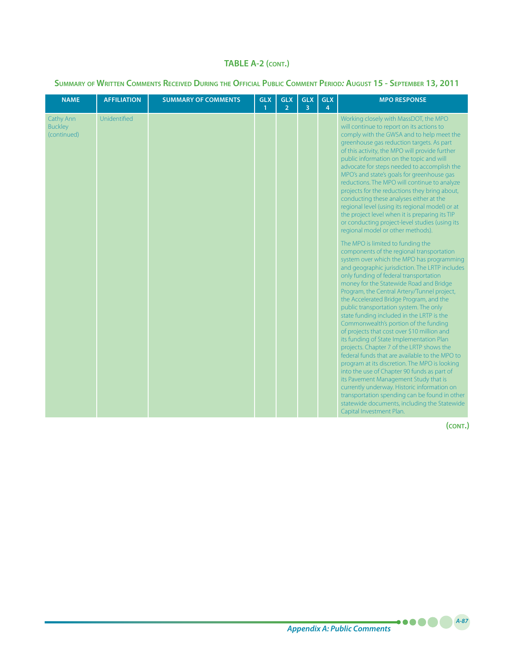### **Summary of Written Comments Received During the Official Public Comment Period***:* **August 15 - September 13, 2011**

| <b>NAME</b>                                | <b>AFFILIATION</b> | <b>SUMMARY OF COMMENTS</b> | <b>GLX</b><br>$\mathbf{1}$ | <b>GLX</b><br>$\overline{2}$ | <b>GLX</b><br>3 | <b>GLX</b><br>4 | <b>MPO RESPONSE</b>                                                                                                                                                                                                                                                                                                                                                                                                                                                                                                                                                                                                                                                                                                                                                                                                                                                                                                                                                                                                                                                                                                                                                                                                                                                                                                                                                                                                                                                                                                                                                                                                                                                                                                            |
|--------------------------------------------|--------------------|----------------------------|----------------------------|------------------------------|-----------------|-----------------|--------------------------------------------------------------------------------------------------------------------------------------------------------------------------------------------------------------------------------------------------------------------------------------------------------------------------------------------------------------------------------------------------------------------------------------------------------------------------------------------------------------------------------------------------------------------------------------------------------------------------------------------------------------------------------------------------------------------------------------------------------------------------------------------------------------------------------------------------------------------------------------------------------------------------------------------------------------------------------------------------------------------------------------------------------------------------------------------------------------------------------------------------------------------------------------------------------------------------------------------------------------------------------------------------------------------------------------------------------------------------------------------------------------------------------------------------------------------------------------------------------------------------------------------------------------------------------------------------------------------------------------------------------------------------------------------------------------------------------|
| Cathy Ann<br><b>Buckley</b><br>(continued) | Unidentified       |                            |                            |                              |                 |                 | Working closely with MassDOT, the MPO<br>will continue to report on its actions to<br>comply with the GWSA and to help meet the<br>greenhouse gas reduction targets. As part<br>of this activity, the MPO will provide further<br>public information on the topic and will<br>advocate for steps needed to accomplish the<br>MPO's and state's goals for greenhouse gas<br>reductions. The MPO will continue to analyze<br>projects for the reductions they bring about,<br>conducting these analyses either at the<br>regional level (using its regional model) or at<br>the project level when it is preparing its TIP<br>or conducting project-level studies (using its<br>regional model or other methods).<br>The MPO is limited to funding the<br>components of the regional transportation<br>system over which the MPO has programming<br>and geographic jurisdiction. The LRTP includes<br>only funding of federal transportation<br>money for the Statewide Road and Bridge<br>Program, the Central Artery/Tunnel project,<br>the Accelerated Bridge Program, and the<br>public transportation system. The only<br>state funding included in the LRTP is the<br>Commonwealth's portion of the funding<br>of projects that cost over \$10 million and<br>its funding of State Implementation Plan<br>projects. Chapter 7 of the LRTP shows the<br>federal funds that are available to the MPO to<br>program at its discretion. The MPO is looking<br>into the use of Chapter 90 funds as part of<br>its Pavement Management Study that is<br>currently underway. Historic information on<br>transportation spending can be found in other<br>statewide documents, including the Statewide<br>Capital Investment Plan. |

**(cont.)**

*A-87*

.....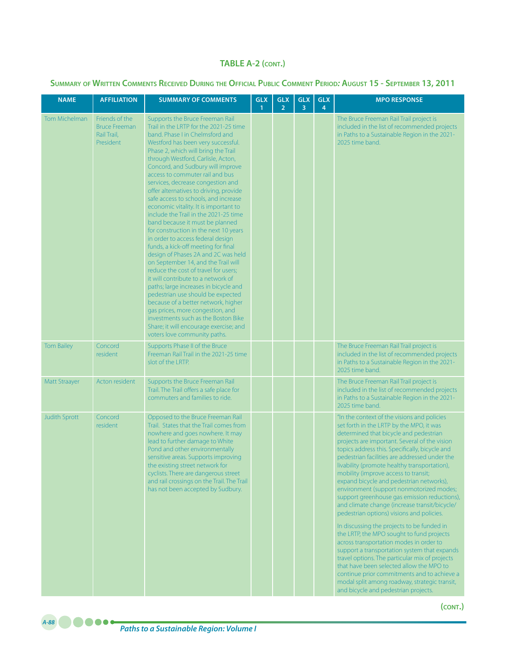| <b>NAME</b>          | <b>AFFILIATION</b>                                                 | <b>SUMMARY OF COMMENTS</b>                                                                                                                                                                                                                                                                                                                                                                                                                                                                                                                                                                                                                                                                                                                                                                                                                                                                                                                                                                                                                                                                                     | <b>GLX</b><br>1 | <b>GLX</b><br>$\overline{2}$ | <b>GLX</b><br>3 | <b>GLX</b><br>4 | <b>MPO RESPONSE</b>                                                                                                                                                                                                                                                                                                                                                                                                                                                                                                                                                                                                                                                                                                                                                                                                                                                                                                                                                                                                                             |
|----------------------|--------------------------------------------------------------------|----------------------------------------------------------------------------------------------------------------------------------------------------------------------------------------------------------------------------------------------------------------------------------------------------------------------------------------------------------------------------------------------------------------------------------------------------------------------------------------------------------------------------------------------------------------------------------------------------------------------------------------------------------------------------------------------------------------------------------------------------------------------------------------------------------------------------------------------------------------------------------------------------------------------------------------------------------------------------------------------------------------------------------------------------------------------------------------------------------------|-----------------|------------------------------|-----------------|-----------------|-------------------------------------------------------------------------------------------------------------------------------------------------------------------------------------------------------------------------------------------------------------------------------------------------------------------------------------------------------------------------------------------------------------------------------------------------------------------------------------------------------------------------------------------------------------------------------------------------------------------------------------------------------------------------------------------------------------------------------------------------------------------------------------------------------------------------------------------------------------------------------------------------------------------------------------------------------------------------------------------------------------------------------------------------|
| <b>Tom Michelman</b> | Friends of the<br><b>Bruce Freeman</b><br>Rail Trail.<br>President | Supports the Bruce Freeman Rail<br>Trail in the LRTP for the 2021-25 time<br>band. Phase I in Chelmsford and<br>Westford has been very successful.<br>Phase 2, which will bring the Trail<br>through Westford, Carlisle, Acton,<br>Concord, and Sudbury will improve<br>access to commuter rail and bus<br>services, decrease congestion and<br>offer alternatives to driving, provide<br>safe access to schools, and increase<br>economic vitality. It is important to<br>include the Trail in the 2021-25 time<br>band because it must be planned<br>for construction in the next 10 years<br>in order to access federal design<br>funds, a kick-off meeting for final<br>design of Phases 2A and 2C was held<br>on September 14, and the Trail will<br>reduce the cost of travel for users;<br>it will contribute to a network of<br>paths; large increases in bicycle and<br>pedestrian use should be expected<br>because of a better network, higher<br>gas prices, more congestion, and<br>investments such as the Boston Bike<br>Share; it will encourage exercise; and<br>voters love community paths. |                 |                              |                 |                 | The Bruce Freeman Rail Trail project is<br>included in the list of recommended projects<br>in Paths to a Sustainable Region in the 2021-<br>2025 time band.                                                                                                                                                                                                                                                                                                                                                                                                                                                                                                                                                                                                                                                                                                                                                                                                                                                                                     |
| <b>Tom Bailey</b>    | Concord<br><i>resident</i>                                         | Supports Phase II of the Bruce<br>Freeman Rail Trail in the 2021-25 time<br>slot of the LRTP.                                                                                                                                                                                                                                                                                                                                                                                                                                                                                                                                                                                                                                                                                                                                                                                                                                                                                                                                                                                                                  |                 |                              |                 |                 | The Bruce Freeman Rail Trail project is<br>included in the list of recommended projects<br>in Paths to a Sustainable Region in the 2021-<br>2025 time band.                                                                                                                                                                                                                                                                                                                                                                                                                                                                                                                                                                                                                                                                                                                                                                                                                                                                                     |
| Matt Straayer        | Acton resident                                                     | Supports the Bruce Freeman Rail<br>Trail. The Trail offers a safe place for<br>commuters and families to ride.                                                                                                                                                                                                                                                                                                                                                                                                                                                                                                                                                                                                                                                                                                                                                                                                                                                                                                                                                                                                 |                 |                              |                 |                 | The Bruce Freeman Rail Trail project is<br>included in the list of recommended projects<br>in Paths to a Sustainable Region in the 2021-<br>2025 time band.                                                                                                                                                                                                                                                                                                                                                                                                                                                                                                                                                                                                                                                                                                                                                                                                                                                                                     |
| <b>Judith Sprott</b> | Concord<br>resident                                                | Opposed to the Bruce Freeman Rail<br>Trail. States that the Trail comes from<br>nowhere and goes nowhere. It may<br>lead to further damage to White<br>Pond and other environmentally<br>sensitive areas. Supports improving<br>the existing street network for<br>cyclists. There are dangerous street<br>and rail crossings on the Trail. The Trail<br>has not been accepted by Sudbury.                                                                                                                                                                                                                                                                                                                                                                                                                                                                                                                                                                                                                                                                                                                     |                 |                              |                 |                 | "In the context of the visions and policies<br>set forth in the LRTP by the MPO, it was<br>determined that bicycle and pedestrian<br>projects are important. Several of the vision<br>topics address this. Specifically, bicycle and<br>pedestrian facilities are addressed under the<br>livability (promote healthy transportation),<br>mobility (improve access to transit;<br>expand bicycle and pedestrian networks),<br>environment (support nonmotorized modes;<br>support greenhouse gas emission reductions),<br>and climate change (increase transit/bicycle/<br>pedestrian options) visions and policies.<br>In discussing the projects to be funded in<br>the LRTP, the MPO sought to fund projects<br>across transportation modes in order to<br>support a transportation system that expands<br>travel options. The particular mix of projects<br>that have been selected allow the MPO to<br>continue prior commitments and to achieve a<br>modal split among roadway, strategic transit,<br>and bicycle and pedestrian projects. |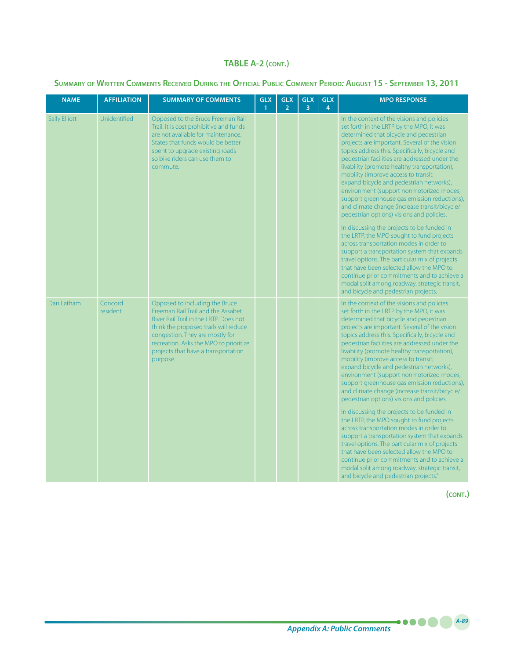### **Summary of Written Comments Received During the Official Public Comment Period***:* **August 15 - September 13, 2011**

| <b>NAME</b>          | <b>AFFILIATION</b>  | <b>SUMMARY OF COMMENTS</b>                                                                                                                                                                                                                                                              | <b>GLX</b><br>$\mathbf{1}$ | <b>GLX</b><br>$\overline{2}$ | <b>GLX</b><br>$\overline{3}$ | <b>GLX</b><br>4 | <b>MPO RESPONSE</b>                                                                                                                                                                                                                                                                                                                                                                                                                                                                                                                                                                                                                                                                                                                                                                                                                                                                                                                                                                                                                             |
|----------------------|---------------------|-----------------------------------------------------------------------------------------------------------------------------------------------------------------------------------------------------------------------------------------------------------------------------------------|----------------------------|------------------------------|------------------------------|-----------------|-------------------------------------------------------------------------------------------------------------------------------------------------------------------------------------------------------------------------------------------------------------------------------------------------------------------------------------------------------------------------------------------------------------------------------------------------------------------------------------------------------------------------------------------------------------------------------------------------------------------------------------------------------------------------------------------------------------------------------------------------------------------------------------------------------------------------------------------------------------------------------------------------------------------------------------------------------------------------------------------------------------------------------------------------|
| <b>Sally Elliott</b> | Unidentified        | Opposed to the Bruce Freeman Rail<br>Trail. It is cost prohibitive and funds<br>are not available for maintenance.<br>States that funds would be better<br>spent to upgrade existing roads<br>so bike riders can use them to<br>commute.                                                |                            |                              |                              |                 | In the context of the visions and policies<br>set forth in the LRTP by the MPO, it was<br>determined that bicycle and pedestrian<br>projects are important. Several of the vision<br>topics address this. Specifically, bicycle and<br>pedestrian facilities are addressed under the<br>livability (promote healthy transportation),<br>mobility (improve access to transit;<br>expand bicycle and pedestrian networks),<br>environment (support nonmotorized modes;<br>support greenhouse gas emission reductions),<br>and climate change (increase transit/bicycle/<br>pedestrian options) visions and policies.<br>In discussing the projects to be funded in<br>the LRTP, the MPO sought to fund projects<br>across transportation modes in order to<br>support a transportation system that expands<br>travel options. The particular mix of projects<br>that have been selected allow the MPO to<br>continue prior commitments and to achieve a<br>modal split among roadway, strategic transit,<br>and bicycle and pedestrian projects.  |
| Dan Latham           | Concord<br>resident | Opposed to including the Bruce<br>Freeman Rail Trail and the Assabet<br>River Rail Trail in the LRTP. Does not<br>think the proposed trails will reduce<br>congestion. They are mostly for<br>recreation. Asks the MPO to prioritize<br>projects that have a transportation<br>purpose. |                            |                              |                              |                 | In the context of the visions and policies<br>set forth in the LRTP by the MPO, it was<br>determined that bicycle and pedestrian<br>projects are important. Several of the vision<br>topics address this. Specifically, bicycle and<br>pedestrian facilities are addressed under the<br>livability (promote healthy transportation),<br>mobility (improve access to transit;<br>expand bicycle and pedestrian networks),<br>environment (support nonmotorized modes;<br>support greenhouse gas emission reductions),<br>and climate change (increase transit/bicycle/<br>pedestrian options) visions and policies.<br>In discussing the projects to be funded in<br>the LRTP, the MPO sought to fund projects<br>across transportation modes in order to<br>support a transportation system that expands<br>travel options. The particular mix of projects<br>that have been selected allow the MPO to<br>continue prior commitments and to achieve a<br>modal split among roadway, strategic transit,<br>and bicycle and pedestrian projects." |

**(cont.)**

*Appendix A: Public Comments A-89*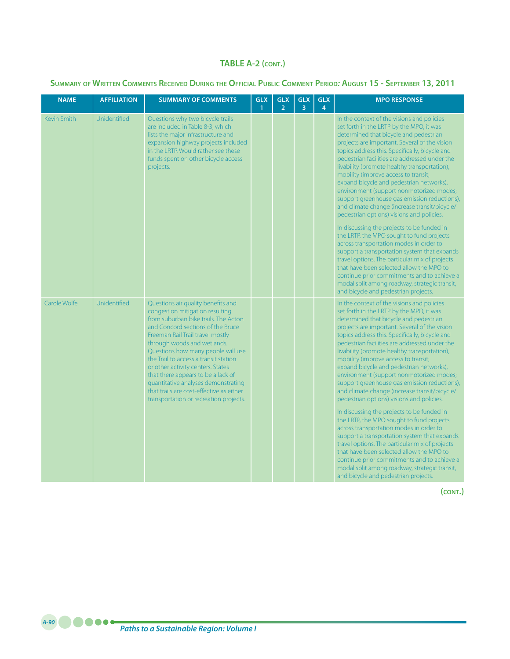#### **Summary of Written Comments Received During the Official Public Comment Period***:* **August 15 - September 13, 2011**

| <b>NAME</b>  | <b>AFFILIATION</b> | <b>SUMMARY OF COMMENTS</b>                                                                                                                                                                                                                                                                                                                                                                                                                                                                                   | <b>GLX</b><br>$\mathbf{1}$ | <b>GLX</b><br>$\overline{2}$ | <b>GLX</b><br>$\overline{3}$ | <b>GLX</b><br>4 | <b>MPO RESPONSE</b>                                                                                                                                                                                                                                                                                                                                                                                                                                                                                                                                                                                                                                                                                                                                                                                                                                                                                                                                                                                                                            |
|--------------|--------------------|--------------------------------------------------------------------------------------------------------------------------------------------------------------------------------------------------------------------------------------------------------------------------------------------------------------------------------------------------------------------------------------------------------------------------------------------------------------------------------------------------------------|----------------------------|------------------------------|------------------------------|-----------------|------------------------------------------------------------------------------------------------------------------------------------------------------------------------------------------------------------------------------------------------------------------------------------------------------------------------------------------------------------------------------------------------------------------------------------------------------------------------------------------------------------------------------------------------------------------------------------------------------------------------------------------------------------------------------------------------------------------------------------------------------------------------------------------------------------------------------------------------------------------------------------------------------------------------------------------------------------------------------------------------------------------------------------------------|
| Kevin Smith  | Unidentified       | Questions why two bicycle trails<br>are included in Table 8-3, which<br>lists the major infrastructure and<br>expansion highway projects included<br>in the LRTP. Would rather see these<br>funds spent on other bicycle access<br>projects.                                                                                                                                                                                                                                                                 |                            |                              |                              |                 | In the context of the visions and policies<br>set forth in the LRTP by the MPO, it was<br>determined that bicycle and pedestrian<br>projects are important. Several of the vision<br>topics address this. Specifically, bicycle and<br>pedestrian facilities are addressed under the<br>livability (promote healthy transportation),<br>mobility (improve access to transit;<br>expand bicycle and pedestrian networks),<br>environment (support nonmotorized modes;<br>support greenhouse gas emission reductions),<br>and climate change (increase transit/bicycle/<br>pedestrian options) visions and policies.<br>In discussing the projects to be funded in<br>the LRTP, the MPO sought to fund projects<br>across transportation modes in order to<br>support a transportation system that expands<br>travel options. The particular mix of projects<br>that have been selected allow the MPO to<br>continue prior commitments and to achieve a<br>modal split among roadway, strategic transit,<br>and bicycle and pedestrian projects. |
| Carole Wolfe | Unidentified       | Questions air quality benefits and<br>congestion mitigation resulting<br>from suburban bike trails. The Acton<br>and Concord sections of the Bruce<br>Freeman Rail Trail travel mostly<br>through woods and wetlands.<br>Questions how many people will use<br>the Trail to access a transit station<br>or other activity centers. States<br>that there appears to be a lack of<br>quantitative analyses demonstrating<br>that trails are cost-effective as either<br>transportation or recreation projects. |                            |                              |                              |                 | In the context of the visions and policies<br>set forth in the LRTP by the MPO, it was<br>determined that bicycle and pedestrian<br>projects are important. Several of the vision<br>topics address this. Specifically, bicycle and<br>pedestrian facilities are addressed under the<br>livability (promote healthy transportation),<br>mobility (improve access to transit;<br>expand bicycle and pedestrian networks),<br>environment (support nonmotorized modes;<br>support greenhouse gas emission reductions),<br>and climate change (increase transit/bicycle/<br>pedestrian options) visions and policies.<br>In discussing the projects to be funded in<br>the LRTP, the MPO sought to fund projects<br>across transportation modes in order to<br>support a transportation system that expands<br>travel options. The particular mix of projects<br>that have been selected allow the MPO to<br>continue prior commitments and to achieve a<br>modal split among roadway, strategic transit,<br>and bicycle and pedestrian projects. |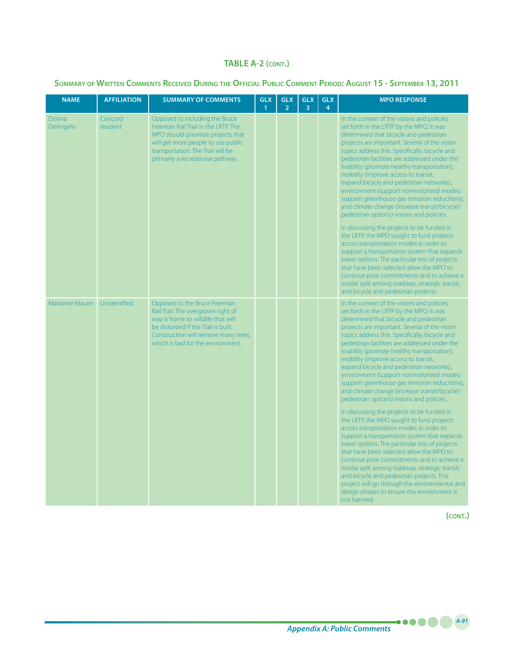### **Summary of Written Comments Received During the Official Public Comment Period***:* **August 15 - September 13, 2011**

| <b>NAME</b>               | <b>AFFILIATION</b>  | <b>SUMMARY OF COMMENTS</b>                                                                                                                                                                                                   | <b>GLX</b><br>$\mathbf{1}$ | <b>GLX</b><br>$\overline{2}$ | <b>GLX</b><br>$\overline{3}$ | <b>GLX</b><br>4 | <b>MPO RESPONSE</b>                                                                                                                                                                                                                                                                                                                                                                                                                                                                                                                                                                                                                                                                                                                                                                                                                                                                                                                                                                                                                                                                                                                                               |
|---------------------------|---------------------|------------------------------------------------------------------------------------------------------------------------------------------------------------------------------------------------------------------------------|----------------------------|------------------------------|------------------------------|-----------------|-------------------------------------------------------------------------------------------------------------------------------------------------------------------------------------------------------------------------------------------------------------------------------------------------------------------------------------------------------------------------------------------------------------------------------------------------------------------------------------------------------------------------------------------------------------------------------------------------------------------------------------------------------------------------------------------------------------------------------------------------------------------------------------------------------------------------------------------------------------------------------------------------------------------------------------------------------------------------------------------------------------------------------------------------------------------------------------------------------------------------------------------------------------------|
| Donna<br><b>DeAngelis</b> | Concord<br>resident | Opposed to including the Bruce<br>Freeman Rail Trail in the LRTP. The<br>MPO should prioritize projects that<br>will get more people to use public<br>transportation. The Trail will be<br>primarily a recreational pathway. |                            |                              |                              |                 | In the context of the visions and policies<br>set forth in the LRTP by the MPO, it was<br>determined that bicycle and pedestrian<br>projects are important. Several of the vision<br>topics address this. Specifically, bicycle and<br>pedestrian facilities are addressed under the<br>livability (promote healthy transportation),<br>mobility (improve access to transit;<br>expand bicycle and pedestrian networks),<br>environment (support nonmotorized modes;<br>support greenhouse gas emission reductions),<br>and climate change (increase transit/bicycle/<br>pedestrian options) visions and policies.<br>In discussing the projects to be funded in<br>the LRTP, the MPO sought to fund projects<br>across transportation modes in order to<br>support a transportation system that expands<br>travel options. The particular mix of projects<br>that have been selected allow the MPO to<br>continue prior commitments and to achieve a<br>modal split among roadway, strategic transit,<br>and bicycle and pedestrian projects.                                                                                                                    |
| <b>Marianne Maurer</b>    | Unidentified        | Opposed to the Bruce Freeman<br>Rail Trail. The overgrown right of<br>way is home to wildlife that will<br>be disturbed if the Trail is built.<br>Construction will remove many trees,<br>which is bad for the environment.  |                            |                              |                              |                 | In the context of the visions and policies<br>set forth in the LRTP by the MPO, it was<br>determined that bicycle and pedestrian<br>projects are important. Several of the vision<br>topics address this. Specifically, bicycle and<br>pedestrian facilities are addressed under the<br>livability (promote healthy transportation),<br>mobility (improve access to transit;<br>expand bicycle and pedestrian networks),<br>environment (support nonmotorized modes;<br>support greenhouse gas emission reductions),<br>and climate change (increase transit/bicycle/<br>pedestrian options) visions and policies.<br>In discussing the projects to be funded in<br>the LRTP, the MPO sought to fund projects<br>across transportation modes in order to<br>support a transportation system that expands<br>travel options. The particular mix of projects<br>that have been selected allow the MPO to<br>continue prior commitments and to achieve a<br>modal split among roadway, strategic transit,<br>and bicycle and pedestrian projects. This<br>project will go through the environmental and<br>design phases to ensure the environment is<br>not harmed. |

**(cont.)**

**A-91**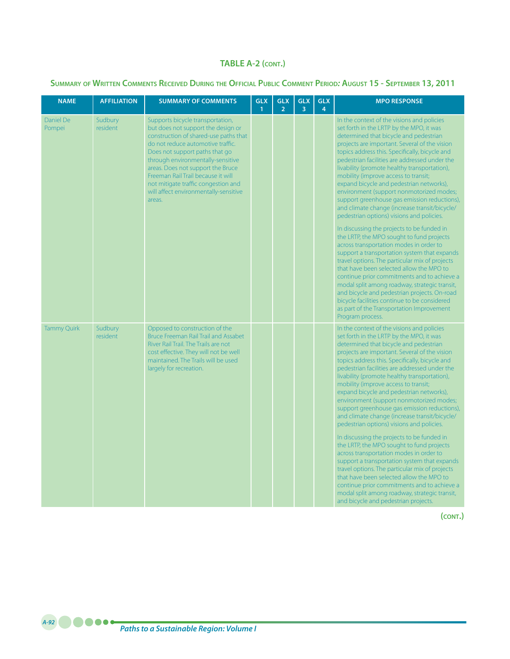#### **Summary of Written Comments Received During the Official Public Comment Period***:* **August 15 - September 13, 2011**

| <b>NAME</b>         | <b>AFFILIATION</b>  | <b>SUMMARY OF COMMENTS</b>                                                                                                                                                                                                                                                                                                                                                                       | <b>GLX</b><br>$\mathbf{1}$ | <b>GLX</b><br>2 <sup>1</sup> | <b>GLX</b><br>$\overline{3}$ | <b>GLX</b><br>$\overline{4}$ | <b>MPO RESPONSE</b>                                                                                                                                                                                                                                                                                                                                                                                                                                                                                                                                                                                                                                                                                                                                                                                                                                                                                                                                                                                                                                                                                                                                                     |
|---------------------|---------------------|--------------------------------------------------------------------------------------------------------------------------------------------------------------------------------------------------------------------------------------------------------------------------------------------------------------------------------------------------------------------------------------------------|----------------------------|------------------------------|------------------------------|------------------------------|-------------------------------------------------------------------------------------------------------------------------------------------------------------------------------------------------------------------------------------------------------------------------------------------------------------------------------------------------------------------------------------------------------------------------------------------------------------------------------------------------------------------------------------------------------------------------------------------------------------------------------------------------------------------------------------------------------------------------------------------------------------------------------------------------------------------------------------------------------------------------------------------------------------------------------------------------------------------------------------------------------------------------------------------------------------------------------------------------------------------------------------------------------------------------|
| Daniel De<br>Pompei | Sudbury<br>resident | Supports bicycle transportation,<br>but does not support the design or<br>construction of shared-use paths that<br>do not reduce automotive traffic.<br>Does not support paths that go<br>through environmentally-sensitive<br>areas. Does not support the Bruce<br>Freeman Rail Trail because it will<br>not mitigate traffic congestion and<br>will affect environmentally-sensitive<br>areas. |                            |                              |                              |                              | In the context of the visions and policies<br>set forth in the LRTP by the MPO, it was<br>determined that bicycle and pedestrian<br>projects are important. Several of the vision<br>topics address this. Specifically, bicycle and<br>pedestrian facilities are addressed under the<br>livability (promote healthy transportation),<br>mobility (improve access to transit;<br>expand bicycle and pedestrian networks),<br>environment (support nonmotorized modes;<br>support greenhouse gas emission reductions),<br>and climate change (increase transit/bicycle/<br>pedestrian options) visions and policies.<br>In discussing the projects to be funded in<br>the LRTP, the MPO sought to fund projects<br>across transportation modes in order to<br>support a transportation system that expands<br>travel options. The particular mix of projects<br>that have been selected allow the MPO to<br>continue prior commitments and to achieve a<br>modal split among roadway, strategic transit,<br>and bicycle and pedestrian projects. On-road<br>bicycle facilities continue to be considered<br>as part of the Transportation Improvement<br>Program process. |
| <b>Tammy Quirk</b>  | Sudbury<br>resident | Opposed to construction of the<br><b>Bruce Freeman Rail Trail and Assabet</b><br>River Rail Trail. The Trails are not<br>cost effective. They will not be well<br>maintained. The Trails will be used<br>largely for recreation.                                                                                                                                                                 |                            |                              |                              |                              | In the context of the visions and policies<br>set forth in the LRTP by the MPO, it was<br>determined that bicycle and pedestrian<br>projects are important. Several of the vision<br>topics address this. Specifically, bicycle and<br>pedestrian facilities are addressed under the<br>livability (promote healthy transportation),<br>mobility (improve access to transit;<br>expand bicycle and pedestrian networks),<br>environment (support nonmotorized modes;<br>support greenhouse gas emission reductions),<br>and climate change (increase transit/bicycle/<br>pedestrian options) visions and policies.<br>In discussing the projects to be funded in<br>the LRTP, the MPO sought to fund projects<br>across transportation modes in order to<br>support a transportation system that expands<br>travel options. The particular mix of projects<br>that have been selected allow the MPO to<br>continue prior commitments and to achieve a<br>modal split among roadway, strategic transit,<br>and bicycle and pedestrian projects.                                                                                                                          |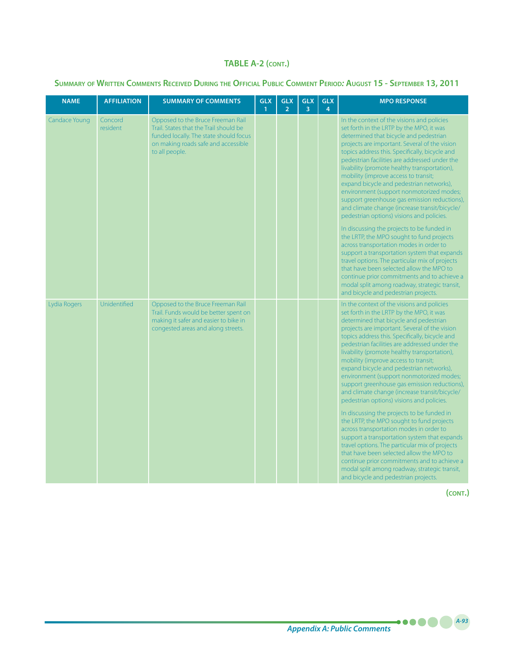|  |  |  | SUMMARY OF WRITTEN COMMENTS RECEIVED DURING THE OFFICIAL PUBLIC COMMENT PERIOD: AUGUST 15 - SEPTEMBER 13, 2011 |
|--|--|--|----------------------------------------------------------------------------------------------------------------|
|--|--|--|----------------------------------------------------------------------------------------------------------------|

| <b>NAME</b>   | <b>AFFILIATION</b>  | <b>SUMMARY OF COMMENTS</b>                                                                                                                                                     | <b>GLX</b><br>$\mathbf{1}$ | <b>GLX</b><br>$\overline{2}$ | <b>GLX</b><br>$\overline{3}$ | <b>GLX</b><br>$\overline{4}$ | <b>MPO RESPONSE</b>                                                                                                                                                                                                                                                                                                                                                                                                                                                                                                                                                                                                                                                                                                                                                                                                                                                                                                                                                                                                                            |
|---------------|---------------------|--------------------------------------------------------------------------------------------------------------------------------------------------------------------------------|----------------------------|------------------------------|------------------------------|------------------------------|------------------------------------------------------------------------------------------------------------------------------------------------------------------------------------------------------------------------------------------------------------------------------------------------------------------------------------------------------------------------------------------------------------------------------------------------------------------------------------------------------------------------------------------------------------------------------------------------------------------------------------------------------------------------------------------------------------------------------------------------------------------------------------------------------------------------------------------------------------------------------------------------------------------------------------------------------------------------------------------------------------------------------------------------|
| Candace Young | Concord<br>resident | Opposed to the Bruce Freeman Rail<br>Trail. States that the Trail should be<br>funded locally. The state should focus<br>on making roads safe and accessible<br>to all people. |                            |                              |                              |                              | In the context of the visions and policies<br>set forth in the LRTP by the MPO, it was<br>determined that bicycle and pedestrian<br>projects are important. Several of the vision<br>topics address this. Specifically, bicycle and<br>pedestrian facilities are addressed under the<br>livability (promote healthy transportation),<br>mobility (improve access to transit;<br>expand bicycle and pedestrian networks),<br>environment (support nonmotorized modes;<br>support greenhouse gas emission reductions),<br>and climate change (increase transit/bicycle/<br>pedestrian options) visions and policies.<br>In discussing the projects to be funded in<br>the LRTP, the MPO sought to fund projects<br>across transportation modes in order to<br>support a transportation system that expands<br>travel options. The particular mix of projects<br>that have been selected allow the MPO to<br>continue prior commitments and to achieve a<br>modal split among roadway, strategic transit,<br>and bicycle and pedestrian projects. |
| Lydia Rogers  | Unidentified        | Opposed to the Bruce Freeman Rail<br>Trail. Funds would be better spent on<br>making it safer and easier to bike in<br>congested areas and along streets.                      |                            |                              |                              |                              | In the context of the visions and policies<br>set forth in the LRTP by the MPO, it was<br>determined that bicycle and pedestrian<br>projects are important. Several of the vision<br>topics address this. Specifically, bicycle and<br>pedestrian facilities are addressed under the<br>livability (promote healthy transportation),<br>mobility (improve access to transit;<br>expand bicycle and pedestrian networks),<br>environment (support nonmotorized modes;<br>support greenhouse gas emission reductions),<br>and climate change (increase transit/bicycle/<br>pedestrian options) visions and policies.<br>In discussing the projects to be funded in<br>the LRTP, the MPO sought to fund projects<br>across transportation modes in order to<br>support a transportation system that expands<br>travel options. The particular mix of projects<br>that have been selected allow the MPO to<br>continue prior commitments and to achieve a<br>modal split among roadway, strategic transit,<br>and bicycle and pedestrian projects. |

**(cont.)**

**A-93**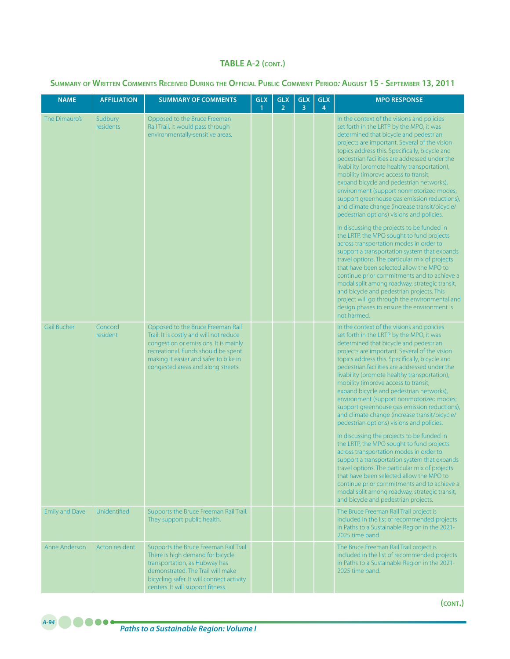| <b>NAME</b>           | <b>AFFILIATION</b>   | <b>SUMMARY OF COMMENTS</b>                                                                                                                                                                                                                  | <b>GLX</b><br>$\mathbf{1}$ | <b>GLX</b><br>$\overline{2}$ | <b>GLX</b><br>3 | <b>GLX</b><br>4 | <b>MPO RESPONSE</b>                                                                                                                                                                                                                                                                                                                                                                                                                                                                                                                                                                                                                                                                                                                                                                                                                                                                                                                                                                                                                                                                                                                                               |
|-----------------------|----------------------|---------------------------------------------------------------------------------------------------------------------------------------------------------------------------------------------------------------------------------------------|----------------------------|------------------------------|-----------------|-----------------|-------------------------------------------------------------------------------------------------------------------------------------------------------------------------------------------------------------------------------------------------------------------------------------------------------------------------------------------------------------------------------------------------------------------------------------------------------------------------------------------------------------------------------------------------------------------------------------------------------------------------------------------------------------------------------------------------------------------------------------------------------------------------------------------------------------------------------------------------------------------------------------------------------------------------------------------------------------------------------------------------------------------------------------------------------------------------------------------------------------------------------------------------------------------|
| The Dimauro's         | Sudbury<br>residents | Opposed to the Bruce Freeman<br>Rail Trail. It would pass through<br>environmentally-sensitive areas.                                                                                                                                       |                            |                              |                 |                 | In the context of the visions and policies<br>set forth in the LRTP by the MPO, it was<br>determined that bicycle and pedestrian<br>projects are important. Several of the vision<br>topics address this. Specifically, bicycle and<br>pedestrian facilities are addressed under the<br>livability (promote healthy transportation),<br>mobility (improve access to transit;<br>expand bicycle and pedestrian networks),<br>environment (support nonmotorized modes;<br>support greenhouse gas emission reductions),<br>and climate change (increase transit/bicycle/<br>pedestrian options) visions and policies.<br>In discussing the projects to be funded in<br>the LRTP, the MPO sought to fund projects<br>across transportation modes in order to<br>support a transportation system that expands<br>travel options. The particular mix of projects<br>that have been selected allow the MPO to<br>continue prior commitments and to achieve a<br>modal split among roadway, strategic transit,<br>and bicycle and pedestrian projects. This<br>project will go through the environmental and<br>design phases to ensure the environment is<br>not harmed. |
| <b>Gail Bucher</b>    | Concord<br>resident  | Opposed to the Bruce Freeman Rail<br>Trail. It is costly and will not reduce<br>congestion or emissions. It is mainly<br>recreational. Funds should be spent<br>making it easier and safer to bike in<br>congested areas and along streets. |                            |                              |                 |                 | In the context of the visions and policies<br>set forth in the LRTP by the MPO, it was<br>determined that bicycle and pedestrian<br>projects are important. Several of the vision<br>topics address this. Specifically, bicycle and<br>pedestrian facilities are addressed under the<br>livability (promote healthy transportation),<br>mobility (improve access to transit;<br>expand bicycle and pedestrian networks),<br>environment (support nonmotorized modes;<br>support greenhouse gas emission reductions),<br>and climate change (increase transit/bicycle/<br>pedestrian options) visions and policies.<br>In discussing the projects to be funded in<br>the LRTP, the MPO sought to fund projects<br>across transportation modes in order to<br>support a transportation system that expands<br>travel options. The particular mix of projects<br>that have been selected allow the MPO to<br>continue prior commitments and to achieve a<br>modal split among roadway, strategic transit,<br>and bicycle and pedestrian projects.                                                                                                                    |
| <b>Emily and Dave</b> | Unidentified         | Supports the Bruce Freeman Rail Trail.<br>They support public health.                                                                                                                                                                       |                            |                              |                 |                 | The Bruce Freeman Rail Trail project is<br>included in the list of recommended projects<br>in Paths to a Sustainable Region in the 2021-<br>2025 time band.                                                                                                                                                                                                                                                                                                                                                                                                                                                                                                                                                                                                                                                                                                                                                                                                                                                                                                                                                                                                       |
| Anne Anderson         | Acton resident       | Supports the Bruce Freeman Rail Trail.<br>There is high demand for bicycle<br>transportation, as Hubway has<br>demonstrated. The Trail will make<br>bicycling safer. It will connect activity<br>centers. It will support fitness.          |                            |                              |                 |                 | The Bruce Freeman Rail Trail project is<br>included in the list of recommended projects<br>in Paths to a Sustainable Region in the 2021-<br>2025 time band.                                                                                                                                                                                                                                                                                                                                                                                                                                                                                                                                                                                                                                                                                                                                                                                                                                                                                                                                                                                                       |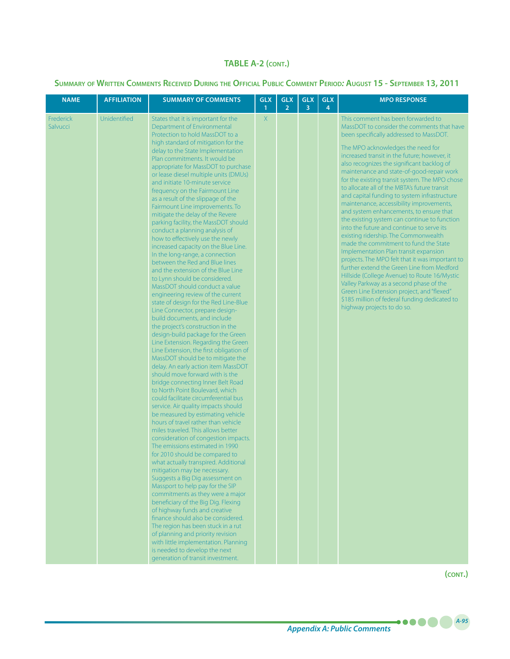### **Summary of Written Comments Received During the Official Public Comment Period***:* **August 15 - September 13, 2011**

| <b>NAME</b>           | <b>AFFILIATION</b> | <b>SUMMARY OF COMMENTS</b>                                                                                                                                                                                                                                                                                                                                                                                                                                                                                                                                                                                                                                                                                                                                                                                                                                                                                                                                                                                                                                                                                                                                                                                                                                                                                                                                                                                                                                                                                                                                                                                                                                                                                                                                                                                                                                                                                                                                                                                                                                                                                                             | <b>GLX</b><br>$\mathbf{1}$ | <b>GLX</b><br>$\overline{2}$ | <b>GLX</b><br>3 | <b>GLX</b><br>4 | <b>MPO RESPONSE</b>                                                                                                                                                                                                                                                                                                                                                                                                                                                                                                                                                                                                                                                                                                                                                                                                                                                                                                                                                                                                                                                                                  |
|-----------------------|--------------------|----------------------------------------------------------------------------------------------------------------------------------------------------------------------------------------------------------------------------------------------------------------------------------------------------------------------------------------------------------------------------------------------------------------------------------------------------------------------------------------------------------------------------------------------------------------------------------------------------------------------------------------------------------------------------------------------------------------------------------------------------------------------------------------------------------------------------------------------------------------------------------------------------------------------------------------------------------------------------------------------------------------------------------------------------------------------------------------------------------------------------------------------------------------------------------------------------------------------------------------------------------------------------------------------------------------------------------------------------------------------------------------------------------------------------------------------------------------------------------------------------------------------------------------------------------------------------------------------------------------------------------------------------------------------------------------------------------------------------------------------------------------------------------------------------------------------------------------------------------------------------------------------------------------------------------------------------------------------------------------------------------------------------------------------------------------------------------------------------------------------------------------|----------------------------|------------------------------|-----------------|-----------------|------------------------------------------------------------------------------------------------------------------------------------------------------------------------------------------------------------------------------------------------------------------------------------------------------------------------------------------------------------------------------------------------------------------------------------------------------------------------------------------------------------------------------------------------------------------------------------------------------------------------------------------------------------------------------------------------------------------------------------------------------------------------------------------------------------------------------------------------------------------------------------------------------------------------------------------------------------------------------------------------------------------------------------------------------------------------------------------------------|
| Frederick<br>Salvucci | Unidentified       | States that it is important for the<br>Department of Environmental<br>Protection to hold MassDOT to a<br>high standard of mitigation for the<br>delay to the State Implementation<br>Plan commitments. It would be<br>appropriate for MassDOT to purchase<br>or lease diesel multiple units (DMUs)<br>and initiate 10-minute service<br>frequency on the Fairmount Line<br>as a result of the slippage of the<br>Fairmount Line improvements. To<br>mitigate the delay of the Revere<br>parking facility, the MassDOT should<br>conduct a planning analysis of<br>how to effectively use the newly<br>increased capacity on the Blue Line.<br>In the long-range, a connection<br>between the Red and Blue lines<br>and the extension of the Blue Line<br>to Lynn should be considered.<br>MassDOT should conduct a value<br>engineering review of the current<br>state of design for the Red Line-Blue<br>Line Connector, prepare design-<br>build documents, and include<br>the project's construction in the<br>design-build package for the Green<br>Line Extension. Regarding the Green<br>Line Extension, the first obligation of<br>MassDOT should be to mitigate the<br>delay. An early action item MassDOT<br>should move forward with is the<br>bridge connecting Inner Belt Road<br>to North Point Boulevard, which<br>could facilitate circumferential bus<br>service. Air quality impacts should<br>be measured by estimating vehicle<br>hours of travel rather than vehicle<br>miles traveled. This allows better<br>consideration of congestion impacts.<br>The emissions estimated in 1990<br>for 2010 should be compared to<br>what actually transpired. Additional<br>mitigation may be necessary.<br>Suggests a Big Dig assessment on<br>Massport to help pay for the SIP<br>commitments as they were a major<br>beneficiary of the Big Dig. Flexing<br>of highway funds and creative<br>finance should also be considered.<br>The region has been stuck in a rut<br>of planning and priority revision<br>with little implementation. Planning<br>is needed to develop the next<br>generation of transit investment. | X                          |                              |                 |                 | This comment has been forwarded to<br>MassDOT to consider the comments that have<br>been specifically addressed to MassDOT.<br>The MPO acknowledges the need for<br>increased transit in the future; however, it<br>also recognizes the significant backlog of<br>maintenance and state-of-good-repair work<br>for the existing transit system. The MPO chose<br>to allocate all of the MBTA's future transit<br>and capital funding to system infrastructure<br>maintenance, accessibility improvements,<br>and system enhancements, to ensure that<br>the existing system can continue to function<br>into the future and continue to serve its<br>existing ridership. The Commonwealth<br>made the commitment to fund the State<br>Implementation Plan transit expansion<br>projects. The MPO felt that it was important to<br>further extend the Green Line from Medford<br>Hillside (College Avenue) to Route 16/Mystic<br>Valley Parkway as a second phase of the<br>Green Line Extension project, and "flexed"<br>\$185 million of federal funding dedicated to<br>highway projects to do so. |

*A-95*

.....